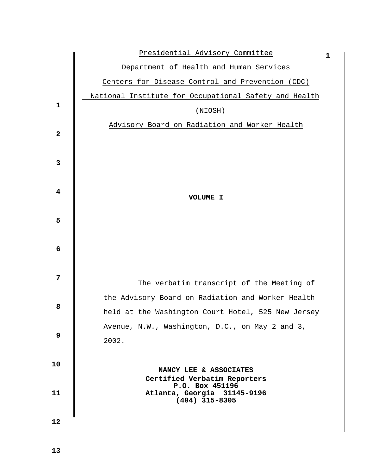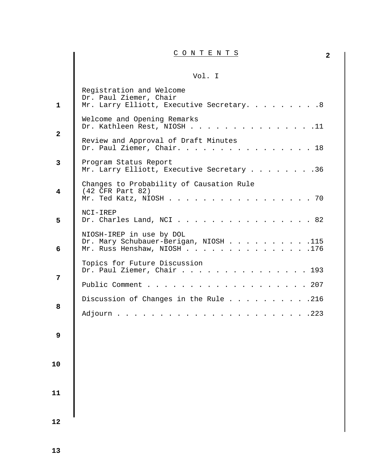# **2** C O N T E N T S

## Vol. I

| $\mathbf{1}$ | Registration and Welcome<br>Dr. Paul Ziemer, Chair<br>Mr. Larry Elliott, Executive Secretary. 8     |
|--------------|-----------------------------------------------------------------------------------------------------|
| $\mathbf{2}$ | Welcome and Opening Remarks<br>Dr. Kathleen Rest, NIOSH 11                                          |
|              | Review and Approval of Draft Minutes<br>Dr. Paul Ziemer, Chair. 18                                  |
| 3            | Program Status Report<br>Mr. Larry Elliott, Executive Secretary 36                                  |
| 4            | Changes to Probability of Causation Rule<br>$(42$ CFR Part 82)<br>. 70<br>Mr. Ted Katz, NIOSH       |
| 5            | NCI-IREP<br>Dr. Charles Land, NCI $\ldots$ $\ldots$ $\ldots$ $\ldots$ $\ldots$ $\ldots$ $\ldots$ 82 |
| 6            | NIOSH-IREP in use by DOL<br>Dr. Mary Schubauer-Berigan, NIOSH 115<br>Mr. Russ Henshaw, NIOSH 176    |
| 7            | Topics for Future Discussion<br>Dr. Paul Ziemer, Chair 193                                          |
|              | $\cdots$ 207<br>Public Comment                                                                      |
| 8            | Discussion of Changes in the Rule 216                                                               |
|              | $\cdots$ $\cdots$ $.223$<br>Adjourn                                                                 |
| 9            |                                                                                                     |
| 10           |                                                                                                     |
| 11           |                                                                                                     |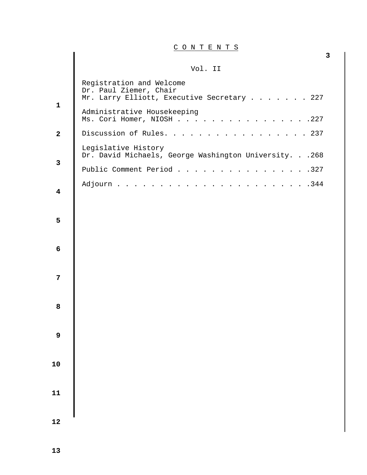C O N T E N T S

**3**

### Vol. II

|                         | , ∨∪⊥. ⊥⊥                                                                                               |
|-------------------------|---------------------------------------------------------------------------------------------------------|
|                         | Registration and Welcome<br>Dr. Paul Ziemer, Chair<br>Mr. Larry Elliott, Executive Secretary 227        |
| $\mathbf{1}$            | Administrative Housekeeping<br>Ms. Cori Homer, NIOSH<br>.227<br>$\cdot$ $\cdot$ $\cdot$ $\cdot$ $\cdot$ |
| $\mathbf{2}$            | Discussion of Rules.<br>.237                                                                            |
| 3                       | Legislative History<br>Dr. David Michaels, George Washington University. 268                            |
|                         | Public Comment Period<br>.327                                                                           |
| $\overline{\mathbf{4}}$ | .344<br>Adjourn                                                                                         |
| 5                       |                                                                                                         |
| 6                       |                                                                                                         |
| $\overline{7}$          |                                                                                                         |
| ${\bf 8}$               |                                                                                                         |
| 9                       |                                                                                                         |
| ${\bf 10}$              |                                                                                                         |
| ${\bf 11}$              |                                                                                                         |
| 12                      |                                                                                                         |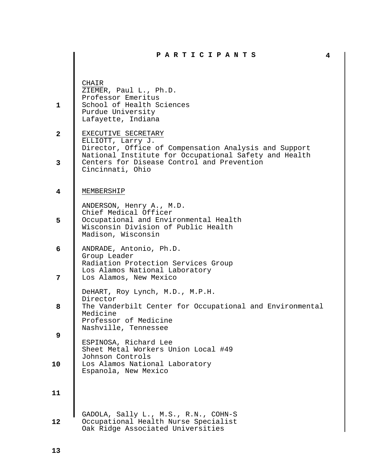|              | PARTICIPANTS                                                                                                                                                         | 4 |
|--------------|----------------------------------------------------------------------------------------------------------------------------------------------------------------------|---|
| $\mathbf{1}$ | CHAIR<br>ZIEMER, Paul L., Ph.D.<br>Professor Emeritus<br>School of Health Sciences<br>Purdue University<br>Lafayette, Indiana                                        |   |
| $\mathbf{2}$ | EXECUTIVE SECRETARY<br>ELLIOTT, Larry J.<br>Director, Office of Compensation Analysis and Support                                                                    |   |
| 3            | National Institute for Occupational Safety and Health<br>Centers for Disease Control and Prevention<br>Cincinnati, Ohio                                              |   |
| 4            | MEMBERSHIP                                                                                                                                                           |   |
| 5            | ANDERSON, Henry A., M.D.<br>Chief Medical Officer<br>Occupational and Environmental Health<br>Wisconsin Division of Public Health<br>Madison, Wisconsin              |   |
| 6            | ANDRADE, Antonio, Ph.D.<br>Group Leader<br>Radiation Protection Services Group                                                                                       |   |
| 7            | Los Alamos National Laboratory<br>Los Alamos, New Mexico                                                                                                             |   |
| 8            | DeHART, Roy Lynch, M.D., M.P.H.<br>Director<br>The Vanderbilt Center for Occupational and Environmental<br>Medicine<br>Professor of Medicine<br>Nashville, Tennessee |   |
| 9            | ESPINOSA, Richard Lee<br>Sheet Metal Workers Union Local #49                                                                                                         |   |
| 10           | Johnson Controls<br>Los Alamos National Laboratory<br>Espanola, New Mexico                                                                                           |   |
| 11           |                                                                                                                                                                      |   |
| 12           | GADOLA, Sally L., M.S., R.N., COHN-S<br>Occupational Health Nurse Specialist<br>Oak Ridge Associated Universities                                                    |   |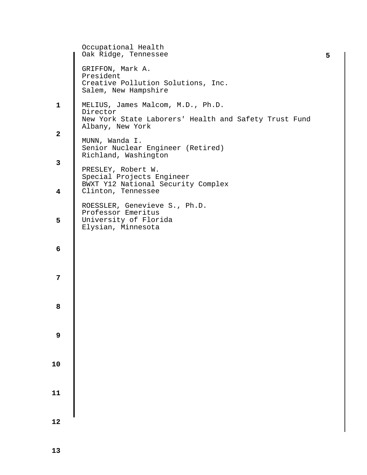| Occupational Health<br>Oak Ridge, Tennessee                                                            | 5                                                                         |
|--------------------------------------------------------------------------------------------------------|---------------------------------------------------------------------------|
| GRIFFON, Mark A.<br>President<br>Creative Pollution Solutions, Inc.<br>Salem, New Hampshire            |                                                                           |
| MELIUS, James Malcom, M.D., Ph.D.<br>Director<br>New York State Laborers' Health and Safety Trust Fund |                                                                           |
| MUNN, Wanda I.<br>Senior Nuclear Engineer (Retired)                                                    |                                                                           |
| PRESLEY, Robert W.<br>Special Projects Engineer<br>BWXT Y12 National Security Complex                  |                                                                           |
| Clinton, Tennessee                                                                                     |                                                                           |
| Professor Emeritus<br>University of Florida<br>Elysian, Minnesota                                      |                                                                           |
|                                                                                                        |                                                                           |
|                                                                                                        |                                                                           |
|                                                                                                        |                                                                           |
|                                                                                                        |                                                                           |
|                                                                                                        |                                                                           |
|                                                                                                        |                                                                           |
|                                                                                                        |                                                                           |
|                                                                                                        | Albany, New York<br>Richland, Washington<br>ROESSLER, Genevieve S., Ph.D. |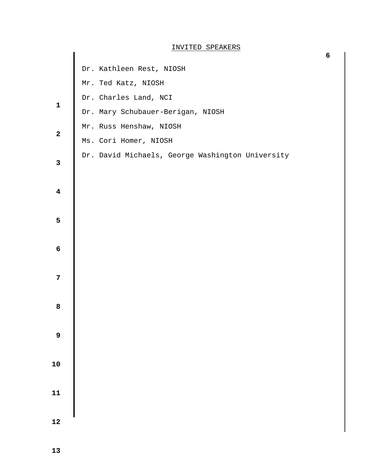#### INVITED SPEAKERS

|                         | Dr. Kathleen Rest, NIOSH                         |
|-------------------------|--------------------------------------------------|
|                         | Mr. Ted Katz, NIOSH                              |
| $\mathbf 1$             | Dr. Charles Land, NCI                            |
|                         | Dr. Mary Schubauer-Berigan, NIOSH                |
|                         | Mr. Russ Henshaw, NIOSH                          |
| $\mathbf{2}$            | Ms. Cori Homer, NIOSH                            |
| $\mathbf{3}$            | Dr. David Michaels, George Washington University |
| $\overline{\mathbf{4}}$ |                                                  |
| 5                       |                                                  |
| $\boldsymbol{6}$        |                                                  |
| $\overline{7}$          |                                                  |
| 8                       |                                                  |
| $\boldsymbol{9}$        |                                                  |
| ${\bf 10}$              |                                                  |
| ${\bf 11}$              |                                                  |
| 12                      |                                                  |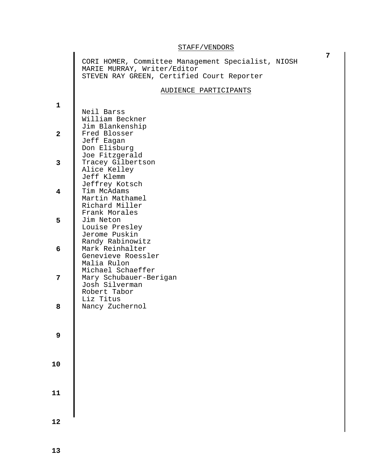#### STAFF/VENDORS

|                         | CORI HOMER, Committee Management Specialist, NIOSH<br>MARIE MURRAY, Writer/Editor<br>STEVEN RAY GREEN, Certified Court Reporter |
|-------------------------|---------------------------------------------------------------------------------------------------------------------------------|
|                         | AUDIENCE PARTICIPANTS                                                                                                           |
| $\mathbf{1}$            | Neil Barss<br>William Beckner                                                                                                   |
| $\overline{\mathbf{2}}$ | Jim Blankenship<br>Fred Blosser<br>Jeff Eagan<br>Don Elisburg                                                                   |
| $\overline{3}$          | Joe Fitzgerald<br>Tracey Gilbertson<br>Alice Kelley<br>Jeff Klemm                                                               |
| $\overline{\mathbf{4}}$ | Jeffrey Kotsch<br>Tim McAdams<br>Martin Mathamel<br>Richard Miller                                                              |
| 5                       | Frank Morales<br>Jim Neton<br>Louise Presley<br>Jerome Puskin                                                                   |
| 6                       | Randy Rabinowitz<br>Mark Reinhalter<br>Genevieve Roessler<br>Malia Rulon                                                        |
| 7                       | Michael Schaeffer<br>Mary Schubauer-Berigan<br>Josh Silverman<br>Robert Tabor                                                   |
| 8                       | Liz Titus<br>Nancy Zuchernol                                                                                                    |
| $\overline{9}$          |                                                                                                                                 |
| 10                      |                                                                                                                                 |
| 11                      |                                                                                                                                 |
| 12                      |                                                                                                                                 |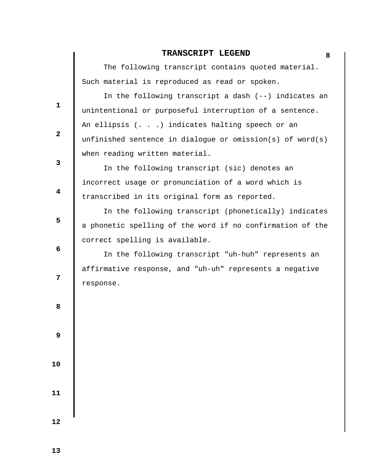## **TRANSCRIPT LEGEND 8**

 The following transcript contains quoted material. Such material is reproduced as read or spoken.

 In the following transcript a dash (--) indicates an unintentional or purposeful interruption of a sentence. An ellipsis (. . .) indicates halting speech or an unfinished sentence in dialogue or omission(s) of word(s) when reading written material.

 In the following transcript (sic) denotes an incorrect usage or pronunciation of a word which is transcribed in its original form as reported.

 In the following transcript (phonetically) indicates a phonetic spelling of the word if no confirmation of the correct spelling is available.

 In the following transcript "uh-huh" represents an affirmative response, and "uh-uh" represents a negative response.

**8 8** 

**1** 

**2** 

**3** 

**4** 

**5** 

 **6** 

**12** 

 **9** 

 **10** 

 **11**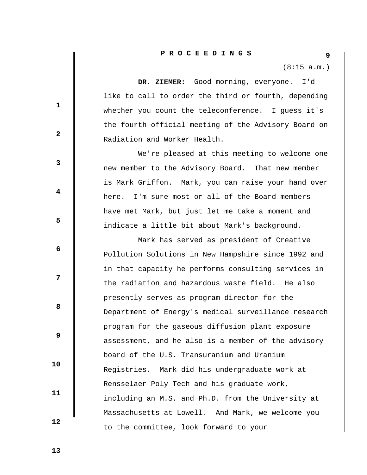(8:15 a.m.)

 **DR. ZIEMER:** Good morning, everyone. I'd like to call to order the third or fourth, depending whether you count the teleconference. I guess it's the fourth official meeting of the Advisory Board on Radiation and Worker Health.

 We're pleased at this meeting to welcome one new member to the Advisory Board. That new member is Mark Griffon. Mark, you can raise your hand over here. I'm sure most or all of the Board members have met Mark, but just let me take a moment and indicate a little bit about Mark's background.

 Mark has served as president of Creative Pollution Solutions in New Hampshire since 1992 and in that capacity he performs consulting services in the radiation and hazardous waste field. He also presently serves as program director for the Department of Energy's medical surveillance research program for the gaseous diffusion plant exposure assessment, and he also is a member of the advisory board of the U.S. Transuranium and Uranium Registries. Mark did his undergraduate work at Rensselaer Poly Tech and his graduate work, including an M.S. and Ph.D. from the University at Massachusetts at Lowell. And Mark, we welcome you to the committee, look forward to your

**1** 

**2** 

**3** 

**4** 

**5** 

 **6** 

**12** 

**8 8** 

 **9** 

 **13** 

 **10** 

 **11**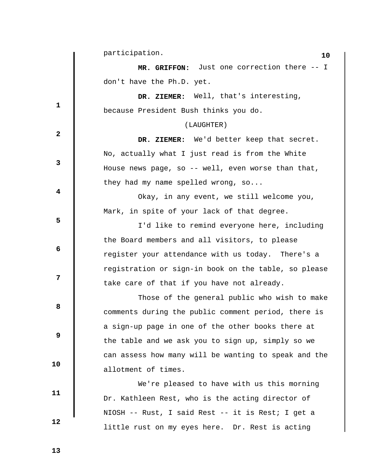**1 2 3 4 5 6 12 8 8 9 10 11 12 10** participation.  **MR. GRIFFON:** Just one correction there -- I don't have the Ph.D. yet.  **DR. ZIEMER:** Well, that's interesting, because President Bush thinks you do. (LAUGHTER)  **DR. ZIEMER:** We'd better keep that secret. No, actually what I just read is from the White House news page, so -- well, even worse than that, they had my name spelled wrong, so... Okay, in any event, we still welcome you, Mark, in spite of your lack of that degree. I'd like to remind everyone here, including the Board members and all visitors, to please register your attendance with us today. There's a registration or sign-in book on the table, so please take care of that if you have not already. Those of the general public who wish to make comments during the public comment period, there is a sign-up page in one of the other books there at the table and we ask you to sign up, simply so we can assess how many will be wanting to speak and the allotment of times. We're pleased to have with us this morning Dr. Kathleen Rest, who is the acting director of NIOSH -- Rust, I said Rest -- it is Rest; I get a little rust on my eyes here. Dr. Rest is acting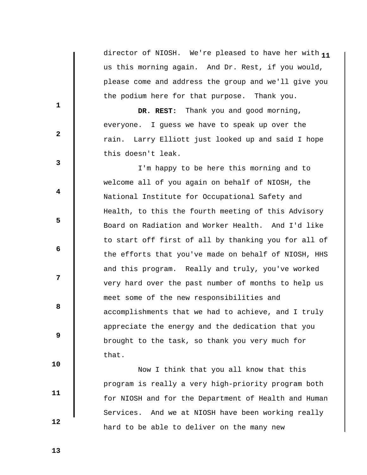**1** director of NIOSH. We're pleased to have her with **1** us this morning again. And Dr. Rest, if you would, please come and address the group and we'll give you the podium here for that purpose. Thank you.

 **DR. REST:** Thank you and good morning, everyone. I guess we have to speak up over the rain. Larry Elliott just looked up and said I hope this doesn't leak.

 I'm happy to be here this morning and to welcome all of you again on behalf of NIOSH, the National Institute for Occupational Safety and Health, to this the fourth meeting of this Advisory Board on Radiation and Worker Health. And I'd like to start off first of all by thanking you for all of the efforts that you've made on behalf of NIOSH, HHS and this program. Really and truly, you've worked very hard over the past number of months to help us meet some of the new responsibilities and accomplishments that we had to achieve, and I truly appreciate the energy and the dedication that you brought to the task, so thank you very much for that.

 Now I think that you all know that this program is really a very high-priority program both for NIOSH and for the Department of Health and Human Services. And we at NIOSH have been working really hard to be able to deliver on the many new

 **13** 

 **10** 

 **11** 

 **12** 

**1** 

**2** 

**3** 

**4** 

**5** 

**6 6** 

**12** 

**8 8**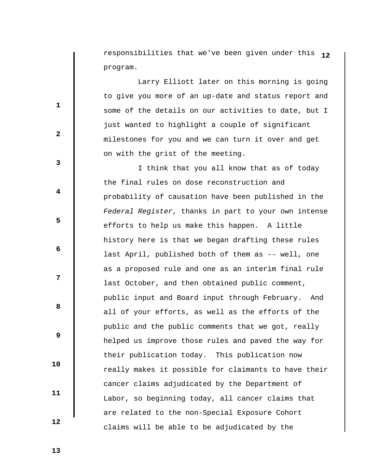responsibilities that we've been given under this **12** program.

 Larry Elliott later on this morning is going to give you more of an up-date and status report and some of the details on our activities to date, but I just wanted to highlight a couple of significant milestones for you and we can turn it over and get on with the grist of the meeting.

 I think that you all know that as of today the final rules on dose reconstruction and probability of causation have been published in the *Federal Register*, thanks in part to your own intense efforts to help us make this happen. A little history here is that we began drafting these rules last April, published both of them as -- well, one as a proposed rule and one as an interim final rule last October, and then obtained public comment, public input and Board input through February. And all of your efforts, as well as the efforts of the public and the public comments that we got, really helped us improve those rules and paved the way for their publication today. This publication now really makes it possible for claimants to have their cancer claims adjudicated by the Department of Labor, so beginning today, all cancer claims that are related to the non-Special Exposure Cohort claims will be able to be adjudicated by the

 **13** 

 **10** 

 **11** 

 **12** 

**1** 

**2** 

**3** 

**4** 

**5** 

**6 6** 

**12** 

**8 8**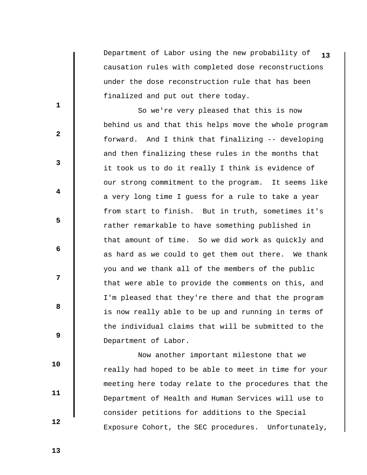Department of Labor using the new probability of **13** causation rules with completed dose reconstructions under the dose reconstruction rule that has been finalized and put out there today.

 So we're very pleased that this is now behind us and that this helps move the whole program forward. And I think that finalizing -- developing and then finalizing these rules in the months that it took us to do it really I think is evidence of our strong commitment to the program. It seems like a very long time I guess for a rule to take a year from start to finish. But in truth, sometimes it's rather remarkable to have something published in that amount of time. So we did work as quickly and as hard as we could to get them out there. We thank you and we thank all of the members of the public that were able to provide the comments on this, and I'm pleased that they're there and that the program is now really able to be up and running in terms of the individual claims that will be submitted to the Department of Labor.

 Now another important milestone that we really had hoped to be able to meet in time for your meeting here today relate to the procedures that the Department of Health and Human Services will use to consider petitions for additions to the Special Exposure Cohort, the SEC procedures. Unfortunately,

 **13** 

 **10** 

 **11** 

 **12** 

**1** 

**2** 

**3** 

**4** 

**5** 

**6 6** 

**12** 

**8 8**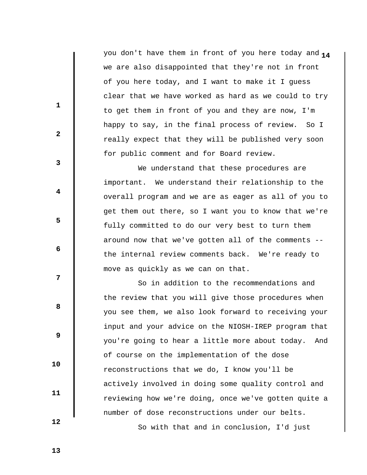**1** you don't have them in front of you here today and **4** we are also disappointed that they're not in front of you here today, and I want to make it I guess clear that we have worked as hard as we could to try to get them in front of you and they are now, I'm happy to say, in the final process of review. So I really expect that they will be published very soon for public comment and for Board review.

 We understand that these procedures are important. We understand their relationship to the overall program and we are as eager as all of you to get them out there, so I want you to know that we're fully committed to do our very best to turn them around now that we've gotten all of the comments - the internal review comments back. We're ready to move as quickly as we can on that.

 So in addition to the recommendations and the review that you will give those procedures when you see them, we also look forward to receiving your input and your advice on the NIOSH-IREP program that you're going to hear a little more about today. And of course on the implementation of the dose reconstructions that we do, I know you'll be actively involved in doing some quality control and reviewing how we're doing, once we've gotten quite a number of dose reconstructions under our belts. So with that and in conclusion, I'd just

 **13** 

**1** 

**2** 

**3** 

**4** 

**5** 

**6 6** 

**12** 

**8 8** 

 **9** 

 **10** 

 **11**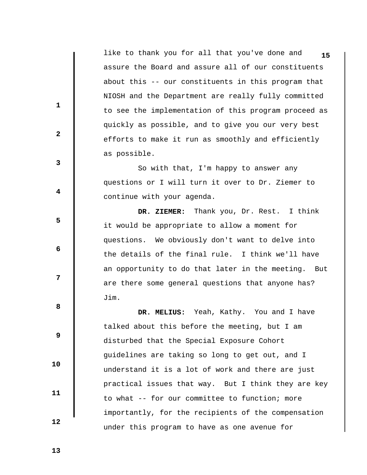like to thank you for all that you've done and **15** assure the Board and assure all of our constituents about this -- our constituents in this program that NIOSH and the Department are really fully committed to see the implementation of this program proceed as quickly as possible, and to give you our very best efforts to make it run as smoothly and efficiently as possible.

 So with that, I'm happy to answer any questions or I will turn it over to Dr. Ziemer to continue with your agenda.

 **DR. ZIEMER:** Thank you, Dr. Rest. I think it would be appropriate to allow a moment for questions. We obviously don't want to delve into the details of the final rule. I think we'll have an opportunity to do that later in the meeting. But are there some general questions that anyone has? Jim.

 **DR. MELIUS:** Yeah, Kathy. You and I have talked about this before the meeting, but I am disturbed that the Special Exposure Cohort guidelines are taking so long to get out, and I understand it is a lot of work and there are just practical issues that way. But I think they are key to what -- for our committee to function; more importantly, for the recipients of the compensation under this program to have as one avenue for

**3** 

**1** 

**2** 

**4** 

**5** 

**6 6** 

**8 8** 

 **9** 

**12** 

 **10** 

 **11** 

 **12**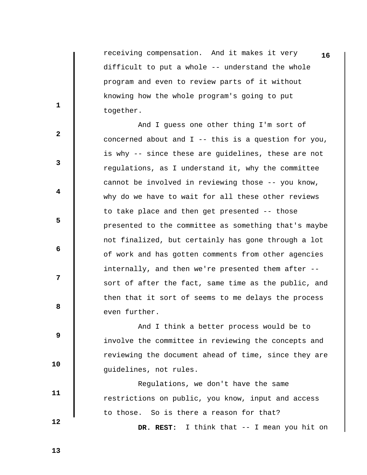receiving compensation. And it makes it very **16** difficult to put a whole -- understand the whole program and even to review parts of it without knowing how the whole program's going to put together.

 And I guess one other thing I'm sort of concerned about and I -- this is a question for you, is why -- since these are guidelines, these are not regulations, as I understand it, why the committee cannot be involved in reviewing those -- you know, why do we have to wait for all these other reviews to take place and then get presented -- those presented to the committee as something that's maybe not finalized, but certainly has gone through a lot of work and has gotten comments from other agencies internally, and then we're presented them after - sort of after the fact, same time as the public, and then that it sort of seems to me delays the process even further.

 And I think a better process would be to involve the committee in reviewing the concepts and reviewing the document ahead of time, since they are guidelines, not rules.

 Regulations, we don't have the same restrictions on public, you know, input and access to those. So is there a reason for that?

 **DR. REST:** I think that -- I mean you hit on

 **13** 

**1** 

**2** 

**3** 

**4** 

**5** 

**6 6** 

**12** 

**8 8** 

 **9** 

 **10** 

 **11**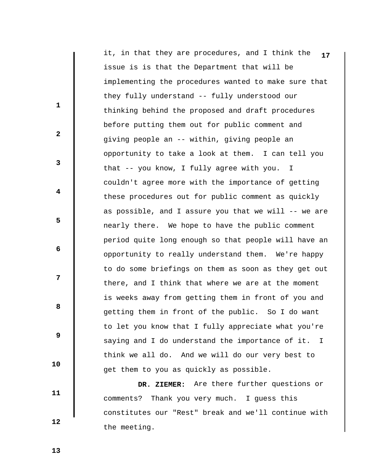it, in that they are procedures, and I think the **17** issue is is that the Department that will be implementing the procedures wanted to make sure that they fully understand -- fully understood our thinking behind the proposed and draft procedures before putting them out for public comment and giving people an -- within, giving people an opportunity to take a look at them. I can tell you that -- you know, I fully agree with you. I couldn't agree more with the importance of getting these procedures out for public comment as quickly as possible, and I assure you that we will -- we are nearly there. We hope to have the public comment period quite long enough so that people will have an opportunity to really understand them. We're happy to do some briefings on them as soon as they get out there, and I think that where we are at the moment is weeks away from getting them in front of you and getting them in front of the public. So I do want to let you know that I fully appreciate what you're saying and I do understand the importance of it. I think we all do. And we will do our very best to get them to you as quickly as possible.

 **DR. ZIEMER:** Are there further questions or comments? Thank you very much. I guess this constitutes our "Rest" break and we'll continue with the meeting.

 **13** 

 **10** 

 **11** 

 **12** 

**1** 

**2** 

**3** 

**4** 

**5** 

**6 6** 

**12** 

**8 8**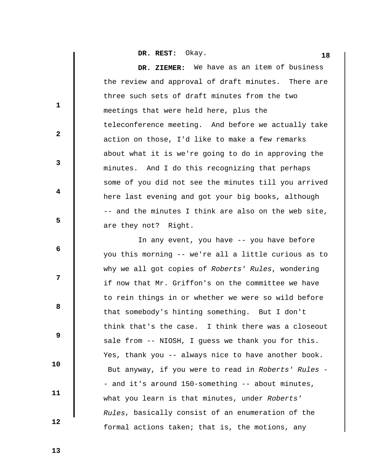**DR. REST:** Okay. **18** 

 **DR. ZIEMER:** We have as an item of business the review and approval of draft minutes. There are three such sets of draft minutes from the two meetings that were held here, plus the teleconference meeting. And before we actually take action on those, I'd like to make a few remarks about what it is we're going to do in approving the minutes. And I do this recognizing that perhaps some of you did not see the minutes till you arrived here last evening and got your big books, although -- and the minutes I think are also on the web site, are they not? Right.

 In any event, you have -- you have before you this morning -- we're all a little curious as to why we all got copies of *Roberts' Rules*, wondering if now that Mr. Griffon's on the committee we have to rein things in or whether we were so wild before that somebody's hinting something. But I don't think that's the case. I think there was a closeout sale from -- NIOSH, I guess we thank you for this. Yes, thank you -- always nice to have another book. But anyway, if you were to read in *Roberts' Rules* - - and it's around 150-something -- about minutes, what you learn is that minutes, under *Roberts' Rules*, basically consist of an enumeration of the formal actions taken; that is, the motions, any

 **13** 

**1** 

**2** 

**3** 

**4** 

**5** 

**6 6** 

**12** 

**8 8** 

 **9** 

 **10** 

 **11**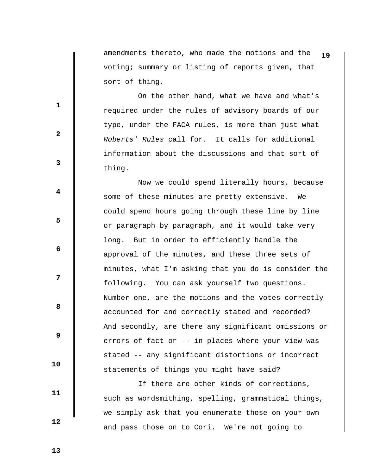amendments thereto, who made the motions and the **19** voting; summary or listing of reports given, that sort of thing.

 On the other hand, what we have and what's required under the rules of advisory boards of our type, under the FACA rules, is more than just what *Roberts' Rules* call for. It calls for additional information about the discussions and that sort of thing.

 Now we could spend literally hours, because some of these minutes are pretty extensive. We could spend hours going through these line by line or paragraph by paragraph, and it would take very long. But in order to efficiently handle the approval of the minutes, and these three sets of minutes, what I'm asking that you do is consider the following. You can ask yourself two questions. Number one, are the motions and the votes correctly accounted for and correctly stated and recorded? And secondly, are there any significant omissions or errors of fact or -- in places where your view was stated -- any significant distortions or incorrect statements of things you might have said?

 If there are other kinds of corrections, such as wordsmithing, spelling, grammatical things, we simply ask that you enumerate those on your own and pass those on to Cori. We're not going to

 **13** 

 **12** 

 **10** 

 **11** 

**1** 

**2** 

**3** 

**4** 

**5** 

**6 6** 

**12** 

**8 8**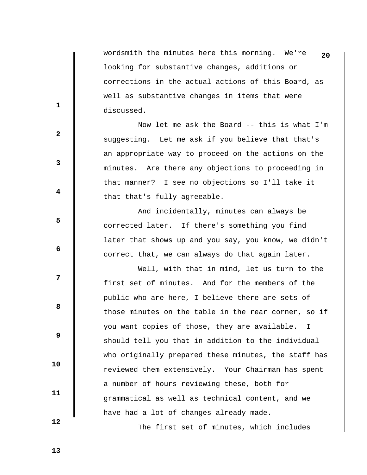wordsmith the minutes here this morning. We're **20** looking for substantive changes, additions or corrections in the actual actions of this Board, as well as substantive changes in items that were discussed.

 Now let me ask the Board -- this is what I'm suggesting. Let me ask if you believe that that's an appropriate way to proceed on the actions on the minutes. Are there any objections to proceeding in that manner? I see no objections so I'll take it that that's fully agreeable.

 And incidentally, minutes can always be corrected later. If there's something you find later that shows up and you say, you know, we didn't correct that, we can always do that again later.

 Well, with that in mind, let us turn to the first set of minutes. And for the members of the public who are here, I believe there are sets of those minutes on the table in the rear corner, so if you want copies of those, they are available. I should tell you that in addition to the individual who originally prepared these minutes, the staff has reviewed them extensively. Your Chairman has spent a number of hours reviewing these, both for grammatical as well as technical content, and we have had a lot of changes already made.

The first set of minutes, which includes

 **2** 

**1** 

**3** 

**4** 

**5** 

**6 6** 

**12** 

**8 8** 

 **9** 

 **13** 

 **10** 

 **11**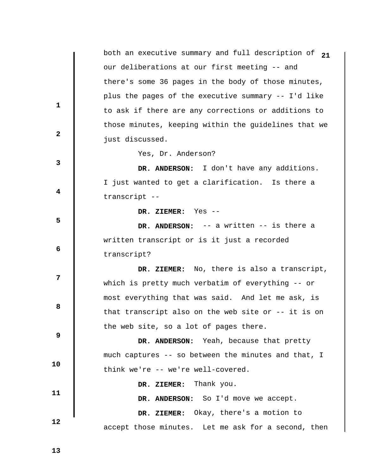both an executive summary and full description of **21** our deliberations at our first meeting -- and there's some 36 pages in the body of those minutes, plus the pages of the executive summary -- I'd like to ask if there are any corrections or additions to those minutes, keeping within the guidelines that we just discussed. **1 2 3 4 5 6 6 12 8 8 9 10 11 12**  Yes, Dr. Anderson?  **DR. ANDERSON:** I don't have any additions. I just wanted to get a clarification. Is there a transcript --  **DR. ZIEMER:** Yes --  **DR. ANDERSON:** -- a written -- is there a written transcript or is it just a recorded transcript?  **DR. ZIEMER:** No, there is also a transcript, which is pretty much verbatim of everything -- or most everything that was said. And let me ask, is that transcript also on the web site or -- it is on the web site, so a lot of pages there.  **DR. ANDERSON:** Yeah, because that pretty much captures -- so between the minutes and that, I think we're -- we're well-covered.  **DR. ZIEMER:** Thank you.  **DR. ANDERSON:** So I'd move we accept.  **DR. ZIEMER:** Okay, there's a motion to accept those minutes. Let me ask for a second, then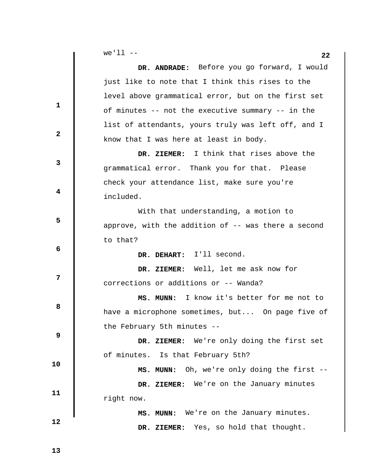| DR. ANDRADE: Before you go forward, I would<br>just like to note that I think this rises to the<br>level above grammatical error, but on the first set<br>$\mathbf{1}$<br>of minutes -- not the executive summary -- in the<br>list of attendants, yours truly was left off, and I<br>$\mathbf{2}$<br>know that I was here at least in body.<br>I think that rises above the<br>DR. ZIEMER:<br>3<br>grammatical error. Thank you for that. Please<br>check your attendance list, make sure you're<br>4<br>included.<br>With that understanding, a motion to<br>5<br>approve, with the addition of $-$ - was there a second<br>to that?<br>6<br>DR. DEHART: I'll second.<br>DR. ZIEMER: Well, let me ask now for<br>7<br>corrections or additions or -- Wanda?<br>I know it's better for me not to<br>MS. MUNN:<br>8<br>have a microphone sometimes, but On page five of<br>the February 5th minutes --<br>9<br>DR. ZIEMER: We're only doing the first set<br>of minutes. Is that February 5th?<br>10<br>MS. MUNN: Oh, we're only doing the first --<br>DR. ZIEMER: We're on the January minutes<br>11<br>right now.<br>MS. MUNN: We're on the January minutes.<br>12<br>DR. ZIEMER: Yes, so hold that thought. |  | $we'll - -$<br>22 |
|----------------------------------------------------------------------------------------------------------------------------------------------------------------------------------------------------------------------------------------------------------------------------------------------------------------------------------------------------------------------------------------------------------------------------------------------------------------------------------------------------------------------------------------------------------------------------------------------------------------------------------------------------------------------------------------------------------------------------------------------------------------------------------------------------------------------------------------------------------------------------------------------------------------------------------------------------------------------------------------------------------------------------------------------------------------------------------------------------------------------------------------------------------------------------------------------------------------|--|-------------------|
|                                                                                                                                                                                                                                                                                                                                                                                                                                                                                                                                                                                                                                                                                                                                                                                                                                                                                                                                                                                                                                                                                                                                                                                                                |  |                   |
|                                                                                                                                                                                                                                                                                                                                                                                                                                                                                                                                                                                                                                                                                                                                                                                                                                                                                                                                                                                                                                                                                                                                                                                                                |  |                   |
|                                                                                                                                                                                                                                                                                                                                                                                                                                                                                                                                                                                                                                                                                                                                                                                                                                                                                                                                                                                                                                                                                                                                                                                                                |  |                   |
|                                                                                                                                                                                                                                                                                                                                                                                                                                                                                                                                                                                                                                                                                                                                                                                                                                                                                                                                                                                                                                                                                                                                                                                                                |  |                   |
|                                                                                                                                                                                                                                                                                                                                                                                                                                                                                                                                                                                                                                                                                                                                                                                                                                                                                                                                                                                                                                                                                                                                                                                                                |  |                   |
|                                                                                                                                                                                                                                                                                                                                                                                                                                                                                                                                                                                                                                                                                                                                                                                                                                                                                                                                                                                                                                                                                                                                                                                                                |  |                   |
|                                                                                                                                                                                                                                                                                                                                                                                                                                                                                                                                                                                                                                                                                                                                                                                                                                                                                                                                                                                                                                                                                                                                                                                                                |  |                   |
|                                                                                                                                                                                                                                                                                                                                                                                                                                                                                                                                                                                                                                                                                                                                                                                                                                                                                                                                                                                                                                                                                                                                                                                                                |  |                   |
|                                                                                                                                                                                                                                                                                                                                                                                                                                                                                                                                                                                                                                                                                                                                                                                                                                                                                                                                                                                                                                                                                                                                                                                                                |  |                   |
|                                                                                                                                                                                                                                                                                                                                                                                                                                                                                                                                                                                                                                                                                                                                                                                                                                                                                                                                                                                                                                                                                                                                                                                                                |  |                   |
|                                                                                                                                                                                                                                                                                                                                                                                                                                                                                                                                                                                                                                                                                                                                                                                                                                                                                                                                                                                                                                                                                                                                                                                                                |  |                   |
|                                                                                                                                                                                                                                                                                                                                                                                                                                                                                                                                                                                                                                                                                                                                                                                                                                                                                                                                                                                                                                                                                                                                                                                                                |  |                   |
|                                                                                                                                                                                                                                                                                                                                                                                                                                                                                                                                                                                                                                                                                                                                                                                                                                                                                                                                                                                                                                                                                                                                                                                                                |  |                   |
|                                                                                                                                                                                                                                                                                                                                                                                                                                                                                                                                                                                                                                                                                                                                                                                                                                                                                                                                                                                                                                                                                                                                                                                                                |  |                   |
|                                                                                                                                                                                                                                                                                                                                                                                                                                                                                                                                                                                                                                                                                                                                                                                                                                                                                                                                                                                                                                                                                                                                                                                                                |  |                   |
|                                                                                                                                                                                                                                                                                                                                                                                                                                                                                                                                                                                                                                                                                                                                                                                                                                                                                                                                                                                                                                                                                                                                                                                                                |  |                   |
|                                                                                                                                                                                                                                                                                                                                                                                                                                                                                                                                                                                                                                                                                                                                                                                                                                                                                                                                                                                                                                                                                                                                                                                                                |  |                   |
|                                                                                                                                                                                                                                                                                                                                                                                                                                                                                                                                                                                                                                                                                                                                                                                                                                                                                                                                                                                                                                                                                                                                                                                                                |  |                   |
|                                                                                                                                                                                                                                                                                                                                                                                                                                                                                                                                                                                                                                                                                                                                                                                                                                                                                                                                                                                                                                                                                                                                                                                                                |  |                   |
|                                                                                                                                                                                                                                                                                                                                                                                                                                                                                                                                                                                                                                                                                                                                                                                                                                                                                                                                                                                                                                                                                                                                                                                                                |  |                   |
|                                                                                                                                                                                                                                                                                                                                                                                                                                                                                                                                                                                                                                                                                                                                                                                                                                                                                                                                                                                                                                                                                                                                                                                                                |  |                   |
|                                                                                                                                                                                                                                                                                                                                                                                                                                                                                                                                                                                                                                                                                                                                                                                                                                                                                                                                                                                                                                                                                                                                                                                                                |  |                   |
|                                                                                                                                                                                                                                                                                                                                                                                                                                                                                                                                                                                                                                                                                                                                                                                                                                                                                                                                                                                                                                                                                                                                                                                                                |  |                   |
|                                                                                                                                                                                                                                                                                                                                                                                                                                                                                                                                                                                                                                                                                                                                                                                                                                                                                                                                                                                                                                                                                                                                                                                                                |  |                   |
|                                                                                                                                                                                                                                                                                                                                                                                                                                                                                                                                                                                                                                                                                                                                                                                                                                                                                                                                                                                                                                                                                                                                                                                                                |  |                   |
|                                                                                                                                                                                                                                                                                                                                                                                                                                                                                                                                                                                                                                                                                                                                                                                                                                                                                                                                                                                                                                                                                                                                                                                                                |  |                   |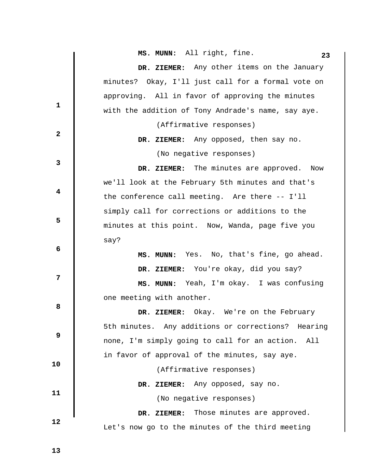**MS. MUNN:** All right, fine. 23

|              | MS. MUNN: All right, fine.<br>23                   |
|--------------|----------------------------------------------------|
|              | DR. ZIEMER: Any other items on the January         |
|              | minutes? Okay, I'll just call for a formal vote on |
|              | approving. All in favor of approving the minutes   |
| $\mathbf 1$  | with the addition of Tony Andrade's name, say aye. |
|              | (Affirmative responses)                            |
| $\mathbf{2}$ | DR. ZIEMER: Any opposed, then say no.              |
|              | (No negative responses)                            |
| 3            | The minutes are approved.<br>Now<br>DR. ZIEMER:    |
|              | we'll look at the February 5th minutes and that's  |
| 4            | the conference call meeting. Are there -- I'll     |
|              | simply call for corrections or additions to the    |
| 5            | minutes at this point. Now, Wanda, page five you   |
|              | say?                                               |
| 6            | MS. MUNN: Yes. No, that's fine, go ahead.          |
|              | DR. ZIEMER: You're okay, did you say?              |
| 7            | MS. MUNN: Yeah, I'm okay. I was confusing          |
|              | one meeting with another.                          |
| 8            | DR. ZIEMER: Okay. We're on the February            |
|              | 5th minutes. Any additions or corrections? Hearing |
| 9            | none, I'm simply going to call for an action. All  |
|              | in favor of approval of the minutes, say aye.      |
| 10           | (Affirmative responses)                            |
| 11           | DR. ZIEMER: Any opposed, say no.                   |
|              | (No negative responses)                            |
|              | Those minutes are approved.<br>DR. ZIEMER:         |
| 12           | Let's now go to the minutes of the third meeting   |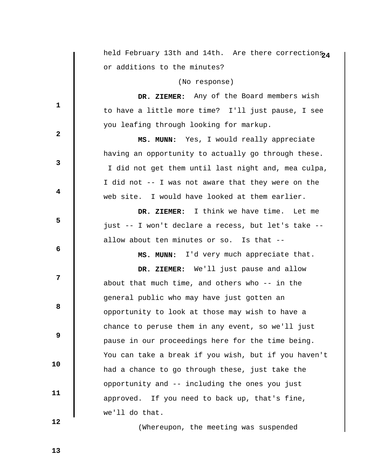|              | held February 13th and 14th. Are there corrections <sub>24</sub> |
|--------------|------------------------------------------------------------------|
|              | or additions to the minutes?                                     |
|              | (No response)                                                    |
|              | DR. ZIEMER: Any of the Board members wish                        |
| $\mathbf{1}$ | to have a little more time? I'll just pause, I see               |
|              | you leafing through looking for markup.                          |
| $\mathbf{2}$ | MS. MUNN: Yes, I would really appreciate                         |
|              | having an opportunity to actually go through these.              |
| 3            | I did not get them until last night and, mea culpa,              |
|              | I did not -- I was not aware that they were on the               |
| 4            | web site. I would have looked at them earlier.                   |
|              | DR. ZIEMER: I think we have time.<br>Let me                      |
| 5            | just -- I won't declare a recess, but let's take --              |
|              | allow about ten minutes or so. Is that --                        |
| 6            | MS. MUNN: I'd very much appreciate that.                         |
|              | DR. ZIEMER: We'll just pause and allow                           |
| 7            | about that much time, and others who -- in the                   |
|              | general public who may have just gotten an                       |
| 8            | opportunity to look at those may wish to have a                  |
|              | chance to peruse them in any event, so we'll just                |
| 9            | pause in our proceedings here for the time being.                |
|              | You can take a break if you wish, but if you haven't             |
| 10           | had a chance to go through these, just take the                  |
|              | opportunity and -- including the ones you just                   |
| 11           | approved. If you need to back up, that's fine,                   |
|              | we'll do that.                                                   |
| 12           |                                                                  |

(Whereupon, the meeting was suspended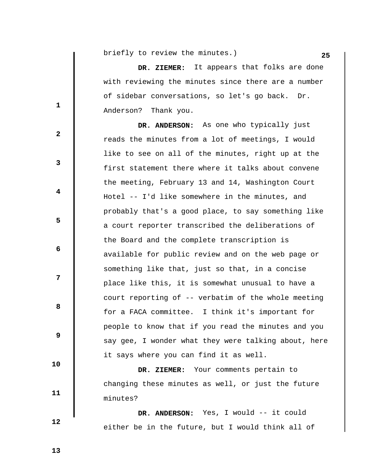**briefly** to review the minutes.) 25

 **DR. ZIEMER:** It appears that folks are done with reviewing the minutes since there are a number of sidebar conversations, so let's go back. Dr. Anderson? Thank you.

 **DR. ANDERSON:** As one who typically just reads the minutes from a lot of meetings, I would like to see on all of the minutes, right up at the first statement there where it talks about convene the meeting, February 13 and 14, Washington Court Hotel -- I'd like somewhere in the minutes, and probably that's a good place, to say something like a court reporter transcribed the deliberations of the Board and the complete transcription is available for public review and on the web page or something like that, just so that, in a concise place like this, it is somewhat unusual to have a court reporting of -- verbatim of the whole meeting for a FACA committee. I think it's important for people to know that if you read the minutes and you say gee, I wonder what they were talking about, here it says where you can find it as well.

 **DR. ZIEMER:** Your comments pertain to changing these minutes as well, or just the future minutes?

 **DR. ANDERSON:** Yes, I would -- it could either be in the future, but I would think all of

 **12** 

 **13** 

 **10** 

 **11** 

**1** 

**3** 

**4** 

**5** 

**6 6** 

**12** 

**8 8** 

 **9**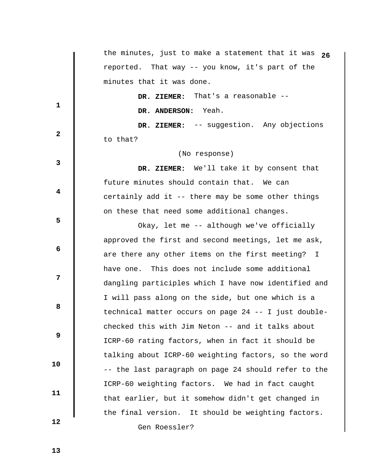|              | the minutes, just to make a statement that it was $26$ |
|--------------|--------------------------------------------------------|
|              | reported. That way -- you know, it's part of the       |
|              | minutes that it was done.                              |
|              | DR. ZIEMER: That's a reasonable --                     |
| $\mathbf{1}$ | DR. ANDERSON: Yeah.                                    |
|              | DR. ZIEMER: -- suggestion. Any objections              |
| $\mathbf{2}$ | to that?                                               |
|              | (No response)                                          |
| 3            | DR. ZIEMER: We'll take it by consent that              |
|              | future minutes should contain that. We can             |
| 4            | certainly add it -- there may be some other things     |
|              | on these that need some additional changes.            |
| 5            | Okay, let me -- although we've officially              |
|              | approved the first and second meetings, let me ask,    |
| 6            | are there any other items on the first meeting? I      |
|              | have one. This does not include some additional        |
| 7            | dangling participles which I have now identified and   |
|              | I will pass along on the side, but one which is a      |
| 8            | technical matter occurs on page 24 -- I just double-   |
|              | checked this with Jim Neton -- and it talks about      |
| 9            | ICRP-60 rating factors, when in fact it should be      |
|              | talking about ICRP-60 weighting factors, so the word   |
| 10           | -- the last paragraph on page 24 should refer to the   |
| 11           | ICRP-60 weighting factors. We had in fact caught       |
|              | that earlier, but it somehow didn't get changed in     |
|              | the final version. It should be weighting factors.     |
| 12           | Gen Roessler?                                          |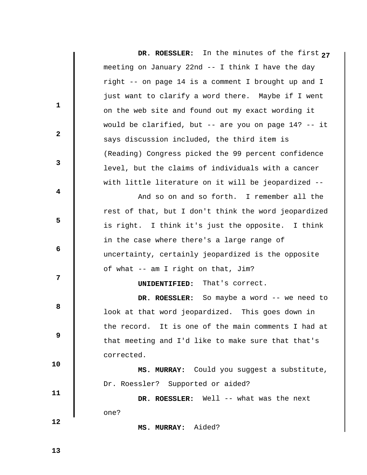**DR. ROESSLER: 2** In the minutes of the first **7** meeting on January 22nd -- I think I have the day right -- on page 14 is a comment I brought up and I just want to clarify a word there. Maybe if I went on the web site and found out my exact wording it would be clarified, but -- are you on page 14? -- it says discussion included, the third item is (Reading) Congress picked the 99 percent confidence level, but the claims of individuals with a cancer with little literature on it will be jeopardized -- **1 2 3 4 5 6 6 12 8 8 9 10 11 12**  And so on and so forth. I remember all the rest of that, but I don't think the word jeopardized is right. I think it's just the opposite. I think in the case where there's a large range of uncertainty, certainly jeopardized is the opposite of what -- am I right on that, Jim?  **UNIDENTIFIED:** That's correct.  **DR. ROESSLER:** So maybe a word -- we need to look at that word jeopardized. This goes down in the record. It is one of the main comments I had at that meeting and I'd like to make sure that that's corrected.  **MS. MURRAY:** Could you suggest a substitute, Dr. Roessler? Supported or aided?  **DR. ROESSLER:** Well -- what was the next one?

 **MS. MURRAY:** Aided?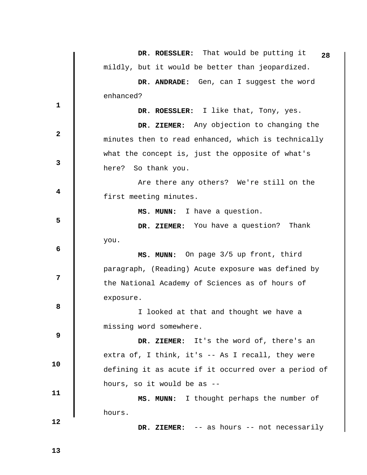|             | DR. ROESSLER: That would be putting it<br>28         |
|-------------|------------------------------------------------------|
|             | mildly, but it would be better than jeopardized.     |
|             | DR. ANDRADE: Gen, can I suggest the word             |
|             | enhanced?                                            |
| 1           | DR. ROESSLER: I like that, Tony, yes.                |
|             | DR. ZIEMER: Any objection to changing the            |
| $\mathbf 2$ | minutes then to read enhanced, which is technically  |
|             | what the concept is, just the opposite of what's     |
| 3           | here? So thank you.                                  |
|             | Are there any others? We're still on the             |
| 4           | first meeting minutes.                               |
|             | MS. MUNN: I have a question.                         |
| 5           | DR. ZIEMER: You have a question?<br>Thank            |
|             | you.                                                 |
| 6           | MS. MUNN: On page 3/5 up front, third                |
|             | paragraph, (Reading) Acute exposure was defined by   |
| 7           | the National Academy of Sciences as of hours of      |
|             | exposure.                                            |
| 8           | I looked at that and thought we have a               |
| 9           | missing word somewhere.                              |
|             | DR. ZIEMER: It's the word of, there's an             |
| 10          | extra of, I think, it's -- As I recall, they were    |
|             | defining it as acute if it occurred over a period of |
| 11          | hours, so it would be as --                          |
|             | MS. MUNN: I thought perhaps the number of            |
| 12          | hours.                                               |
|             | DR. ZIEMER: $-$ as hours $-$ not necessarily         |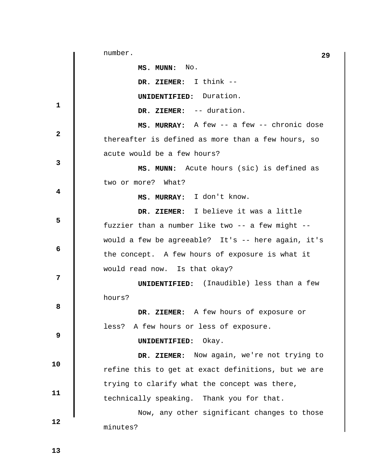**1 2 3 4 5 6 6 12 8 8 9 10 11 12 29** number.  **MS. MUNN:** No.  **DR. ZIEMER:** I think --  **UNIDENTIFIED:** Duration.  **DR. ZIEMER:** -- duration.  **MS. MURRAY:** A few -- a few -- chronic dose thereafter is defined as more than a few hours, so acute would be a few hours?  **MS. MUNN:** Acute hours (sic) is defined as two or more? What?  **MS. MURRAY:** I don't know.  **DR. ZIEMER:** I believe it was a little fuzzier than a number like two -- a few might - would a few be agreeable? It's -- here again, it's the concept. A few hours of exposure is what it would read now. Is that okay?  **UNIDENTIFIED:** (Inaudible) less than a few hours?  **DR. ZIEMER:** A few hours of exposure or less? A few hours or less of exposure.  **UNIDENTIFIED:** Okay.  **DR. ZIEMER:** Now again, we're not trying to refine this to get at exact definitions, but we are trying to clarify what the concept was there, technically speaking. Thank you for that. Now, any other significant changes to those minutes?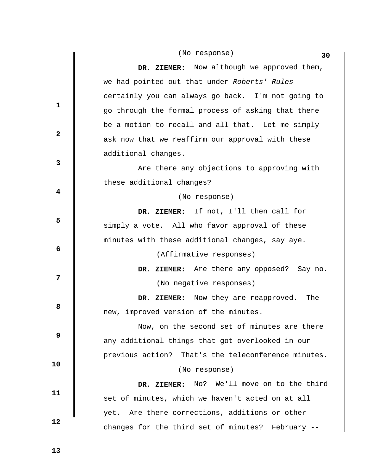|              | DR. ZIEMER: Now although we approved them,          |
|--------------|-----------------------------------------------------|
|              | we had pointed out that under Roberts' Rules        |
| $\mathbf{1}$ | certainly you can always go back. I'm not going to  |
|              | go through the formal process of asking that there  |
|              | be a motion to recall and all that. Let me simply   |
| $\mathbf{2}$ | ask now that we reaffirm our approval with these    |
|              | additional changes.                                 |
| $\mathbf{3}$ | Are there any objections to approving with          |
|              | these additional changes?                           |
| 4            | (No response)                                       |
|              | DR. ZIEMER: If not, I'll then call for              |
| 5            | simply a vote. All who favor approval of these      |
|              | minutes with these additional changes, say aye.     |
| 6            | (Affirmative responses)                             |
|              | DR. ZIEMER: Are there any opposed? Say no.          |
| 7            | (No negative responses)                             |
|              | DR. ZIEMER: Now they are reapproved.<br>The         |
| 8            | new, improved version of the minutes.               |
|              | Now, on the second set of minutes are there         |
| 9            | any additional things that got overlooked in our    |
|              | previous action? That's the teleconference minutes. |
| 10           | (No response)                                       |
|              | No? We'll move on to the third<br>DR. ZIEMER:       |
| 11           | set of minutes, which we haven't acted on at all    |
|              | Are there corrections, additions or other<br>yet.   |
| 12           | changes for the third set of minutes? February --   |

 **13** 

 $\begin{array}{c} \hline \end{array}$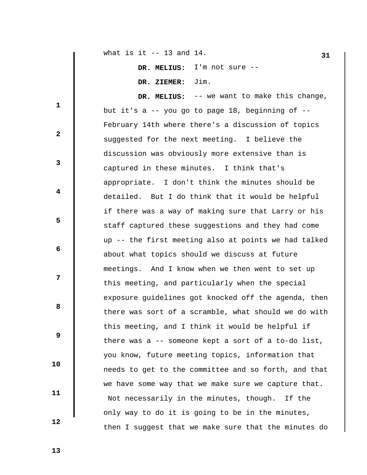**31** what is it -- 13 and 14.

 **DR. MELIUS:** I'm not sure --  **DR. ZIEMER:** Jim.

 **DR. MELIUS:** -- we want to make this change, but it's a -- you go to page 18, beginning of -- February 14th where there's a discussion of topics suggested for the next meeting. I believe the discussion was obviously more extensive than is captured in these minutes. I think that's appropriate. I don't think the minutes should be detailed. But I do think that it would be helpful if there was a way of making sure that Larry or his staff captured these suggestions and they had come up -- the first meeting also at points we had talked about what topics should we discuss at future meetings. And I know when we then went to set up this meeting, and particularly when the special exposure guidelines got knocked off the agenda, then there was sort of a scramble, what should we do with this meeting, and I think it would be helpful if there was a -- someone kept a sort of a to-do list, you know, future meeting topics, information that needs to get to the committee and so forth, and that we have some way that we make sure we capture that. Not necessarily in the minutes, though. If the only way to do it is going to be in the minutes, then I suggest that we make sure that the minutes do

 **13** 

 **10** 

 **11** 

 **12** 

**1** 

**2** 

**3** 

**4** 

**5** 

 **6** 

**12** 

**8 8**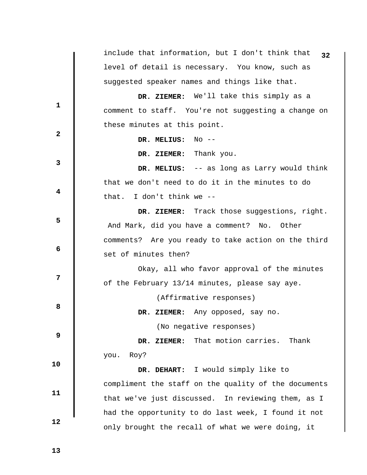include that information, but I don't think that **32** level of detail is necessary. You know, such as suggested speaker names and things like that. **1 2 3 4 5 6 12 8 8 9 10 11 12 DR. ZIEMER:** We'll take this simply as a comment to staff. You're not suggesting a change on these minutes at this point.  **DR. MELIUS:** No --  **DR. ZIEMER:** Thank you.  **DR. MELIUS:** -- as long as Larry would think that we don't need to do it in the minutes to do that. I don't think we --  **DR. ZIEMER:** Track those suggestions, right. And Mark, did you have a comment? No. Other comments? Are you ready to take action on the third set of minutes then? Okay, all who favor approval of the minutes of the February 13/14 minutes, please say aye. (Affirmative responses)  **DR. ZIEMER:** Any opposed, say no. (No negative responses)  **DR. ZIEMER:** That motion carries. Thank you. Roy?  **DR. DEHART:** I would simply like to compliment the staff on the quality of the documents that we've just discussed. In reviewing them, as I had the opportunity to do last week, I found it not only brought the recall of what we were doing, it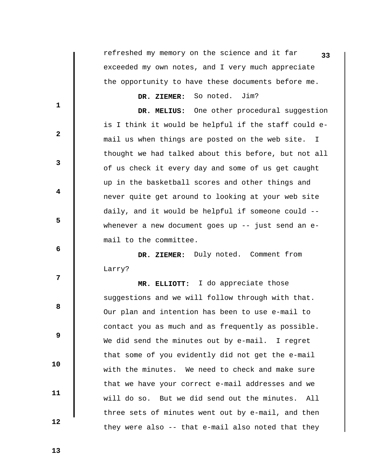|                         | refreshed my memory on the science and it far<br>33  |
|-------------------------|------------------------------------------------------|
|                         | exceeded my own notes, and I very much appreciate    |
|                         | the opportunity to have these documents before me.   |
|                         | DR. ZIEMER: So noted.<br>Jim?                        |
| $\mathbf{1}$            | DR. MELIUS: One other procedural suggestion          |
| $\mathbf{2}$            | is I think it would be helpful if the staff could e- |
|                         | mail us when things are posted on the web site. I    |
| $\mathbf{3}$            | thought we had talked about this before, but not all |
|                         | of us check it every day and some of us get caught   |
| $\overline{\mathbf{4}}$ | up in the basketball scores and other things and     |
|                         | never quite get around to looking at your web site   |
| 5                       | daily, and it would be helpful if someone could --   |
|                         | whenever a new document goes up $-$ just send an e-  |
| 6                       | mail to the committee.                               |
|                         | DR. ZIEMER: Duly noted. Comment from                 |
| 7                       | Larry?                                               |
|                         | MR. ELLIOTT: I do appreciate those                   |
| 8                       | suggestions and we will follow through with that.    |
|                         | Our plan and intention has been to use e-mail to     |
| 9                       | contact you as much and as frequently as possible.   |
|                         | We did send the minutes out by e-mail. I regret      |
| 10                      | that some of you evidently did not get the e-mail    |
|                         | with the minutes. We need to check and make sure     |
| 11                      | that we have your correct e-mail addresses and we    |
|                         | will do so. But we did send out the minutes.<br>All  |
| 12                      | three sets of minutes went out by e-mail, and then   |
|                         | they were also -- that e-mail also noted that they   |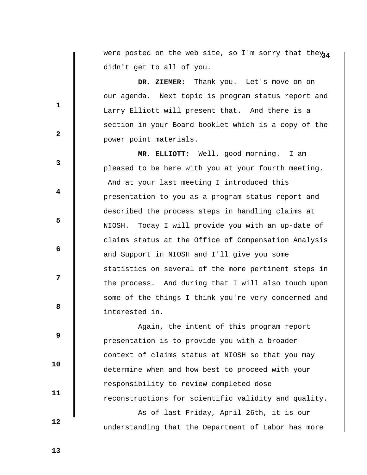were posted on the web site, so I'm sorry that they<sub>34</sub> didn't get to all of you.

 **DR. ZIEMER:** Thank you. Let's move on on our agenda. Next topic is program status report and Larry Elliott will present that. And there is a section in your Board booklet which is a copy of the power point materials.

 **MR. ELLIOTT:** Well, good morning. I am pleased to be here with you at your fourth meeting. And at your last meeting I introduced this presentation to you as a program status report and described the process steps in handling claims at NIOSH. Today I will provide you with an up-date of claims status at the Office of Compensation Analysis and Support in NIOSH and I'll give you some statistics on several of the more pertinent steps in the process. And during that I will also touch upon some of the things I think you're very concerned and interested in.

 Again, the intent of this program report presentation is to provide you with a broader context of claims status at NIOSH so that you may determine when and how best to proceed with your responsibility to review completed dose reconstructions for scientific validity and quality.

 As of last Friday, April 26th, it is our understanding that the Department of Labor has more

 **13** 

 **10** 

 **11** 

 **12** 

**1** 

**2** 

**3** 

**4** 

**5** 

 **6** 

**12** 

**8 8**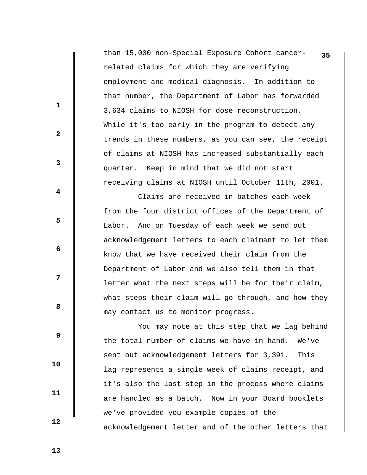than 15,000 non-Special Exposure Cohort cancer- **35** related claims for which they are verifying employment and medical diagnosis. In addition to that number, the Department of Labor has forwarded 3,634 claims to NIOSH for dose reconstruction. While it's too early in the program to detect any trends in these numbers, as you can see, the receipt of claims at NIOSH has increased substantially each quarter. Keep in mind that we did not start receiving claims at NIOSH until October 11th, 2001.

 Claims are received in batches each week from the four district offices of the Department of Labor. And on Tuesday of each week we send out acknowledgement letters to each claimant to let them know that we have received their claim from the Department of Labor and we also tell them in that letter what the next steps will be for their claim, what steps their claim will go through, and how they may contact us to monitor progress.

 You may note at this step that we lag behind the total number of claims we have in hand. We've sent out acknowledgement letters for 3,391. This lag represents a single week of claims receipt, and it's also the last step in the process where claims are handled as a batch. Now in your Board booklets we've provided you example copies of the acknowledgement letter and of the other letters that

 **13** 

 **10** 

 **11** 

 **12** 

**1** 

**2** 

**3** 

**4** 

**5** 

 **6** 

**12** 

**8 8**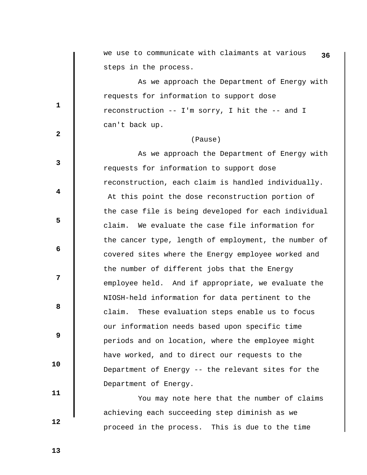we use to communicate with claimants at various **36** steps in the process.

 As we approach the Department of Energy with requests for information to support dose reconstruction -- I'm sorry, I hit the -- and I can't back up.

#### (Pause)

 As we approach the Department of Energy with requests for information to support dose reconstruction, each claim is handled individually. At this point the dose reconstruction portion of the case file is being developed for each individual claim. We evaluate the case file information for the cancer type, length of employment, the number of covered sites where the Energy employee worked and the number of different jobs that the Energy employee held. And if appropriate, we evaluate the NIOSH-held information for data pertinent to the claim. These evaluation steps enable us to focus our information needs based upon specific time periods and on location, where the employee might have worked, and to direct our requests to the Department of Energy -- the relevant sites for the Department of Energy.

 You may note here that the number of claims achieving each succeeding step diminish as we proceed in the process. This is due to the time

**2** 

**1** 

**3** 

**4** 

**5** 

 **6** 

**12** 

**8 8** 

 **9** 

 **11** 

 **10** 

 **12**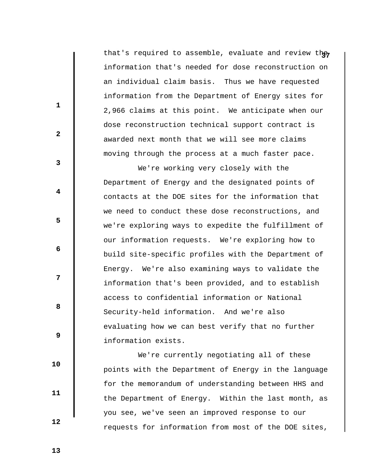that's required to assemble, evaluate and review the information that's needed for dose reconstruction on an individual claim basis. Thus we have requested information from the Department of Energy sites for 2,966 claims at this point. We anticipate when our dose reconstruction technical support contract is awarded next month that we will see more claims moving through the process at a much faster pace.

 We're working very closely with the Department of Energy and the designated points of contacts at the DOE sites for the information that we need to conduct these dose reconstructions, and we're exploring ways to expedite the fulfillment of our information requests. We're exploring how to build site-specific profiles with the Department of Energy. We're also examining ways to validate the information that's been provided, and to establish access to confidential information or National Security-held information. And we're also evaluating how we can best verify that no further information exists.

 We're currently negotiating all of these points with the Department of Energy in the language for the memorandum of understanding between HHS and the Department of Energy. Within the last month, as you see, we've seen an improved response to our requests for information from most of the DOE sites,

 **13** 

 **10** 

 **11** 

 **12** 

**1** 

**2** 

**3** 

**4** 

**5** 

 **6** 

**12** 

**8 8**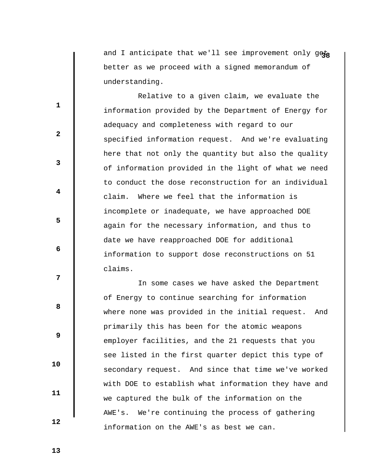and I anticipate that we'll see improvement only geta better as we proceed with a signed memorandum of understanding.

 Relative to a given claim, we evaluate the information provided by the Department of Energy for adequacy and completeness with regard to our specified information request. And we're evaluating here that not only the quantity but also the quality of information provided in the light of what we need to conduct the dose reconstruction for an individual claim. Where we feel that the information is incomplete or inadequate, we have approached DOE again for the necessary information, and thus to date we have reapproached DOE for additional information to support dose reconstructions on 51 claims.

 In some cases we have asked the Department of Energy to continue searching for information where none was provided in the initial request. And primarily this has been for the atomic weapons employer facilities, and the 21 requests that you see listed in the first quarter depict this type of secondary request. And since that time we've worked with DOE to establish what information they have and we captured the bulk of the information on the AWE's. We're continuing the process of gathering information on the AWE's as best we can.

 **13** 

 **10** 

 **11** 

 **12** 

**1** 

**2** 

**3** 

**4** 

**5** 

 **6** 

**12** 

**8 8**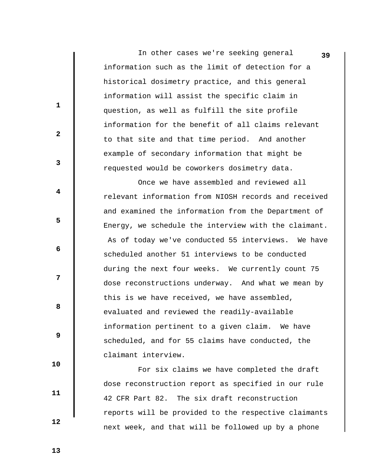In other cases we're seeking general information such as the limit of detection for a historical dosimetry practice, and this general information will assist the specific claim in question, as well as fulfill the site profile information for the benefit of all claims relevant to that site and that time period. And another example of secondary information that might be requested would be coworkers dosimetry data.

**39**

 Once we have assembled and reviewed all relevant information from NIOSH records and received and examined the information from the Department of Energy, we schedule the interview with the claimant. As of today we've conducted 55 interviews. We have scheduled another 51 interviews to be conducted during the next four weeks. We currently count 75 dose reconstructions underway. And what we mean by this is we have received, we have assembled, evaluated and reviewed the readily-available information pertinent to a given claim. We have scheduled, and for 55 claims have conducted, the claimant interview.

 For six claims we have completed the draft dose reconstruction report as specified in our rule 42 CFR Part 82. The six draft reconstruction reports will be provided to the respective claimants next week, and that will be followed up by a phone

 **13** 

**1** 

**2** 

**3** 

**4** 

**5** 

 **6** 

**12** 

**8 8** 

 **9** 

 **10** 

 **11**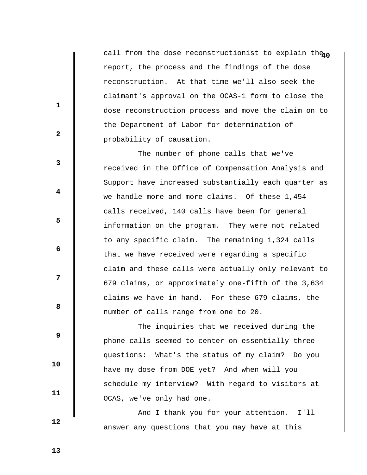call from the dose reconstructionist to explain theno report, the process and the findings of the dose reconstruction. At that time we'll also seek the claimant's approval on the OCAS-1 form to close the dose reconstruction process and move the claim on to the Department of Labor for determination of probability of causation.

 The number of phone calls that we've received in the Office of Compensation Analysis and Support have increased substantially each quarter as we handle more and more claims. Of these 1,454 calls received, 140 calls have been for general information on the program. They were not related to any specific claim. The remaining 1,324 calls that we have received were regarding a specific claim and these calls were actually only relevant to 679 claims, or approximately one-fifth of the 3,634 claims we have in hand. For these 679 claims, the number of calls range from one to 20.

 The inquiries that we received during the phone calls seemed to center on essentially three questions: What's the status of my claim? Do you have my dose from DOE yet? And when will you schedule my interview? With regard to visitors at OCAS, we've only had one.

 And I thank you for your attention. I'll answer any questions that you may have at this

 **12** 

 **10** 

 **11** 

**1** 

**2** 

**3** 

**4** 

**5** 

 **6** 

**12** 

**8 8** 

 **9**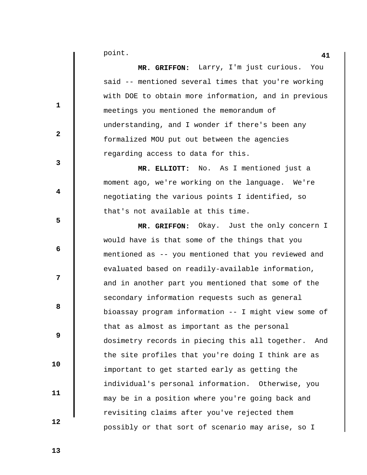**41** point.

**1** 

**2** 

**3** 

**4** 

**5** 

**6 6** 

**12** 

**8 8** 

 **9** 

 **10** 

 **11** 

 **12** 

 **MR. GRIFFON:** Larry, I'm just curious. You said -- mentioned several times that you're working with DOE to obtain more information, and in previous meetings you mentioned the memorandum of understanding, and I wonder if there's been any formalized MOU put out between the agencies regarding access to data for this.

 **MR. ELLIOTT:** No. As I mentioned just a moment ago, we're working on the language. We're negotiating the various points I identified, so that's not available at this time.

 **MR. GRIFFON:** Okay. Just the only concern I would have is that some of the things that you mentioned as -- you mentioned that you reviewed and evaluated based on readily-available information, and in another part you mentioned that some of the secondary information requests such as general bioassay program information -- I might view some of that as almost as important as the personal dosimetry records in piecing this all together. And the site profiles that you're doing I think are as important to get started early as getting the individual's personal information. Otherwise, you may be in a position where you're going back and revisiting claims after you've rejected them possibly or that sort of scenario may arise, so I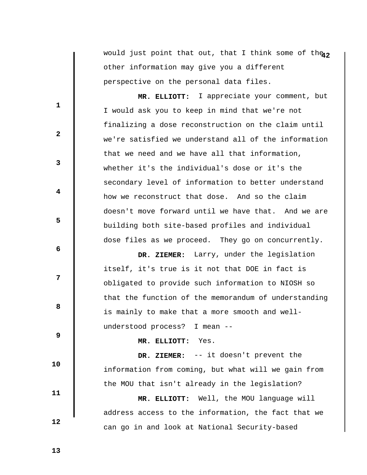would just point that out, that I think some of the<sub>12</sub> other information may give you a different perspective on the personal data files.

 **MR. ELLIOTT:** I appreciate your comment, but I would ask you to keep in mind that we're not finalizing a dose reconstruction on the claim until we're satisfied we understand all of the information that we need and we have all that information, whether it's the individual's dose or it's the secondary level of information to better understand how we reconstruct that dose. And so the claim doesn't move forward until we have that. And we are building both site-based profiles and individual dose files as we proceed. They go on concurrently.

 **DR. ZIEMER:** Larry, under the legislation itself, it's true is it not that DOE in fact is obligated to provide such information to NIOSH so that the function of the memorandum of understanding is mainly to make that a more smooth and wellunderstood process? I mean --

 **MR. ELLIOTT:** Yes.

 **DR. ZIEMER:** -- it doesn't prevent the information from coming, but what will we gain from the MOU that isn't already in the legislation?

 **MR. ELLIOTT:** Well, the MOU language will address access to the information, the fact that we can go in and look at National Security-based

 **12** 

 **10** 

 **11** 

**1** 

**3** 

**4** 

**5** 

**6 6** 

**12** 

**8 8** 

 **9** 

 **2**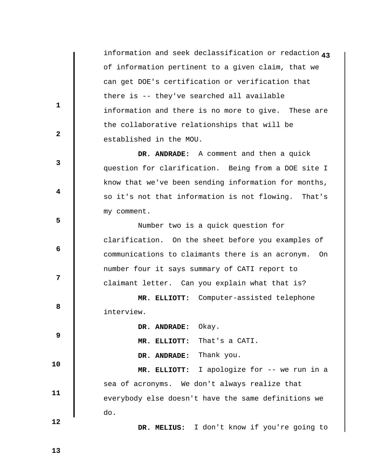**4** information and seek declassification or redaction **3** of information pertinent to a given claim, that we can get DOE's certification or verification that there is -- they've searched all available information and there is no more to give. These are the collaborative relationships that will be established in the MOU.

 **DR. ANDRADE:** A comment and then a quick question for clarification. Being from a DOE site I know that we've been sending information for months, so it's not that information is not flowing. That's my comment.

 Number two is a quick question for clarification. On the sheet before you examples of communications to claimants there is an acronym. On number four it says summary of CATI report to claimant letter. Can you explain what that is?

 **MR. ELLIOTT:** Computer-assisted telephone interview.

 **DR. ANDRADE:** Okay.

 **MR. ELLIOTT:** That's a CATI.

 **DR. ANDRADE:** Thank you.

 **MR. ELLIOTT:** I apologize for -- we run in a sea of acronyms. We don't always realize that everybody else doesn't have the same definitions we do.

 **12** 

 **10** 

 **11** 

**1** 

**2** 

**3** 

**4** 

**5** 

**6 6** 

**12** 

**8 8** 

 **9** 

 **DR. MELIUS:** I don't know if you're going to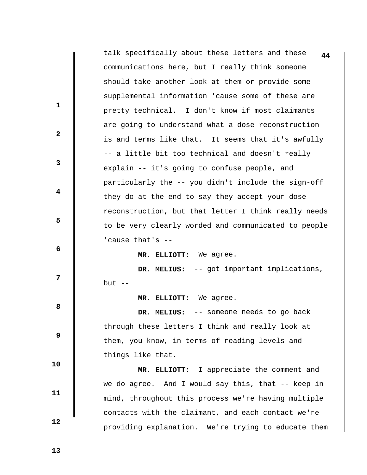|              | talk specifically about these letters and these<br>44 |
|--------------|-------------------------------------------------------|
|              | communications here, but I really think someone       |
|              | should take another look at them or provide some      |
|              | supplemental information 'cause some of these are     |
| $\mathbf{1}$ | pretty technical. I don't know if most claimants      |
|              | are going to understand what a dose reconstruction    |
| $\mathbf{2}$ | is and terms like that. It seems that it's awfully    |
|              | -- a little bit too technical and doesn't really      |
| 3            | explain -- it's going to confuse people, and          |
|              | particularly the -- you didn't include the sign-off   |
| 4            | they do at the end to say they accept your dose       |
|              | reconstruction, but that letter I think really needs  |
| 5            | to be very clearly worded and communicated to people  |
|              | 'cause that's --                                      |
| 6            | MR. ELLIOTT: We agree.                                |
|              | DR. MELIUS: -- got important implications,            |
| 7            | but $--$                                              |
|              | MR. ELLIOTT: We agree.                                |
| 8            | -- someone needs to go back<br>DR. MELIUS:            |
|              | through these letters I think and really look at      |
| 9            | them, you know, in terms of reading levels and        |
|              | things like that.                                     |
| 10           | MR. ELLIOTT: I appreciate the comment and             |
| 11           | we do agree. And I would say this, that -- keep in    |
|              | mind, throughout this process we're having multiple   |
| 12           | contacts with the claimant, and each contact we're    |
|              | providing explanation. We're trying to educate them   |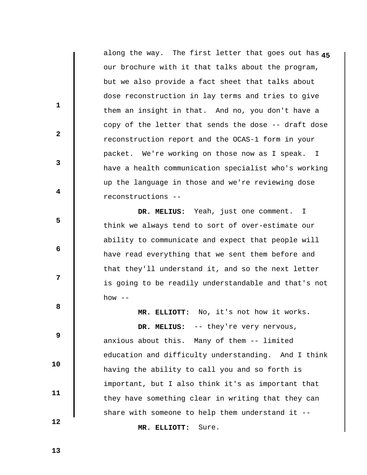**4** along the way. The first letter that goes out has **5** our brochure with it that talks about the program, but we also provide a fact sheet that talks about dose reconstruction in lay terms and tries to give them an insight in that. And no, you don't have a copy of the letter that sends the dose -- draft dose reconstruction report and the OCAS-1 form in your packet. We're working on those now as I speak. I have a health communication specialist who's working up the language in those and we're reviewing dose reconstructions --

 **DR. MELIUS:** Yeah, just one comment. I think we always tend to sort of over-estimate our ability to communicate and expect that people will have read everything that we sent them before and that they'll understand it, and so the next letter is going to be readily understandable and that's not how  $--$ 

**8 8** 

**1** 

**2** 

**3** 

**4** 

**5** 

**6 6** 

**12** 

 **9** 

 **10 11** 

DR. MELIUS: -- they're very nervous, anxious about this. Many of them -- limited education and difficulty understanding. And I think having the ability to call you and so forth is important, but I also think it's as important that they have something clear in writing that they can share with someone to help them understand it --

 **MR. ELLIOTT:** No, it's not how it works.

 **MR. ELLIOTT:** Sure.

 **13**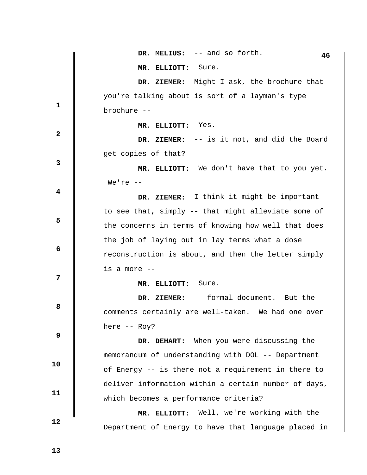|                         | DR. MELIUS: -- and so forth.<br>46                   |
|-------------------------|------------------------------------------------------|
|                         | MR. ELLIOTT: Sure.                                   |
|                         | DR. ZIEMER: Might I ask, the brochure that           |
| $\mathbf{1}$            | you're talking about is sort of a layman's type      |
|                         | brochure --                                          |
| $\mathbf{2}$            | MR. ELLIOTT: Yes.                                    |
|                         | DR. ZIEMER: $-$ is it not, and did the Board         |
| 3                       | get copies of that?                                  |
|                         | MR. ELLIOTT: We don't have that to you yet.          |
|                         | We're $--$                                           |
| $\overline{\mathbf{4}}$ | DR. ZIEMER: I think it might be important            |
|                         | to see that, simply -- that might alleviate some of  |
| 5                       | the concerns in terms of knowing how well that does  |
|                         | the job of laying out in lay terms what a dose       |
| 6                       | reconstruction is about, and then the letter simply  |
|                         | is a more --                                         |
| 7                       | Sure.<br>MR. ELLIOTT:                                |
|                         | DR. ZIEMER: -- formal document. But the              |
| 8                       | comments certainly are well-taken. We had one over   |
|                         | here -- Roy?                                         |
| 9                       | DR. DEHART: When you were discussing the             |
| 10                      | memorandum of understanding with DOL -- Department   |
|                         | of Energy -- is there not a requirement in there to  |
| 11                      | deliver information within a certain number of days, |
|                         | which becomes a performance criteria?                |
| 12                      | MR. ELLIOTT: Well, we're working with the            |
|                         | Department of Energy to have that language placed in |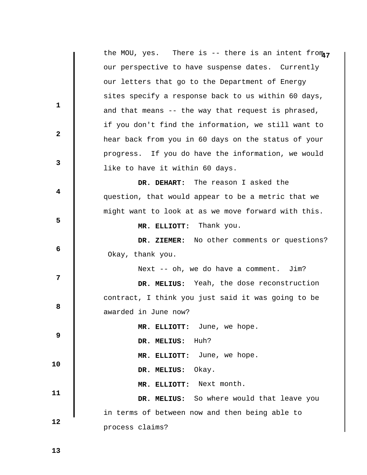|                         | the MOU, yes. There is -- there is an intent from $\eta$ |
|-------------------------|----------------------------------------------------------|
|                         | our perspective to have suspense dates. Currently        |
|                         | our letters that go to the Department of Energy          |
| $\mathbf{1}$            | sites specify a response back to us within 60 days,      |
|                         | and that means -- the way that request is phrased,       |
| $\mathbf{2}$            | if you don't find the information, we still want to      |
|                         | hear back from you in 60 days on the status of your      |
| 3                       | progress. If you do have the information, we would       |
|                         | like to have it within 60 days.                          |
| $\overline{\mathbf{4}}$ | DR. DEHART: The reason I asked the                       |
|                         | question, that would appear to be a metric that we       |
|                         | might want to look at as we move forward with this.      |
| 5                       | MR. ELLIOTT: Thank you.                                  |
| 6                       | DR. ZIEMER: No other comments or questions?              |
|                         | Okay, thank you.                                         |
|                         | Next -- oh, we do have a comment. Jim?                   |
| 7                       | DR. MELIUS: Yeah, the dose reconstruction                |
| 8                       | contract, I think you just said it was going to be       |
|                         | awarded in June now?                                     |
|                         | MR. ELLIOTT: June, we hope.                              |
| 9                       | DR. MELIUS: Huh?                                         |
| 10                      | MR. ELLIOTT: June, we hope.                              |
|                         | Okay.<br>DR. MELIUS:                                     |
| 11                      | MR. ELLIOTT: Next month.                                 |
|                         | DR. MELIUS: So where would that leave you                |
| 12                      | in terms of between now and then being able to           |
|                         | process claims?                                          |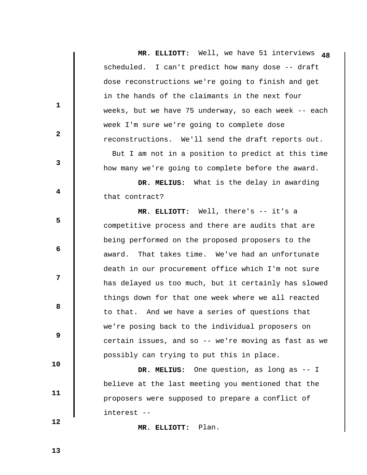**MR. ELLIOTT:** Well, we have 51 interviews scheduled. I can't predict how many dose -- draft dose reconstructions we're going to finish and get in the hands of the claimants in the next four weeks, but we have 75 underway, so each week -- each week I'm sure we're going to complete dose reconstructions. We'll send the draft reports out. But I am not in a position to predict at this time how many we're going to complete before the award. **1 2 3 4 5 6 6 12 8 8 9 10 11 48 DR. MELIUS:** What is the delay in awarding that contract?  **MR. ELLIOTT:** Well, there's -- it's a competitive process and there are audits that are being performed on the proposed proposers to the award. That takes time. We've had an unfortunate death in our procurement office which I'm not sure has delayed us too much, but it certainly has slowed things down for that one week where we all reacted to that. And we have a series of questions that we're posing back to the individual proposers on certain issues, and so -- we're moving as fast as we possibly can trying to put this in place.  **DR. MELIUS:** One question, as long as -- I believe at the last meeting you mentioned that the proposers were supposed to prepare a conflict of

 **12** 

 **MR. ELLIOTT:** Plan.

interest --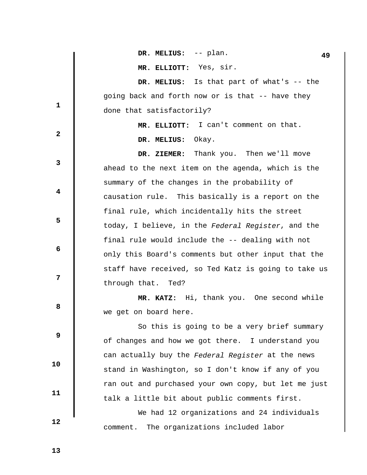| 1 Q |
|-----|
|     |

 **MR. ELLIOTT:** Yes, sir.

 **DR. MELIUS:** Is that part of what's -- the going back and forth now or is that -- have they done that satisfactorily?

> **MR. ELLIOTT:** I can't comment on that.  **DR. MELIUS:** Okay.

 **DR. ZIEMER:** Thank you. Then we'll move ahead to the next item on the agenda, which is the summary of the changes in the probability of causation rule. This basically is a report on the final rule, which incidentally hits the street today, I believe, in the *Federal Register*, and the final rule would include the -- dealing with not only this Board's comments but other input that the staff have received, so Ted Katz is going to take us through that. Ted?

 **MR. KATZ:** Hi, thank you. One second while we get on board here.

 So this is going to be a very brief summary of changes and how we got there. I understand you can actually buy the *Federal Register* at the news stand in Washington, so I don't know if any of you ran out and purchased your own copy, but let me just talk a little bit about public comments first.

 We had 12 organizations and 24 individuals comment. The organizations included labor

 **13** 

 **10** 

 **11** 

 **12** 

**1** 

**2** 

**3** 

**4** 

**5** 

**6 6** 

**12** 

**8 8**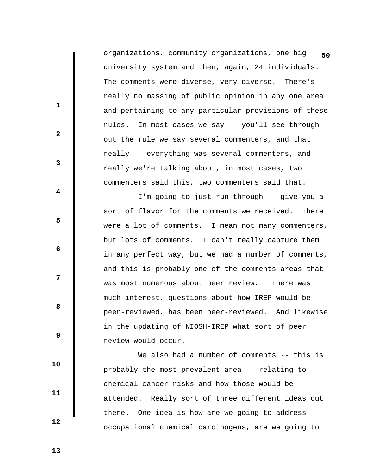organizations, community organizations, one big **50** university system and then, again, 24 individuals. The comments were diverse, very diverse. There's really no massing of public opinion in any one area and pertaining to any particular provisions of these rules. In most cases we say -- you'll see through out the rule we say several commenters, and that really -- everything was several commenters, and really we're talking about, in most cases, two commenters said this, two commenters said that.

 I'm going to just run through -- give you a sort of flavor for the comments we received. There were a lot of comments. I mean not many commenters, but lots of comments. I can't really capture them in any perfect way, but we had a number of comments, and this is probably one of the comments areas that was most numerous about peer review. There was much interest, questions about how IREP would be peer-reviewed, has been peer-reviewed. And likewise in the updating of NIOSH-IREP what sort of peer review would occur.

We also had a number of comments -- this is probably the most prevalent area -- relating to chemical cancer risks and how those would be attended. Really sort of three different ideas out there. One idea is how are we going to address occupational chemical carcinogens, are we going to

 **13** 

 **10** 

 **11** 

 **12** 

**1** 

**2** 

**3** 

**4** 

**5** 

**6 6** 

**12** 

**8 8**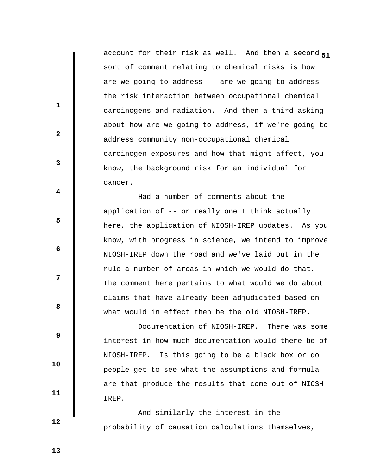**5** account for their risk as well. And then a second **1** sort of comment relating to chemical risks is how are we going to address -- are we going to address the risk interaction between occupational chemical carcinogens and radiation. And then a third asking about how are we going to address, if we're going to address community non-occupational chemical carcinogen exposures and how that might affect, you know, the background risk for an individual for cancer.

 Had a number of comments about the application of -- or really one I think actually here, the application of NIOSH-IREP updates. As you know, with progress in science, we intend to improve NIOSH-IREP down the road and we've laid out in the rule a number of areas in which we would do that. The comment here pertains to what would we do about claims that have already been adjudicated based on what would in effect then be the old NIOSH-IREP.

 Documentation of NIOSH-IREP. There was some interest in how much documentation would there be of NIOSH-IREP. Is this going to be a black box or do people get to see what the assumptions and formula are that produce the results that come out of NIOSH-IREP.

 And similarly the interest in the probability of causation calculations themselves,

 **13** 

 **12** 

 **10** 

 **11** 

**1** 

**2** 

**3** 

**4** 

**5** 

 **6** 

**12** 

**8 8**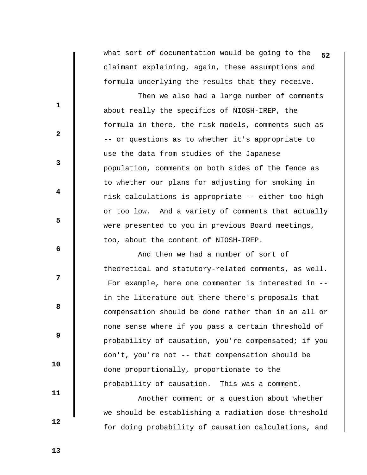what sort of documentation would be going to the **52** claimant explaining, again, these assumptions and formula underlying the results that they receive.

 Then we also had a large number of comments about really the specifics of NIOSH-IREP, the formula in there, the risk models, comments such as -- or questions as to whether it's appropriate to use the data from studies of the Japanese population, comments on both sides of the fence as to whether our plans for adjusting for smoking in risk calculations is appropriate -- either too high or too low. And a variety of comments that actually were presented to you in previous Board meetings, too, about the content of NIOSH-IREP.

 And then we had a number of sort of theoretical and statutory-related comments, as well. For example, here one commenter is interested in - in the literature out there there's proposals that compensation should be done rather than in an all or none sense where if you pass a certain threshold of probability of causation, you're compensated; if you don't, you're not -- that compensation should be done proportionally, proportionate to the probability of causation. This was a comment.

 Another comment or a question about whether we should be establishing a radiation dose threshold for doing probability of causation calculations, and

 **12** 

 **10** 

 **11** 

**1** 

**2** 

**3** 

**4** 

**5** 

 **6** 

**12** 

**8 8** 

 **9**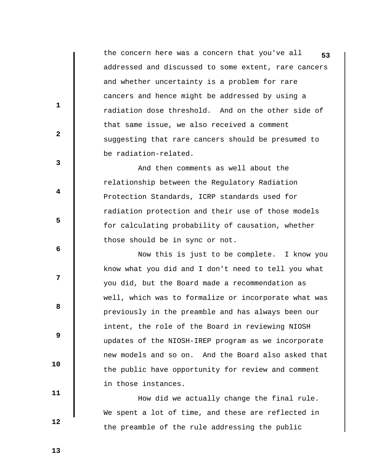the concern here was a concern that you've all **53** addressed and discussed to some extent, rare cancers and whether uncertainty is a problem for rare cancers and hence might be addressed by using a radiation dose threshold. And on the other side of that same issue, we also received a comment suggesting that rare cancers should be presumed to be radiation-related.

 And then comments as well about the relationship between the Regulatory Radiation Protection Standards, ICRP standards used for radiation protection and their use of those models for calculating probability of causation, whether those should be in sync or not.

 Now this is just to be complete. I know you know what you did and I don't need to tell you what you did, but the Board made a recommendation as well, which was to formalize or incorporate what was previously in the preamble and has always been our intent, the role of the Board in reviewing NIOSH updates of the NIOSH-IREP program as we incorporate new models and so on. And the Board also asked that the public have opportunity for review and comment in those instances.

 How did we actually change the final rule. We spent a lot of time, and these are reflected in the preamble of the rule addressing the public

 **13** 

 **10** 

 **11** 

 **12** 

**1** 

**2** 

**3** 

**4** 

**5** 

 **6** 

**12** 

**8 8**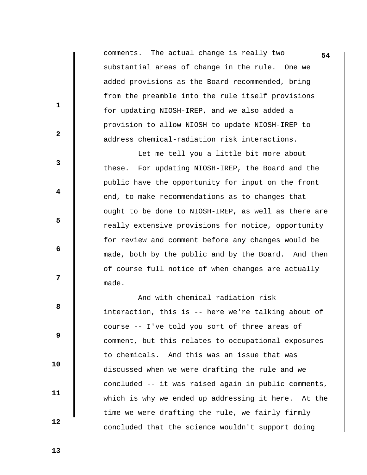comments. The actual change is really two **54** substantial areas of change in the rule. One we added provisions as the Board recommended, bring from the preamble into the rule itself provisions for updating NIOSH-IREP, and we also added a provision to allow NIOSH to update NIOSH-IREP to address chemical-radiation risk interactions.

 Let me tell you a little bit more about these. For updating NIOSH-IREP, the Board and the public have the opportunity for input on the front end, to make recommendations as to changes that ought to be done to NIOSH-IREP, as well as there are really extensive provisions for notice, opportunity for review and comment before any changes would be made, both by the public and by the Board. And then of course full notice of when changes are actually made.

 And with chemical-radiation risk interaction, this is -- here we're talking about of course -- I've told you sort of three areas of comment, but this relates to occupational exposures to chemicals. And this was an issue that was discussed when we were drafting the rule and we concluded -- it was raised again in public comments, which is why we ended up addressing it here. At the time we were drafting the rule, we fairly firmly concluded that the science wouldn't support doing

**1** 

**2** 

**3** 

**4** 

**5** 

 **6** 

**8 8** 

 **9** 

**12** 

 **10** 

 **11** 

 **12**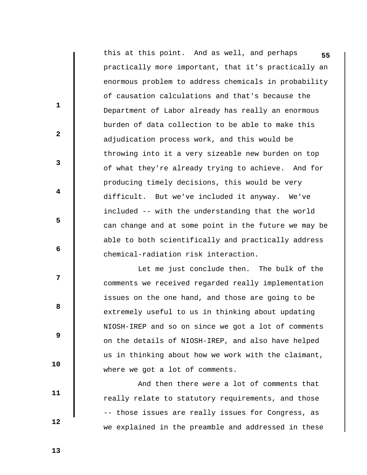this at this point. And as well, and perhaps **55** practically more important, that it's practically an enormous problem to address chemicals in probability of causation calculations and that's because the Department of Labor already has really an enormous burden of data collection to be able to make this adjudication process work, and this would be throwing into it a very sizeable new burden on top of what they're already trying to achieve. And for producing timely decisions, this would be very difficult. But we've included it anyway. We've included -- with the understanding that the world can change and at some point in the future we may be able to both scientifically and practically address chemical-radiation risk interaction.

 Let me just conclude then. The bulk of the comments we received regarded really implementation issues on the one hand, and those are going to be extremely useful to us in thinking about updating NIOSH-IREP and so on since we got a lot of comments on the details of NIOSH-IREP, and also have helped us in thinking about how we work with the claimant, where we got a lot of comments.

 And then there were a lot of comments that really relate to statutory requirements, and those -- those issues are really issues for Congress, as we explained in the preamble and addressed in these

 **13** 

 **10** 

 **11** 

 **12** 

**1** 

**2** 

**3** 

**4** 

**5** 

 **6** 

**12** 

**8 8**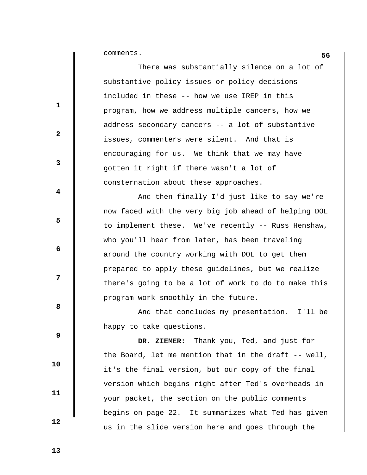**56** comments.

 $\parallel$ 

|                         | There was substantially silence on a lot of           |
|-------------------------|-------------------------------------------------------|
|                         | substantive policy issues or policy decisions         |
| $\mathbf{1}$            | included in these -- how we use IREP in this          |
|                         | program, how we address multiple cancers, how we      |
| $\mathbf{2}$            | address secondary cancers -- a lot of substantive     |
|                         | issues, commenters were silent. And that is           |
| 3                       | encouraging for us. We think that we may have         |
|                         | gotten it right if there wasn't a lot of              |
| $\overline{\mathbf{4}}$ | consternation about these approaches.                 |
|                         | And then finally I'd just like to say we're           |
|                         | now faced with the very big job ahead of helping DOL  |
| 5                       | to implement these. We've recently -- Russ Henshaw,   |
|                         | who you'll hear from later, has been traveling        |
| 6                       | around the country working with DOL to get them       |
|                         | prepared to apply these guidelines, but we realize    |
| 7                       | there's going to be a lot of work to do to make this  |
|                         | program work smoothly in the future.                  |
| 8                       | And that concludes my presentation. I'll be           |
|                         | happy to take questions.                              |
| 9                       | DR. ZIEMER: Thank you, Ted, and just for              |
|                         | the Board, let me mention that in the draft $-$ well, |
| 10                      | it's the final version, but our copy of the final     |
| 11                      | version which begins right after Ted's overheads in   |
|                         | your packet, the section on the public comments       |
| 12                      | begins on page 22. It summarizes what Ted has given   |
|                         | us in the slide version here and goes through the     |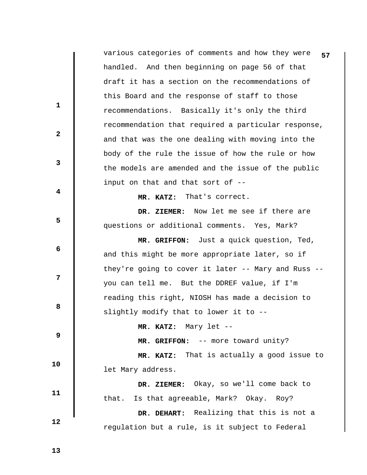|              | various categories of comments and how they were<br>57 |
|--------------|--------------------------------------------------------|
|              | handled. And then beginning on page 56 of that         |
|              | draft it has a section on the recommendations of       |
|              | this Board and the response of staff to those          |
| 1            | recommendations. Basically it's only the third         |
|              | recommendation that required a particular response,    |
| $\mathbf{2}$ | and that was the one dealing with moving into the      |
| 3            | body of the rule the issue of how the rule or how      |
|              | the models are amended and the issue of the public     |
| 4            | input on that and that sort of --                      |
|              | That's correct.<br>MR. KATZ:                           |
|              | DR. ZIEMER: Now let me see if there are                |
| 5            | questions or additional comments. Yes, Mark?           |
| 6            | MR. GRIFFON: Just a quick question, Ted,               |
|              | and this might be more appropriate later, so if        |
|              | they're going to cover it later -- Mary and Russ --    |
| 7            | you can tell me. But the DDREF value, if I'm           |
| 8            | reading this right, NIOSH has made a decision to       |
|              | slightly modify that to lower it to --                 |
| 9            | MR. KATZ: Mary let --                                  |
|              | MR. GRIFFON: -- more toward unity?                     |
| 10           | MR. KATZ: That is actually a good issue to             |
|              | let Mary address.                                      |
| 11           | DR. ZIEMER: Okay, so we'll come back to                |
|              | that. Is that agreeable, Mark? Okay. Roy?              |
| 12           | DR. DEHART: Realizing that this is not a               |
|              | regulation but a rule, is it subject to Federal        |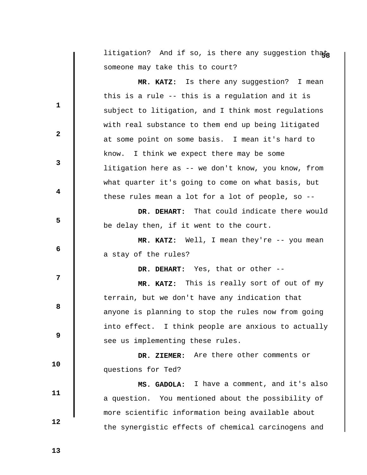litigation? And if so, is there any suggestion thata someone may take this to court?

**1 2 3 4 5 6 6 12 8 8 9 10 11 12 MR. KATZ:** Is there any suggestion? I mean this is a rule -- this is a regulation and it is subject to litigation, and I think most regulations with real substance to them end up being litigated at some point on some basis. I mean it's hard to know. I think we expect there may be some litigation here as -- we don't know, you know, from what quarter it's going to come on what basis, but these rules mean a lot for a lot of people, so --  **DR. DEHART:** That could indicate there would be delay then, if it went to the court.  **MR. KATZ:** Well, I mean they're -- you mean a stay of the rules?  **DR. DEHART:** Yes, that or other --  **MR. KATZ:** This is really sort of out of my terrain, but we don't have any indication that anyone is planning to stop the rules now from going into effect. I think people are anxious to actually see us implementing these rules.  **DR. ZIEMER:** Are there other comments or questions for Ted?  **MS. GADOLA:** I have a comment, and it's also a question. You mentioned about the possibility of more scientific information being available about

the synergistic effects of chemical carcinogens and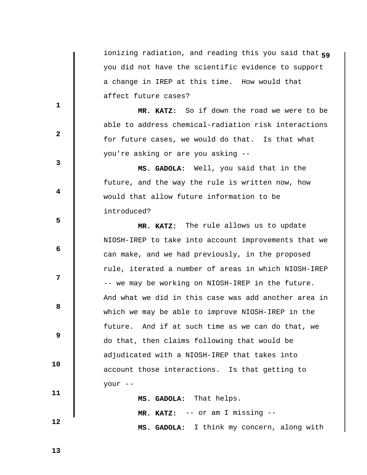**5** ionizing radiation, and reading this you said that **9** you did not have the scientific evidence to support a change in IREP at this time. How would that affect future cases?

 **MR. KATZ:** So if down the road we were to be able to address chemical-radiation risk interactions for future cases, we would do that. Is that what you're asking or are you asking --

 **MS. GADOLA:** Well, you said that in the future, and the way the rule is written now, how would that allow future information to be introduced?

 **MR. KATZ:** The rule allows us to update NIOSH-IREP to take into account improvements that we can make, and we had previously, in the proposed rule, iterated a number of areas in which NIOSH-IREP -- we may be working on NIOSH-IREP in the future. And what we did in this case was add another area in which we may be able to improve NIOSH-IREP in the future. And if at such time as we can do that, we do that, then claims following that would be adjudicated with a NIOSH-IREP that takes into account those interactions. Is that getting to your --

 **MS. GADOLA:** That helps.  **MR. KATZ:** -- or am I missing --  **MS. GADOLA:** I think my concern, along with

 **13** 

 **10** 

 **11** 

 **12** 

**1** 

**3** 

**4** 

**5** 

**6 6** 

**12** 

**8 8** 

 **9**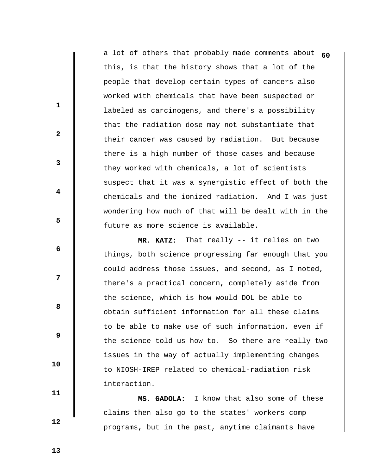a lot of others that probably made comments about **60** this, is that the history shows that a lot of the people that develop certain types of cancers also worked with chemicals that have been suspected or labeled as carcinogens, and there's a possibility that the radiation dose may not substantiate that their cancer was caused by radiation. But because there is a high number of those cases and because they worked with chemicals, a lot of scientists suspect that it was a synergistic effect of both the chemicals and the ionized radiation. And I was just wondering how much of that will be dealt with in the future as more science is available.

 **MR. KATZ:** That really -- it relies on two things, both science progressing far enough that you could address those issues, and second, as I noted, there's a practical concern, completely aside from the science, which is how would DOL be able to obtain sufficient information for all these claims to be able to make use of such information, even if the science told us how to. So there are really two issues in the way of actually implementing changes to NIOSH-IREP related to chemical-radiation risk interaction.

 **MS. GADOLA:** I know that also some of these claims then also go to the states' workers comp programs, but in the past, anytime claimants have

 **13** 

 **10** 

 **11** 

 **12** 

**1** 

**2** 

**3** 

**4** 

**5** 

 **6** 

**12** 

**8 8**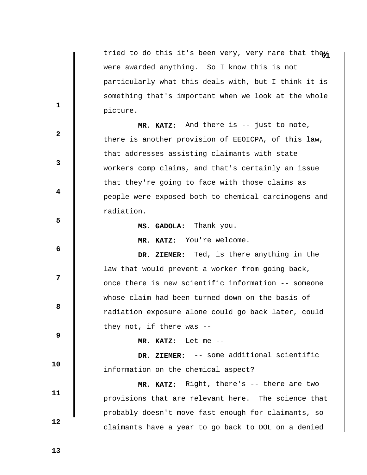tried to do this it's been very, very rare that they were awarded anything. So I know this is not particularly what this deals with, but I think it is something that's important when we look at the whole picture.

 **MR. KATZ:** And there is -- just to note, there is another provision of EEOICPA, of this law, that addresses assisting claimants with state workers comp claims, and that's certainly an issue that they're going to face with those claims as people were exposed both to chemical carcinogens and radiation.

**5** 

 **2** 

**1** 

**3** 

**4** 

**12** 

**8 8** 

 **6** 

 **DR. ZIEMER:** Ted, is there anything in the law that would prevent a worker from going back, once there is new scientific information -- someone whose claim had been turned down on the basis of radiation exposure alone could go back later, could they not, if there was --

 **9** 

 **MR. KATZ:** Let me --

 **MS. GADOLA:** Thank you.

 **MR. KATZ:** You're welcome.

 **10** 

 **11** 

 **12** 

 **DR. ZIEMER:** -- some additional scientific information on the chemical aspect?

 **MR. KATZ:** Right, there's -- there are two provisions that are relevant here. The science that probably doesn't move fast enough for claimants, so claimants have a year to go back to DOL on a denied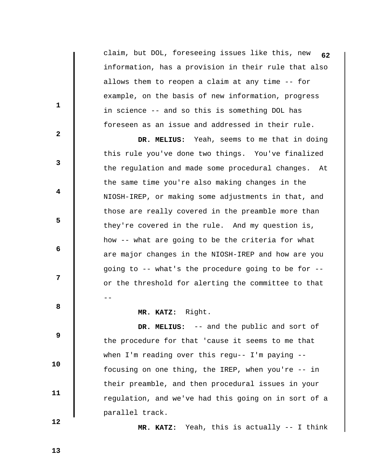claim, but DOL, foreseeing issues like this, new **62** information, has a provision in their rule that also allows them to reopen a claim at any time -- for example, on the basis of new information, progress in science -- and so this is something DOL has foreseen as an issue and addressed in their rule.

 **DR. MELIUS:** Yeah, seems to me that in doing this rule you've done two things. You've finalized the regulation and made some procedural changes. At the same time you're also making changes in the NIOSH-IREP, or making some adjustments in that, and those are really covered in the preamble more than they're covered in the rule. And my question is, how -- what are going to be the criteria for what are major changes in the NIOSH-IREP and how are you going to -- what's the procedure going to be for - or the threshold for alerting the committee to that --

 **MR. KATZ:** Right.

 **DR. MELIUS:** -- and the public and sort of the procedure for that 'cause it seems to me that when I'm reading over this regu-- I'm paying - focusing on one thing, the IREP, when you're -- in their preamble, and then procedural issues in your regulation, and we've had this going on in sort of a parallel track.

 **12** 

 **10** 

 **11** 

**1** 

**2** 

**3** 

**4** 

**5** 

 **6** 

**12** 

**8 8** 

 **9** 

 **MR. KATZ:** Yeah, this is actually -- I think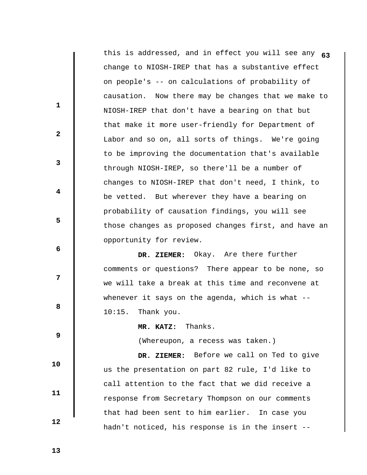this is addressed, and in effect you will see any **63** change to NIOSH-IREP that has a substantive effect on people's -- on calculations of probability of causation. Now there may be changes that we make to NIOSH-IREP that don't have a bearing on that but that make it more user-friendly for Department of Labor and so on, all sorts of things. We're going to be improving the documentation that's available through NIOSH-IREP, so there'll be a number of changes to NIOSH-IREP that don't need, I think, to be vetted. But wherever they have a bearing on probability of causation findings, you will see those changes as proposed changes first, and have an opportunity for review.  **DR. ZIEMER:** Okay. Are there further comments or questions? There appear to be none, so

we will take a break at this time and reconvene at

whenever it says on the agenda, which is what --

**8 8** 

**1** 

**2** 

**3** 

**4** 

**5** 

 **6** 

**12** 

 **9** 

 **10** 

 **11** 

 **12** 

(Whereupon, a recess was taken.)

 **MR. KATZ:** Thanks.

10:15. Thank you.

 **DR. ZIEMER:** Before we call on Ted to give us the presentation on part 82 rule, I'd like to call attention to the fact that we did receive a response from Secretary Thompson on our comments that had been sent to him earlier. In case you hadn't noticed, his response is in the insert --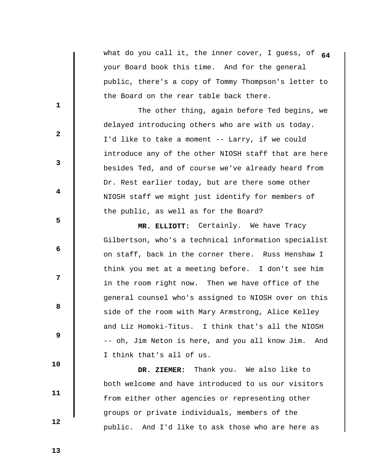what do you call it, the inner cover, I guess, of **64** your Board book this time. And for the general public, there's a copy of Tommy Thompson's letter to the Board on the rear table back there.

 The other thing, again before Ted begins, we delayed introducing others who are with us today. I'd like to take a moment -- Larry, if we could introduce any of the other NIOSH staff that are here besides Ted, and of course we've already heard from Dr. Rest earlier today, but are there some other NIOSH staff we might just identify for members of the public, as well as for the Board?

 **MR. ELLIOTT:** Certainly. We have Tracy Gilbertson, who's a technical information specialist on staff, back in the corner there. Russ Henshaw I think you met at a meeting before. I don't see him in the room right now. Then we have office of the general counsel who's assigned to NIOSH over on this side of the room with Mary Armstrong, Alice Kelley and Liz Homoki-Titus. I think that's all the NIOSH -- oh, Jim Neton is here, and you all know Jim. And I think that's all of us.

 **DR. ZIEMER:** Thank you. We also like to both welcome and have introduced to us our visitors from either other agencies or representing other groups or private individuals, members of the public. And I'd like to ask those who are here as

 **13** 

 **10** 

 **11** 

 **12** 

**1** 

**3** 

**4** 

**5** 

**6 6** 

**12** 

**8 8** 

 **9**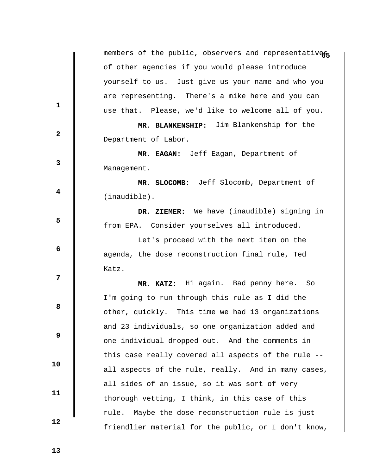|              | members of the public, observers and representatives |
|--------------|------------------------------------------------------|
|              | of other agencies if you would please introduce      |
|              | yourself to us. Just give us your name and who you   |
| $\mathbf 1$  | are representing. There's a mike here and you can    |
|              | use that. Please, we'd like to welcome all of you.   |
|              | MR. BLANKENSHIP: Jim Blankenship for the             |
| $\mathbf{2}$ | Department of Labor.                                 |
|              | MR. EAGAN: Jeff Eagan, Department of                 |
| 3            | Management.                                          |
| 4            | MR. SLOCOMB: Jeff Slocomb, Department of             |
|              | $(inaudible)$ .                                      |
|              | DR. ZIEMER: We have (inaudible) signing in           |
| 5            | from EPA. Consider yourselves all introduced.        |
| 6            | Let's proceed with the next item on the              |
|              | agenda, the dose reconstruction final rule, Ted      |
|              | Katz.                                                |
| 7            | MR. KATZ: Hi again. Bad penny here. So               |
| 8            | I'm going to run through this rule as I did the      |
|              | other, quickly. This time we had 13 organizations    |
|              | and 23 individuals, so one organization added and    |
| 9            | one individual dropped out. And the comments in      |
|              | this case really covered all aspects of the rule --  |
| 10           | all aspects of the rule, really. And in many cases,  |
| 11           | all sides of an issue, so it was sort of very        |
|              | thorough vetting, I think, in this case of this      |
|              | Maybe the dose reconstruction rule is just<br>rule.  |
| 12           | friendlier material for the public, or I don't know, |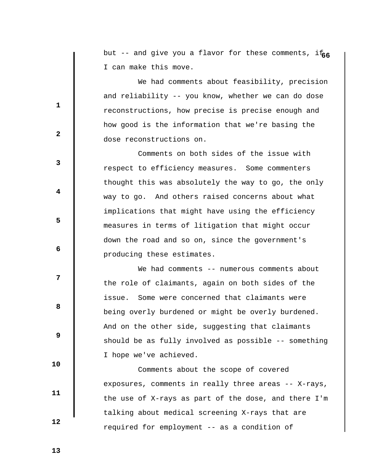but -- and give you a flavor for these comments, if<sub>66</sub> I can make this move.

 We had comments about feasibility, precision and reliability -- you know, whether we can do dose reconstructions, how precise is precise enough and how good is the information that we're basing the dose reconstructions on.

 Comments on both sides of the issue with respect to efficiency measures. Some commenters thought this was absolutely the way to go, the only way to go. And others raised concerns about what implications that might have using the efficiency measures in terms of litigation that might occur down the road and so on, since the government's producing these estimates.

We had comments -- numerous comments about the role of claimants, again on both sides of the issue. Some were concerned that claimants were being overly burdened or might be overly burdened. And on the other side, suggesting that claimants should be as fully involved as possible -- something I hope we've achieved.

 Comments about the scope of covered exposures, comments in really three areas -- X-rays, the use of X-rays as part of the dose, and there I'm talking about medical screening X-rays that are required for employment -- as a condition of

 **13** 

**1** 

**2** 

**3** 

**4** 

**5** 

**6 6** 

**12** 

**8 8** 

 **9** 

 **10** 

 **11**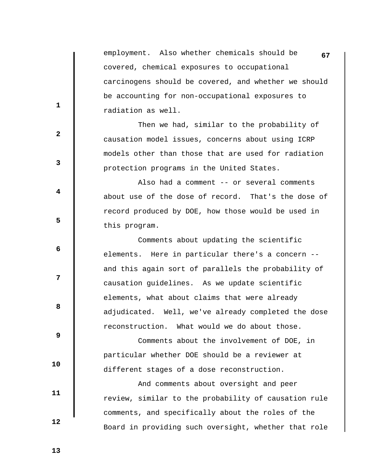employment. Also whether chemicals should be **67** covered, chemical exposures to occupational carcinogens should be covered, and whether we should be accounting for non-occupational exposures to radiation as well.

 Then we had, similar to the probability of causation model issues, concerns about using ICRP models other than those that are used for radiation protection programs in the United States.

 Also had a comment -- or several comments about use of the dose of record. That's the dose of record produced by DOE, how those would be used in this program.

 Comments about updating the scientific elements. Here in particular there's a concern - and this again sort of parallels the probability of causation guidelines. As we update scientific elements, what about claims that were already adjudicated. Well, we've already completed the dose reconstruction. What would we do about those.

 Comments about the involvement of DOE, in particular whether DOE should be a reviewer at different stages of a dose reconstruction.

 And comments about oversight and peer review, similar to the probability of causation rule comments, and specifically about the roles of the Board in providing such oversight, whether that role

 **13** 

 **12** 

 **10** 

 **11** 

**1** 

**2** 

**3** 

**4** 

**5** 

**6 6** 

**12** 

**8 8**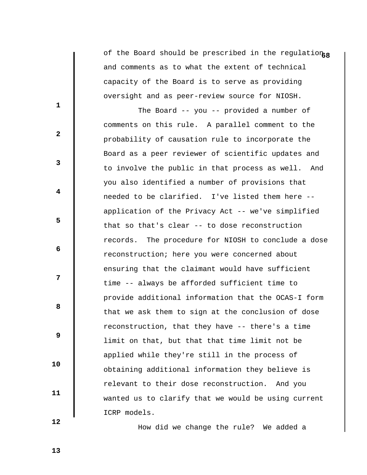of the Board should be prescribed in the regulation<sub>68</sub> and comments as to what the extent of technical capacity of the Board is to serve as providing oversight and as peer-review source for NIOSH.

 The Board -- you -- provided a number of comments on this rule. A parallel comment to the probability of causation rule to incorporate the Board as a peer reviewer of scientific updates and to involve the public in that process as well. And you also identified a number of provisions that needed to be clarified. I've listed them here - application of the Privacy Act -- we've simplified that so that's clear -- to dose reconstruction records. The procedure for NIOSH to conclude a dose reconstruction; here you were concerned about ensuring that the claimant would have sufficient time -- always be afforded sufficient time to provide additional information that the OCAS-I form that we ask them to sign at the conclusion of dose reconstruction, that they have -- there's a time limit on that, but that that time limit not be applied while they're still in the process of obtaining additional information they believe is relevant to their dose reconstruction. And you wanted us to clarify that we would be using current ICRP models.

How did we change the rule? We added a

 **13** 

 **10** 

 **11** 

 **12** 

**1** 

**3** 

**4** 

**5** 

 **6** 

**12** 

**8 8** 

 **9**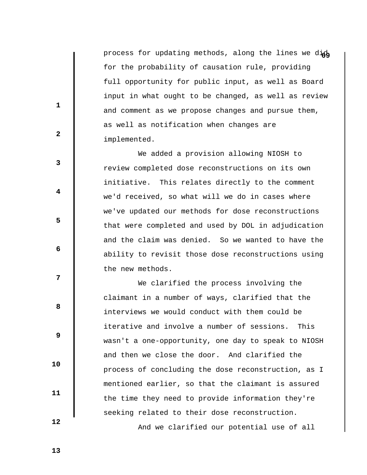process for updating methods, along the lines we dich for the probability of causation rule, providing full opportunity for public input, as well as Board input in what ought to be changed, as well as review and comment as we propose changes and pursue them, as well as notification when changes are implemented.

 We added a provision allowing NIOSH to review completed dose reconstructions on its own initiative. This relates directly to the comment we'd received, so what will we do in cases where we've updated our methods for dose reconstructions that were completed and used by DOL in adjudication and the claim was denied. So we wanted to have the ability to revisit those dose reconstructions using the new methods.

 We clarified the process involving the claimant in a number of ways, clarified that the interviews we would conduct with them could be iterative and involve a number of sessions. This wasn't a one-opportunity, one day to speak to NIOSH and then we close the door. And clarified the process of concluding the dose reconstruction, as I mentioned earlier, so that the claimant is assured the time they need to provide information they're seeking related to their dose reconstruction.

And we clarified our potential use of all

**2** 

**1** 

**3** 

**4** 

 **6** 

**8 8** 

 **9** 

**5** 

**12** 

 **10** 

 **11** 

 **12**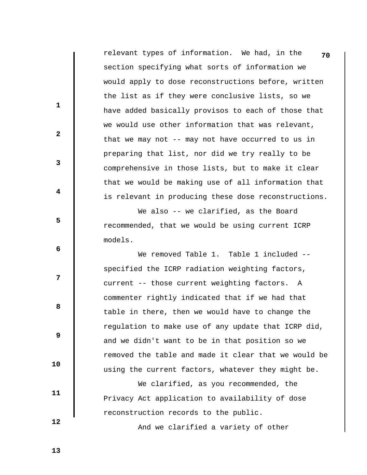|                         | relevant types of information. We had, in the<br>70  |
|-------------------------|------------------------------------------------------|
|                         | section specifying what sorts of information we      |
|                         | would apply to dose reconstructions before, written  |
|                         | the list as if they were conclusive lists, so we     |
| $\mathbf 1$             | have added basically provisos to each of those that  |
|                         | we would use other information that was relevant,    |
| $\mathbf{2}$            | that we may not -- may not have occurred to us in    |
|                         | preparing that list, nor did we try really to be     |
| $\mathbf{3}$            | comprehensive in those lists, but to make it clear   |
|                         | that we would be making use of all information that  |
| $\overline{\mathbf{4}}$ | is relevant in producing these dose reconstructions. |
|                         | We also -- we clarified, as the Board                |
| 5                       | recommended, that we would be using current ICRP     |
|                         | models.                                              |
| 6                       | We removed Table 1. Table 1 included --              |
|                         | specified the ICRP radiation weighting factors,      |
| 7                       | current -- those current weighting factors. A        |
|                         | commenter rightly indicated that if we had that      |
| 8                       | table in there, then we would have to change the     |
|                         | regulation to make use of any update that ICRP did,  |
| 9                       | and we didn't want to be in that position so we      |
|                         | removed the table and made it clear that we would be |
| 10                      | using the current factors, whatever they might be.   |
|                         | We clarified, as you recommended, the                |
| 11                      | Privacy Act application to availability of dose      |
|                         | reconstruction records to the public.                |
| 12                      |                                                      |

And we clarified a variety of other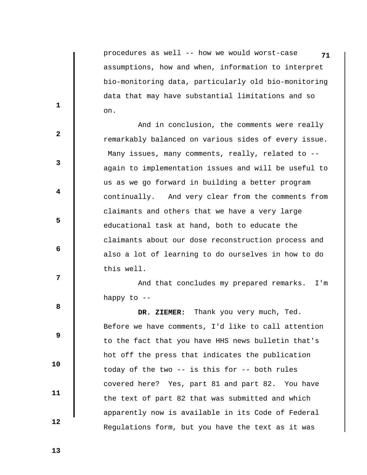procedures as well -- how we would worst-case **71** assumptions, how and when, information to interpret bio-monitoring data, particularly old bio-monitoring data that may have substantial limitations and so on.

 And in conclusion, the comments were really remarkably balanced on various sides of every issue. Many issues, many comments, really, related to -again to implementation issues and will be useful to us as we go forward in building a better program continually. And very clear from the comments from claimants and others that we have a very large educational task at hand, both to educate the claimants about our dose reconstruction process and also a lot of learning to do ourselves in how to do this well.

 And that concludes my prepared remarks. I'm happy to  $-$ 

 **DR. ZIEMER:** Thank you very much, Ted. Before we have comments, I'd like to call attention to the fact that you have HHS news bulletin that's hot off the press that indicates the publication today of the two -- is this for -- both rules covered here? Yes, part 81 and part 82. You have the text of part 82 that was submitted and which apparently now is available in its Code of Federal Regulations form, but you have the text as it was

 **13** 

**1** 

**2** 

**3** 

**4** 

**5** 

 **6** 

**12** 

**8 8** 

 **9** 

 **10** 

 **11**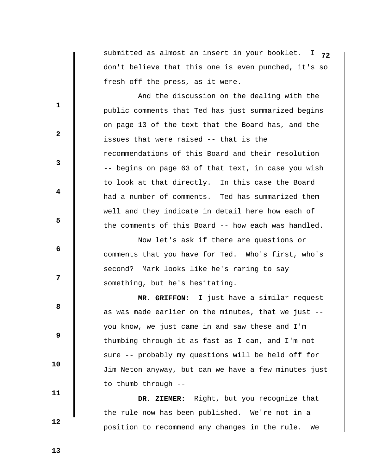submitted as almost an insert in your booklet. I **72** don't believe that this one is even punched, it's so fresh off the press, as it were.

 And the discussion on the dealing with the public comments that Ted has just summarized begins on page 13 of the text that the Board has, and the issues that were raised -- that is the recommendations of this Board and their resolution -- begins on page 63 of that text, in case you wish to look at that directly. In this case the Board had a number of comments. Ted has summarized them well and they indicate in detail here how each of the comments of this Board -- how each was handled.

 Now let's ask if there are questions or comments that you have for Ted. Who's first, who's second? Mark looks like he's raring to say something, but he's hesitating.

 **MR. GRIFFON:** I just have a similar request as was made earlier on the minutes, that we just - you know, we just came in and saw these and I'm thumbing through it as fast as I can, and I'm not sure -- probably my questions will be held off for Jim Neton anyway, but can we have a few minutes just to thumb through --

 **DR. ZIEMER:** Right, but you recognize that the rule now has been published. We're not in a position to recommend any changes in the rule. We

 **13** 

 **10** 

 **11** 

 **12** 

**1** 

**3** 

**4** 

**5** 

**6 6** 

**12** 

**8 8** 

 **9**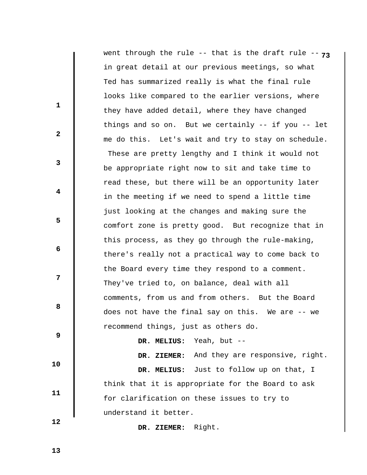|                         | went through the rule -- that is the draft rule -- $73$ |
|-------------------------|---------------------------------------------------------|
|                         | in great detail at our previous meetings, so what       |
|                         | Ted has summarized really is what the final rule        |
|                         | looks like compared to the earlier versions, where      |
| $\mathbf{1}$            | they have added detail, where they have changed         |
|                         | things and so on. But we certainly $--$ if you $--$ let |
| $\mathbf{2}$            | me do this. Let's wait and try to stay on schedule.     |
| $\mathbf{3}$            | These are pretty lengthy and I think it would not       |
|                         | be appropriate right now to sit and take time to        |
|                         | read these, but there will be an opportunity later      |
| $\overline{\mathbf{4}}$ | in the meeting if we need to spend a little time        |
|                         | just looking at the changes and making sure the         |
| 5                       | comfort zone is pretty good. But recognize that in      |
|                         | this process, as they go through the rule-making,       |
| 6                       | there's really not a practical way to come back to      |
|                         | the Board every time they respond to a comment.         |
| 7                       | They've tried to, on balance, deal with all             |
|                         | comments, from us and from others. But the Board        |
| 8                       | does not have the final say on this. We are<br>$--$ we  |
|                         | recommend things, just as others do.                    |
| 9                       | Yeah, but --<br>DR. MELIUS:                             |
|                         | DR. ZIEMER: And they are responsive, right.             |
| 10                      | DR. MELIUS: Just to follow up on that, I                |
| 11                      | think that it is appropriate for the Board to ask       |
|                         | for clarification on these issues to try to             |
|                         | understand it better.                                   |
| 12                      | DR. ZIEMER: Right.                                      |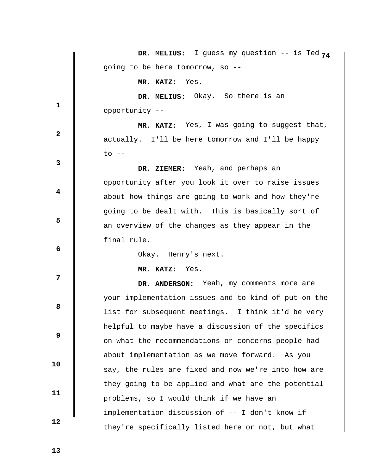|                         | DR. MELIUS: I guess my question -- is Ted $74$       |
|-------------------------|------------------------------------------------------|
|                         | going to be here tomorrow, so --                     |
|                         | MR. KATZ: Yes.                                       |
|                         | DR. MELIUS: Okay. So there is an                     |
| 1                       | opportunity --                                       |
| $\mathbf{2}$            | MR. KATZ: Yes, I was going to suggest that,          |
|                         | actually. I'll be here tomorrow and I'll be happy    |
| 3                       | $\circ$ --                                           |
|                         | DR. ZIEMER: Yeah, and perhaps an                     |
|                         | opportunity after you look it over to raise issues   |
| $\overline{\mathbf{4}}$ | about how things are going to work and how they're   |
|                         | going to be dealt with. This is basically sort of    |
| 5                       | an overview of the changes as they appear in the     |
|                         | final rule.                                          |
| 6                       | Okay. Henry's next.                                  |
|                         | MR. KATZ: Yes.                                       |
| 7                       | DR. ANDERSON: Yeah, my comments more are             |
|                         | your implementation issues and to kind of put on the |
| 8                       | list for subsequent meetings. I think it'd be very   |
|                         | helpful to maybe have a discussion of the specifics  |
| 9                       | on what the recommendations or concerns people had   |
|                         | about implementation as we move forward. As you      |
| 10                      | say, the rules are fixed and now we're into how are  |
| 11                      | they going to be applied and what are the potential  |
|                         | problems, so I would think if we have an             |
|                         | implementation discussion of -- I don't know if      |
| 12                      | they're specifically listed here or not, but what    |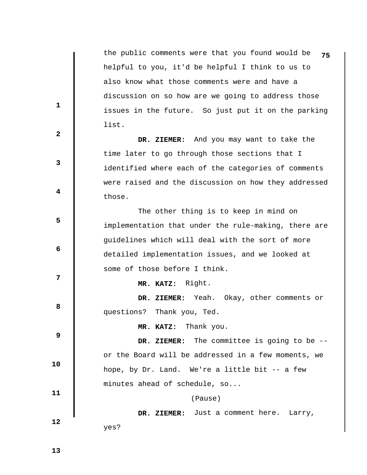the public comments were that you found would be **75** helpful to you, it'd be helpful I think to us to also know what those comments were and have a discussion on so how are we going to address those issues in the future. So just put it on the parking list.

 **DR. ZIEMER:** And you may want to take the time later to go through those sections that I identified where each of the categories of comments were raised and the discussion on how they addressed those.

 The other thing is to keep in mind on implementation that under the rule-making, there are guidelines which will deal with the sort of more detailed implementation issues, and we looked at some of those before I think.

 **MR. KATZ:** Right.

 **DR. ZIEMER:** Yeah. Okay, other comments or questions? Thank you, Ted.

 **MR. KATZ:** Thank you.

 **9 10 11 DR. ZIEMER:** The committee is going to be - or the Board will be addressed in a few moments, we hope, by Dr. Land. We're a little bit -- a few minutes ahead of schedule, so...

(Pause)

 **DR. ZIEMER:** Just a comment here. Larry, yes?

 **13** 

 **12** 

**1** 

**3** 

**4** 

**5** 

 **6** 

**12** 

**8 8**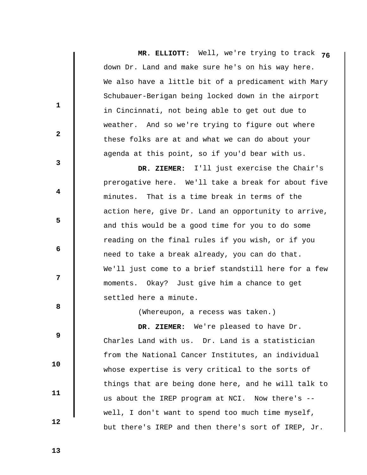**MR. ELLIOTT:** Well, we're trying to track **76** down Dr. Land and make sure he's on his way here. We also have a little bit of a predicament with Mary Schubauer-Berigan being locked down in the airport in Cincinnati, not being able to get out due to weather. And so we're trying to figure out where these folks are at and what we can do about your agenda at this point, so if you'd bear with us.

 **DR. ZIEMER:** I'll just exercise the Chair's prerogative here. We'll take a break for about five minutes. That is a time break in terms of the action here, give Dr. Land an opportunity to arrive, and this would be a good time for you to do some reading on the final rules if you wish, or if you need to take a break already, you can do that. We'll just come to a brief standstill here for a few moments. Okay? Just give him a chance to get settled here a minute.

(Whereupon, a recess was taken.)

 **DR. ZIEMER:** We're pleased to have Dr. Charles Land with us. Dr. Land is a statistician from the National Cancer Institutes, an individual whose expertise is very critical to the sorts of things that are being done here, and he will talk to us about the IREP program at NCI. Now there's - well, I don't want to spend too much time myself, but there's IREP and then there's sort of IREP, Jr.

 **13** 

 **10** 

 **11** 

 **12** 

**1** 

**2** 

**3** 

**4** 

**5** 

 **6** 

**12** 

**8 8**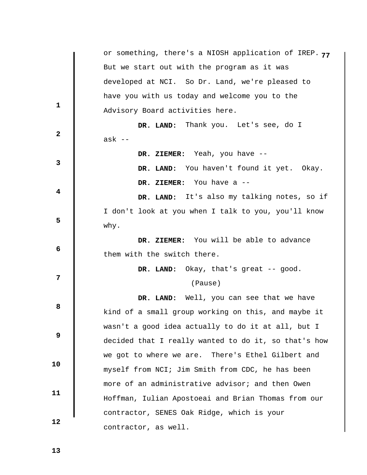|                         | or something, there's a NIOSH application of IREP. 77 |
|-------------------------|-------------------------------------------------------|
|                         | But we start out with the program as it was           |
|                         | developed at NCI. So Dr. Land, we're pleased to       |
| $\mathbf{1}$            | have you with us today and welcome you to the         |
|                         | Advisory Board activities here.                       |
| $\overline{\mathbf{2}}$ | DR. LAND: Thank you. Let's see, do I                  |
|                         | ask --                                                |
|                         | DR. ZIEMER: Yeah, you have --                         |
| 3                       | DR. LAND: You haven't found it yet. Okay.             |
|                         | DR. ZIEMER: You have a --                             |
| 4                       | DR. LAND: It's also my talking notes, so if           |
|                         | I don't look at you when I talk to you, you'll know   |
| 5                       | why.                                                  |
|                         | DR. ZIEMER: You will be able to advance               |
| $\boldsymbol{6}$        | them with the switch there.                           |
|                         | DR. LAND: Okay, that's great -- good.                 |
| 7                       | (Pause)                                               |
|                         | DR. LAND: Well, you can see that we have              |
| 8                       | kind of a small group working on this, and maybe it   |
|                         | wasn't a good idea actually to do it at all, but I    |
| 9                       | decided that I really wanted to do it, so that's how  |
|                         | we got to where we are. There's Ethel Gilbert and     |
| 10                      | myself from NCI; Jim Smith from CDC, he has been      |
|                         | more of an administrative advisor; and then Owen      |
| 11                      |                                                       |
|                         | Hoffman, Iulian Apostoeai and Brian Thomas from our   |
| 12                      | contractor, SENES Oak Ridge, which is your            |
|                         | contractor, as well.                                  |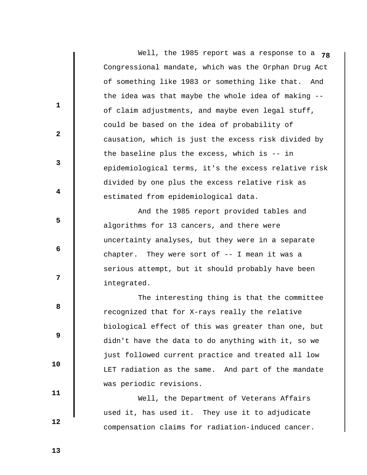Well, the 1985 report was a response to a **78** Congressional mandate, which was the Orphan Drug Act of something like 1983 or something like that. And the idea was that maybe the whole idea of making - of claim adjustments, and maybe even legal stuff, could be based on the idea of probability of causation, which is just the excess risk divided by the baseline plus the excess, which is -- in epidemiological terms, it's the excess relative risk divided by one plus the excess relative risk as estimated from epidemiological data.

 And the 1985 report provided tables and algorithms for 13 cancers, and there were uncertainty analyses, but they were in a separate chapter. They were sort of -- I mean it was a serious attempt, but it should probably have been integrated.

 The interesting thing is that the committee recognized that for X-rays really the relative biological effect of this was greater than one, but didn't have the data to do anything with it, so we just followed current practice and treated all low LET radiation as the same. And part of the mandate was periodic revisions.

 Well, the Department of Veterans Affairs used it, has used it. They use it to adjudicate compensation claims for radiation-induced cancer.

 **11** 

 **10** 

**1** 

**2** 

**3** 

**4** 

**5** 

 **6** 

**12** 

**8 8** 

 **9** 

 **12**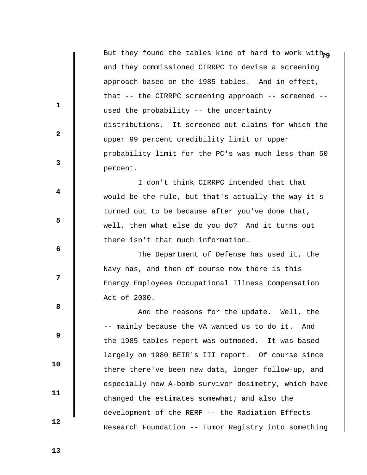| But they found the tables kind of hard to work with <sub>ng</sub> |
|-------------------------------------------------------------------|
| and they commissioned CIRRPC to devise a screening                |
| approach based on the 1985 tables. And in effect,                 |
| that -- the CIRRPC screening approach -- screened --              |
| used the probability -- the uncertainty                           |
| distributions. It screened out claims for which the               |
| upper 99 percent credibility limit or upper                       |
| probability limit for the PC's was much less than 50              |
| percent.                                                          |
| I don't think CIRRPC intended that that                           |
| would be the rule, but that's actually the way it's               |
| turned out to be because after you've done that,                  |
| well, then what else do you do? And it turns out                  |
| there isn't that much information.                                |
| The Department of Defense has used it, the                        |
| Navy has, and then of course now there is this                    |
| Energy Employees Occupational Illness Compensation                |
| Act of 2000.                                                      |
| And the reasons for the update. Well, the                         |
| -- mainly because the VA wanted us to do it. And                  |
| the 1985 tables report was outmoded. It was based                 |
| largely on 1980 BEIR's III report. Of course since                |
|                                                                   |

there there've been new data, longer follow-up, and

especially new A-bomb survivor dosimetry, which have

Research Foundation -- Tumor Registry into something

changed the estimates somewhat; and also the

development of the RERF -- the Radiation Effects

 **11** 

 **10** 

 **1** 

 **2** 

 **3** 

 **4** 

 **5** 

 **6** 

 **7** 

 **8** 

 **9** 

 **12**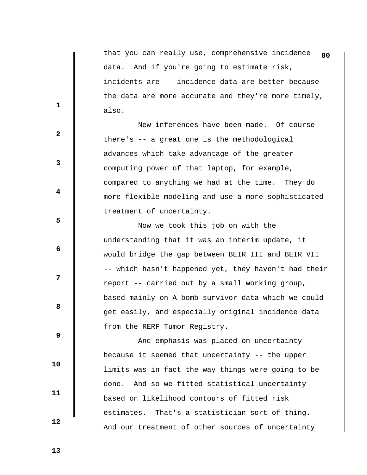that you can really use, comprehensive incidence **80** data. And if you're going to estimate risk, incidents are -- incidence data are better because the data are more accurate and they're more timely, also.

 New inferences have been made. Of course there's -- a great one is the methodological advances which take advantage of the greater computing power of that laptop, for example, compared to anything we had at the time. They do more flexible modeling and use a more sophisticated treatment of uncertainty.

 Now we took this job on with the understanding that it was an interim update, it would bridge the gap between BEIR III and BEIR VII -- which hasn't happened yet, they haven't had their report -- carried out by a small working group, based mainly on A-bomb survivor data which we could get easily, and especially original incidence data from the RERF Tumor Registry.

 And emphasis was placed on uncertainty because it seemed that uncertainty -- the upper limits was in fact the way things were going to be done. And so we fitted statistical uncertainty based on likelihood contours of fitted risk estimates. That's a statistician sort of thing. And our treatment of other sources of uncertainty

**1** 

**2** 

**3** 

**4** 

**5** 

 **6** 

**12** 

**8 8** 

 **9** 

 **11** 

 **10** 

 **12**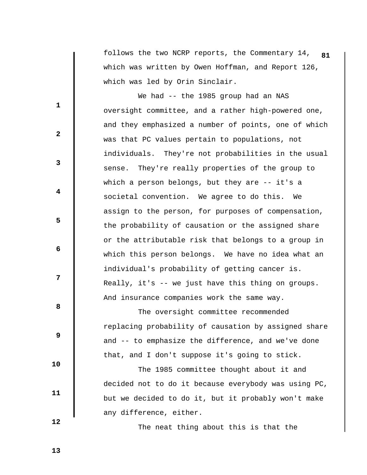follows the two NCRP reports, the Commentary 14, **81** which was written by Owen Hoffman, and Report 126, which was led by Orin Sinclair.

We had -- the 1985 group had an NAS oversight committee, and a rather high-powered one, and they emphasized a number of points, one of which was that PC values pertain to populations, not individuals. They're not probabilities in the usual sense. They're really properties of the group to which a person belongs, but they are -- it's a societal convention. We agree to do this. We assign to the person, for purposes of compensation, the probability of causation or the assigned share or the attributable risk that belongs to a group in which this person belongs. We have no idea what an individual's probability of getting cancer is. Really, it's -- we just have this thing on groups. And insurance companies work the same way.

 The oversight committee recommended replacing probability of causation by assigned share and -- to emphasize the difference, and we've done that, and I don't suppose it's going to stick.

 The 1985 committee thought about it and decided not to do it because everybody was using PC, but we decided to do it, but it probably won't make any difference, either.

The neat thing about this is that the

 **12** 

 **10** 

 **11** 

**1** 

**2** 

**3** 

**4** 

**5** 

 **6** 

**12** 

**8 8** 

 **9**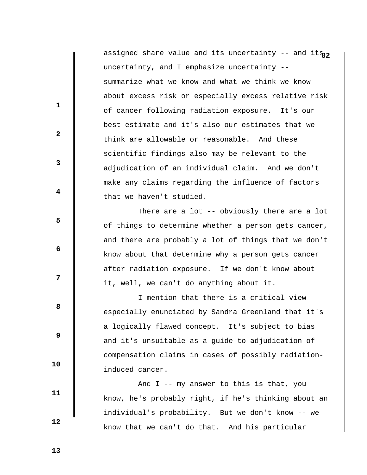assigned share value and its uncertainty -- and its<sub>22</sub> uncertainty, and I emphasize uncertainty - summarize what we know and what we think we know about excess risk or especially excess relative risk of cancer following radiation exposure. It's our best estimate and it's also our estimates that we think are allowable or reasonable. And these scientific findings also may be relevant to the adjudication of an individual claim. And we don't make any claims regarding the influence of factors that we haven't studied.

There are a lot -- obviously there are a lot of things to determine whether a person gets cancer, and there are probably a lot of things that we don't know about that determine why a person gets cancer after radiation exposure. If we don't know about it, well, we can't do anything about it.

 I mention that there is a critical view especially enunciated by Sandra Greenland that it's a logically flawed concept. It's subject to bias and it's unsuitable as a guide to adjudication of compensation claims in cases of possibly radiationinduced cancer.

 And I -- my answer to this is that, you know, he's probably right, if he's thinking about an individual's probability. But we don't know -- we know that we can't do that. And his particular

 **13** 

 **10** 

 **11** 

 **12** 

**1** 

**2** 

**3** 

**4** 

**5** 

 **6** 

**12** 

**8 8**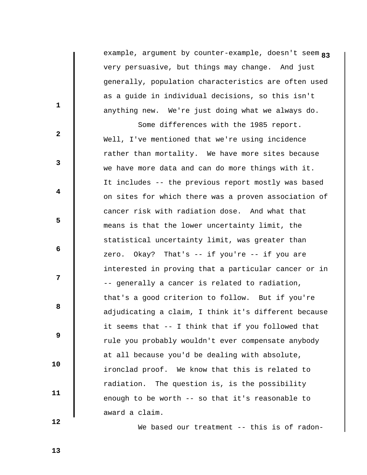**8** example, argument by counter-example, doesn't seem **3** very persuasive, but things may change. And just generally, population characteristics are often used as a guide in individual decisions, so this isn't anything new. We're just doing what we always do.

 Some differences with the 1985 report. Well, I've mentioned that we're using incidence rather than mortality. We have more sites because we have more data and can do more things with it. It includes -- the previous report mostly was based on sites for which there was a proven association of cancer risk with radiation dose. And what that means is that the lower uncertainty limit, the statistical uncertainty limit, was greater than zero. Okay? That's -- if you're -- if you are interested in proving that a particular cancer or in -- generally a cancer is related to radiation, that's a good criterion to follow. But if you're adjudicating a claim, I think it's different because it seems that -- I think that if you followed that rule you probably wouldn't ever compensate anybody at all because you'd be dealing with absolute, ironclad proof. We know that this is related to radiation. The question is, is the possibility enough to be worth -- so that it's reasonable to award a claim.

 **12** 

 **10** 

 **11** 

**1** 

**2** 

**3** 

**4** 

**5** 

 **6** 

**12** 

**8 8** 

 **9** 

We based our treatment -- this is of radon-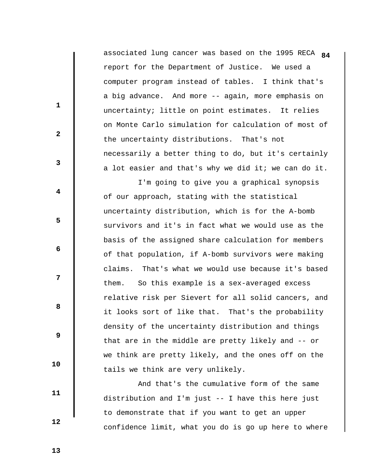associated lung cancer was based on the 1995 RECA **84** report for the Department of Justice. We used a computer program instead of tables. I think that's a big advance. And more -- again, more emphasis on uncertainty; little on point estimates. It relies on Monte Carlo simulation for calculation of most of the uncertainty distributions. That's not necessarily a better thing to do, but it's certainly a lot easier and that's why we did it; we can do it.

 I'm going to give you a graphical synopsis of our approach, stating with the statistical uncertainty distribution, which is for the A-bomb survivors and it's in fact what we would use as the basis of the assigned share calculation for members of that population, if A-bomb survivors were making claims. That's what we would use because it's based them. So this example is a sex-averaged excess relative risk per Sievert for all solid cancers, and it looks sort of like that. That's the probability density of the uncertainty distribution and things that are in the middle are pretty likely and -- or we think are pretty likely, and the ones off on the tails we think are very unlikely.

 And that's the cumulative form of the same distribution and I'm just -- I have this here just to demonstrate that if you want to get an upper confidence limit, what you do is go up here to where

 **13** 

 **10** 

 **11** 

 **12** 

**1** 

**2** 

**3** 

**4** 

**5** 

 **6** 

**12** 

**8 8**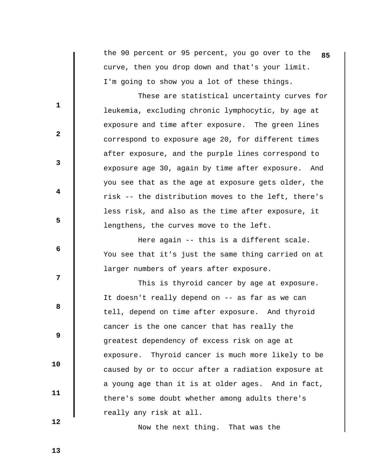the 90 percent or 95 percent, you go over to the **85** curve, then you drop down and that's your limit. I'm going to show you a lot of these things.

 These are statistical uncertainty curves for leukemia, excluding chronic lymphocytic, by age at exposure and time after exposure. The green lines correspond to exposure age 20, for different times after exposure, and the purple lines correspond to exposure age 30, again by time after exposure. And you see that as the age at exposure gets older, the risk -- the distribution moves to the left, there's less risk, and also as the time after exposure, it lengthens, the curves move to the left.

 Here again -- this is a different scale. You see that it's just the same thing carried on at larger numbers of years after exposure.

 This is thyroid cancer by age at exposure. It doesn't really depend on -- as far as we can tell, depend on time after exposure. And thyroid cancer is the one cancer that has really the greatest dependency of excess risk on age at exposure. Thyroid cancer is much more likely to be caused by or to occur after a radiation exposure at a young age than it is at older ages. And in fact, there's some doubt whether among adults there's really any risk at all.

Now the next thing. That was the

 **12** 

 **10** 

 **11** 

**1** 

**2** 

**3** 

**4** 

**5** 

 **6** 

**12** 

**8 8** 

 **9**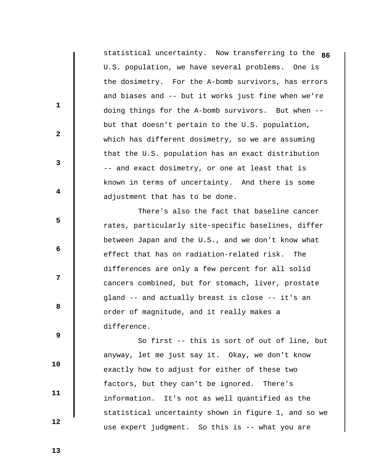statistical uncertainty. Now transferring to the **86** U.S. population, we have several problems. One is the dosimetry. For the A-bomb survivors, has errors and biases and -- but it works just fine when we're doing things for the A-bomb survivors. But when - but that doesn't pertain to the U.S. population, which has different dosimetry, so we are assuming that the U.S. population has an exact distribution -- and exact dosimetry, or one at least that is known in terms of uncertainty. And there is some adjustment that has to be done.

 There's also the fact that baseline cancer rates, particularly site-specific baselines, differ between Japan and the U.S., and we don't know what effect that has on radiation-related risk. The differences are only a few percent for all solid cancers combined, but for stomach, liver, prostate gland -- and actually breast is close -- it's an order of magnitude, and it really makes a difference.

 So first -- this is sort of out of line, but anyway, let me just say it. Okay, we don't know exactly how to adjust for either of these two factors, but they can't be ignored. There's information. It's not as well quantified as the statistical uncertainty shown in figure 1, and so we use expert judgment. So this is -- what you are

 **13** 

**1** 

**2** 

**3** 

**4** 

**5** 

**6 6** 

**12** 

**8 8** 

 **9** 

 **10** 

 **11**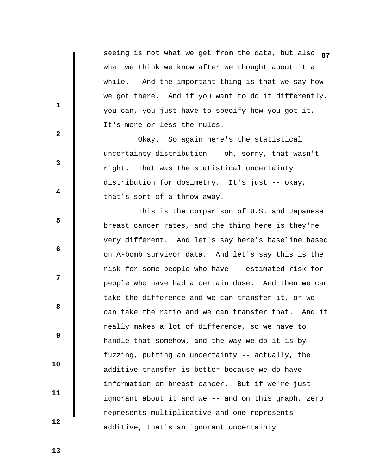seeing is not what we get from the data, but also **87** what we think we know after we thought about it a while. And the important thing is that we say how we got there. And if you want to do it differently, you can, you just have to specify how you got it. It's more or less the rules.

 Okay. So again here's the statistical uncertainty distribution -- oh, sorry, that wasn't right. That was the statistical uncertainty distribution for dosimetry. It's just -- okay, that's sort of a throw-away.

 This is the comparison of U.S. and Japanese breast cancer rates, and the thing here is they're very different. And let's say here's baseline based on A-bomb survivor data. And let's say this is the risk for some people who have -- estimated risk for people who have had a certain dose. And then we can take the difference and we can transfer it, or we can take the ratio and we can transfer that. And it really makes a lot of difference, so we have to handle that somehow, and the way we do it is by fuzzing, putting an uncertainty -- actually, the additive transfer is better because we do have information on breast cancer. But if we're just ignorant about it and we -- and on this graph, zero represents multiplicative and one represents additive, that's an ignorant uncertainty

 **13** 

**1** 

**2** 

**3** 

**4** 

**5** 

**6 6** 

**12** 

**8 8** 

 **9** 

 **10** 

 **11**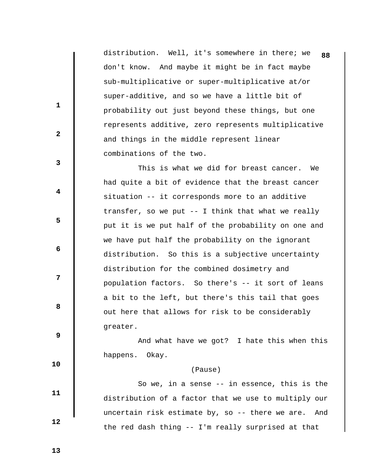distribution. Well, it's somewhere in there; we **88** don't know. And maybe it might be in fact maybe sub-multiplicative or super-multiplicative at/or super-additive, and so we have a little bit of probability out just beyond these things, but one represents additive, zero represents multiplicative and things in the middle represent linear combinations of the two.

 This is what we did for breast cancer. We had quite a bit of evidence that the breast cancer situation -- it corresponds more to an additive transfer, so we put -- I think that what we really put it is we put half of the probability on one and we have put half the probability on the ignorant distribution. So this is a subjective uncertainty distribution for the combined dosimetry and population factors. So there's -- it sort of leans a bit to the left, but there's this tail that goes out here that allows for risk to be considerably greater.

 And what have we got? I hate this when this happens. Okay.

## (Pause)

 So we, in a sense -- in essence, this is the distribution of a factor that we use to multiply our uncertain risk estimate by, so -- there we are. And the red dash thing -- I'm really surprised at that

 **13** 

 **10** 

 **11** 

 **12** 

**1** 

**2** 

**3** 

**4** 

**5** 

 **6** 

**12** 

**8 8**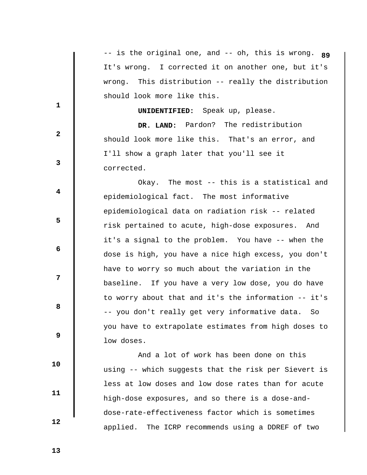|              | -- is the original one, and -- oh, this is wrong. 89   |
|--------------|--------------------------------------------------------|
|              | It's wrong. I corrected it on another one, but it's    |
|              | This distribution -- really the distribution<br>wrong. |
|              | should look more like this.                            |
| $\mathbf{1}$ | <b>UNIDENTIFIED:</b> Speak up, please.                 |
|              | DR. LAND: Pardon? The redistribution                   |
| $\mathbf{2}$ | should look more like this. That's an error, and       |
|              | I'll show a graph later that you'll see it             |
| 3            | corrected.                                             |
|              | Okay. The most -- this is a statistical and            |
| 4            | epidemiological fact. The most informative             |
|              | epidemiological data on radiation risk -- related      |
| 5            | risk pertained to acute, high-dose exposures. And      |
|              | it's a signal to the problem. You have -- when the     |
| 6            | dose is high, you have a nice high excess, you don't   |
|              | have to worry so much about the variation in the       |
| 7            | baseline. If you have a very low dose, you do have     |
|              | to worry about that and it's the information -- it's   |
| 8            | -- you don't really get very informative data.<br>So   |
|              | you have to extrapolate estimates from high doses to   |
| 9            | low doses.                                             |
|              | And a lot of work has been done on this                |
| 10           | using -- which suggests that the risk per Sievert is   |
|              | less at low doses and low dose rates than for acute    |
| 11           | high-dose exposures, and so there is a dose-and-       |
|              | dose-rate-effectiveness factor which is sometimes      |
| 12           |                                                        |

applied. The ICRP recommends using a DDREF of two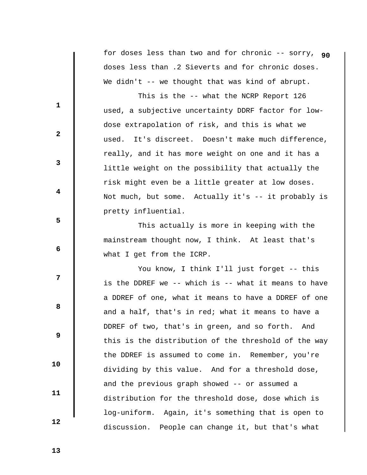for doses less than two and for chronic -- sorry, **90** doses less than .2 Sieverts and for chronic doses. We didn't -- we thought that was kind of abrupt.

 This is the -- what the NCRP Report 126 used, a subjective uncertainty DDRF factor for lowdose extrapolation of risk, and this is what we used. It's discreet. Doesn't make much difference, really, and it has more weight on one and it has a little weight on the possibility that actually the risk might even be a little greater at low doses. Not much, but some. Actually it's -- it probably is pretty influential.

 This actually is more in keeping with the mainstream thought now, I think. At least that's what I get from the ICRP.

You know, I think I'll just forget -- this is the DDREF we -- which is -- what it means to have a DDREF of one, what it means to have a DDREF of one and a half, that's in red; what it means to have a DDREF of two, that's in green, and so forth. And this is the distribution of the threshold of the way the DDREF is assumed to come in. Remember, you're dividing by this value. And for a threshold dose, and the previous graph showed -- or assumed a distribution for the threshold dose, dose which is log-uniform. Again, it's something that is open to discussion. People can change it, but that's what

 **13** 

**1** 

**2** 

**3** 

**4** 

**5** 

 **6** 

**12** 

**8 8** 

 **9** 

 **10** 

 **11**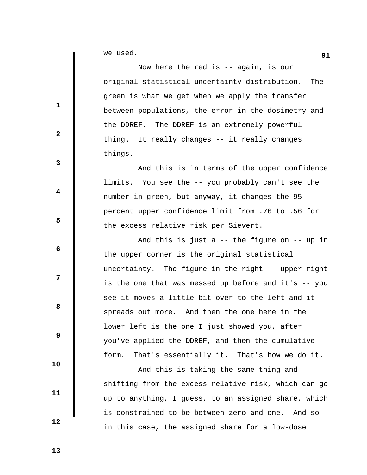we used. **91** 

 Now here the red is -- again, is our original statistical uncertainty distribution. The green is what we get when we apply the transfer between populations, the error in the dosimetry and the DDREF. The DDREF is an extremely powerful thing. It really changes -- it really changes things.

 And this is in terms of the upper confidence limits. You see the -- you probably can't see the number in green, but anyway, it changes the 95 percent upper confidence limit from .76 to .56 for the excess relative risk per Sievert.

 And this is just a -- the figure on -- up in the upper corner is the original statistical uncertainty. The figure in the right -- upper right is the one that was messed up before and it's -- you see it moves a little bit over to the left and it spreads out more. And then the one here in the lower left is the one I just showed you, after you've applied the DDREF, and then the cumulative form. That's essentially it. That's how we do it.

 And this is taking the same thing and shifting from the excess relative risk, which can go up to anything, I guess, to an assigned share, which is constrained to be between zero and one. And so in this case, the assigned share for a low-dose

 **12** 

 **10** 

 **11** 

**1** 

**3** 

**4** 

**5** 

**6 6** 

**12** 

**8 8** 

 **9** 

 **2**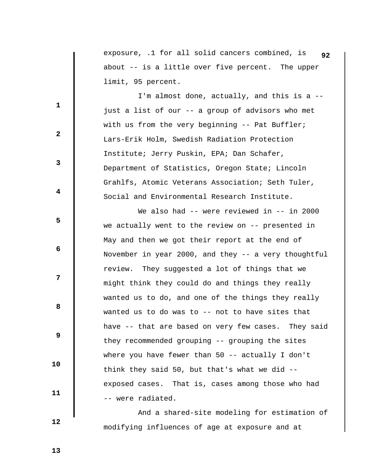exposure, .1 for all solid cancers combined, is **92** about -- is a little over five percent. The upper limit, 95 percent.

 I'm almost done, actually, and this is a - just a list of our -- a group of advisors who met with us from the very beginning -- Pat Buffler; Lars-Erik Holm, Swedish Radiation Protection Institute; Jerry Puskin, EPA; Dan Schafer, Department of Statistics, Oregon State; Lincoln Grahlfs, Atomic Veterans Association; Seth Tuler, Social and Environmental Research Institute.

We also had -- were reviewed in -- in 2000 we actually went to the review on -- presented in May and then we got their report at the end of November in year 2000, and they -- a very thoughtful review. They suggested a lot of things that we might think they could do and things they really wanted us to do, and one of the things they really wanted us to do was to -- not to have sites that have -- that are based on very few cases. They said they recommended grouping -- grouping the sites where you have fewer than 50 -- actually I don't think they said 50, but that's what we did - exposed cases. That is, cases among those who had -- were radiated.

 And a shared-site modeling for estimation of modifying influences of age at exposure and at

 **13** 

 **12** 

 **10** 

 **11** 

**1** 

**2** 

**3** 

**4** 

**5** 

**6 6** 

**12** 

**8 8**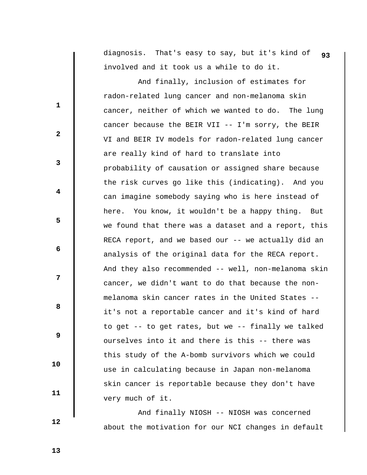diagnosis. That's easy to say, but it's kind of **93** involved and it took us a while to do it.

 And finally, inclusion of estimates for radon-related lung cancer and non-melanoma skin cancer, neither of which we wanted to do. The lung cancer because the BEIR VII -- I'm sorry, the BEIR VI and BEIR IV models for radon-related lung cancer are really kind of hard to translate into probability of causation or assigned share because the risk curves go like this (indicating). And you can imagine somebody saying who is here instead of here. You know, it wouldn't be a happy thing. But we found that there was a dataset and a report, this RECA report, and we based our -- we actually did an analysis of the original data for the RECA report. And they also recommended -- well, non-melanoma skin cancer, we didn't want to do that because the nonmelanoma skin cancer rates in the United States - it's not a reportable cancer and it's kind of hard to get -- to get rates, but we -- finally we talked ourselves into it and there is this -- there was this study of the A-bomb survivors which we could use in calculating because in Japan non-melanoma skin cancer is reportable because they don't have very much of it.

 And finally NIOSH -- NIOSH was concerned about the motivation for our NCI changes in default

 **12** 

 **10** 

 **11** 

**1** 

**2** 

**3** 

**4** 

**5** 

 **6** 

**12** 

**8 8** 

 **9**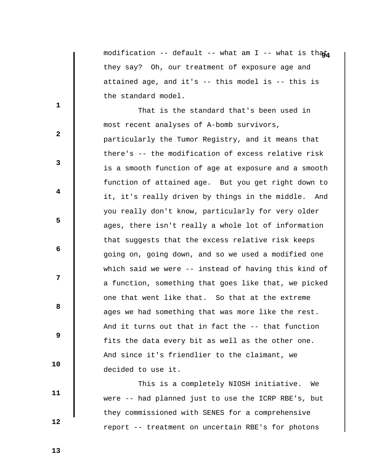modification -- default -- what am I -- what is that they say? Oh, our treatment of exposure age and attained age, and it's -- this model is -- this is the standard model.

 That is the standard that's been used in most recent analyses of A-bomb survivors, particularly the Tumor Registry, and it means that there's -- the modification of excess relative risk is a smooth function of age at exposure and a smooth function of attained age. But you get right down to it, it's really driven by things in the middle. And you really don't know, particularly for very older ages, there isn't really a whole lot of information that suggests that the excess relative risk keeps going on, going down, and so we used a modified one which said we were -- instead of having this kind of a function, something that goes like that, we picked one that went like that. So that at the extreme ages we had something that was more like the rest. And it turns out that in fact the -- that function fits the data every bit as well as the other one. And since it's friendlier to the claimant, we decided to use it.

 This is a completely NIOSH initiative. We were -- had planned just to use the ICRP RBE's, but they commissioned with SENES for a comprehensive report -- treatment on uncertain RBE's for photons

 **13** 

 **10** 

 **11** 

 **12** 

**1** 

**3** 

**4** 

**5** 

 **6** 

**12** 

**8 8** 

 **9**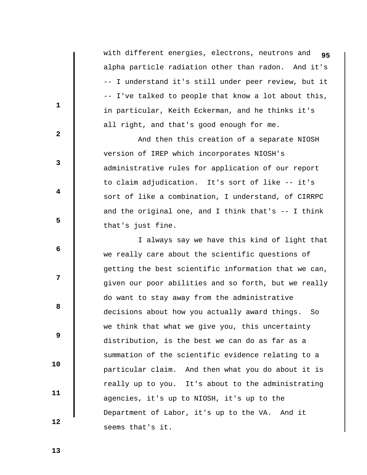with different energies, electrons, neutrons and **95** alpha particle radiation other than radon. And it's -- I understand it's still under peer review, but it -- I've talked to people that know a lot about this, in particular, Keith Eckerman, and he thinks it's all right, and that's good enough for me.

 And then this creation of a separate NIOSH version of IREP which incorporates NIOSH's administrative rules for application of our report to claim adjudication. It's sort of like -- it's sort of like a combination, I understand, of CIRRPC and the original one, and I think that's  $-$ - I think that's just fine.

 I always say we have this kind of light that we really care about the scientific questions of getting the best scientific information that we can, given our poor abilities and so forth, but we really do want to stay away from the administrative decisions about how you actually award things. So we think that what we give you, this uncertainty distribution, is the best we can do as far as a summation of the scientific evidence relating to a particular claim. And then what you do about it is really up to you. It's about to the administrating agencies, it's up to NIOSH, it's up to the Department of Labor, it's up to the VA. And it seems that's it.

 **13** 

 **10** 

 **11** 

 **12** 

**1** 

**2** 

**3** 

**4** 

**5** 

 **6** 

**12** 

**8 8**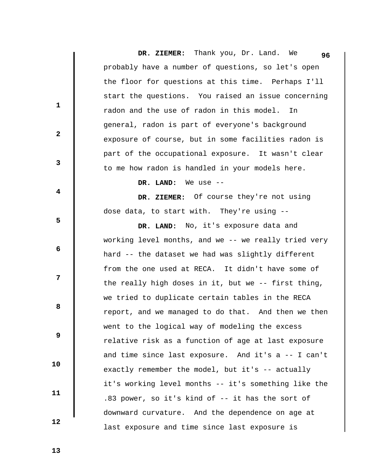**DR. ZIEMER:** Thank you, Dr. Land. We probably have a number of questions, so let's open the floor for questions at this time. Perhaps I'll start the questions. You raised an issue concerning radon and the use of radon in this model. In general, radon is part of everyone's background exposure of course, but in some facilities radon is part of the occupational exposure. It wasn't clear to me how radon is handled in your models here. **96**

 **DR. LAND:** We use --

 **DR. ZIEMER:** Of course they're not using dose data, to start with. They're using --

 **DR. LAND:** No, it's exposure data and working level months, and we -- we really tried very hard -- the dataset we had was slightly different from the one used at RECA. It didn't have some of the really high doses in it, but we -- first thing, we tried to duplicate certain tables in the RECA report, and we managed to do that. And then we then went to the logical way of modeling the excess relative risk as a function of age at last exposure and time since last exposure. And it's a -- I can't exactly remember the model, but it's -- actually it's working level months -- it's something like the .83 power, so it's kind of -- it has the sort of downward curvature. And the dependence on age at last exposure and time since last exposure is

 **13** 

 **10** 

 **11** 

 **12** 

**1** 

**2** 

**3** 

**4** 

**5** 

 **6** 

**12** 

**8 8**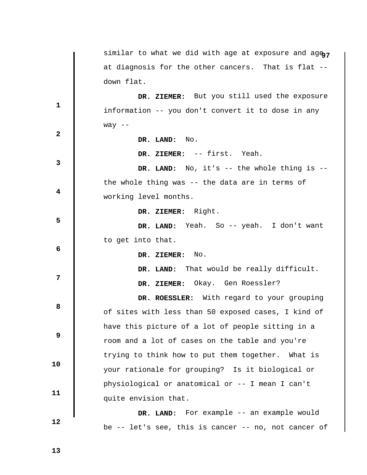|                         | similar to what we did with age at exposure and age,   |
|-------------------------|--------------------------------------------------------|
|                         | at diagnosis for the other cancers. That is flat --    |
|                         | down flat.                                             |
|                         | DR. ZIEMER: But you still used the exposure            |
| 1                       | information -- you don't convert it to dose in any     |
|                         | way $--$                                               |
| $\mathbf{2}$            | DR. LAND: No.                                          |
|                         | DR. ZIEMER: -- first. Yeah.                            |
| 3                       | DR. LAND: No, it's -- the whole thing is --            |
|                         | the whole thing was -- the data are in terms of        |
| $\overline{\mathbf{4}}$ | working level months.                                  |
|                         | DR. ZIEMER: Right.                                     |
| 5                       | DR. LAND: Yeah. So -- yeah. I don't want               |
|                         | to get into that.                                      |
| 6                       | DR. ZIEMER: No.                                        |
|                         | DR. LAND: That would be really difficult.              |
| 7                       | DR. ZIEMER: Okay. Gen Roessler?                        |
|                         | DR. ROESSLER: With regard to your grouping             |
| 8                       | of sites with less than 50 exposed cases, I kind of    |
|                         | have this picture of a lot of people sitting in a      |
| 9                       | room and a lot of cases on the table and you're        |
|                         | trying to think how to put them together.<br>What is   |
| 10                      | your rationale for grouping? Is it biological or       |
|                         | physiological or anatomical or -- I mean I can't       |
| 11                      | quite envision that.                                   |
|                         | DR. LAND: For example -- an example would              |
| 12                      | be $-$ let's see, this is cancer $-$ no, not cancer of |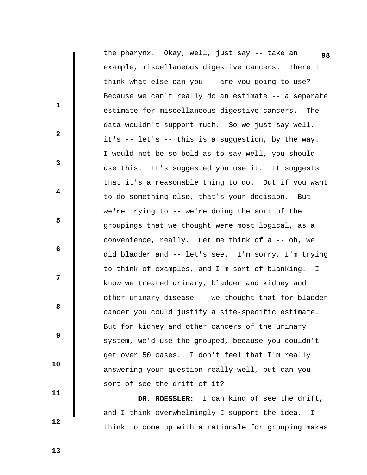|              | the pharynx. Okay, well, just say -- take an<br>98              |
|--------------|-----------------------------------------------------------------|
|              | example, miscellaneous digestive cancers. There I               |
|              | think what else can you -- are you going to use?                |
|              | Because we can't really do an estimate -- a separate            |
| $\mathbf{1}$ | estimate for miscellaneous digestive cancers. The               |
|              | data wouldn't support much. So we just say well,                |
| $\mathbf{2}$ | it's -- let's -- this is a suggestion, by the way.              |
|              | I would not be so bold as to say well, you should               |
| 3            | use this. It's suggested you use it. It suggests                |
|              | that it's a reasonable thing to do. But if you want             |
| 4            | to do something else, that's your decision. But                 |
|              | we're trying to -- we're doing the sort of the                  |
| 5            | groupings that we thought were most logical, as a               |
|              | convenience, really. Let me think of a -- oh, we                |
| 6            | did bladder and -- let's see. I'm sorry, I'm trying             |
|              | to think of examples, and I'm sort of blanking.<br>$\mathbb{I}$ |
| 7            | know we treated urinary, bladder and kidney and                 |
|              | other urinary disease -- we thought that for bladder            |
| 8            | cancer you could justify a site-specific estimate.              |
|              | But for kidney and other cancers of the urinary                 |
| 9            | system, we'd use the grouped, because you couldn't              |
|              | get over 50 cases. I don't feel that I'm really                 |
| 10           | answering your question really well, but can you                |
|              | sort of see the drift of it?                                    |
| 11           |                                                                 |

 **DR. ROESSLER:** I can kind of see the drift, and I think overwhelmingly I support the idea. I think to come up with a rationale for grouping makes

 **13**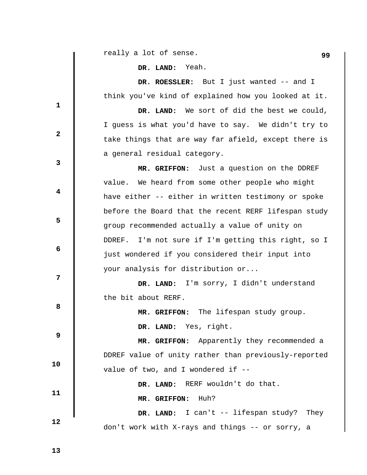**99** really a lot of sense.

 **DR. LAND:** Yeah.

 **DR. ROESSLER:** But I just wanted -- and I think you've kind of explained how you looked at it.

 **DR. LAND:** We sort of did the best we could, I guess is what you'd have to say. We didn't try to take things that are way far afield, except there is a general residual category.

 **MR. GRIFFON:** Just a question on the DDREF value. We heard from some other people who might have either -- either in written testimony or spoke before the Board that the recent RERF lifespan study group recommended actually a value of unity on DDREF. I'm not sure if I'm getting this right, so I just wondered if you considered their input into your analysis for distribution or...

 **DR. LAND:** I'm sorry, I didn't understand the bit about RERF.

 **MR. GRIFFON:** The lifespan study group.

 **DR. LAND:** Yes, right.

 **9 10 MR. GRIFFON:** Apparently they recommended a DDREF value of unity rather than previously-reported value of two, and I wondered if --

don't work with X-rays and things -- or sorry, a

 **11**  DR. LAND: RERF wouldn't do that.  **MR. GRIFFON:** Huh?  **DR. LAND:** I can't -- lifespan study? They

 **12** 

**1** 

**3** 

**4** 

**5** 

**6 6** 

**12** 

**8 8** 

 **2**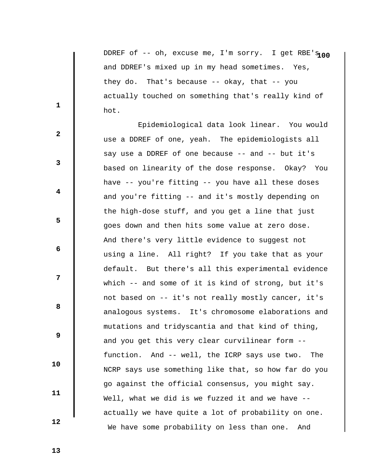DDREF of -- oh, excuse me, I'm sorry. I get RBE'S100 and DDREF's mixed up in my head sometimes. Yes, they do. That's because -- okay, that -- you actually touched on something that's really kind of hot.

 Epidemiological data look linear. You would use a DDREF of one, yeah. The epidemiologists all say use a DDREF of one because -- and -- but it's based on linearity of the dose response. Okay? You have -- you're fitting -- you have all these doses and you're fitting -- and it's mostly depending on the high-dose stuff, and you get a line that just goes down and then hits some value at zero dose. And there's very little evidence to suggest not using a line. All right? If you take that as your default. But there's all this experimental evidence which -- and some of it is kind of strong, but it's not based on -- it's not really mostly cancer, it's analogous systems. It's chromosome elaborations and mutations and tridyscantia and that kind of thing, and you get this very clear curvilinear form - function. And -- well, the ICRP says use two. The NCRP says use something like that, so how far do you go against the official consensus, you might say. Well, what we did is we fuzzed it and we have - actually we have quite a lot of probability on one. We have some probability on less than one. And

 **13** 

 **10** 

 **11** 

 **12** 

**1** 

**2** 

**3** 

**4** 

**5** 

**6 6** 

**12** 

**8 8**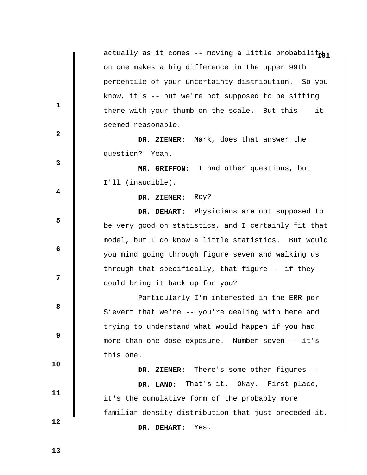|                         | actually as it comes -- moving a little probabilityn1 |
|-------------------------|-------------------------------------------------------|
|                         | on one makes a big difference in the upper 99th       |
|                         | percentile of your uncertainty distribution. So you   |
|                         | know, it's -- but we're not supposed to be sitting    |
| 1                       | there with your thumb on the scale. But this -- it    |
| $\mathbf{2}$            | seemed reasonable.                                    |
|                         | DR. ZIEMER: Mark, does that answer the                |
|                         | question? Yeah.                                       |
| 3                       | MR. GRIFFON: I had other questions, but               |
|                         | I'll (inaudible).                                     |
| $\overline{\mathbf{4}}$ | DR. ZIEMER: Roy?                                      |
|                         | DR. DEHART: Physicians are not supposed to            |
| 5                       | be very good on statistics, and I certainly fit that  |
|                         | model, but I do know a little statistics. But would   |
| 6                       | you mind going through figure seven and walking us    |
|                         | through that specifically, that figure -- if they     |
| 7                       | could bring it back up for you?                       |
|                         | Particularly I'm interested in the ERR per            |
| 8                       | Sievert that we're -- you're dealing with here and    |
|                         | trying to understand what would happen if you had     |
| 9                       | more than one dose exposure. Number seven -- it's     |
|                         |                                                       |
| 10                      | this one.                                             |
|                         | DR. ZIEMER: There's some other figures --             |
| 11                      | That's it. Okay. First place,<br>DR. LAND:            |
|                         | it's the cumulative form of the probably more         |
| 12                      | familiar density distribution that just preceded it.  |
|                         | Yes.<br>DR. DEHART:                                   |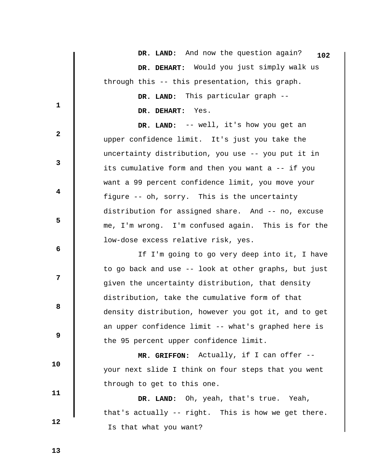|              | DR. LAND: And now the question again?<br>102         |
|--------------|------------------------------------------------------|
|              | DR. DEHART: Would you just simply walk us            |
|              | through this -- this presentation, this graph.       |
|              | DR. LAND: This particular graph --                   |
| 1            | DR. DEHART: Yes.                                     |
| $\mathbf{2}$ | DR. LAND: -- well, it's how you get an               |
|              | upper confidence limit. It's just you take the       |
|              | uncertainty distribution, you use -- you put it in   |
| 3            | its cumulative form and then you want a -- if you    |
|              | want a 99 percent confidence limit, you move your    |
| 4            | figure -- oh, sorry. This is the uncertainty         |
|              | distribution for assigned share. And -- no, excuse   |
| 5            | me, I'm wrong. I'm confused again. This is for the   |
|              | low-dose excess relative risk, yes.                  |
| 6            | If I'm going to go very deep into it, I have         |
|              | to go back and use -- look at other graphs, but just |
| 7            | given the uncertainty distribution, that density     |
|              | distribution, take the cumulative form of that       |
| 8            | density distribution, however you got it, and to get |
|              | an upper confidence limit -- what's graphed here is  |
| 9            | the 95 percent upper confidence limit.               |
|              | MR. GRIFFON: Actually, if I can offer --             |
| 10           | your next slide I think on four steps that you went  |
| 11           | through to get to this one.                          |
|              | DR. LAND: Oh, yeah, that's true. Yeah,               |
|              | that's actually -- right. This is how we get there.  |
| 12           | Is that what you want?                               |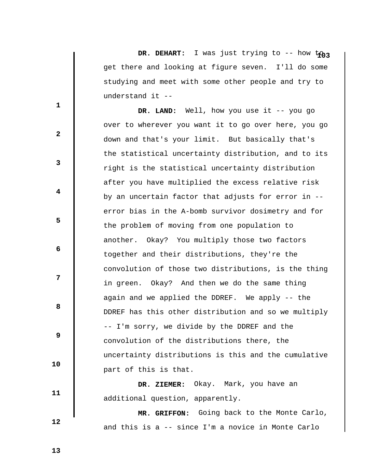DR. DEHART: I was just trying to -- how ton? get there and looking at figure seven. I'll do some studying and meet with some other people and try to understand it --

 **DR. LAND:** Well, how you use it -- you go over to wherever you want it to go over here, you go down and that's your limit. But basically that's the statistical uncertainty distribution, and to its right is the statistical uncertainty distribution after you have multiplied the excess relative risk by an uncertain factor that adjusts for error in - error bias in the A-bomb survivor dosimetry and for the problem of moving from one population to another. Okay? You multiply those two factors together and their distributions, they're the convolution of those two distributions, is the thing in green. Okay? And then we do the same thing again and we applied the DDREF. We apply -- the DDREF has this other distribution and so we multiply -- I'm sorry, we divide by the DDREF and the convolution of the distributions there, the uncertainty distributions is this and the cumulative part of this is that.

 **DR. ZIEMER:** Okay. Mark, you have an additional question, apparently.

 **MR. GRIFFON:** Going back to the Monte Carlo, and this is a -- since I'm a novice in Monte Carlo

 **13** 

 **10** 

 **11** 

 **12** 

**1** 

**2** 

**3** 

**4** 

**5** 

**6 6** 

**12** 

**8 8**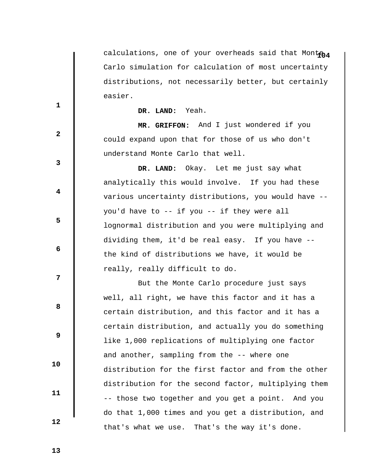calculations, one of your overheads said that Montena Carlo simulation for calculation of most uncertainty distributions, not necessarily better, but certainly easier.

## **DR. LAND:** Yeah.

 **MR. GRIFFON:** And I just wondered if you could expand upon that for those of us who don't understand Monte Carlo that well.

 **DR. LAND:** Okay. Let me just say what analytically this would involve. If you had these various uncertainty distributions, you would have - you'd have to -- if you -- if they were all lognormal distribution and you were multiplying and dividing them, it'd be real easy. If you have - the kind of distributions we have, it would be really, really difficult to do.

 But the Monte Carlo procedure just says well, all right, we have this factor and it has a certain distribution, and this factor and it has a certain distribution, and actually you do something like 1,000 replications of multiplying one factor and another, sampling from the -- where one distribution for the first factor and from the other distribution for the second factor, multiplying them -- those two together and you get a point. And you do that 1,000 times and you get a distribution, and that's what we use. That's the way it's done.

 **13** 

 **10** 

 **11** 

 **12** 

**1** 

**3** 

**4** 

**5** 

 **6** 

**12** 

**8 8** 

 **9**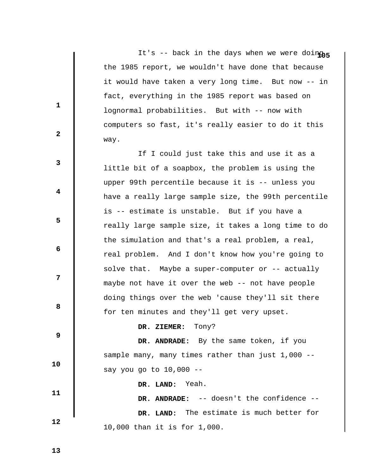It's -- back in the days when we were doinghs the 1985 report, we wouldn't have done that because it would have taken a very long time. But now -- in fact, everything in the 1985 report was based on lognormal probabilities. But with -- now with computers so fast, it's really easier to do it this way.

 If I could just take this and use it as a little bit of a soapbox, the problem is using the upper 99th percentile because it is -- unless you have a really large sample size, the 99th percentile is -- estimate is unstable. But if you have a really large sample size, it takes a long time to do the simulation and that's a real problem, a real, real problem. And I don't know how you're going to solve that. Maybe a super-computer or -- actually maybe not have it over the web -- not have people doing things over the web 'cause they'll sit there for ten minutes and they'll get very upset.

## **DR. ZIEMER:** Tony?

 **DR. ANDRADE:** By the same token, if you sample many, many times rather than just 1,000 -say you go to 10,000 --

 **DR. LAND:** Yeah.

 **12 DR. ANDRADE:** -- doesn't the confidence --  **DR. LAND:** The estimate is much better for 10,000 than it is for 1,000.

 **13** 

 **10** 

 **11** 

**1** 

**2** 

**3** 

**4** 

**5** 

 **6** 

**12** 

**8 8**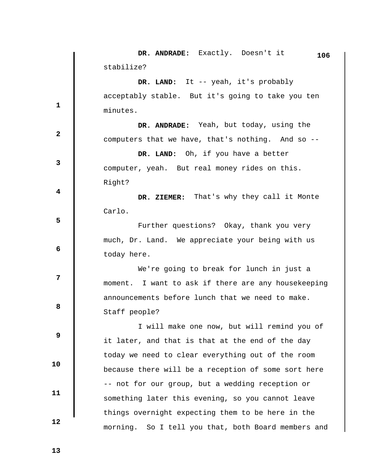|                         | DR. ANDRADE: Exactly. Doesn't it<br>106                |
|-------------------------|--------------------------------------------------------|
|                         | stabilize?                                             |
|                         | DR. LAND: It -- yeah, it's probably                    |
|                         | acceptably stable. But it's going to take you ten      |
| $\mathbf{1}$            | minutes.                                               |
|                         | DR. ANDRADE: Yeah, but today, using the                |
| $\mathbf{2}$            | computers that we have, that's nothing. And so --      |
|                         | DR. LAND: Oh, if you have a better                     |
| $\mathbf{3}$            | computer, yeah. But real money rides on this.          |
|                         | Right?                                                 |
| $\overline{\mathbf{4}}$ | DR. ZIEMER: That's why they call it Monte              |
|                         | Carlo.                                                 |
| 5                       | Further questions? Okay, thank you very                |
|                         | much, Dr. Land. We appreciate your being with us       |
| 6                       | today here.                                            |
|                         | We're going to break for lunch in just a               |
| $\overline{7}$          | moment. I want to ask if there are any housekeeping    |
|                         | announcements before lunch that we need to make.       |
| 8                       | Staff people?                                          |
|                         | I will make one now, but will remind you of            |
| 9                       | it later, and that is that at the end of the day       |
|                         | today we need to clear everything out of the room      |
| 10                      | because there will be a reception of some sort here    |
|                         | -- not for our group, but a wedding reception or       |
| 11                      | something later this evening, so you cannot leave      |
|                         | things overnight expecting them to be here in the      |
| 12                      | morning.<br>So I tell you that, both Board members and |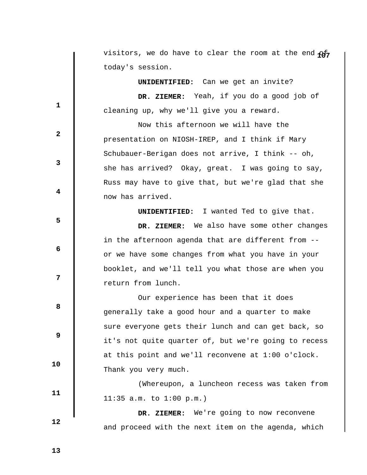visitors, we do have to clear the room at the end  $\phi$ today's session.

 **UNIDENTIFIED:** Can we get an invite?  **DR. ZIEMER:** Yeah, if you do a good job of cleaning up, why we'll give you a reward.

 Now this afternoon we will have the presentation on NIOSH-IREP, and I think if Mary Schubauer-Berigan does not arrive, I think -- oh, she has arrived? Okay, great. I was going to say, Russ may have to give that, but we're glad that she now has arrived.

 **UNIDENTIFIED:** I wanted Ted to give that.

 **DR. ZIEMER:** We also have some other changes in the afternoon agenda that are different from - or we have some changes from what you have in your booklet, and we'll tell you what those are when you return from lunch.

 Our experience has been that it does generally take a good hour and a quarter to make sure everyone gets their lunch and can get back, so it's not quite quarter of, but we're going to recess at this point and we'll reconvene at 1:00 o'clock. Thank you very much.

 (Whereupon, a luncheon recess was taken from 11:35 a.m. to 1:00 p.m.)

 **DR. ZIEMER:** We're going to now reconvene and proceed with the next item on the agenda, which

 **13** 

 **12** 

 **10** 

 **11** 

**1** 

**3** 

**4** 

**5** 

**6 6** 

**12** 

**8 8** 

 **9**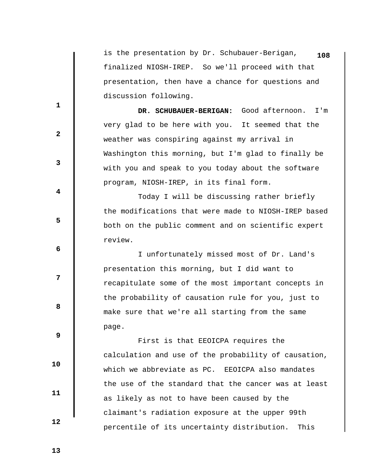is the presentation by Dr. Schubauer-Berigan, **108** finalized NIOSH-IREP. So we'll proceed with that presentation, then have a chance for questions and discussion following.

 **DR. SCHUBAUER-BERIGAN:** Good afternoon. I'm very glad to be here with you. It seemed that the weather was conspiring against my arrival in Washington this morning, but I'm glad to finally be with you and speak to you today about the software program, NIOSH-IREP, in its final form.

 Today I will be discussing rather briefly the modifications that were made to NIOSH-IREP based both on the public comment and on scientific expert review.

 I unfortunately missed most of Dr. Land's presentation this morning, but I did want to recapitulate some of the most important concepts in the probability of causation rule for you, just to make sure that we're all starting from the same page.

 First is that EEOICPA requires the calculation and use of the probability of causation, which we abbreviate as PC. EEOICPA also mandates the use of the standard that the cancer was at least as likely as not to have been caused by the claimant's radiation exposure at the upper 99th percentile of its uncertainty distribution. This

 **13** 

 **10** 

 **11** 

 **12** 

**1** 

**2** 

**3** 

**4** 

**5** 

**6 6** 

**12** 

**8 8**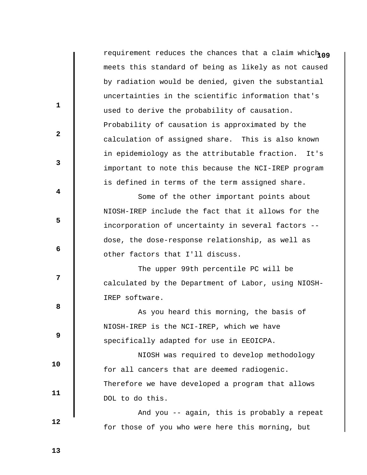requirement reduces the chances that a claim which  $109$ meets this standard of being as likely as not caused by radiation would be denied, given the substantial uncertainties in the scientific information that's used to derive the probability of causation. Probability of causation is approximated by the calculation of assigned share. This is also known in epidemiology as the attributable fraction. It's important to note this because the NCI-IREP program is defined in terms of the term assigned share. Some of the other important points about NIOSH-IREP include the fact that it allows for the incorporation of uncertainty in several factors - dose, the dose-response relationship, as well as other factors that I'll discuss. The upper 99th percentile PC will be calculated by the Department of Labor, using NIOSH-IREP software. As you heard this morning, the basis of NIOSH-IREP is the NCI-IREP, which we have specifically adapted for use in EEOICPA. NIOSH was required to develop methodology for all cancers that are deemed radiogenic. Therefore we have developed a program that allows DOL to do this. And you -- again, this is probably a repeat

for those of you who were here this morning, but

 **13** 

 **10** 

 **11** 

 **12** 

**1** 

**2** 

**3** 

**4** 

**5** 

 **6** 

**12** 

**8 8**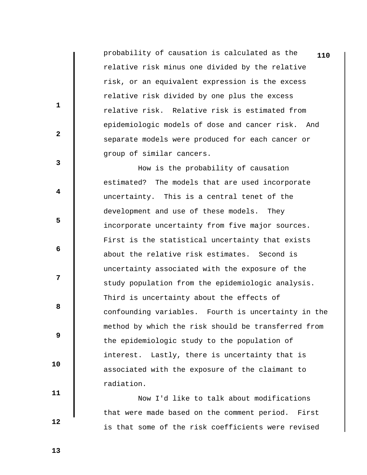probability of causation is calculated as the **110** relative risk minus one divided by the relative risk, or an equivalent expression is the excess relative risk divided by one plus the excess relative risk. Relative risk is estimated from epidemiologic models of dose and cancer risk. And separate models were produced for each cancer or group of similar cancers.

 How is the probability of causation estimated? The models that are used incorporate uncertainty. This is a central tenet of the development and use of these models. They incorporate uncertainty from five major sources. First is the statistical uncertainty that exists about the relative risk estimates. Second is uncertainty associated with the exposure of the study population from the epidemiologic analysis. Third is uncertainty about the effects of confounding variables. Fourth is uncertainty in the method by which the risk should be transferred from the epidemiologic study to the population of interest. Lastly, there is uncertainty that is associated with the exposure of the claimant to radiation.

 Now I'd like to talk about modifications that were made based on the comment period. First is that some of the risk coefficients were revised

 **13** 

 **10** 

 **11** 

 **12** 

**1** 

**2** 

**3** 

**4** 

**5** 

 **6** 

**12** 

**8 8**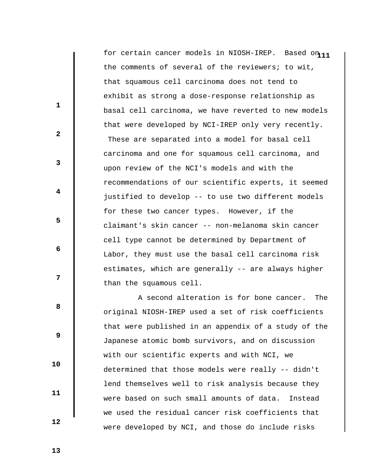for certain cancer models in NIOSH-IREP. Based on 11 the comments of several of the reviewers; to wit, that squamous cell carcinoma does not tend to exhibit as strong a dose-response relationship as basal cell carcinoma, we have reverted to new models that were developed by NCI-IREP only very recently. These are separated into a model for basal cell carcinoma and one for squamous cell carcinoma, and upon review of the NCI's models and with the recommendations of our scientific experts, it seemed justified to develop -- to use two different models for these two cancer types. However, if the claimant's skin cancer -- non-melanoma skin cancer cell type cannot be determined by Department of Labor, they must use the basal cell carcinoma risk estimates, which are generally -- are always higher than the squamous cell.

 A second alteration is for bone cancer. The original NIOSH-IREP used a set of risk coefficients that were published in an appendix of a study of the Japanese atomic bomb survivors, and on discussion with our scientific experts and with NCI, we determined that those models were really -- didn't lend themselves well to risk analysis because they were based on such small amounts of data. Instead we used the residual cancer risk coefficients that were developed by NCI, and those do include risks

 **13** 

 **10** 

 **11** 

 **12** 

**1** 

**2** 

**3** 

**4** 

**5** 

 **6** 

**12** 

**8 8**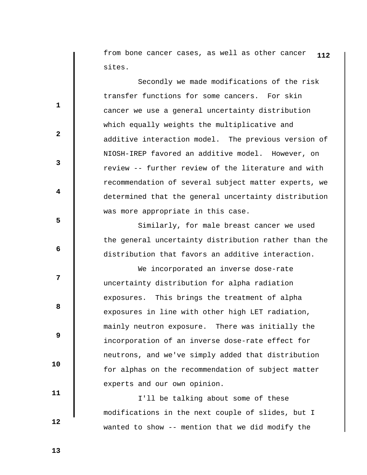from bone cancer cases, as well as other cancer **112** sites.

 Secondly we made modifications of the risk transfer functions for some cancers. For skin cancer we use a general uncertainty distribution which equally weights the multiplicative and additive interaction model. The previous version of NIOSH-IREP favored an additive model. However, on review -- further review of the literature and with recommendation of several subject matter experts, we determined that the general uncertainty distribution was more appropriate in this case.

 Similarly, for male breast cancer we used the general uncertainty distribution rather than the distribution that favors an additive interaction.

 We incorporated an inverse dose-rate uncertainty distribution for alpha radiation exposures. This brings the treatment of alpha exposures in line with other high LET radiation, mainly neutron exposure. There was initially the incorporation of an inverse dose-rate effect for neutrons, and we've simply added that distribution for alphas on the recommendation of subject matter experts and our own opinion.

 I'll be talking about some of these modifications in the next couple of slides, but I wanted to show -- mention that we did modify the

 **13** 

 **10** 

 **11** 

 **12** 

**1** 

**2** 

**3** 

**4** 

**5** 

 **6** 

**12** 

**8 8**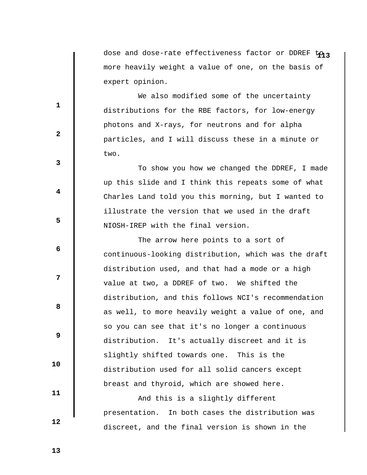dose and dose-rate effectiveness factor or DDREF to<sub>13</sub> more heavily weight a value of one, on the basis of expert opinion.

 We also modified some of the uncertainty distributions for the RBE factors, for low-energy photons and X-rays, for neutrons and for alpha particles, and I will discuss these in a minute or two.

 To show you how we changed the DDREF, I made up this slide and I think this repeats some of what Charles Land told you this morning, but I wanted to illustrate the version that we used in the draft NIOSH-IREP with the final version.

 The arrow here points to a sort of continuous-looking distribution, which was the draft distribution used, and that had a mode or a high value at two, a DDREF of two. We shifted the distribution, and this follows NCI's recommendation as well, to more heavily weight a value of one, and so you can see that it's no longer a continuous distribution. It's actually discreet and it is slightly shifted towards one. This is the distribution used for all solid cancers except breast and thyroid, which are showed here.

 And this is a slightly different presentation. In both cases the distribution was discreet, and the final version is shown in the

 **13** 

 **10** 

 **11** 

 **12** 

**1** 

**2** 

**3** 

**4** 

**5** 

 **6** 

**12** 

**8 8**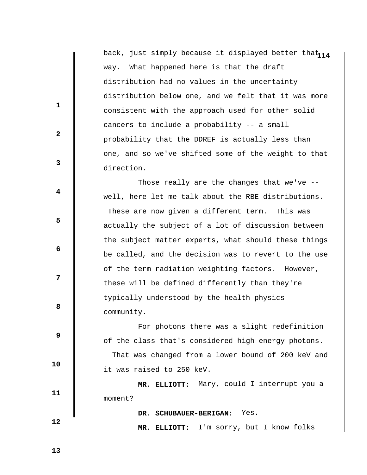back, just simply because it displayed better that<sub>114</sub> way. What happened here is that the draft distribution had no values in the uncertainty distribution below one, and we felt that it was more consistent with the approach used for other solid cancers to include a probability -- a small probability that the DDREF is actually less than one, and so we've shifted some of the weight to that direction.

 Those really are the changes that we've - well, here let me talk about the RBE distributions. These are now given a different term. This was actually the subject of a lot of discussion between the subject matter experts, what should these things be called, and the decision was to revert to the use of the term radiation weighting factors. However, these will be defined differently than they're typically understood by the health physics community.

 For photons there was a slight redefinition of the class that's considered high energy photons. That was changed from a lower bound of 200 keV and it was raised to 250 keV.

 **MR. ELLIOTT:** Mary, could I interrupt you a moment?

 **DR. SCHUBAUER-BERIGAN:** Yes.

 **MR. ELLIOTT:** I'm sorry, but I know folks

 **13** 

**1** 

**2** 

**3** 

**4** 

**5** 

 **6** 

**12** 

**8 8** 

 **9** 

 **10** 

 **11**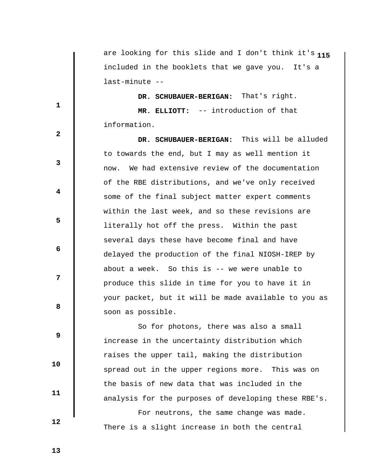**1** are looking for this slide and I don't think it's **15** included in the booklets that we gave you. It's a last-minute --

 **DR. SCHUBAUER-BERIGAN:** That's right.  **MR. ELLIOTT:** -- introduction of that information.

 **DR. SCHUBAUER-BERIGAN:** This will be alluded to towards the end, but I may as well mention it now. We had extensive review of the documentation of the RBE distributions, and we've only received some of the final subject matter expert comments within the last week, and so these revisions are literally hot off the press. Within the past several days these have become final and have delayed the production of the final NIOSH-IREP by about a week. So this is -- we were unable to produce this slide in time for you to have it in your packet, but it will be made available to you as soon as possible.

 So for photons, there was also a small increase in the uncertainty distribution which raises the upper tail, making the distribution spread out in the upper regions more. This was on the basis of new data that was included in the analysis for the purposes of developing these RBE's.

 For neutrons, the same change was made. There is a slight increase in both the central

 **9** 

**1** 

**3** 

**4** 

**5** 

 **6** 

**12** 

**8 8** 

 **2** 

 **10** 

 **11** 

 **12**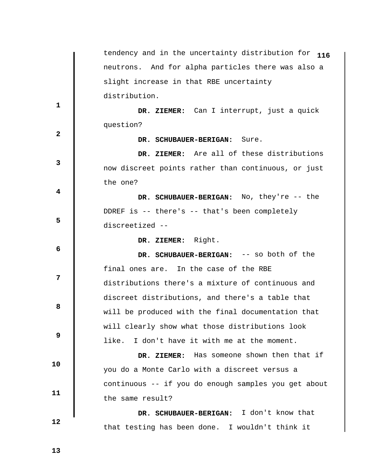|              | tendency and in the uncertainty distribution for 116 |
|--------------|------------------------------------------------------|
|              | neutrons. And for alpha particles there was also a   |
|              | slight increase in that RBE uncertainty              |
| $\mathbf 1$  | distribution.                                        |
|              | DR. ZIEMER: Can I interrupt, just a quick            |
| $\mathbf{2}$ | question?                                            |
|              | DR. SCHUBAUER-BERIGAN: Sure.                         |
| 3            | DR. ZIEMER: Are all of these distributions           |
|              | now discreet points rather than continuous, or just  |
| 4            | the one?                                             |
|              | DR. SCHUBAUER-BERIGAN: No, they're -- the            |
| 5            | DDREF is -- there's -- that's been completely        |
|              | discreetized --                                      |
| 6            | DR. ZIEMER: Right.                                   |
|              | DR. SCHUBAUER-BERIGAN: -- so both of the             |
| 7            | final ones are. In the case of the RBE               |
|              | distributions there's a mixture of continuous and    |
|              |                                                      |
|              | discreet distributions, and there's a table that     |
| 8            | will be produced with the final documentation that   |
|              | will clearly show what those distributions look      |
| 9            | I don't have it with me at the moment.<br>like.      |
|              | DR. ZIEMER: Has someone shown then that if           |
| 10           | you do a Monte Carlo with a discreet versus a        |
|              | continuous -- if you do enough samples you get about |
| 11           | the same result?                                     |
|              | DR. SCHUBAUER-BERIGAN: I don't know that             |
| 12           | that testing has been done. I wouldn't think it      |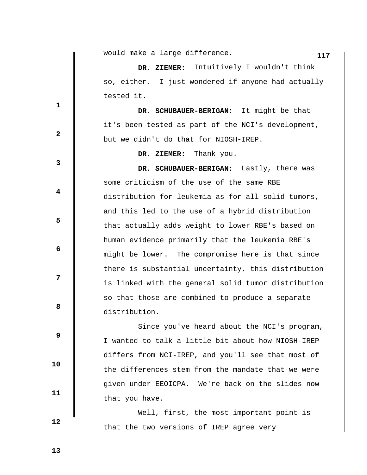|              | would make a large difference.<br>117               |
|--------------|-----------------------------------------------------|
|              | Intuitively I wouldn't think<br>DR. ZIEMER:         |
|              | so, either. I just wondered if anyone had actually  |
| 1            | tested it.                                          |
|              | DR. SCHUBAUER-BERIGAN: It might be that             |
| $\mathbf{2}$ | it's been tested as part of the NCI's development,  |
|              | but we didn't do that for NIOSH-IREP.               |
| 3            | Thank you.<br>DR. ZIEMER:                           |
|              | DR. SCHUBAUER-BERIGAN: Lastly, there was            |
| 4            | some criticism of the use of the same RBE           |
|              | distribution for leukemia as for all solid tumors,  |
| 5            | and this led to the use of a hybrid distribution    |
|              | that actually adds weight to lower RBE's based on   |
| 6            | human evidence primarily that the leukemia RBE's    |
|              | might be lower. The compromise here is that since   |
|              | there is substantial uncertainty, this distribution |
| 7            | is linked with the general solid tumor distribution |
| 8            | so that those are combined to produce a separate    |
|              | distribution.                                       |
| 9            | Since you've heard about the NCI's program,         |
|              | I wanted to talk a little bit about how NIOSH-IREP  |
| 10           | differs from NCI-IREP, and you'll see that most of  |
|              | the differences stem from the mandate that we were  |
| 11           | given under EEOICPA. We're back on the slides now   |
|              | that you have.                                      |
|              | Well, first, the most important point is            |
| 12           | that the two versions of IREP agree very            |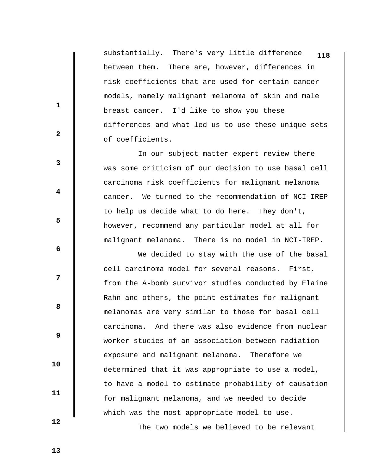substantially. There's very little difference **118** between them. There are, however, differences in risk coefficients that are used for certain cancer models, namely malignant melanoma of skin and male breast cancer. I'd like to show you these differences and what led us to use these unique sets of coefficients.

 In our subject matter expert review there was some criticism of our decision to use basal cell carcinoma risk coefficients for malignant melanoma cancer. We turned to the recommendation of NCI-IREP to help us decide what to do here. They don't, however, recommend any particular model at all for malignant melanoma. There is no model in NCI-IREP.

 We decided to stay with the use of the basal cell carcinoma model for several reasons. First, from the A-bomb survivor studies conducted by Elaine Rahn and others, the point estimates for malignant melanomas are very similar to those for basal cell carcinoma. And there was also evidence from nuclear worker studies of an association between radiation exposure and malignant melanoma. Therefore we determined that it was appropriate to use a model, to have a model to estimate probability of causation for malignant melanoma, and we needed to decide which was the most appropriate model to use.

The two models we believed to be relevant

**2** 

**1** 

**3** 

**4** 

**5** 

 **6** 

**12** 

**8 8** 

 **9** 

 **11** 

 **10** 

 **12**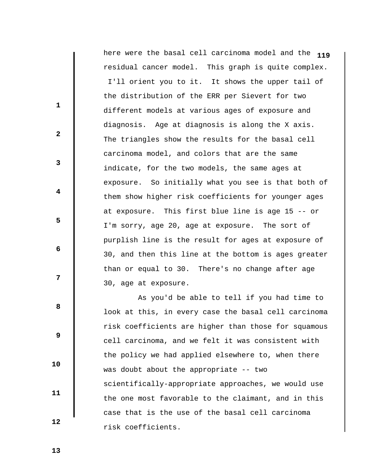here were the basal cell carcinoma model and the **119** residual cancer model. This graph is quite complex. I'll orient you to it. It shows the upper tail of the distribution of the ERR per Sievert for two different models at various ages of exposure and diagnosis. Age at diagnosis is along the X axis. The triangles show the results for the basal cell carcinoma model, and colors that are the same indicate, for the two models, the same ages at exposure. So initially what you see is that both of them show higher risk coefficients for younger ages at exposure. This first blue line is age 15 -- or I'm sorry, age 20, age at exposure. The sort of purplish line is the result for ages at exposure of 30, and then this line at the bottom is ages greater than or equal to 30. There's no change after age 30, age at exposure.

 As you'd be able to tell if you had time to look at this, in every case the basal cell carcinoma risk coefficients are higher than those for squamous cell carcinoma, and we felt it was consistent with the policy we had applied elsewhere to, when there was doubt about the appropriate -- two scientifically-appropriate approaches, we would use the one most favorable to the claimant, and in this case that is the use of the basal cell carcinoma risk coefficients.

 **13** 

**1** 

**2** 

**3** 

**4** 

**5** 

**6 6** 

**12** 

**8 8** 

 **9** 

 **10** 

 **11**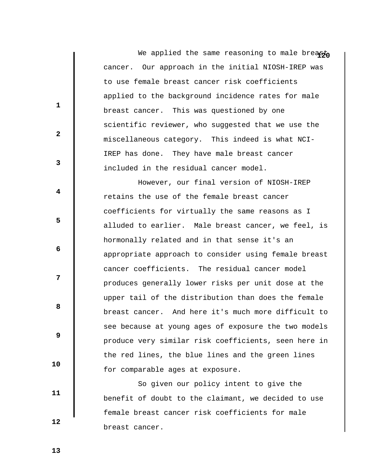We applied the same reasoning to male breast cancer. Our approach in the initial NIOSH-IREP was to use female breast cancer risk coefficients applied to the background incidence rates for male breast cancer. This was questioned by one scientific reviewer, who suggested that we use the miscellaneous category. This indeed is what NCI-IREP has done. They have male breast cancer included in the residual cancer model.

 However, our final version of NIOSH-IREP retains the use of the female breast cancer coefficients for virtually the same reasons as I alluded to earlier. Male breast cancer, we feel, is hormonally related and in that sense it's an appropriate approach to consider using female breast cancer coefficients. The residual cancer model produces generally lower risks per unit dose at the upper tail of the distribution than does the female breast cancer. And here it's much more difficult to see because at young ages of exposure the two models produce very similar risk coefficients, seen here in the red lines, the blue lines and the green lines for comparable ages at exposure.

 So given our policy intent to give the benefit of doubt to the claimant, we decided to use female breast cancer risk coefficients for male breast cancer.

 **13** 

 **12** 

 **10** 

 **11** 

**1** 

**2** 

**3** 

**4** 

**5** 

**6 6** 

**12** 

**8 8**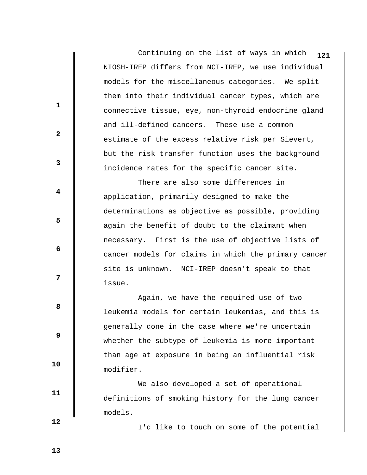Continuing on the list of ways in which NIOSH-IREP differs from NCI-IREP, we use individual models for the miscellaneous categories. We split them into their individual cancer types, which are connective tissue, eye, non-thyroid endocrine gland and ill-defined cancers. These use a common estimate of the excess relative risk per Sievert, but the risk transfer function uses the background incidence rates for the specific cancer site. **121**

 There are also some differences in application, primarily designed to make the determinations as objective as possible, providing again the benefit of doubt to the claimant when necessary. First is the use of objective lists of cancer models for claims in which the primary cancer site is unknown. NCI-IREP doesn't speak to that issue.

 Again, we have the required use of two leukemia models for certain leukemias, and this is generally done in the case where we're uncertain whether the subtype of leukemia is more important than age at exposure in being an influential risk modifier.

 We also developed a set of operational definitions of smoking history for the lung cancer models.

I'd like to touch on some of the potential

 **12** 

 **10** 

 **11** 

**1** 

**2** 

**3** 

**4** 

**5** 

 **6** 

**12** 

**8 8** 

 **9**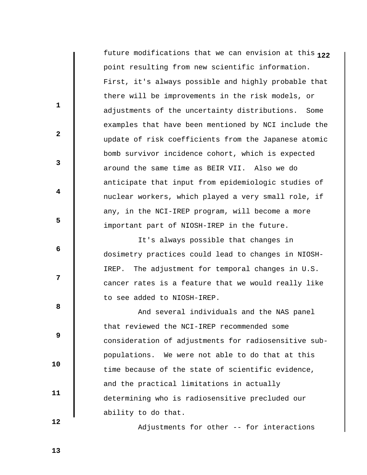**1** future modifications that we can envision at this **22** point resulting from new scientific information. First, it's always possible and highly probable that there will be improvements in the risk models, or adjustments of the uncertainty distributions. Some examples that have been mentioned by NCI include the update of risk coefficients from the Japanese atomic bomb survivor incidence cohort, which is expected around the same time as BEIR VII. Also we do anticipate that input from epidemiologic studies of nuclear workers, which played a very small role, if any, in the NCI-IREP program, will become a more important part of NIOSH-IREP in the future.

 It's always possible that changes in dosimetry practices could lead to changes in NIOSH-IREP. The adjustment for temporal changes in U.S. cancer rates is a feature that we would really like to see added to NIOSH-IREP.

 And several individuals and the NAS panel that reviewed the NCI-IREP recommended some consideration of adjustments for radiosensitive subpopulations. We were not able to do that at this time because of the state of scientific evidence, and the practical limitations in actually determining who is radiosensitive precluded our ability to do that.

Adjustments for other -- for interactions

 **12** 

 **10** 

 **11** 

**1** 

**2** 

**3** 

**4** 

**5** 

 **6** 

**12** 

**8 8**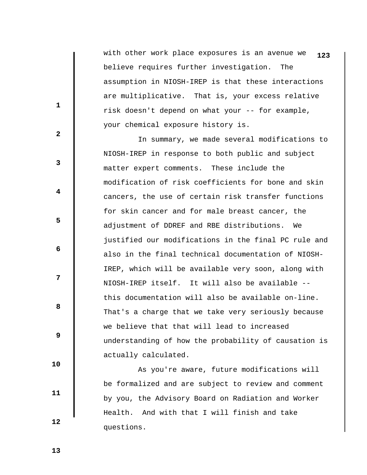with other work place exposures is an avenue we **123** believe requires further investigation. The assumption in NIOSH-IREP is that these interactions are multiplicative. That is, your excess relative risk doesn't depend on what your -- for example, your chemical exposure history is.

 In summary, we made several modifications to NIOSH-IREP in response to both public and subject matter expert comments. These include the modification of risk coefficients for bone and skin cancers, the use of certain risk transfer functions for skin cancer and for male breast cancer, the adjustment of DDREF and RBE distributions. We justified our modifications in the final PC rule and also in the final technical documentation of NIOSH-IREP, which will be available very soon, along with NIOSH-IREP itself. It will also be available - this documentation will also be available on-line. That's a charge that we take very seriously because we believe that that will lead to increased understanding of how the probability of causation is actually calculated.

 As you're aware, future modifications will be formalized and are subject to review and comment by you, the Advisory Board on Radiation and Worker Health. And with that I will finish and take questions.

**1** 

**2** 

**3** 

**4** 

**5** 

**6 6** 

**12** 

**8 8** 

 **9** 

 **11** 

 **10** 

 **12**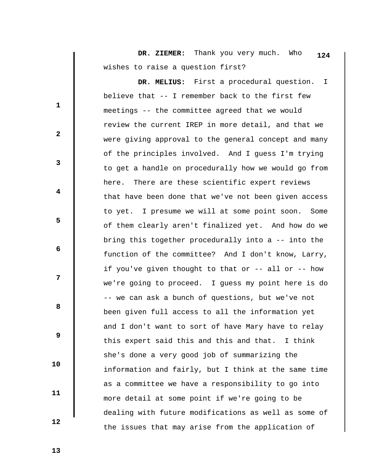**DR. ZIEMER:** Thank you very much. Who wishes to raise a question first? **124**

 **DR. MELIUS:** First a procedural question. I believe that -- I remember back to the first few meetings -- the committee agreed that we would review the current IREP in more detail, and that we were giving approval to the general concept and many of the principles involved. And I guess I'm trying to get a handle on procedurally how we would go from here. There are these scientific expert reviews that have been done that we've not been given access to yet. I presume we will at some point soon. Some of them clearly aren't finalized yet. And how do we bring this together procedurally into a -- into the function of the committee? And I don't know, Larry, if you've given thought to that or -- all or -- how we're going to proceed. I guess my point here is do -- we can ask a bunch of questions, but we've not been given full access to all the information yet and I don't want to sort of have Mary have to relay this expert said this and this and that. I think she's done a very good job of summarizing the information and fairly, but I think at the same time as a committee we have a responsibility to go into more detail at some point if we're going to be dealing with future modifications as well as some of the issues that may arise from the application of

 **13** 

 **10** 

 **11** 

 **12** 

**1** 

**2** 

**3** 

**4** 

**5** 

**6 6** 

**12** 

**8 8**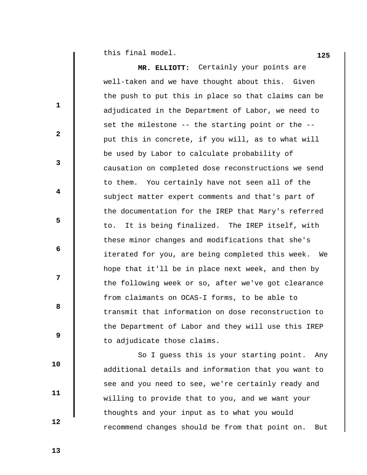**125** this final model.

 $\begin{array}{c} \hline \end{array}$ 

|              | MR. ELLIOTT: Certainly your points are                 |
|--------------|--------------------------------------------------------|
|              | well-taken and we have thought about this. Given       |
| $\mathbf{1}$ | the push to put this in place so that claims can be    |
|              | adjudicated in the Department of Labor, we need to     |
| $\mathbf{2}$ | set the milestone -- the starting point or the --      |
|              | put this in concrete, if you will, as to what will     |
| 3            | be used by Labor to calculate probability of           |
|              | causation on completed dose reconstructions we send    |
| 4            | to them. You certainly have not seen all of the        |
|              | subject matter expert comments and that's part of      |
| 5            | the documentation for the IREP that Mary's referred    |
|              | It is being finalized. The IREP itself, with<br>to.    |
| 6            | these minor changes and modifications that she's       |
|              | iterated for you, are being completed this week.<br>We |
| 7            | hope that it'll be in place next week, and then by     |
|              | the following week or so, after we've got clearance    |
| 8            | from claimants on OCAS-I forms, to be able to          |
|              | transmit that information on dose reconstruction to    |
| 9            | the Department of Labor and they will use this IREP    |
|              | to adjudicate those claims.                            |
| 10           | So I guess this is your starting point.<br>Any         |
|              | additional details and information that you want to    |
| 11           | see and you need to see, we're certainly ready and     |
|              | willing to provide that to you, and we want your       |
| 12           | thoughts and your input as to what you would           |
|              | recommend changes should be from that point on.<br>But |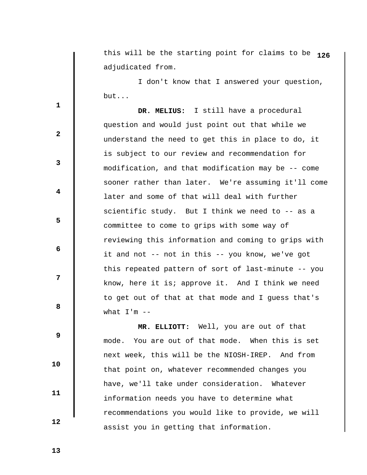this will be the starting point for claims to be **126** adjudicated from.

 I don't know that I answered your question, but...

 **DR. MELIUS:** I still have a procedural question and would just point out that while we understand the need to get this in place to do, it is subject to our review and recommendation for modification, and that modification may be -- come sooner rather than later. We're assuming it'll come later and some of that will deal with further scientific study. But I think we need to -- as a committee to come to grips with some way of reviewing this information and coming to grips with it and not -- not in this -- you know, we've got this repeated pattern of sort of last-minute -- you know, here it is; approve it. And I think we need to get out of that at that mode and I guess that's what  $I'm -$ 

 **MR. ELLIOTT:** Well, you are out of that mode. You are out of that mode. When this is set next week, this will be the NIOSH-IREP. And from that point on, whatever recommended changes you have, we'll take under consideration. Whatever information needs you have to determine what recommendations you would like to provide, we will assist you in getting that information.

 **13** 

 **10** 

 **11** 

 **12** 

**1** 

**3** 

**4** 

**5** 

**6 6** 

**12** 

**8 8** 

 **9**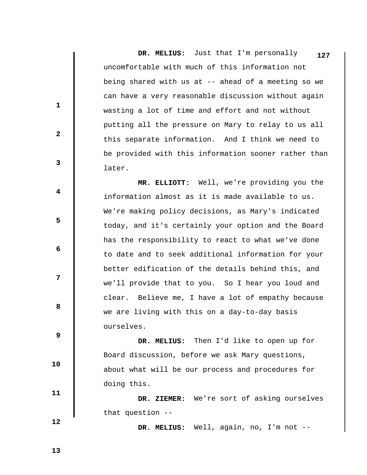**DR. MELIUS:** Just that I'm personally uncomfortable with much of this information not being shared with us at -- ahead of a meeting so we can have a very reasonable discussion without again wasting a lot of time and effort and not without putting all the pressure on Mary to relay to us all this separate information. And I think we need to be provided with this information sooner rather than later. **127**

 **MR. ELLIOTT:** Well, we're providing you the information almost as it is made available to us. We're making policy decisions, as Mary's indicated today, and it's certainly your option and the Board has the responsibility to react to what we've done to date and to seek additional information for your better edification of the details behind this, and we'll provide that to you. So I hear you loud and clear. Believe me, I have a lot of empathy because we are living with this on a day-to-day basis ourselves.

 **DR. MELIUS:** Then I'd like to open up for Board discussion, before we ask Mary questions, about what will be our process and procedures for doing this.

 **DR. ZIEMER:** We're sort of asking ourselves that question --

 **DR. MELIUS:** Well, again, no, I'm not --

 **13** 

 **12** 

 **10** 

 **11** 

**1** 

**2** 

**3** 

**4** 

**5** 

**6 6** 

**12** 

**8 8**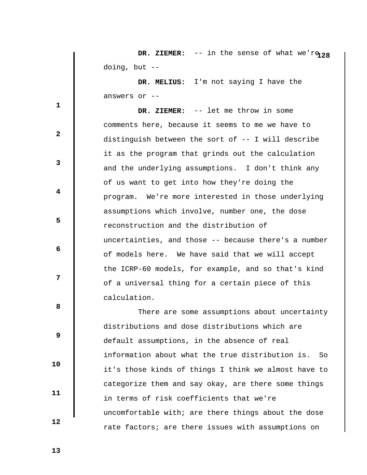**DR. ZIEMER:** -- in the sense of what we'r $928$ doing, but --

 **DR. MELIUS:** I'm not saying I have the answers or --

 **DR. ZIEMER:** -- let me throw in some comments here, because it seems to me we have to distinguish between the sort of -- I will describe it as the program that grinds out the calculation and the underlying assumptions. I don't think any of us want to get into how they're doing the program. We're more interested in those underlying assumptions which involve, number one, the dose reconstruction and the distribution of uncertainties, and those -- because there's a number of models here. We have said that we will accept the ICRP-60 models, for example, and so that's kind of a universal thing for a certain piece of this calculation.

 There are some assumptions about uncertainty distributions and dose distributions which are default assumptions, in the absence of real information about what the true distribution is. So it's those kinds of things I think we almost have to categorize them and say okay, are there some things in terms of risk coefficients that we're uncomfortable with; are there things about the dose rate factors; are there issues with assumptions on

 **13** 

 **10** 

 **11** 

 **12** 

**1** 

**3** 

**4** 

**5** 

**6 6** 

**12** 

**8 8** 

 **9**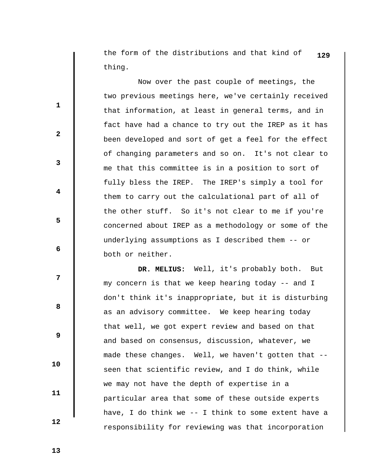the form of the distributions and that kind of **129** thing.

 Now over the past couple of meetings, the two previous meetings here, we've certainly received that information, at least in general terms, and in fact have had a chance to try out the IREP as it has been developed and sort of get a feel for the effect of changing parameters and so on. It's not clear to me that this committee is in a position to sort of fully bless the IREP. The IREP's simply a tool for them to carry out the calculational part of all of the other stuff. So it's not clear to me if you're concerned about IREP as a methodology or some of the underlying assumptions as I described them -- or both or neither.

 **DR. MELIUS:** Well, it's probably both. But my concern is that we keep hearing today -- and I don't think it's inappropriate, but it is disturbing as an advisory committee. We keep hearing today that well, we got expert review and based on that and based on consensus, discussion, whatever, we made these changes. Well, we haven't gotten that - seen that scientific review, and I do think, while we may not have the depth of expertise in a particular area that some of these outside experts have, I do think we  $-$ - I think to some extent have a responsibility for reviewing was that incorporation

 **13** 

 **10** 

 **11** 

 **12** 

**1** 

**2** 

**3** 

**4** 

**5** 

 **6** 

**12** 

**8 8**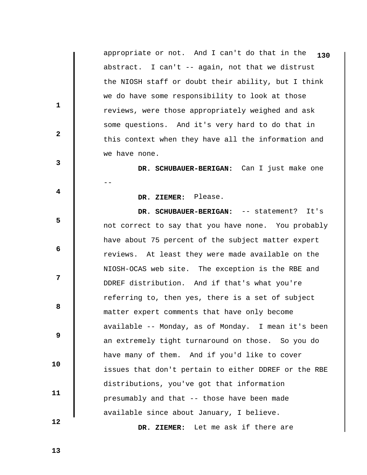appropriate or not. And I can't do that in the **130** abstract. I can't -- again, not that we distrust the NIOSH staff or doubt their ability, but I think we do have some responsibility to look at those reviews, were those appropriately weighed and ask some questions. And it's very hard to do that in this context when they have all the information and we have none.

 **DR. SCHUBAUER-BERIGAN:** Can I just make one --

 **DR. ZIEMER:** Please.

 **DR. SCHUBAUER-BERIGAN:** -- statement? It's not correct to say that you have none. You probably have about 75 percent of the subject matter expert reviews. At least they were made available on the NIOSH-OCAS web site. The exception is the RBE and DDREF distribution. And if that's what you're referring to, then yes, there is a set of subject matter expert comments that have only become available -- Monday, as of Monday. I mean it's been an extremely tight turnaround on those. So you do have many of them. And if you'd like to cover issues that don't pertain to either DDREF or the RBE distributions, you've got that information presumably and that -- those have been made available since about January, I believe.

 **DR. ZIEMER:** Let me ask if there are

 **13** 

 **10** 

 **11** 

 **12** 

**1** 

**2** 

**3** 

**4** 

**5** 

 **6** 

**12** 

**8 8**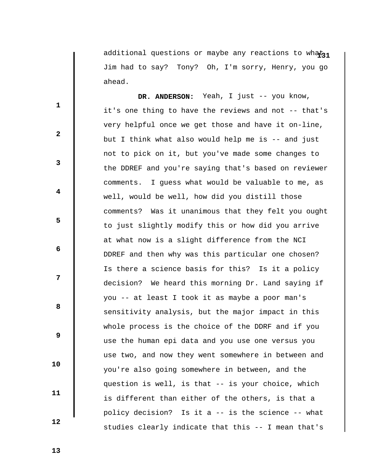additional questions or maybe any reactions to what<sub>21</sub> Jim had to say? Tony? Oh, I'm sorry, Henry, you go ahead.

DR. ANDERSON: Yeah, I just -- you know, it's one thing to have the reviews and not -- that's very helpful once we get those and have it on-line, but I think what also would help me is -- and just not to pick on it, but you've made some changes to the DDREF and you're saying that's based on reviewer comments. I guess what would be valuable to me, as well, would be well, how did you distill those comments? Was it unanimous that they felt you ought to just slightly modify this or how did you arrive at what now is a slight difference from the NCI DDREF and then why was this particular one chosen? Is there a science basis for this? Is it a policy decision? We heard this morning Dr. Land saying if you -- at least I took it as maybe a poor man's sensitivity analysis, but the major impact in this whole process is the choice of the DDRF and if you use the human epi data and you use one versus you use two, and now they went somewhere in between and you're also going somewhere in between, and the question is well, is that -- is your choice, which is different than either of the others, is that a policy decision? Is it a -- is the science -- what studies clearly indicate that this -- I mean that's

 **13** 

 **10** 

 **11** 

 **12** 

**1** 

**2** 

**3** 

**4** 

**5** 

 **6** 

**12** 

**8 8**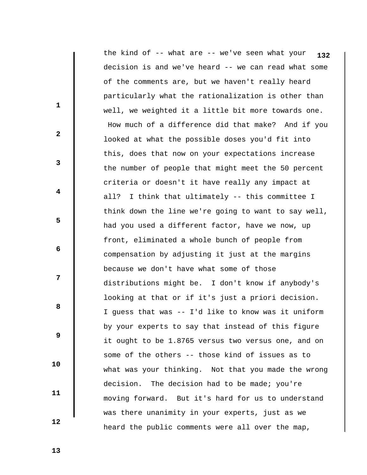the kind of -- what are -- we've seen what your **132**decision is and we've heard -- we can read what some of the comments are, but we haven't really heard particularly what the rationalization is other than well, we weighted it a little bit more towards one. How much of a difference did that make? And if you looked at what the possible doses you'd fit into this, does that now on your expectations increase the number of people that might meet the 50 percent criteria or doesn't it have really any impact at all? I think that ultimately -- this committee I think down the line we're going to want to say well, had you used a different factor, have we now, up front, eliminated a whole bunch of people from compensation by adjusting it just at the margins because we don't have what some of those distributions might be. I don't know if anybody's looking at that or if it's just a priori decision. I guess that was -- I'd like to know was it uniform by your experts to say that instead of this figure it ought to be 1.8765 versus two versus one, and on some of the others -- those kind of issues as to what was your thinking. Not that you made the wrong decision. The decision had to be made; you're moving forward. But it's hard for us to understand was there unanimity in your experts, just as we heard the public comments were all over the map,

 **13** 

**1** 

**2** 

**3** 

**4** 

**5** 

**6 6** 

**12** 

**8 8** 

 **9** 

 **10** 

 **11**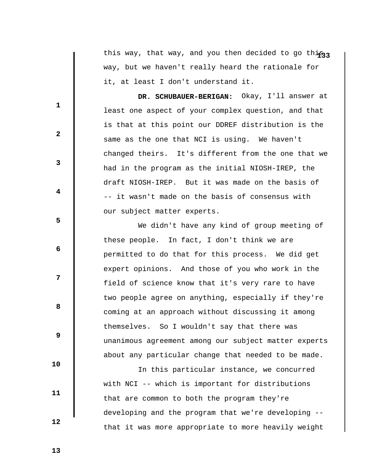this way, that way, and you then decided to go this<sub>33</sub> way, but we haven't really heard the rationale for it, at least I don't understand it.

 **DR. SCHUBAUER-BERIGAN:** Okay, I'll answer at least one aspect of your complex question, and that is that at this point our DDREF distribution is the same as the one that NCI is using. We haven't changed theirs. It's different from the one that we had in the program as the initial NIOSH-IREP, the draft NIOSH-IREP. But it was made on the basis of -- it wasn't made on the basis of consensus with our subject matter experts.

 We didn't have any kind of group meeting of these people. In fact, I don't think we are permitted to do that for this process. We did get expert opinions. And those of you who work in the field of science know that it's very rare to have two people agree on anything, especially if they're coming at an approach without discussing it among themselves. So I wouldn't say that there was unanimous agreement among our subject matter experts about any particular change that needed to be made.

 In this particular instance, we concurred with NCI -- which is important for distributions that are common to both the program they're developing and the program that we're developing - that it was more appropriate to more heavily weight

 **13** 

**1** 

**2** 

**3** 

**4** 

**5** 

**6 6** 

**12** 

**8 8** 

 **9** 

 **10** 

 **11**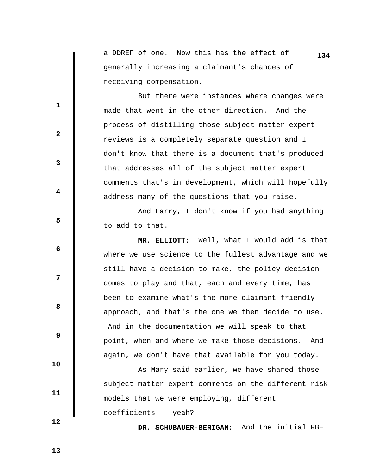a DDREF of one. Now this has the effect of **134** generally increasing a claimant's chances of receiving compensation.

 But there were instances where changes were made that went in the other direction. And the process of distilling those subject matter expert reviews is a completely separate question and I don't know that there is a document that's produced that addresses all of the subject matter expert comments that's in development, which will hopefully address many of the questions that you raise.

 And Larry, I don't know if you had anything to add to that.

 **MR. ELLIOTT:** Well, what I would add is that where we use science to the fullest advantage and we still have a decision to make, the policy decision comes to play and that, each and every time, has been to examine what's the more claimant-friendly approach, and that's the one we then decide to use. And in the documentation we will speak to that point, when and where we make those decisions. And again, we don't have that available for you today.

 As Mary said earlier, we have shared those subject matter expert comments on the different risk models that we were employing, different coefficients -- yeah?

 **12** 

 **10** 

 **11** 

**1** 

**2** 

**3** 

**4** 

**5** 

**6 6** 

**12** 

**8 8** 

 **9** 

 **DR. SCHUBAUER-BERIGAN:** And the initial RBE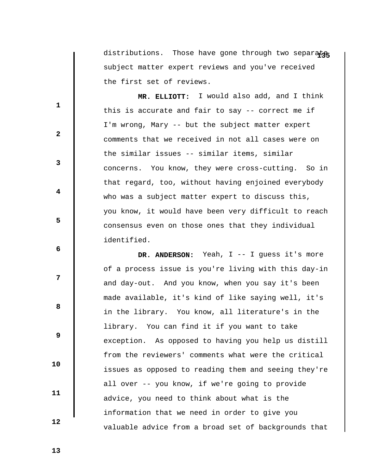distributions. Those have gone through two separate subject matter expert reviews and you've received the first set of reviews.

 **MR. ELLIOTT:** I would also add, and I think this is accurate and fair to say -- correct me if I'm wrong, Mary -- but the subject matter expert comments that we received in not all cases were on the similar issues -- similar items, similar concerns. You know, they were cross-cutting. So in that regard, too, without having enjoined everybody who was a subject matter expert to discuss this, you know, it would have been very difficult to reach consensus even on those ones that they individual identified.

 **DR. ANDERSON:** Yeah, I -- I guess it's more of a process issue is you're living with this day-in and day-out. And you know, when you say it's been made available, it's kind of like saying well, it's in the library. You know, all literature's in the library. You can find it if you want to take exception. As opposed to having you help us distill from the reviewers' comments what were the critical issues as opposed to reading them and seeing they're all over -- you know, if we're going to provide advice, you need to think about what is the information that we need in order to give you valuable advice from a broad set of backgrounds that

 **13** 

 **10** 

 **11** 

 **12** 

**1** 

**2** 

**3** 

**4** 

**5** 

**6 6** 

**12** 

**8 8**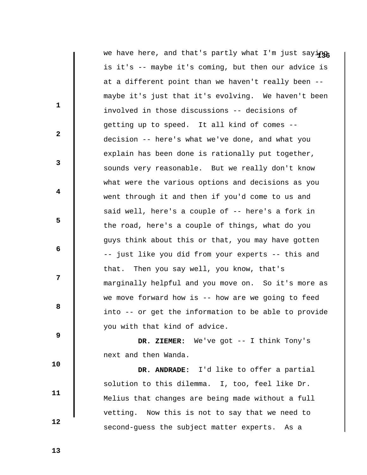|              | we have here, and that's partly what I'm just saying |
|--------------|------------------------------------------------------|
|              | is it's -- maybe it's coming, but then our advice is |
|              | at a different point than we haven't really been --  |
| 1            | maybe it's just that it's evolving. We haven't been  |
|              | involved in those discussions -- decisions of        |
| $\mathbf{2}$ | getting up to speed. It all kind of comes --         |
|              | decision -- here's what we've done, and what you     |
| 3            | explain has been done is rationally put together,    |
|              | sounds very reasonable. But we really don't know     |
| 4            | what were the various options and decisions as you   |
|              | went through it and then if you'd come to us and     |
| 5            | said well, here's a couple of -- here's a fork in    |
|              | the road, here's a couple of things, what do you     |
| 6            | guys think about this or that, you may have gotten   |
|              | -- just like you did from your experts -- this and   |
| 7            | that. Then you say well, you know, that's            |
|              | marginally helpful and you move on. So it's more as  |
| 8            | we move forward how is -- how are we going to feed   |
|              | into -- or get the information to be able to provide |
| 9            | you with that kind of advice.                        |
|              | DR. ZIEMER: We've got -- I think Tony's              |
| 10           | next and then Wanda.                                 |
|              | DR. ANDRADE: I'd like to offer a partial             |
| 11           | solution to this dilemma. I, too, feel like Dr.      |
|              | Melius that changes are being made without a full    |
|              | vetting. Now this is not to say that we need to      |

second-guess the subject matter experts. As a

 **12**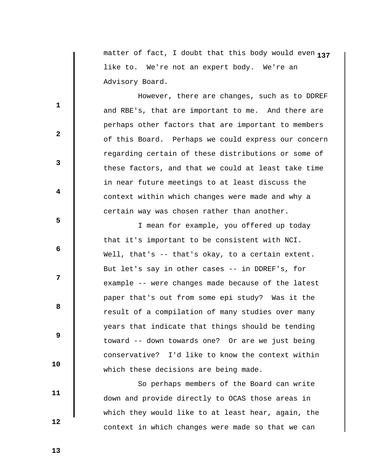**1** matter of fact, I doubt that this body would even **37** like to. We're not an expert body. We're an Advisory Board.

 However, there are changes, such as to DDREF and RBE's, that are important to me. And there are perhaps other factors that are important to members of this Board. Perhaps we could express our concern regarding certain of these distributions or some of these factors, and that we could at least take time in near future meetings to at least discuss the context within which changes were made and why a certain way was chosen rather than another.

 I mean for example, you offered up today that it's important to be consistent with NCI. Well, that's -- that's okay, to a certain extent. But let's say in other cases -- in DDREF's, for example -- were changes made because of the latest paper that's out from some epi study? Was it the result of a compilation of many studies over many years that indicate that things should be tending toward -- down towards one? Or are we just being conservative? I'd like to know the context within which these decisions are being made.

 So perhaps members of the Board can write down and provide directly to OCAS those areas in which they would like to at least hear, again, the context in which changes were made so that we can

 **13** 

 **10** 

 **11** 

 **12** 

**1** 

**2** 

**3** 

**4** 

**5** 

**6 6** 

**12** 

**8 8**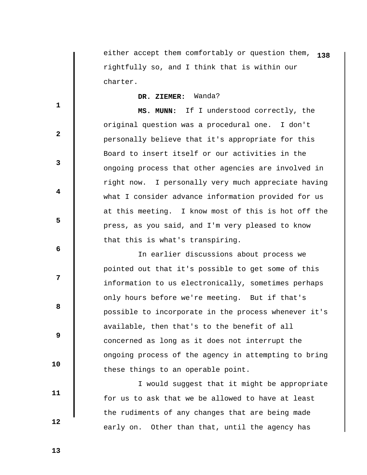either accept them comfortably or question them, **138** rightfully so, and I think that is within our charter.

 **DR. ZIEMER:** Wanda?

 **MS. MUNN:** If I understood correctly, the original question was a procedural one. I don't personally believe that it's appropriate for this Board to insert itself or our activities in the ongoing process that other agencies are involved in right now. I personally very much appreciate having what I consider advance information provided for us at this meeting. I know most of this is hot off the press, as you said, and I'm very pleased to know that this is what's transpiring.

 In earlier discussions about process we pointed out that it's possible to get some of this information to us electronically, sometimes perhaps only hours before we're meeting. But if that's possible to incorporate in the process whenever it's available, then that's to the benefit of all concerned as long as it does not interrupt the ongoing process of the agency in attempting to bring these things to an operable point.

 I would suggest that it might be appropriate for us to ask that we be allowed to have at least the rudiments of any changes that are being made early on. Other than that, until the agency has

 **13** 

 **10** 

 **11** 

 **12** 

**1** 

**2** 

**3** 

**4** 

**5** 

 **6** 

**12** 

**8 8**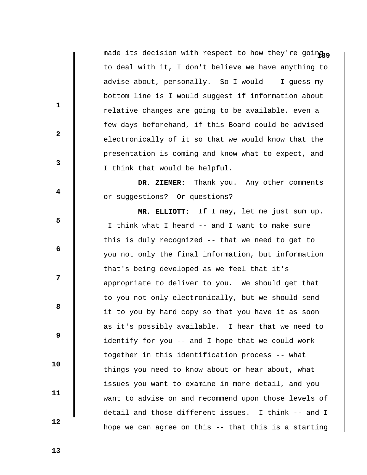made its decision with respect to how they're going<sub>10</sub> to deal with it, I don't believe we have anything to advise about, personally. So I would -- I guess my bottom line is I would suggest if information about relative changes are going to be available, even a few days beforehand, if this Board could be advised electronically of it so that we would know that the presentation is coming and know what to expect, and I think that would be helpful.

 **DR. ZIEMER:** Thank you. Any other comments or suggestions? Or questions?

 **MR. ELLIOTT:** If I may, let me just sum up. I think what I heard -- and I want to make sure this is duly recognized -- that we need to get to you not only the final information, but information that's being developed as we feel that it's appropriate to deliver to you. We should get that to you not only electronically, but we should send it to you by hard copy so that you have it as soon as it's possibly available. I hear that we need to identify for you -- and I hope that we could work together in this identification process -- what things you need to know about or hear about, what issues you want to examine in more detail, and you want to advise on and recommend upon those levels of detail and those different issues. I think -- and I hope we can agree on this -- that this is a starting

 **13** 

 **10** 

 **11** 

 **12** 

**1** 

**2** 

**3** 

**4** 

**5** 

 **6** 

**12** 

**8 8**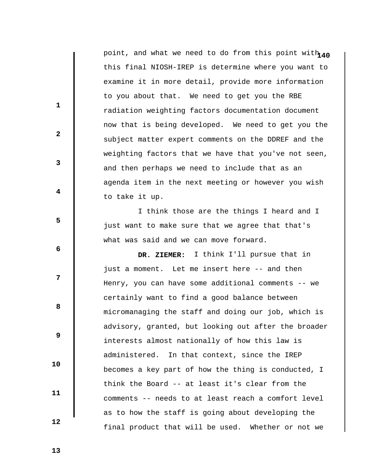point, and what we need to do from this point with  $40$ this final NIOSH-IREP is determine where you want to examine it in more detail, provide more information to you about that. We need to get you the RBE radiation weighting factors documentation document now that is being developed. We need to get you the subject matter expert comments on the DDREF and the weighting factors that we have that you've not seen, and then perhaps we need to include that as an agenda item in the next meeting or however you wish to take it up.

 I think those are the things I heard and I just want to make sure that we agree that that's what was said and we can move forward.

 **DR. ZIEMER:** I think I'll pursue that in just a moment. Let me insert here -- and then Henry, you can have some additional comments -- we certainly want to find a good balance between micromanaging the staff and doing our job, which is advisory, granted, but looking out after the broader interests almost nationally of how this law is administered. In that context, since the IREP becomes a key part of how the thing is conducted, I think the Board -- at least it's clear from the comments -- needs to at least reach a comfort level as to how the staff is going about developing the final product that will be used. Whether or not we

 **13** 

 **10** 

 **11** 

 **12** 

**1** 

**2** 

**3** 

**4** 

**5** 

 **6** 

**12** 

**8 8**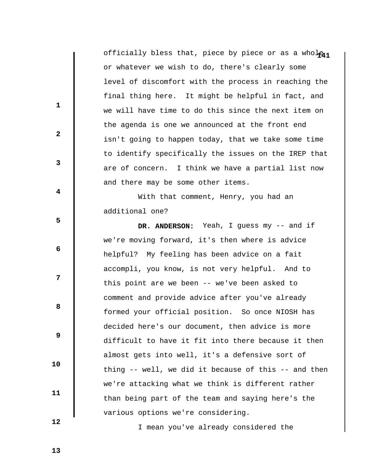officially bless that, piece by piece or as a whole<sub>41</sub> or whatever we wish to do, there's clearly some level of discomfort with the process in reaching the final thing here. It might be helpful in fact, and we will have time to do this since the next item on the agenda is one we announced at the front end isn't going to happen today, that we take some time to identify specifically the issues on the IREP that are of concern. I think we have a partial list now and there may be some other items.

 With that comment, Henry, you had an additional one?

 **DR. ANDERSON:** Yeah, I guess my -- and if we're moving forward, it's then where is advice helpful? My feeling has been advice on a fait accompli, you know, is not very helpful. And to this point are we been -- we've been asked to comment and provide advice after you've already formed your official position. So once NIOSH has decided here's our document, then advice is more difficult to have it fit into there because it then almost gets into well, it's a defensive sort of thing -- well, we did it because of this -- and then we're attacking what we think is different rather than being part of the team and saying here's the various options we're considering.

I mean you've already considered the

 **12** 

 **10** 

 **11** 

**1** 

**2** 

**3** 

**4** 

**5** 

**6 6** 

**12** 

**8 8** 

 **9**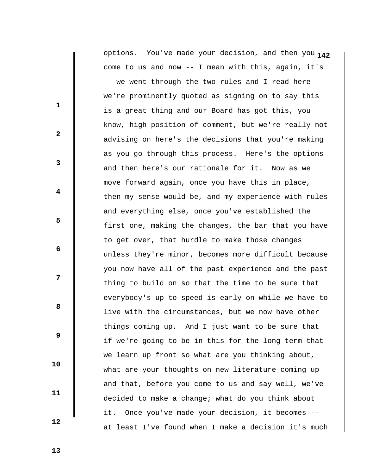**1** options. You've made your decision, and then you **42**come to us and now -- I mean with this, again, it's -- we went through the two rules and I read here we're prominently quoted as signing on to say this is a great thing and our Board has got this, you know, high position of comment, but we're really not advising on here's the decisions that you're making as you go through this process. Here's the options and then here's our rationale for it. Now as we move forward again, once you have this in place, then my sense would be, and my experience with rules and everything else, once you've established the first one, making the changes, the bar that you have to get over, that hurdle to make those changes unless they're minor, becomes more difficult because you now have all of the past experience and the past thing to build on so that the time to be sure that everybody's up to speed is early on while we have to live with the circumstances, but we now have other things coming up. And I just want to be sure that if we're going to be in this for the long term that we learn up front so what are you thinking about, what are your thoughts on new literature coming up and that, before you come to us and say well, we've decided to make a change; what do you think about it. Once you've made your decision, it becomes - at least I've found when I make a decision it's much

 **13** 

 **10** 

 **11** 

 **12** 

**1** 

**2** 

**3** 

**4** 

**5** 

**6 6** 

**12** 

**8 8**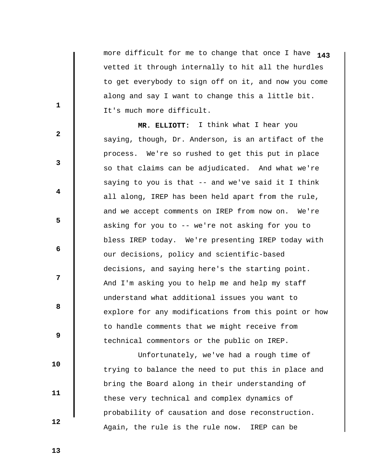more difficult for me to change that once I have **143** vetted it through internally to hit all the hurdles to get everybody to sign off on it, and now you come along and say I want to change this a little bit. It's much more difficult.

 **MR. ELLIOTT:** I think what I hear you saying, though, Dr. Anderson, is an artifact of the process. We're so rushed to get this put in place so that claims can be adjudicated. And what we're saying to you is that -- and we've said it I think all along, IREP has been held apart from the rule, and we accept comments on IREP from now on. We're asking for you to -- we're not asking for you to bless IREP today. We're presenting IREP today with our decisions, policy and scientific-based decisions, and saying here's the starting point. And I'm asking you to help me and help my staff understand what additional issues you want to explore for any modifications from this point or how to handle comments that we might receive from technical commentors or the public on IREP.

 Unfortunately, we've had a rough time of trying to balance the need to put this in place and bring the Board along in their understanding of these very technical and complex dynamics of probability of causation and dose reconstruction. Again, the rule is the rule now. IREP can be

**1** 

**2** 

**3** 

**4** 

**5** 

**6 6** 

**12** 

**8 8** 

 **9** 

 **11** 

 **10** 

 **12**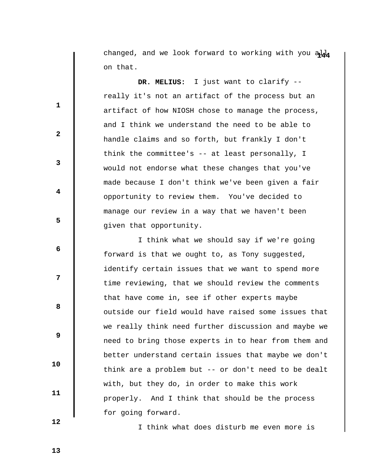changed, and we look forward to working with you ald on that.

 **DR. MELIUS:** I just want to clarify - really it's not an artifact of the process but an artifact of how NIOSH chose to manage the process, and I think we understand the need to be able to handle claims and so forth, but frankly I don't think the committee's -- at least personally, I would not endorse what these changes that you've made because I don't think we've been given a fair opportunity to review them. You've decided to manage our review in a way that we haven't been given that opportunity.

 I think what we should say if we're going forward is that we ought to, as Tony suggested, identify certain issues that we want to spend more time reviewing, that we should review the comments that have come in, see if other experts maybe outside our field would have raised some issues that we really think need further discussion and maybe we need to bring those experts in to hear from them and better understand certain issues that maybe we don't think are a problem but -- or don't need to be dealt with, but they do, in order to make this work properly. And I think that should be the process for going forward.

I think what does disturb me even more is

 **12** 

 **10** 

 **11** 

**1** 

**3** 

**4** 

**5** 

**6 6** 

**12** 

**8 8** 

 **9** 

 **2**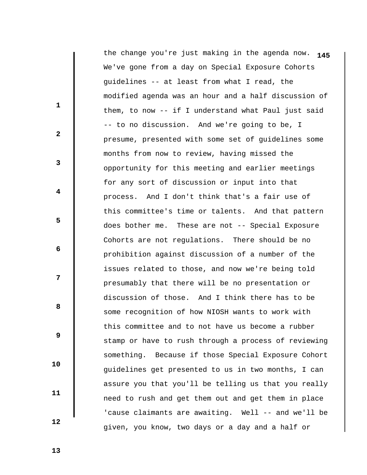**1** the change you're just making in the agenda now. **45**We've gone from a day on Special Exposure Cohorts guidelines -- at least from what I read, the modified agenda was an hour and a half discussion of them, to now -- if I understand what Paul just said -- to no discussion. And we're going to be, I presume, presented with some set of guidelines some months from now to review, having missed the opportunity for this meeting and earlier meetings for any sort of discussion or input into that process. And I don't think that's a fair use of this committee's time or talents. And that pattern does bother me. These are not -- Special Exposure Cohorts are not regulations. There should be no prohibition against discussion of a number of the issues related to those, and now we're being told presumably that there will be no presentation or discussion of those. And I think there has to be some recognition of how NIOSH wants to work with this committee and to not have us become a rubber stamp or have to rush through a process of reviewing something. Because if those Special Exposure Cohort guidelines get presented to us in two months, I can assure you that you'll be telling us that you really need to rush and get them out and get them in place 'cause claimants are awaiting. Well -- and we'll be given, you know, two days or a day and a half or

 **13** 

**1** 

**2** 

**3** 

**4** 

**5** 

**6 6** 

**12** 

**8 8** 

 **9** 

 **10** 

 **11**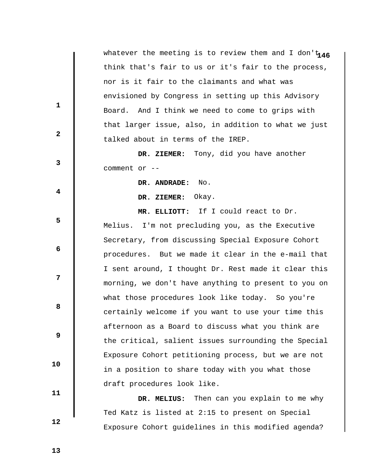whatever the meeting is to review them and I don't 146 think that's fair to us or it's fair to the process, nor is it fair to the claimants and what was envisioned by Congress in setting up this Advisory Board. And I think we need to come to grips with that larger issue, also, in addition to what we just talked about in terms of the IREP.

 **DR. ZIEMER:** Tony, did you have another comment or --

 **DR. ANDRADE:** No.

 **DR. ZIEMER:** Okay.

 **MR. ELLIOTT:** If I could react to Dr. Melius. I'm not precluding you, as the Executive Secretary, from discussing Special Exposure Cohort procedures. But we made it clear in the e-mail that I sent around, I thought Dr. Rest made it clear this morning, we don't have anything to present to you on what those procedures look like today. So you're certainly welcome if you want to use your time this afternoon as a Board to discuss what you think are the critical, salient issues surrounding the Special Exposure Cohort petitioning process, but we are not in a position to share today with you what those draft procedures look like.

 **DR. MELIUS:** Then can you explain to me why Ted Katz is listed at 2:15 to present on Special Exposure Cohort guidelines in this modified agenda?

 **13** 

**1** 

**2** 

**3** 

**4** 

**5** 

**6 6** 

**12** 

**8 8** 

 **9** 

 **10** 

 **11**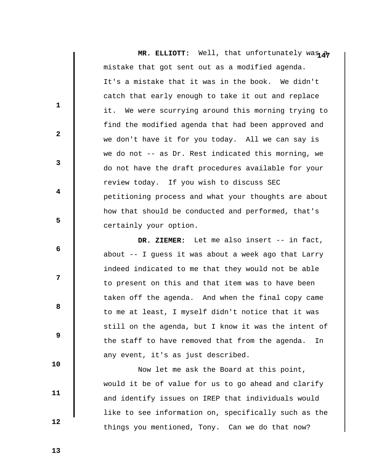**MR. ELLIOTT:** Well, that unfortunately was  $\rho$ mistake that got sent out as a modified agenda. It's a mistake that it was in the book. We didn't catch that early enough to take it out and replace it. We were scurrying around this morning trying to find the modified agenda that had been approved and we don't have it for you today. All we can say is we do not  $-$  as Dr. Rest indicated this morning, we do not have the draft procedures available for your review today. If you wish to discuss SEC petitioning process and what your thoughts are about how that should be conducted and performed, that's certainly your option.

 **DR. ZIEMER:** Let me also insert -- in fact, about -- I guess it was about a week ago that Larry indeed indicated to me that they would not be able to present on this and that item was to have been taken off the agenda. And when the final copy came to me at least, I myself didn't notice that it was still on the agenda, but I know it was the intent of the staff to have removed that from the agenda. In any event, it's as just described.

 Now let me ask the Board at this point, would it be of value for us to go ahead and clarify and identify issues on IREP that individuals would like to see information on, specifically such as the things you mentioned, Tony. Can we do that now?

 **13** 

 **10** 

 **11** 

 **12** 

**1** 

**2** 

**3** 

**4** 

**5** 

**6 6** 

**12** 

**8 8**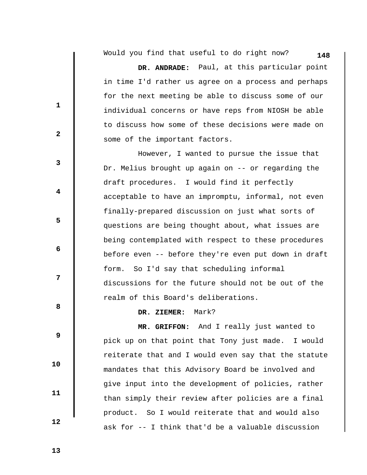**148** Would you find that useful to do right now?

 **DR. ANDRADE:** Paul, at this particular point in time I'd rather us agree on a process and perhaps for the next meeting be able to discuss some of our individual concerns or have reps from NIOSH be able to discuss how some of these decisions were made on some of the important factors.

 However, I wanted to pursue the issue that Dr. Melius brought up again on -- or regarding the draft procedures. I would find it perfectly acceptable to have an impromptu, informal, not even finally-prepared discussion on just what sorts of questions are being thought about, what issues are being contemplated with respect to these procedures before even -- before they're even put down in draft form. So I'd say that scheduling informal discussions for the future should not be out of the realm of this Board's deliberations.

 **DR. ZIEMER:** Mark?

 **MR. GRIFFON:** And I really just wanted to pick up on that point that Tony just made. I would reiterate that and I would even say that the statute mandates that this Advisory Board be involved and give input into the development of policies, rather than simply their review after policies are a final product. So I would reiterate that and would also ask for -- I think that'd be a valuable discussion

 **13** 

 **10** 

 **11** 

 **12** 

**1** 

**2** 

**3** 

**4** 

**5** 

**6 6** 

**12** 

**8 8**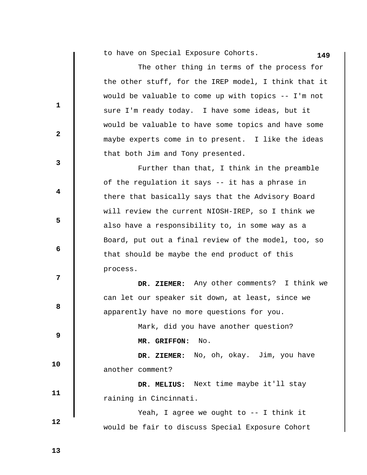**149** to have on Special Exposure Cohorts.

|              | The other thing in terms of the process for          |
|--------------|------------------------------------------------------|
|              | the other stuff, for the IREP model, I think that it |
|              | would be valuable to come up with topics -- I'm not  |
| $\mathbf{1}$ | sure I'm ready today. I have some ideas, but it      |
|              | would be valuable to have some topics and have some  |
| $\mathbf{2}$ | maybe experts come in to present. I like the ideas   |
|              | that both Jim and Tony presented.                    |
| 3            | Further than that, I think in the preamble           |
|              | of the regulation it says -- it has a phrase in      |
| 4            | there that basically says that the Advisory Board    |
|              | will review the current NIOSH-IREP, so I think we    |
| 5            | also have a responsibility to, in some way as a      |
|              | Board, put out a final review of the model, too, so  |
| 6            | that should be maybe the end product of this         |
|              | process.                                             |
| 7            | DR. ZIEMER: Any other comments? I think we           |
|              | can let our speaker sit down, at least, since we     |
| 8            | apparently have no more questions for you.           |
|              | Mark, did you have another question?                 |
| 9            | MR. GRIFFON: No.                                     |
|              | DR. ZIEMER: No, oh, okay. Jim, you have              |
| 10           | another comment?                                     |
|              | DR. MELIUS: Next time maybe it'll stay               |
| 11           | raining in Cincinnati.                               |
|              | Yeah, I agree we ought to -- I think it              |
| 12           | would be fair to discuss Special Exposure Cohort     |

 **13** 

 $\mathbf{I}$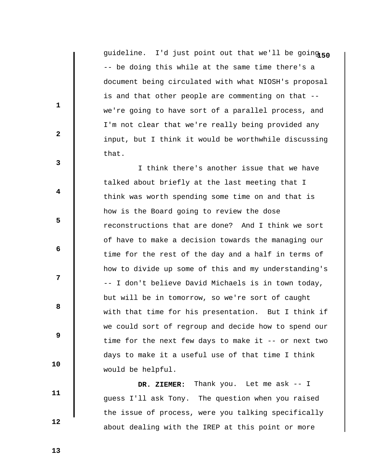guideline. I'd just point out that we'll be going 50 -- be doing this while at the same time there's a document being circulated with what NIOSH's proposal is and that other people are commenting on that - we're going to have sort of a parallel process, and I'm not clear that we're really being provided any input, but I think it would be worthwhile discussing that.

 I think there's another issue that we have talked about briefly at the last meeting that I think was worth spending some time on and that is how is the Board going to review the dose reconstructions that are done? And I think we sort of have to make a decision towards the managing our time for the rest of the day and a half in terms of how to divide up some of this and my understanding's -- I don't believe David Michaels is in town today, but will be in tomorrow, so we're sort of caught with that time for his presentation. But I think if we could sort of regroup and decide how to spend our time for the next few days to make it -- or next two days to make it a useful use of that time I think would be helpful.

 **DR. ZIEMER:** Thank you. Let me ask -- I guess I'll ask Tony. The question when you raised the issue of process, were you talking specifically about dealing with the IREP at this point or more

 **13** 

 **12** 

 **10** 

 **11** 

**1** 

**2** 

**3** 

**4** 

**5** 

**6 6** 

**12** 

**8 8**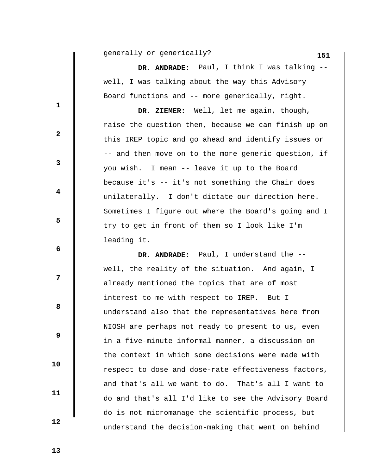**151** generally or generically?

 **DR. ANDRADE:** Paul, I think I was talking - well, I was talking about the way this Advisory Board functions and -- more generically, right.

 **DR. ZIEMER:** Well, let me again, though, raise the question then, because we can finish up on this IREP topic and go ahead and identify issues or -- and then move on to the more generic question, if you wish. I mean -- leave it up to the Board because it's -- it's not something the Chair does unilaterally. I don't dictate our direction here. Sometimes I figure out where the Board's going and I try to get in front of them so I look like I'm leading it.

 **DR. ANDRADE:** Paul, I understand the - well, the reality of the situation. And again, I already mentioned the topics that are of most interest to me with respect to IREP. But I understand also that the representatives here from NIOSH are perhaps not ready to present to us, even in a five-minute informal manner, a discussion on the context in which some decisions were made with respect to dose and dose-rate effectiveness factors, and that's all we want to do. That's all I want to do and that's all I'd like to see the Advisory Board do is not micromanage the scientific process, but understand the decision-making that went on behind

**1** 

 **2** 

**3** 

**5** 

**6 6** 

**8 8** 

 **9** 

 **10** 

 **11** 

 **12**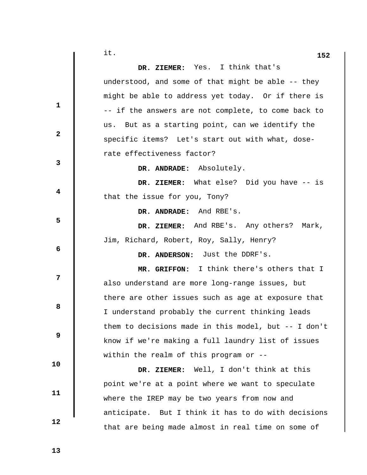| it.                                                 | 152 |
|-----------------------------------------------------|-----|
| DR. ZIEMER: Yes. I think that's                     |     |
| understood, and some of that might be able -- they  |     |
| might be able to address yet today. Or if there is  |     |
| -- if the answers are not complete, to come back to |     |
| us. But as a starting point, can we identify the    |     |
| specific items? Let's start out with what, dose-    |     |
| rate effectiveness factor?                          |     |
| DR. ANDRADE: Absolutely.                            |     |
| DR. ZIEMER: What else? Did you have -- is           |     |
| that the issue for you, Tony?                       |     |
| DR. ANDRADE: And RBE's.                             |     |
| DR. ZIEMER: And RBE's. Any others? Mark,            |     |
| Jim, Richard, Robert, Roy, Sally, Henry?            |     |
| DR. ANDERSON: Just the DDRF's.                      |     |
| MR. GRIFFON: I think there's others that I          |     |
| also understand are more long-range issues, but     |     |
| there are other issues such as age at exposure that |     |
| I understand probably the current thinking leads    |     |
|                                                     |     |

e issues, but at exposure that thinking leads them to decisions made in this model, but -- I don't know if we're making a full laundry list of issues within the realm of this program or --

 **DR. ZIEMER:** Well, I don't think at this point we're at a point where we want to speculate where the IREP may be two years from now and anticipate. But I think it has to do with decisions that are being made almost in real time on some of

 **13** 

**1** 

**2** 

**3** 

**4** 

**5** 

**6 6** 

**12** 

**8 8** 

 **9** 

 **10** 

 **11**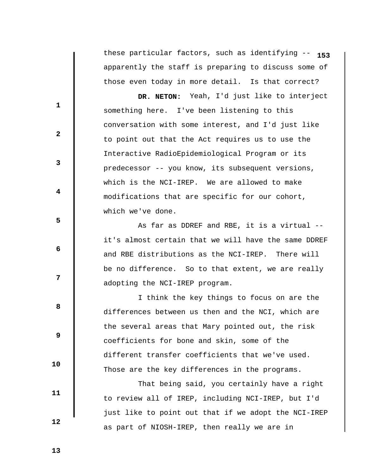these particular factors, such as identifying -- **153** apparently the staff is preparing to discuss some of those even today in more detail. Is that correct?

 **DR. NETON:** Yeah, I'd just like to interject something here. I've been listening to this conversation with some interest, and I'd just like to point out that the Act requires us to use the Interactive RadioEpidemiological Program or its predecessor -- you know, its subsequent versions, which is the NCI-IREP. We are allowed to make modifications that are specific for our cohort, which we've done.

 As far as DDREF and RBE, it is a virtual - it's almost certain that we will have the same DDREF and RBE distributions as the NCI-IREP. There will be no difference. So to that extent, we are really adopting the NCI-IREP program.

 I think the key things to focus on are the differences between us then and the NCI, which are the several areas that Mary pointed out, the risk coefficients for bone and skin, some of the different transfer coefficients that we've used. Those are the key differences in the programs.

 That being said, you certainly have a right to review all of IREP, including NCI-IREP, but I'd just like to point out that if we adopt the NCI-IREP as part of NIOSH-IREP, then really we are in

 **10** 

**1** 

**2** 

**3** 

**4** 

**5** 

 **6** 

**12** 

**8 8** 

 **9** 

 **11** 

 **12**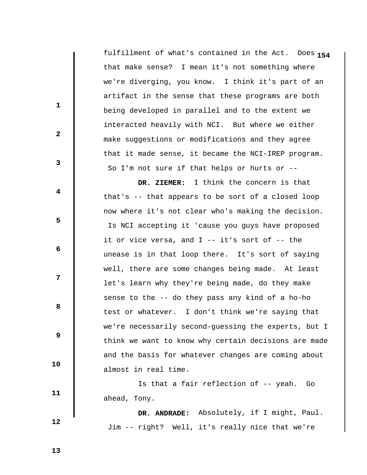**1** fulfillment of what's contained in the Act. Does **54** that make sense? I mean it's not something where we're diverging, you know. I think it's part of an artifact in the sense that these programs are both being developed in parallel and to the extent we interacted heavily with NCI. But where we either make suggestions or modifications and they agree that it made sense, it became the NCI-IREP program. So I'm not sure if that helps or hurts or --

 **DR. ZIEMER:** I think the concern is that that's -- that appears to be sort of a closed loop now where it's not clear who's making the decision. Is NCI accepting it 'cause you guys have proposed it or vice versa, and I -- it's sort of -- the unease is in that loop there. It's sort of saying well, there are some changes being made. At least let's learn why they're being made, do they make sense to the -- do they pass any kind of a ho-ho test or whatever. I don't think we're saying that we're necessarily second-guessing the experts, but I think we want to know why certain decisions are made and the basis for whatever changes are coming about almost in real time.

 Is that a fair reflection of -- yeah. Go ahead, Tony.

 **DR. ANDRADE:** Absolutely, if I might, Paul. Jim -- right? Well, it's really nice that we're

 **13** 

**1** 

**2** 

**3** 

**4** 

**5** 

 **6** 

**12** 

**8 8** 

 **9** 

 **10** 

 **11**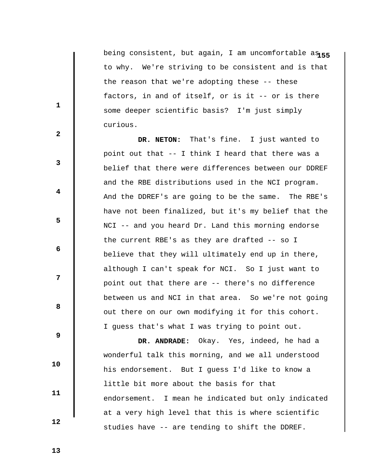being consistent, but again, I am uncomfortable a $_{155}$ to why. We're striving to be consistent and is that the reason that we're adopting these -- these factors, in and of itself, or is it -- or is there some deeper scientific basis? I'm just simply curious.

 **DR. NETON:** That's fine. I just wanted to point out that -- I think I heard that there was a belief that there were differences between our DDREF and the RBE distributions used in the NCI program. And the DDREF's are going to be the same. The RBE's have not been finalized, but it's my belief that the NCI -- and you heard Dr. Land this morning endorse the current RBE's as they are drafted -- so I believe that they will ultimately end up in there, although I can't speak for NCI. So I just want to point out that there are -- there's no difference between us and NCI in that area. So we're not going out there on our own modifying it for this cohort. I guess that's what I was trying to point out.

 **9 10 11 12 DR. ANDRADE:** Okay. Yes, indeed, he had a wonderful talk this morning, and we all understood his endorsement. But I guess I'd like to know a little bit more about the basis for that endorsement. I mean he indicated but only indicated at a very high level that this is where scientific studies have -- are tending to shift the DDREF.

 **13** 

**1** 

**2** 

**3** 

**4** 

**5** 

**6 6** 

**12**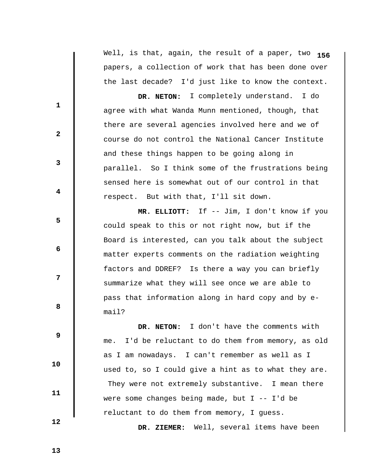Well, is that, again, the result of a paper, two **156** papers, a collection of work that has been done over the last decade? I'd just like to know the context.

 **DR. NETON:** I completely understand. I do agree with what Wanda Munn mentioned, though, that there are several agencies involved here and we of course do not control the National Cancer Institute and these things happen to be going along in parallel. So I think some of the frustrations being sensed here is somewhat out of our control in that respect. But with that, I'll sit down.

 **MR. ELLIOTT:** If -- Jim, I don't know if you could speak to this or not right now, but if the Board is interested, can you talk about the subject matter experts comments on the radiation weighting factors and DDREF? Is there a way you can briefly summarize what they will see once we are able to pass that information along in hard copy and by email?

 **DR. NETON:** I don't have the comments with me. I'd be reluctant to do them from memory, as old as I am nowadays. I can't remember as well as I used to, so I could give a hint as to what they are. They were not extremely substantive. I mean there were some changes being made, but  $I$  --  $I'$ d be reluctant to do them from memory, I guess.

 **DR. ZIEMER:** Well, several items have been

 **13** 

 **12** 

 **10** 

 **11** 

**1** 

**2** 

**3** 

**4** 

**5** 

**6 6** 

**12** 

**8 8**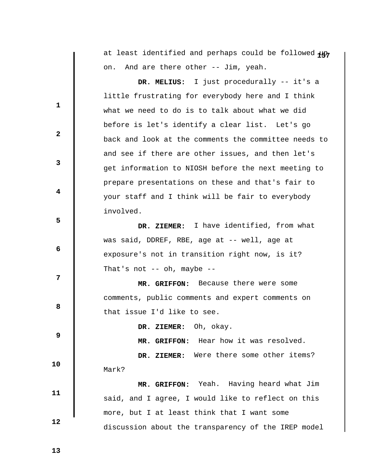|  |                                       |  |  | at least identified and perhaps could be followed up |  |
|--|---------------------------------------|--|--|------------------------------------------------------|--|
|  | on. And are there other -- Jim, yeah. |  |  |                                                      |  |

 **DR. MELIUS:** I just procedurally -- it's a little frustrating for everybody here and I think what we need to do is to talk about what we did before is let's identify a clear list. Let's go back and look at the comments the committee needs to and see if there are other issues, and then let's get information to NIOSH before the next meeting to prepare presentations on these and that's fair to your staff and I think will be fair to everybody involved.

 **DR. ZIEMER:** I have identified, from what was said, DDREF, RBE, age at -- well, age at exposure's not in transition right now, is it? That's not -- oh, maybe --

 **MR. GRIFFON:** Because there were some comments, public comments and expert comments on that issue I'd like to see.

 **DR. ZIEMER:** Oh, okay.

 **MR. GRIFFON:** Hear how it was resolved.

 **DR. ZIEMER:** Were there some other items?

Mark?

 **MR. GRIFFON:** Yeah. Having heard what Jim said, and I agree, I would like to reflect on this more, but I at least think that I want some discussion about the transparency of the IREP model

 **13** 

**1** 

**2** 

**3** 

**4** 

**5** 

 **6** 

**12** 

**8 8** 

 **9** 

 **10** 

 **11**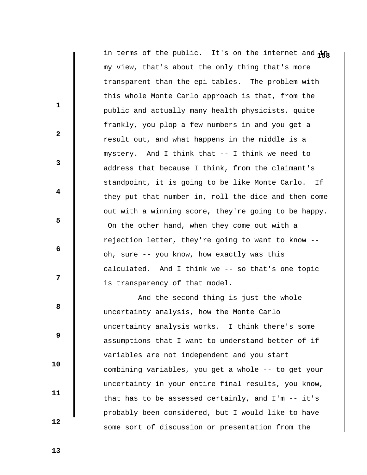in terms of the public. It's on the internet and  $\frac{1}{48}$ my view, that's about the only thing that's more transparent than the epi tables. The problem with this whole Monte Carlo approach is that, from the public and actually many health physicists, quite frankly, you plop a few numbers in and you get a result out, and what happens in the middle is a mystery. And I think that -- I think we need to address that because I think, from the claimant's standpoint, it is going to be like Monte Carlo. If they put that number in, roll the dice and then come out with a winning score, they're going to be happy. On the other hand, when they come out with a rejection letter, they're going to want to know - oh, sure -- you know, how exactly was this calculated. And I think we -- so that's one topic is transparency of that model.

 And the second thing is just the whole uncertainty analysis, how the Monte Carlo uncertainty analysis works. I think there's some assumptions that I want to understand better of if variables are not independent and you start combining variables, you get a whole -- to get your uncertainty in your entire final results, you know, that has to be assessed certainly, and I'm -- it's probably been considered, but I would like to have some sort of discussion or presentation from the

 **13** 

 **10** 

 **11** 

 **12** 

**1** 

**2** 

**3** 

**4** 

**5** 

 **6** 

**12** 

**8 8**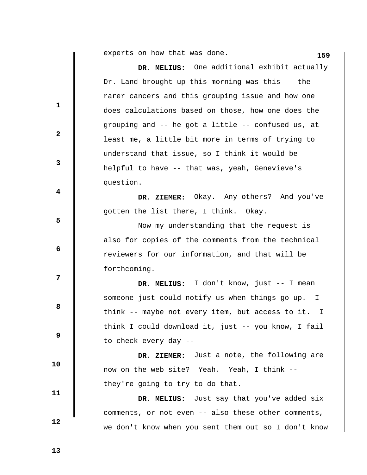experts on how that was done. **159** 

 $\mathbf{I}$ 

|                         | DR. MELIUS: One additional exhibit actually          |
|-------------------------|------------------------------------------------------|
|                         | Dr. Land brought up this morning was this -- the     |
|                         | rarer cancers and this grouping issue and how one    |
| $\mathbf{1}$            | does calculations based on those, how one does the   |
|                         | grouping and -- he got a little -- confused us, at   |
| $\mathbf{2}$            | least me, a little bit more in terms of trying to    |
|                         | understand that issue, so I think it would be        |
| $\mathbf{3}$            | helpful to have -- that was, yeah, Genevieve's       |
|                         | question.                                            |
| $\overline{\mathbf{4}}$ | DR. ZIEMER: Okay. Any others? And you've             |
|                         | gotten the list there, I think. Okay.                |
| 5                       | Now my understanding that the request is             |
|                         | also for copies of the comments from the technical   |
| 6                       | reviewers for our information, and that will be      |
|                         | forthcoming.                                         |
| 7                       | DR. MELIUS: I don't know, just -- I mean             |
|                         | someone just could notify us when things go up. I    |
| 8                       | think -- maybe not every item, but access to it. I   |
|                         | think I could download it, just -- you know, I fail  |
| 9                       | to check every day --                                |
|                         | DR. ZIEMER: Just a note, the following are           |
| 10                      | now on the web site? Yeah. Yeah, I think --          |
|                         | they're going to try to do that.                     |
| 11                      | DR. MELIUS: Just say that you've added six           |
|                         | comments, or not even -- also these other comments,  |
| 12                      | we don't know when you sent them out so I don't know |
|                         |                                                      |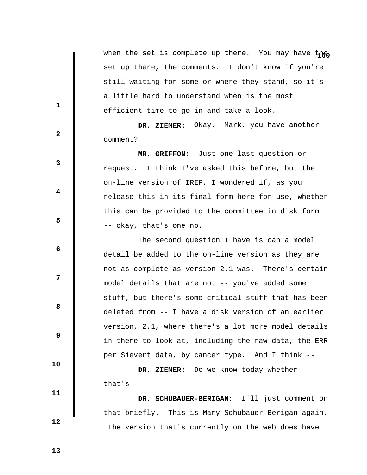when the set is complete up there. You may have then set up there, the comments. I don't know if you're still waiting for some or where they stand, so it's a little hard to understand when is the most efficient time to go in and take a look.

 **DR. ZIEMER:** Okay. Mark, you have another comment?

 **MR. GRIFFON:** Just one last question or request. I think I've asked this before, but the on-line version of IREP, I wondered if, as you release this in its final form here for use, whether this can be provided to the committee in disk form -- okay, that's one no.

 The second question I have is can a model detail be added to the on-line version as they are not as complete as version 2.1 was. There's certain model details that are not -- you've added some stuff, but there's some critical stuff that has been deleted from -- I have a disk version of an earlier version, 2.1, where there's a lot more model details in there to look at, including the raw data, the ERR per Sievert data, by cancer type. And I think --

 **DR. ZIEMER:** Do we know today whether that's  $-$ 

 **DR. SCHUBAUER-BERIGAN:** I'll just comment on that briefly. This is Mary Schubauer-Berigan again. The version that's currently on the web does have

 **13** 

**1** 

**3** 

**4** 

**5** 

 **6** 

**12** 

**8 8** 

 **9** 

 **10** 

 **11** 

 **12**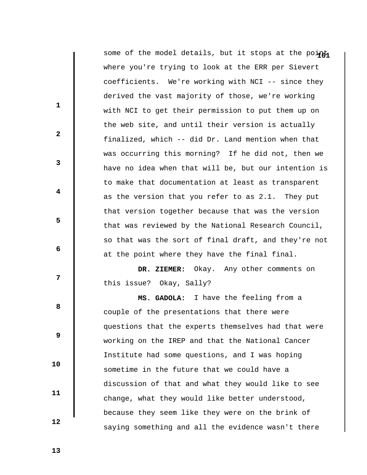some of the model details, but it stops at the point where you're trying to look at the ERR per Sievert coefficients. We're working with NCI -- since they derived the vast majority of those, we're working with NCI to get their permission to put them up on the web site, and until their version is actually finalized, which -- did Dr. Land mention when that was occurring this morning? If he did not, then we have no idea when that will be, but our intention is to make that documentation at least as transparent as the version that you refer to as 2.1. They put that version together because that was the version that was reviewed by the National Research Council, so that was the sort of final draft, and they're not at the point where they have the final final.

 **DR. ZIEMER:** Okay. Any other comments on this issue? Okay, Sally?

 **MS. GADOLA:** I have the feeling from a couple of the presentations that there were questions that the experts themselves had that were working on the IREP and that the National Cancer Institute had some questions, and I was hoping sometime in the future that we could have a discussion of that and what they would like to see change, what they would like better understood, because they seem like they were on the brink of saying something and all the evidence wasn't there

 **13** 

**1** 

**2** 

**3** 

**4** 

**5** 

 **6** 

**12** 

**8 8** 

 **9** 

 **10** 

 **11**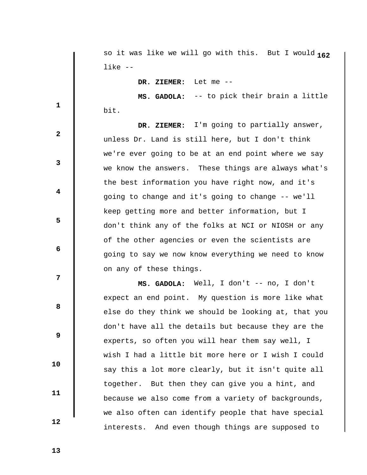**1** so it was like we will go with this. But I would **62** like --

 **DR. ZIEMER:** Let me --

 **MS. GADOLA:** -- to pick their brain a little bit.

 **DR. ZIEMER:** I'm going to partially answer, unless Dr. Land is still here, but I don't think we're ever going to be at an end point where we say we know the answers. These things are always what's the best information you have right now, and it's going to change and it's going to change -- we'll keep getting more and better information, but I don't think any of the folks at NCI or NIOSH or any of the other agencies or even the scientists are going to say we now know everything we need to know on any of these things.

 **MS. GADOLA:** Well, I don't -- no, I don't expect an end point. My question is more like what else do they think we should be looking at, that you don't have all the details but because they are the experts, so often you will hear them say well, I wish I had a little bit more here or I wish I could say this a lot more clearly, but it isn't quite all together. But then they can give you a hint, and because we also come from a variety of backgrounds, we also often can identify people that have special interests. And even though things are supposed to

 **13** 

 **10** 

 **11** 

 **12** 

**1** 

**3** 

**4** 

**5** 

**6 6** 

**12** 

**8 8** 

 **9**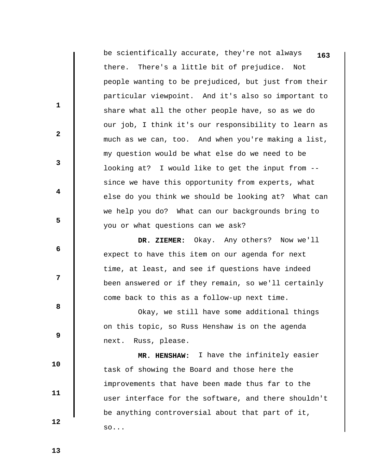be scientifically accurate, they're not always **163** there. There's a little bit of prejudice. Not people wanting to be prejudiced, but just from their particular viewpoint. And it's also so important to share what all the other people have, so as we do our job, I think it's our responsibility to learn as much as we can, too. And when you're making a list, my question would be what else do we need to be looking at? I would like to get the input from - since we have this opportunity from experts, what else do you think we should be looking at? What can we help you do? What can our backgrounds bring to you or what questions can we ask?

 **DR. ZIEMER:** Okay. Any others? Now we'll expect to have this item on our agenda for next time, at least, and see if questions have indeed been answered or if they remain, so we'll certainly come back to this as a follow-up next time.

 Okay, we still have some additional things on this topic, so Russ Henshaw is on the agenda next. Russ, please.

 **MR. HENSHAW:** I have the infinitely easier task of showing the Board and those here the improvements that have been made thus far to the user interface for the software, and there shouldn't be anything controversial about that part of it, so...

 **13** 

 **10** 

 **11** 

 **12** 

**1** 

**2** 

**3** 

**4** 

**5** 

**6 6** 

**12** 

**8 8**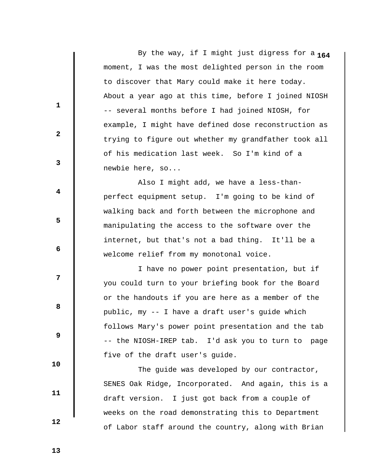**1** By the way, if I might just digress for a **64** moment, I was the most delighted person in the room to discover that Mary could make it here today. About a year ago at this time, before I joined NIOSH -- several months before I had joined NIOSH, for example, I might have defined dose reconstruction as trying to figure out whether my grandfather took all of his medication last week. So I'm kind of a newbie here, so...

 Also I might add, we have a less-thanperfect equipment setup. I'm going to be kind of walking back and forth between the microphone and manipulating the access to the software over the internet, but that's not a bad thing. It'll be a welcome relief from my monotonal voice.

 I have no power point presentation, but if you could turn to your briefing book for the Board or the handouts if you are here as a member of the public, my -- I have a draft user's guide which follows Mary's power point presentation and the tab -- the NIOSH-IREP tab. I'd ask you to turn to page five of the draft user's guide.

 The guide was developed by our contractor, SENES Oak Ridge, Incorporated. And again, this is a draft version. I just got back from a couple of weeks on the road demonstrating this to Department of Labor staff around the country, along with Brian

 **13** 

 **10** 

 **11** 

 **12** 

**1** 

**2** 

**3** 

**4** 

**5** 

 **6** 

**12** 

**8 8**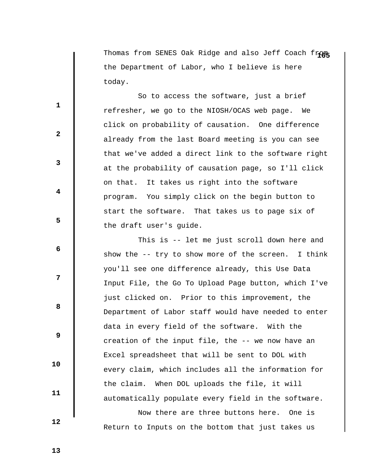Thomas from SENES Oak Ridge and also Jeff Coach from the Department of Labor, who I believe is here today.

 So to access the software, just a brief refresher, we go to the NIOSH/OCAS web page. We click on probability of causation. One difference already from the last Board meeting is you can see that we've added a direct link to the software right at the probability of causation page, so I'll click on that. It takes us right into the software program. You simply click on the begin button to start the software. That takes us to page six of the draft user's guide.

 This is -- let me just scroll down here and show the -- try to show more of the screen. I think you'll see one difference already, this Use Data Input File, the Go To Upload Page button, which I've just clicked on. Prior to this improvement, the Department of Labor staff would have needed to enter data in every field of the software. With the creation of the input file, the -- we now have an Excel spreadsheet that will be sent to DOL with every claim, which includes all the information for the claim. When DOL uploads the file, it will automatically populate every field in the software.

 Now there are three buttons here. One is Return to Inputs on the bottom that just takes us

 **13** 

 **10** 

 **11** 

 **12** 

**1** 

**2** 

**3** 

**4** 

**5** 

 **6** 

**12** 

**8 8**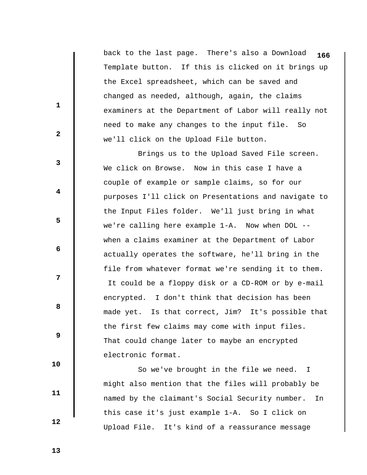back to the last page. There's also a Download **166** Template button. If this is clicked on it brings up the Excel spreadsheet, which can be saved and changed as needed, although, again, the claims examiners at the Department of Labor will really not need to make any changes to the input file. So we'll click on the Upload File button.

 Brings us to the Upload Saved File screen. We click on Browse. Now in this case I have a couple of example or sample claims, so for our purposes I'll click on Presentations and navigate to the Input Files folder. We'll just bring in what we're calling here example 1-A. Now when DOL - when a claims examiner at the Department of Labor actually operates the software, he'll bring in the file from whatever format we're sending it to them. It could be a floppy disk or a CD-ROM or by e-mail encrypted. I don't think that decision has been made yet. Is that correct, Jim? It's possible that the first few claims may come with input files. That could change later to maybe an encrypted electronic format.

 So we've brought in the file we need. I might also mention that the files will probably be named by the claimant's Social Security number. In this case it's just example 1-A. So I click on Upload File. It's kind of a reassurance message

 **13** 

 **10** 

 **11** 

 **12** 

**1** 

**2** 

**3** 

**4** 

**5** 

**6 6** 

**12** 

**8 8**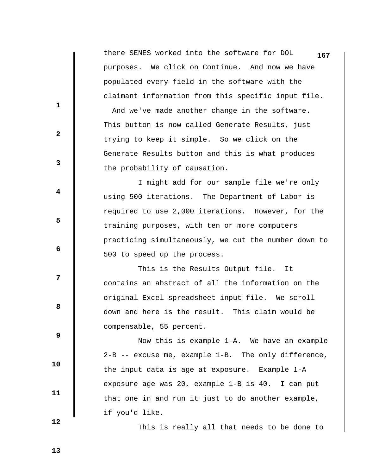|                         | there SENES worked into the software for DOL<br>167      |
|-------------------------|----------------------------------------------------------|
|                         | purposes. We click on Continue. And now we have          |
|                         | populated every field in the software with the           |
|                         | claimant information from this specific input file.      |
| 1                       | And we've made another change in the software.           |
|                         | This button is now called Generate Results, just         |
| $\mathbf{2}$            | trying to keep it simple. So we click on the             |
|                         | Generate Results button and this is what produces        |
| $\mathbf{3}$            | the probability of causation.                            |
|                         | I might add for our sample file we're only               |
| $\overline{\mathbf{4}}$ | using 500 iterations. The Department of Labor is         |
|                         | required to use 2,000 iterations. However, for the       |
| 5                       | training purposes, with ten or more computers            |
|                         | practicing simultaneously, we cut the number down to     |
| 6                       | 500 to speed up the process.                             |
|                         | This is the Results Output file.<br>It                   |
| 7                       | contains an abstract of all the information on the       |
|                         | original Excel spreadsheet input file. We scroll         |
| 8                       | down and here is the result. This claim would be         |
|                         | compensable, 55 percent.                                 |
| $\boldsymbol{9}$        | Now this is example 1-A. We have an example              |
|                         | $2-B$ -- excuse me, example $1-B$ . The only difference, |
| 10                      | the input data is age at exposure. Example 1-A           |
|                         | exposure age was 20, example 1-B is 40. I can put        |
| 11                      | that one in and run it just to do another example,       |
|                         | if you'd like.                                           |
| 12                      |                                                          |

This is really all that needs to be done to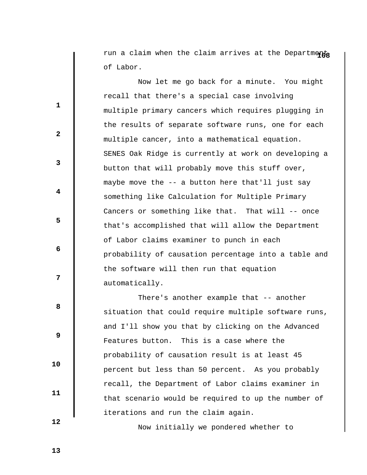run a claim when the claim arrives at the Departments of Labor.

 Now let me go back for a minute. You might recall that there's a special case involving multiple primary cancers which requires plugging in the results of separate software runs, one for each multiple cancer, into a mathematical equation. SENES Oak Ridge is currently at work on developing a button that will probably move this stuff over, maybe move the -- a button here that'll just say something like Calculation for Multiple Primary Cancers or something like that. That will -- once that's accomplished that will allow the Department of Labor claims examiner to punch in each probability of causation percentage into a table and the software will then run that equation automatically.

 There's another example that -- another situation that could require multiple software runs, and I'll show you that by clicking on the Advanced Features button. This is a case where the probability of causation result is at least 45 percent but less than 50 percent. As you probably recall, the Department of Labor claims examiner in that scenario would be required to up the number of iterations and run the claim again.

Now initially we pondered whether to

 **12** 

 **10** 

 **11** 

**1** 

**2** 

**3** 

**4** 

**5** 

**6 6** 

**12** 

**8 8**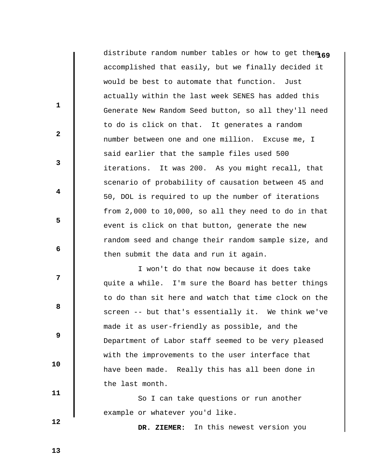distribute random number tables or how to get them 69 accomplished that easily, but we finally decided it would be best to automate that function. Just actually within the last week SENES has added this Generate New Random Seed button, so all they'll need to do is click on that. It generates a random number between one and one million. Excuse me, I said earlier that the sample files used 500 iterations. It was 200. As you might recall, that scenario of probability of causation between 45 and 50, DOL is required to up the number of iterations from 2,000 to 10,000, so all they need to do in that event is click on that button, generate the new random seed and change their random sample size, and then submit the data and run it again.

 I won't do that now because it does take quite a while. I'm sure the Board has better things to do than sit here and watch that time clock on the screen -- but that's essentially it. We think we've made it as user-friendly as possible, and the Department of Labor staff seemed to be very pleased with the improvements to the user interface that have been made. Really this has all been done in the last month.

 So I can take questions or run another example or whatever you'd like.

 **DR. ZIEMER:** In this newest version you

 **12** 

 **10** 

 **11** 

**1** 

**3** 

**4** 

**5** 

 **6** 

**12** 

**8 8** 

 **9** 

 **2**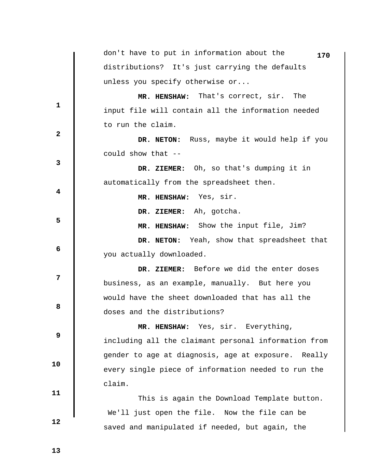don't have to put in information about the **170** distributions? It's just carrying the defaults unless you specify otherwise or... **1 2 3 4 5 6 12 8 8 9 10 11 12 MR. HENSHAW:** That's correct, sir. The input file will contain all the information needed to run the claim.  **DR. NETON:** Russ, maybe it would help if you could show that --  **DR. ZIEMER:** Oh, so that's dumping it in automatically from the spreadsheet then.  **MR. HENSHAW:** Yes, sir.  **DR. ZIEMER:** Ah, gotcha.  **MR. HENSHAW:** Show the input file, Jim?  **DR. NETON:** Yeah, show that spreadsheet that you actually downloaded.  **DR. ZIEMER:** Before we did the enter doses business, as an example, manually. But here you would have the sheet downloaded that has all the doses and the distributions?  **MR. HENSHAW:** Yes, sir. Everything, including all the claimant personal information from gender to age at diagnosis, age at exposure. Really every single piece of information needed to run the claim. This is again the Download Template button. We'll just open the file. Now the file can be saved and manipulated if needed, but again, the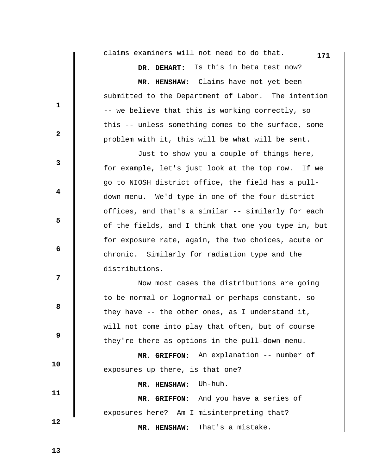**171** claims examiners will not need to do that.

 **DR. DEHART:** Is this in beta test now?

 **MR. HENSHAW:** Claims have not yet been submitted to the Department of Labor. The intention -- we believe that this is working correctly, so this -- unless something comes to the surface, some problem with it, this will be what will be sent.

 Just to show you a couple of things here, for example, let's just look at the top row. If we go to NIOSH district office, the field has a pulldown menu. We'd type in one of the four district offices, and that's a similar -- similarly for each of the fields, and I think that one you type in, but for exposure rate, again, the two choices, acute or chronic. Similarly for radiation type and the distributions.

 Now most cases the distributions are going to be normal or lognormal or perhaps constant, so they have -- the other ones, as I understand it, will not come into play that often, but of course they're there as options in the pull-down menu.

 **MR. GRIFFON:** An explanation -- number of exposures up there, is that one?  **MR. HENSHAW:** Uh-huh.  **MR. GRIFFON:** And you have a series of

exposures here? Am I misinterpreting that?  **MR. HENSHAW:** That's a mistake.

 **13** 

 **10** 

 **11** 

 **12** 

**1** 

**2** 

**3** 

**4** 

**5** 

 **6** 

**12** 

**8 8**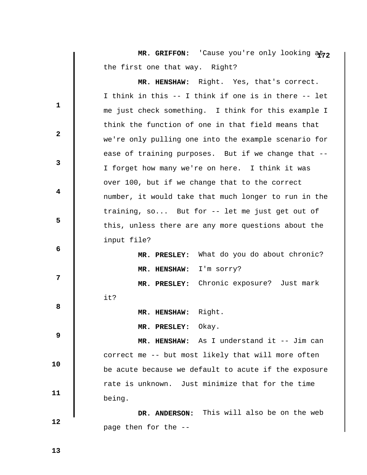MR. GRIFFON: 'Cause you're only looking at<sub>72</sub> the first one that way. Right?

**1 2 3 4 5 6 12 8 8 9 10 11 MR. HENSHAW:** Right. Yes, that's correct. I think in this -- I think if one is in there -- let me just check something. I think for this example I think the function of one in that field means that we're only pulling one into the example scenario for ease of training purposes. But if we change that -- I forget how many we're on here. I think it was over 100, but if we change that to the correct number, it would take that much longer to run in the training, so... But for -- let me just get out of this, unless there are any more questions about the input file?  **MR. PRESLEY:** What do you do about chronic?  **MR. HENSHAW:** I'm sorry?  **MR. PRESLEY:** Chronic exposure? Just mark it?  **MR. HENSHAW:** Right.  **MR. PRESLEY:** Okay.  **MR. HENSHAW:** As I understand it -- Jim can correct me -- but most likely that will more often be acute because we default to acute if the exposure rate is unknown. Just minimize that for the time being.  **DR. ANDERSON:** This will also be on the web

 **12** 

page then for the --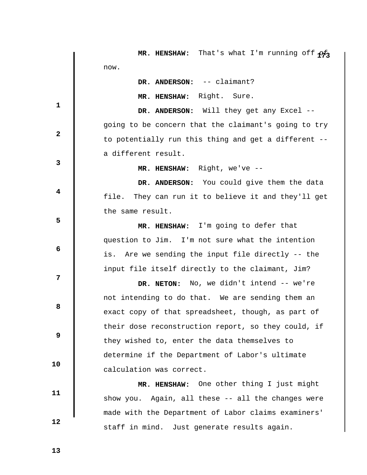|              | MR. HENSHAW: That's what I'm running off $\phi f_3$  |
|--------------|------------------------------------------------------|
|              | now.                                                 |
|              | DR. ANDERSON: -- claimant?                           |
|              | MR. HENSHAW: Right. Sure.                            |
| 1            | DR. ANDERSON: Will they get any Excel --             |
|              | going to be concern that the claimant's going to try |
| $\mathbf{2}$ | to potentially run this thing and get a different -- |
|              | a different result.                                  |
| 3            | MR. HENSHAW: Right, we've --                         |
|              | DR. ANDERSON: You could give them the data           |
| 4            | file. They can run it to believe it and they'll get  |
|              | the same result.                                     |
| 5            | MR. HENSHAW: I'm going to defer that                 |
|              | question to Jim. I'm not sure what the intention     |
| 6            | is. Are we sending the input file directly -- the    |
|              | input file itself directly to the claimant, Jim?     |
| 7            | DR. NETON: No, we didn't intend -- we're             |
|              | not intending to do that. We are sending them an     |
| 8            | exact copy of that spreadsheet, though, as part of   |
|              | their dose reconstruction report, so they could, if  |
| 9            | they wished to, enter the data themselves to         |
|              | determine if the Department of Labor's ultimate      |
| 10           | calculation was correct.                             |
|              | MR. HENSHAW: One other thing I just might            |
| 11           | show you. Again, all these -- all the changes were   |
|              | made with the Department of Labor claims examiners'  |
| 12           | staff in mind. Just generate results again.          |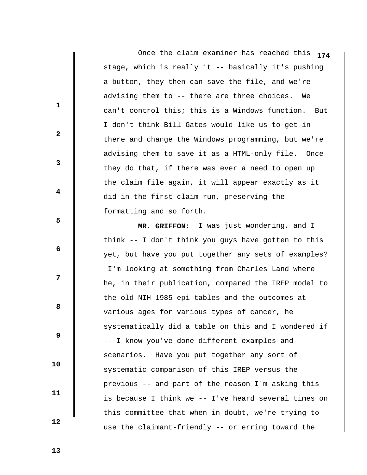Once the claim examiner has reached this **174** stage, which is really it -- basically it's pushing a button, they then can save the file, and we're advising them to -- there are three choices. We can't control this; this is a Windows function. But I don't think Bill Gates would like us to get in there and change the Windows programming, but we're advising them to save it as a HTML-only file. Once they do that, if there was ever a need to open up the claim file again, it will appear exactly as it did in the first claim run, preserving the formatting and so forth.

 **MR. GRIFFON:** I was just wondering, and I think -- I don't think you guys have gotten to this yet, but have you put together any sets of examples? I'm looking at something from Charles Land where he, in their publication, compared the IREP model to the old NIH 1985 epi tables and the outcomes at various ages for various types of cancer, he systematically did a table on this and I wondered if -- I know you've done different examples and scenarios. Have you put together any sort of systematic comparison of this IREP versus the previous -- and part of the reason I'm asking this is because I think we -- I've heard several times on this committee that when in doubt, we're trying to use the claimant-friendly -- or erring toward the

 **13** 

**1** 

**2** 

**3** 

**4** 

**5** 

**6 6** 

**12** 

**8 8** 

 **9** 

 **10** 

 **11**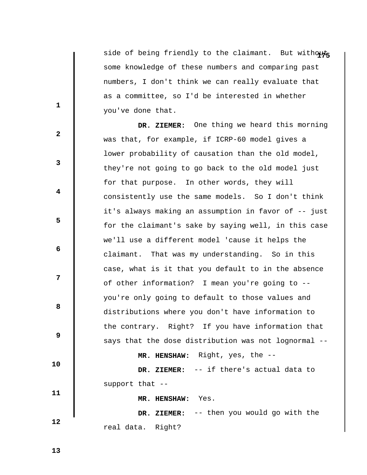side of being friendly to the claimant. But withouts some knowledge of these numbers and comparing past numbers, I don't think we can really evaluate that as a committee, so I'd be interested in whether you've done that.

 **DR. ZIEMER:** One thing we heard this morning was that, for example, if ICRP-60 model gives a lower probability of causation than the old model, they're not going to go back to the old model just for that purpose. In other words, they will consistently use the same models. So I don't think it's always making an assumption in favor of -- just for the claimant's sake by saying well, in this case we'll use a different model 'cause it helps the claimant. That was my understanding. So in this case, what is it that you default to in the absence of other information? I mean you're going to - you're only going to default to those values and distributions where you don't have information to the contrary. Right? If you have information that says that the dose distribution was not lognormal --  **MR. HENSHAW:** Right, yes, the --  **DR. ZIEMER:** -- if there's actual data to support that --  **MR. HENSHAW:** Yes.

 **DR. ZIEMER:** -- then you would go with the

real data. Right?

 **13** 

 **10** 

 **11** 

 **12** 

**1** 

**2** 

**3** 

**4** 

**5** 

**6 6** 

**12** 

**8 8**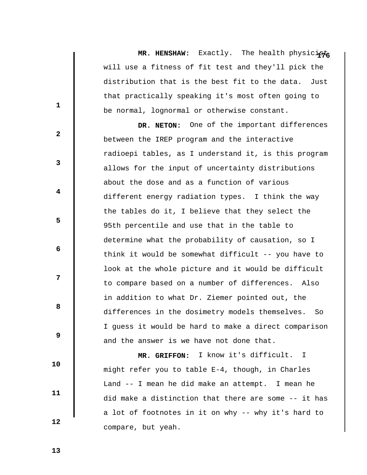MR. HENSHAW: Exactly. The health physici<sub>1976</sub> will use a fitness of fit test and they'll pick the distribution that is the best fit to the data. Just that practically speaking it's most often going to be normal, lognormal or otherwise constant.

 **DR. NETON:** One of the important differences between the IREP program and the interactive radioepi tables, as I understand it, is this program allows for the input of uncertainty distributions about the dose and as a function of various different energy radiation types. I think the way the tables do it, I believe that they select the 95th percentile and use that in the table to determine what the probability of causation, so I think it would be somewhat difficult -- you have to look at the whole picture and it would be difficult to compare based on a number of differences. Also in addition to what Dr. Ziemer pointed out, the differences in the dosimetry models themselves. So I guess it would be hard to make a direct comparison and the answer is we have not done that.

 **MR. GRIFFON:** I know it's difficult. I might refer you to table E-4, though, in Charles Land -- I mean he did make an attempt. I mean he did make a distinction that there are some -- it has a lot of footnotes in it on why -- why it's hard to compare, but yeah.

 **13** 

 **10** 

 **11** 

 **12** 

**1** 

**3** 

**4** 

**5** 

 **6** 

**12** 

**8 8** 

 **9**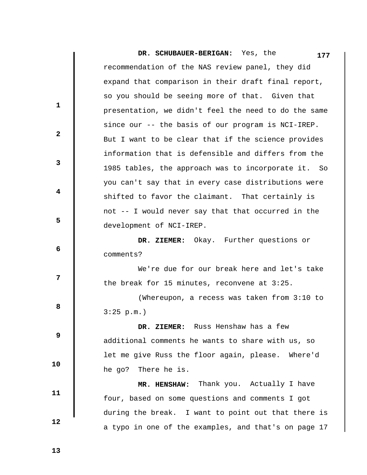**DR. SCHUBAUER-BERIGAN:** Yes, the recommendation of the NAS review panel, they did expand that comparison in their draft final report, so you should be seeing more of that. Given that presentation, we didn't feel the need to do the same since our -- the basis of our program is NCI-IREP. But I want to be clear that if the science provides information that is defensible and differs from the 1985 tables, the approach was to incorporate it. So you can't say that in every case distributions were shifted to favor the claimant. That certainly is not -- I would never say that that occurred in the development of NCI-IREP. **1 2 3 4 5 6 12 8 8 9 10 11 12 177 DR. ZIEMER:** Okay. Further questions or comments? We're due for our break here and let's take the break for 15 minutes, reconvene at 3:25. (Whereupon, a recess was taken from 3:10 to 3:25 p.m.)  **DR. ZIEMER:** Russ Henshaw has a few additional comments he wants to share with us, so let me give Russ the floor again, please. Where'd he go? There he is.  **MR. HENSHAW:** Thank you. Actually I have four, based on some questions and comments I got during the break. I want to point out that there is

a typo in one of the examples, and that's on page 17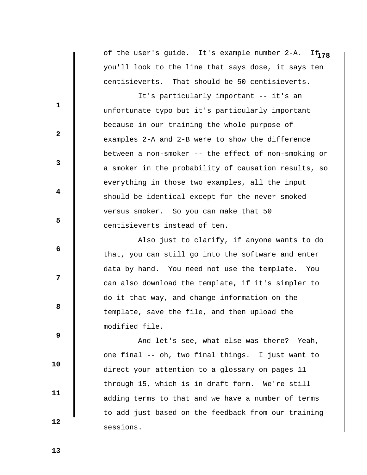of the user's guide. It's example number 2-A. If $_{\rm 178}$ you'll look to the line that says dose, it says ten centisieverts. That should be 50 centisieverts.

 It's particularly important -- it's an unfortunate typo but it's particularly important because in our training the whole purpose of examples 2-A and 2-B were to show the difference between a non-smoker -- the effect of non-smoking or a smoker in the probability of causation results, so everything in those two examples, all the input should be identical except for the never smoked versus smoker. So you can make that 50 centisieverts instead of ten.

 Also just to clarify, if anyone wants to do that, you can still go into the software and enter data by hand. You need not use the template. You can also download the template, if it's simpler to do it that way, and change information on the template, save the file, and then upload the modified file.

 And let's see, what else was there? Yeah, one final -- oh, two final things. I just want to direct your attention to a glossary on pages 11 through 15, which is in draft form. We're still adding terms to that and we have a number of terms to add just based on the feedback from our training sessions.

 **12** 

 **10** 

 **11** 

**1** 

**2** 

**3** 

**4** 

**5** 

 **6** 

**12** 

**8 8** 

 **9**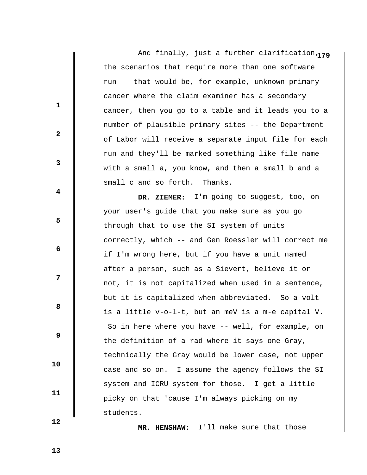And finally, just a further clarification 179 the scenarios that require more than one software run -- that would be, for example, unknown primary cancer where the claim examiner has a secondary cancer, then you go to a table and it leads you to a number of plausible primary sites -- the Department of Labor will receive a separate input file for each run and they'll be marked something like file name with a small a, you know, and then a small b and a small c and so forth. Thanks.

 **DR. ZIEMER:** I'm going to suggest, too, on your user's guide that you make sure as you go through that to use the SI system of units correctly, which -- and Gen Roessler will correct me if I'm wrong here, but if you have a unit named after a person, such as a Sievert, believe it or not, it is not capitalized when used in a sentence, but it is capitalized when abbreviated. So a volt is a little v-o-l-t, but an meV is a m-e capital V. So in here where you have -- well, for example, on the definition of a rad where it says one Gray, technically the Gray would be lower case, not upper case and so on. I assume the agency follows the SI system and ICRU system for those. I get a little picky on that 'cause I'm always picking on my students.

 **MR. HENSHAW:** I'll make sure that those

 **12** 

 **10** 

 **11** 

**1** 

**2** 

**3** 

**4** 

**5** 

 **6** 

**12** 

**8 8** 

 **9**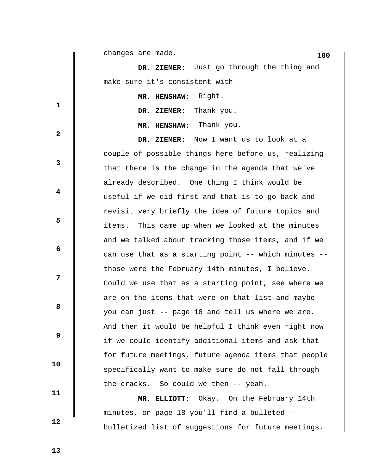|              | changes are made.<br>180                             |
|--------------|------------------------------------------------------|
|              | DR. ZIEMER: Just go through the thing and            |
|              | make sure it's consistent with --                    |
|              | MR. HENSHAW: Right.                                  |
| $\mathbf{1}$ | Thank you.<br>DR. ZIEMER:                            |
|              | MR. HENSHAW: Thank you.                              |
| $\mathbf{2}$ | Now I want us to look at a<br>DR. ZIEMER:            |
|              | couple of possible things here before us, realizing  |
| $\mathbf{3}$ | that there is the change in the agenda that we've    |
|              | already described. One thing I think would be        |
| 4            | useful if we did first and that is to go back and    |
|              | revisit very briefly the idea of future topics and   |
| 5            | This came up when we looked at the minutes<br>items. |
|              | and we talked about tracking those items, and if we  |
| 6            | can use that as a starting point -- which minutes -- |
|              | those were the February 14th minutes, I believe.     |
| 7            | Could we use that as a starting point, see where we  |
|              | are on the items that were on that list and maybe    |
| 8            | you can just -- page 18 and tell us where we are.    |
|              | And then it would be helpful I think even right now  |
| 9            | if we could identify additional items and ask that   |
|              | for future meetings, future agenda items that people |
| 10           | specifically want to make sure do not fall through   |
|              | the cracks. So could we then -- yeah.                |
| 11           | MR. ELLIOTT: Okay. On the February 14th              |
|              | minutes, on page 18 you'll find a bulleted --        |
| 12           | bulletized list of suggestions for future meetings.  |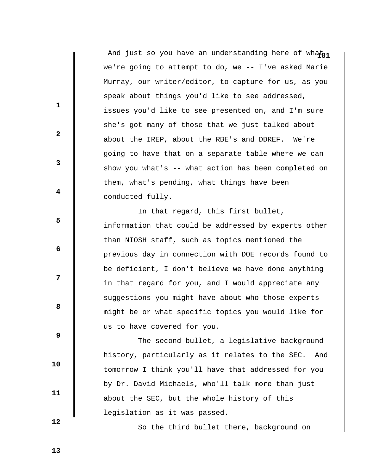And just so you have an understanding here of what<sub>21</sub> we're going to attempt to do, we -- I've asked Marie Murray, our writer/editor, to capture for us, as you speak about things you'd like to see addressed, issues you'd like to see presented on, and I'm sure she's got many of those that we just talked about about the IREP, about the RBE's and DDREF. We're going to have that on a separate table where we can show you what's -- what action has been completed on them, what's pending, what things have been conducted fully.

 In that regard, this first bullet, information that could be addressed by experts other than NIOSH staff, such as topics mentioned the previous day in connection with DOE records found to be deficient, I don't believe we have done anything in that regard for you, and I would appreciate any suggestions you might have about who those experts might be or what specific topics you would like for us to have covered for you.

 The second bullet, a legislative background history, particularly as it relates to the SEC. And tomorrow I think you'll have that addressed for you by Dr. David Michaels, who'll talk more than just about the SEC, but the whole history of this legislation as it was passed.

 **12** 

 **10** 

 **11** 

**1** 

**2** 

**3** 

**4** 

**5** 

 **6** 

**12** 

**8 8** 

 **9** 

So the third bullet there, background on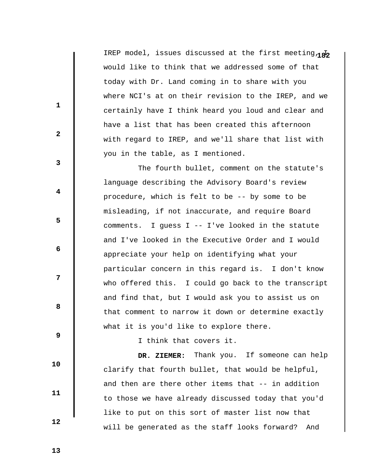IREP model, issues discussed at the first meeting  $\overline{AB}$ would like to think that we addressed some of that today with Dr. Land coming in to share with you where NCI's at on their revision to the IREP, and we certainly have I think heard you loud and clear and have a list that has been created this afternoon with regard to IREP, and we'll share that list with you in the table, as I mentioned.

 The fourth bullet, comment on the statute's language describing the Advisory Board's review procedure, which is felt to be -- by some to be misleading, if not inaccurate, and require Board comments. I guess I -- I've looked in the statute and I've looked in the Executive Order and I would appreciate your help on identifying what your particular concern in this regard is. I don't know who offered this. I could go back to the transcript and find that, but I would ask you to assist us on that comment to narrow it down or determine exactly what it is you'd like to explore there.

 **9** 

**1** 

**2** 

**3** 

**4** 

**5** 

 **6** 

**12** 

**8 8** 

 **10** 

 **11** 

 **12** 

 **DR. ZIEMER:** Thank you. If someone can help clarify that fourth bullet, that would be helpful, and then are there other items that -- in addition to those we have already discussed today that you'd like to put on this sort of master list now that will be generated as the staff looks forward? And

I think that covers it.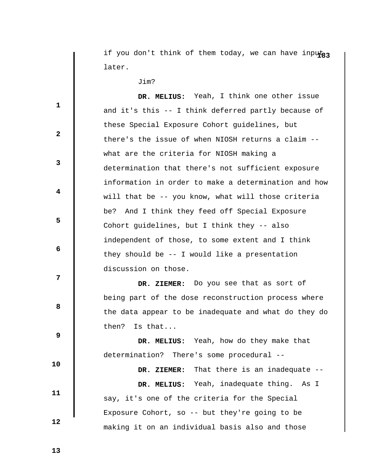if you don't think of them today, we can have inputa<sub>3</sub> later.

Jim?

 **DR. MELIUS:** Yeah, I think one other issue and it's this -- I think deferred partly because of these Special Exposure Cohort guidelines, but there's the issue of when NIOSH returns a claim - what are the criteria for NIOSH making a determination that there's not sufficient exposure information in order to make a determination and how will that be -- you know, what will those criteria be? And I think they feed off Special Exposure Cohort guidelines, but I think they -- also independent of those, to some extent and I think they should be -- I would like a presentation discussion on those.  **DR. ZIEMER:** Do you see that as sort of being part of the dose reconstruction process where the data appear to be inadequate and what do they do then? Is that...

 **DR. MELIUS:** Yeah, how do they make that determination? There's some procedural --

 **DR. ZIEMER:** That there is an inadequate --  **DR. MELIUS:** Yeah, inadequate thing. As I say, it's one of the criteria for the Special Exposure Cohort, so -- but they're going to be making it on an individual basis also and those

 **13** 

 **10** 

 **11** 

 **12** 

**1** 

**2** 

**3** 

**4** 

**5** 

 **6** 

**12** 

**8 8**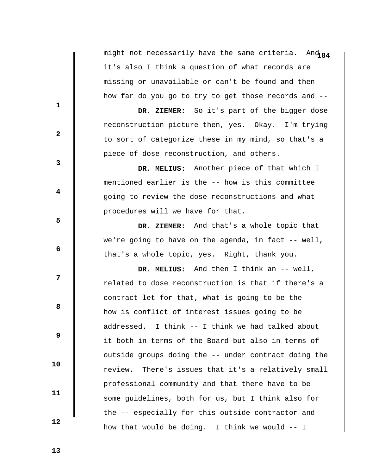might not necessarily have the same criteria. And 84 it's also I think a question of what records are missing or unavailable or can't be found and then how far do you go to try to get those records and --

 **DR. ZIEMER:** So it's part of the bigger dose reconstruction picture then, yes. Okay. I'm trying to sort of categorize these in my mind, so that's a piece of dose reconstruction, and others.

 **DR. MELIUS:** Another piece of that which I mentioned earlier is the -- how is this committee going to review the dose reconstructions and what procedures will we have for that.

 **DR. ZIEMER:** And that's a whole topic that we're going to have on the agenda, in fact -- well, that's a whole topic, yes. Right, thank you.

 **DR. MELIUS:** And then I think an -- well, related to dose reconstruction is that if there's a contract let for that, what is going to be the - how is conflict of interest issues going to be addressed. I think -- I think we had talked about it both in terms of the Board but also in terms of outside groups doing the -- under contract doing the review. There's issues that it's a relatively small professional community and that there have to be some guidelines, both for us, but I think also for the -- especially for this outside contractor and how that would be doing. I think we would -- I

 **13** 

 **10** 

 **11** 

 **12** 

**1** 

**3** 

**4** 

**5** 

 **6** 

**12** 

**8 8** 

 **9**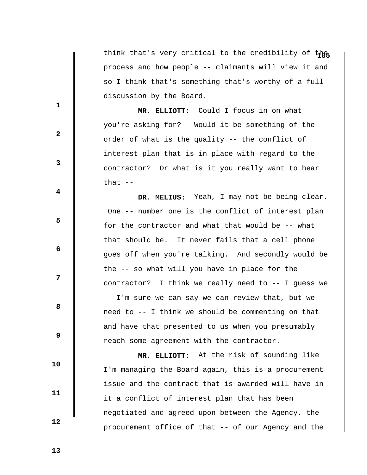think that's very critical to the credibility of the process and how people -- claimants will view it and so I think that's something that's worthy of a full discussion by the Board.

 **MR. ELLIOTT:** Could I focus in on what you're asking for? Would it be something of the order of what is the quality -- the conflict of interest plan that is in place with regard to the contractor? Or what is it you really want to hear that  $-$ 

 **DR. MELIUS:** Yeah, I may not be being clear. One -- number one is the conflict of interest plan for the contractor and what that would be -- what that should be. It never fails that a cell phone goes off when you're talking. And secondly would be the -- so what will you have in place for the contractor? I think we really need to -- I guess we -- I'm sure we can say we can review that, but we need to -- I think we should be commenting on that and have that presented to us when you presumably reach some agreement with the contractor.

 **MR. ELLIOTT:** At the risk of sounding like I'm managing the Board again, this is a procurement issue and the contract that is awarded will have in it a conflict of interest plan that has been negotiated and agreed upon between the Agency, the procurement office of that -- of our Agency and the

 **13** 

 **10** 

 **11** 

 **12** 

**1** 

**3** 

**4** 

**5** 

 **6** 

**12** 

**8 8** 

 **9**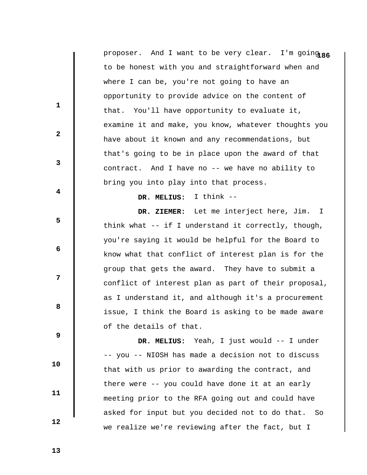proposer. And I want to be very clear. I'm going 86 to be honest with you and straightforward when and where I can be, you're not going to have an opportunity to provide advice on the content of that. You'll have opportunity to evaluate it, examine it and make, you know, whatever thoughts you have about it known and any recommendations, but that's going to be in place upon the award of that contract. And I have no -- we have no ability to bring you into play into that process.

 **DR. MELIUS:** I think --

 **DR. ZIEMER:** Let me interject here, Jim. I think what -- if I understand it correctly, though, you're saying it would be helpful for the Board to know what that conflict of interest plan is for the group that gets the award. They have to submit a conflict of interest plan as part of their proposal, as I understand it, and although it's a procurement issue, I think the Board is asking to be made aware of the details of that.

 **DR. MELIUS:** Yeah, I just would -- I under -- you -- NIOSH has made a decision not to discuss that with us prior to awarding the contract, and there were -- you could have done it at an early meeting prior to the RFA going out and could have asked for input but you decided not to do that. So we realize we're reviewing after the fact, but I

 **13** 

 **10** 

 **11** 

 **12** 

**1** 

**2** 

**3** 

**4** 

**5** 

 **6** 

**12** 

**8 8**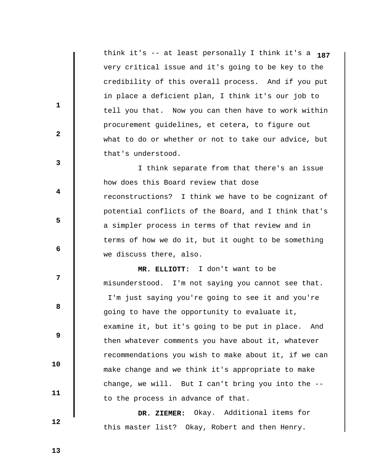think it's -- at least personally I think it's a **187** very critical issue and it's going to be key to the credibility of this overall process. And if you put in place a deficient plan, I think it's our job to tell you that. Now you can then have to work within procurement guidelines, et cetera, to figure out what to do or whether or not to take our advice, but that's understood.

 I think separate from that there's an issue how does this Board review that dose reconstructions? I think we have to be cognizant of potential conflicts of the Board, and I think that's a simpler process in terms of that review and in terms of how we do it, but it ought to be something we discuss there, also.

 **MR. ELLIOTT:** I don't want to be misunderstood. I'm not saying you cannot see that. I'm just saying you're going to see it and you're going to have the opportunity to evaluate it, examine it, but it's going to be put in place. And then whatever comments you have about it, whatever recommendations you wish to make about it, if we can make change and we think it's appropriate to make change, we will. But I can't bring you into the - to the process in advance of that.

 **DR. ZIEMER:** Okay. Additional items for this master list? Okay, Robert and then Henry.

 **13** 

 **10** 

 **11** 

 **12** 

**1** 

**2** 

**3** 

**4** 

**5** 

**6 6** 

**12** 

**8 8**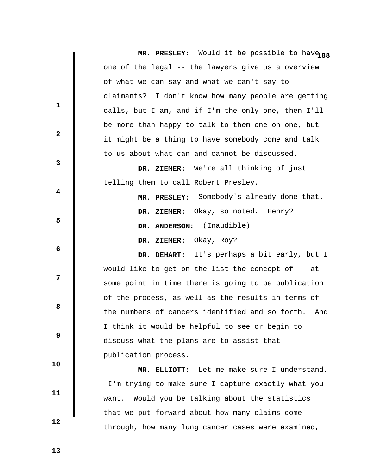|                         | MR. PRESLEY: Would it be possible to have 88           |
|-------------------------|--------------------------------------------------------|
|                         | one of the legal -- the lawyers give us a overview     |
|                         | of what we can say and what we can't say to            |
| 1                       | claimants? I don't know how many people are getting    |
|                         | calls, but I am, and if I'm the only one, then I'll    |
| $\mathbf{2}$            | be more than happy to talk to them one on one, but     |
|                         | it might be a thing to have somebody come and talk     |
|                         | to us about what can and cannot be discussed.          |
| 3                       | DR. ZIEMER: We're all thinking of just                 |
|                         | telling them to call Robert Presley.                   |
| $\overline{\mathbf{4}}$ | MR. PRESLEY: Somebody's already done that.             |
|                         | DR. ZIEMER: Okay, so noted. Henry?                     |
| 5                       | DR. ANDERSON: (Inaudible)                              |
| 6                       | DR. ZIEMER: Okay, Roy?                                 |
|                         | DR. DEHART: It's perhaps a bit early, but I            |
|                         | would like to get on the list the concept of $-$ at    |
| 7                       | some point in time there is going to be publication    |
| 8                       | of the process, as well as the results in terms of     |
|                         | the numbers of cancers identified and so forth.<br>And |
|                         | I think it would be helpful to see or begin to         |
| 9                       | discuss what the plans are to assist that              |
|                         | publication process.                                   |
| 10                      | MR. ELLIOTT: Let me make sure I understand.            |
|                         | I'm trying to make sure I capture exactly what you     |
| 11                      | want. Would you be talking about the statistics        |
|                         | that we put forward about how many claims come         |
| 12                      | through, how many lung cancer cases were examined,     |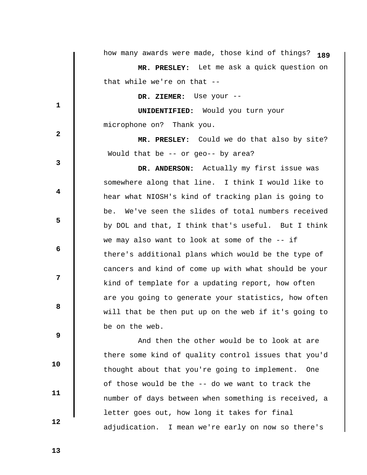|              | how many awards were made, those kind of things? 189 |
|--------------|------------------------------------------------------|
|              | MR. PRESLEY: Let me ask a quick question on          |
|              | that while we're on that --                          |
| $\mathbf{1}$ | DR. ZIEMER: Use your --                              |
|              | <b>UNIDENTIFIED:</b> Would you turn your             |
|              | microphone on? Thank you.                            |
| $\mathbf{2}$ | MR. PRESLEY: Could we do that also by site?          |
|              | Would that be -- or geo-- by area?                   |
| 3            | DR. ANDERSON: Actually my first issue was            |
|              | somewhere along that line. I think I would like to   |
| 4            | hear what NIOSH's kind of tracking plan is going to  |
|              | be. We've seen the slides of total numbers received  |
| 5            | by DOL and that, I think that's useful. But I think  |
| 6            | we may also want to look at some of the -- if        |
|              | there's additional plans which would be the type of  |
|              | cancers and kind of come up with what should be your |
| 7            | kind of template for a updating report, how often    |
|              | are you going to generate your statistics, how often |
| 8            | will that be then put up on the web if it's going to |
|              | be on the web.                                       |
| 9            | And then the other would be to look at are           |
|              | there some kind of quality control issues that you'd |
| 10           | thought about that you're going to implement. One    |
|              | of those would be the -- do we want to track the     |
| 11           | number of days between when something is received, a |
|              | letter goes out, how long it takes for final         |
| 12           |                                                      |

adjudication. I mean we're early on now so there's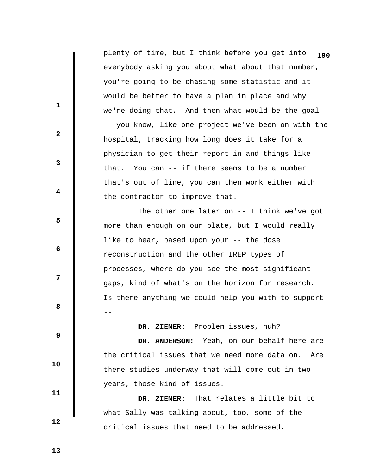plenty of time, but I think before you get into **190** everybody asking you about what about that number, you're going to be chasing some statistic and it would be better to have a plan in place and why we're doing that. And then what would be the goal -- you know, like one project we've been on with the hospital, tracking how long does it take for a physician to get their report in and things like that. You can -- if there seems to be a number that's out of line, you can then work either with the contractor to improve that.

The other one later on -- I think we've got more than enough on our plate, but I would really like to hear, based upon your -- the dose reconstruction and the other IREP types of processes, where do you see the most significant gaps, kind of what's on the horizon for research. Is there anything we could help you with to support --

 **DR. ZIEMER:** Problem issues, huh?

 **DR. ANDERSON:** Yeah, on our behalf here are the critical issues that we need more data on. Are there studies underway that will come out in two years, those kind of issues.

 **DR. ZIEMER:** That relates a little bit to what Sally was talking about, too, some of the critical issues that need to be addressed.

 **13** 

 **10** 

 **11** 

 **12** 

**1** 

**2** 

**3** 

**4** 

**5** 

**6 6** 

**12** 

**8 8**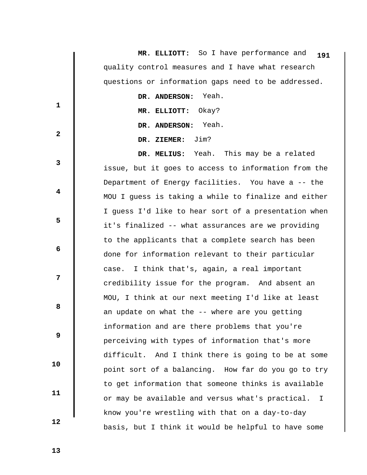|              | MR. ELLIOTT: So I have performance and<br>191                    |
|--------------|------------------------------------------------------------------|
|              | quality control measures and I have what research                |
|              | questions or information gaps need to be addressed.              |
|              | DR. ANDERSON: Yeah.                                              |
| $\mathbf{1}$ | MR. ELLIOTT: Okay?                                               |
| $\mathbf{2}$ | DR. ANDERSON: Yeah.                                              |
|              | Jim?<br>DR. ZIEMER:                                              |
|              | DR. MELIUS: Yeah. This may be a related                          |
| 3            | issue, but it goes to access to information from the             |
|              | Department of Energy facilities. You have a -- the               |
| 4            | MOU I quess is taking a while to finalize and either             |
| 5            | I guess I'd like to hear sort of a presentation when             |
|              | it's finalized -- what assurances are we providing               |
|              | to the applicants that a complete search has been                |
| 6            | done for information relevant to their particular                |
|              | case. I think that's, again, a real important                    |
| 7            | credibility issue for the program. And absent an                 |
| 8            | MOU, I think at our next meeting I'd like at least               |
|              | an update on what the -- where are you getting                   |
| 9            | information and are there problems that you're                   |
|              | perceiving with types of information that's more                 |
|              | difficult. And I think there is going to be at some              |
| 10           | point sort of a balancing. How far do you go to try              |
| 11           | to get information that someone thinks is available              |
|              | or may be available and versus what's practical.<br>$\mathbf{I}$ |
|              | know you're wrestling with that on a day-to-day                  |
| 12           |                                                                  |
|              | basis, but I think it would be helpful to have some              |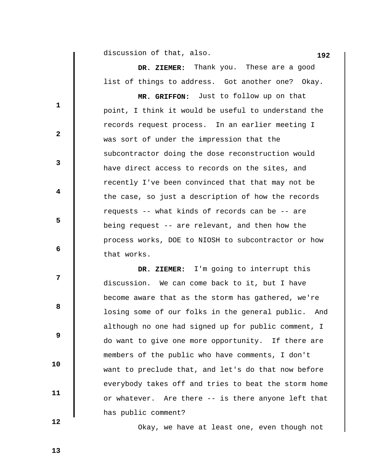**192** discussion of that, also.

 **DR. ZIEMER:** Thank you. These are a good list of things to address. Got another one? Okay.

 **MR. GRIFFON:** Just to follow up on that point, I think it would be useful to understand the records request process. In an earlier meeting I was sort of under the impression that the subcontractor doing the dose reconstruction would have direct access to records on the sites, and recently I've been convinced that that may not be the case, so just a description of how the records requests -- what kinds of records can be -- are being request -- are relevant, and then how the process works, DOE to NIOSH to subcontractor or how that works.

 **DR. ZIEMER:** I'm going to interrupt this discussion. We can come back to it, but I have become aware that as the storm has gathered, we're losing some of our folks in the general public. And although no one had signed up for public comment, I do want to give one more opportunity. If there are members of the public who have comments, I don't want to preclude that, and let's do that now before everybody takes off and tries to beat the storm home or whatever. Are there -- is there anyone left that has public comment?

Okay, we have at least one, even though not

 **12** 

 **10** 

 **11** 

**1** 

**2** 

**3** 

**4** 

**5** 

 **6** 

**12** 

**8 8** 

 **9**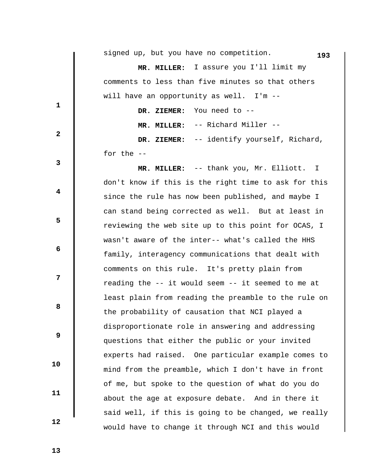|              | signed up, but you have no competition.<br>193       |
|--------------|------------------------------------------------------|
|              | MR. MILLER: I assure you I'll limit my               |
|              | comments to less than five minutes so that others    |
| 1            | will have an opportunity as well. I'm --             |
|              | DR. ZIEMER: You need to --                           |
|              | MR. MILLER: -- Richard Miller --                     |
| $\mathbf{2}$ | DR. ZIEMER: -- identify yourself, Richard,           |
|              | for the $-$                                          |
| 3            | MR. MILLER: -- thank you, Mr. Elliott. I             |
|              | don't know if this is the right time to ask for this |
| 4            | since the rule has now been published, and maybe I   |
|              | can stand being corrected as well. But at least in   |
| 5            | reviewing the web site up to this point for OCAS, I  |
|              | wasn't aware of the inter-- what's called the HHS    |
| 6            | family, interagency communications that dealt with   |
|              | comments on this rule. It's pretty plain from        |
| 7            | reading the -- it would seem -- it seemed to me at   |
|              | least plain from reading the preamble to the rule on |
| 8            | the probability of causation that NCI played a       |
|              | disproportionate role in answering and addressing    |
| 9            | questions that either the public or your invited     |
|              | experts had raised. One particular example comes to  |
| 10           | mind from the preamble, which I don't have in front  |
|              | of me, but spoke to the question of what do you do   |
| 11           | about the age at exposure debate. And in there it    |
|              | said well, if this is going to be changed, we really |
| 12           | would have to change it through NCI and this would   |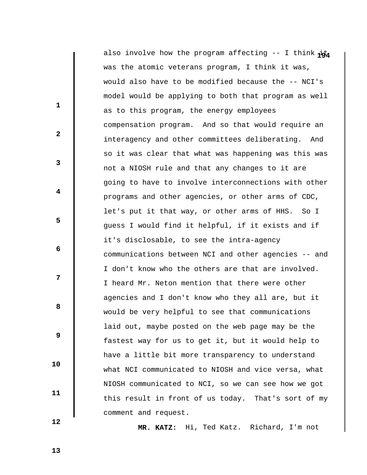also involve how the program affecting -- I think  $\vec{p}$ was the atomic veterans program, I think it was, would also have to be modified because the -- NCI's model would be applying to both that program as well as to this program, the energy employees compensation program. And so that would require an interagency and other committees deliberating. And so it was clear that what was happening was this was not a NIOSH rule and that any changes to it are going to have to involve interconnections with other programs and other agencies, or other arms of CDC, let's put it that way, or other arms of HHS. So I guess I would find it helpful, if it exists and if it's disclosable, to see the intra-agency communications between NCI and other agencies -- and I don't know who the others are that are involved. I heard Mr. Neton mention that there were other agencies and I don't know who they all are, but it would be very helpful to see that communications laid out, maybe posted on the web page may be the fastest way for us to get it, but it would help to have a little bit more transparency to understand what NCI communicated to NIOSH and vice versa, what NIOSH communicated to NCI, so we can see how we got this result in front of us today. That's sort of my comment and request.

 **MR. KATZ:** Hi, Ted Katz. Richard, I'm not

 **13** 

**1** 

**2** 

**3** 

**4** 

**5** 

 **6** 

**12** 

**8 8** 

 **9** 

 **10** 

 **11**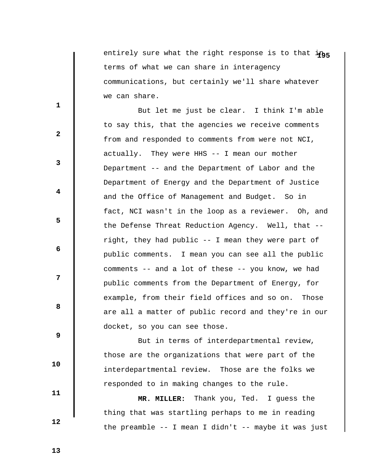entirely sure what the right response is to that ing terms of what we can share in interagency communications, but certainly we'll share whatever we can share.

 But let me just be clear. I think I'm able to say this, that the agencies we receive comments from and responded to comments from were not NCI, actually. They were HHS -- I mean our mother Department -- and the Department of Labor and the Department of Energy and the Department of Justice and the Office of Management and Budget. So in fact, NCI wasn't in the loop as a reviewer. Oh, and the Defense Threat Reduction Agency. Well, that - right, they had public -- I mean they were part of public comments. I mean you can see all the public comments -- and a lot of these -- you know, we had public comments from the Department of Energy, for example, from their field offices and so on. Those are all a matter of public record and they're in our docket, so you can see those.

 But in terms of interdepartmental review, those are the organizations that were part of the interdepartmental review. Those are the folks we responded to in making changes to the rule.

 **MR. MILLER:** Thank you, Ted. I guess the thing that was startling perhaps to me in reading the preamble -- I mean I didn't -- maybe it was just

 **13** 

 **10** 

 **11** 

 **12** 

**1** 

**2** 

**3** 

**4** 

**5** 

**6 6** 

**12** 

**8 8**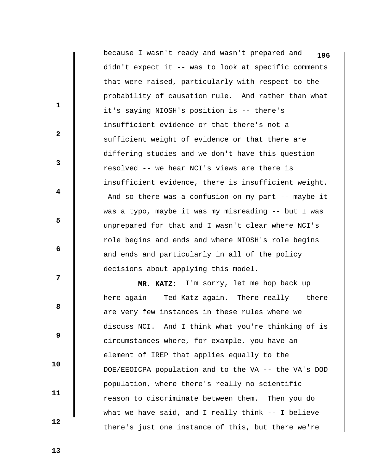because I wasn't ready and wasn't prepared and **196** didn't expect it -- was to look at specific comments that were raised, particularly with respect to the probability of causation rule. And rather than what it's saying NIOSH's position is -- there's insufficient evidence or that there's not a sufficient weight of evidence or that there are differing studies and we don't have this question resolved -- we hear NCI's views are there is insufficient evidence, there is insufficient weight. And so there was a confusion on my part -- maybe it was a typo, maybe it was my misreading -- but I was unprepared for that and I wasn't clear where NCI's role begins and ends and where NIOSH's role begins and ends and particularly in all of the policy decisions about applying this model.  **MR. KATZ:** I'm sorry, let me hop back up

here again -- Ted Katz again. There really -- there are very few instances in these rules where we discuss NCI. And I think what you're thinking of is circumstances where, for example, you have an element of IREP that applies equally to the DOE/EEOICPA population and to the VA -- the VA's DOD population, where there's really no scientific reason to discriminate between them. Then you do what we have said, and I really think -- I believe there's just one instance of this, but there we're

 **13** 

**1** 

**3** 

**4** 

**5** 

**6 6** 

**12** 

**8 8** 

 **9** 

 **10** 

 **11** 

 **12**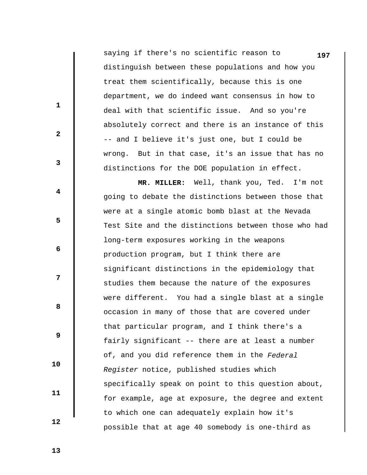saying if there's no scientific reason to **197** distinguish between these populations and how you treat them scientifically, because this is one department, we do indeed want consensus in how to deal with that scientific issue. And so you're absolutely correct and there is an instance of this -- and I believe it's just one, but I could be wrong. But in that case, it's an issue that has no distinctions for the DOE population in effect.

 **MR. MILLER:** Well, thank you, Ted. I'm not going to debate the distinctions between those that were at a single atomic bomb blast at the Nevada Test Site and the distinctions between those who had long-term exposures working in the weapons production program, but I think there are significant distinctions in the epidemiology that studies them because the nature of the exposures were different. You had a single blast at a single occasion in many of those that are covered under that particular program, and I think there's a fairly significant -- there are at least a number of, and you did reference them in the *Federal Register* notice, published studies which specifically speak on point to this question about, for example, age at exposure, the degree and extent to which one can adequately explain how it's possible that at age 40 somebody is one-third as

 **13** 

 **10** 

 **11** 

 **12** 

**1** 

**2** 

**3** 

**4** 

**5** 

**6 6** 

**12** 

**8 8**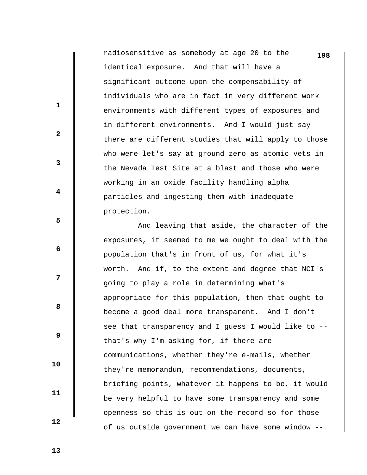radiosensitive as somebody at age 20 to the **198** identical exposure. And that will have a significant outcome upon the compensability of individuals who are in fact in very different work environments with different types of exposures and in different environments. And I would just say there are different studies that will apply to those who were let's say at ground zero as atomic vets in the Nevada Test Site at a blast and those who were working in an oxide facility handling alpha particles and ingesting them with inadequate protection.

 And leaving that aside, the character of the exposures, it seemed to me we ought to deal with the population that's in front of us, for what it's worth. And if, to the extent and degree that NCI's going to play a role in determining what's appropriate for this population, then that ought to become a good deal more transparent. And I don't see that transparency and I guess I would like to - that's why I'm asking for, if there are communications, whether they're e-mails, whether they're memorandum, recommendations, documents, briefing points, whatever it happens to be, it would be very helpful to have some transparency and some openness so this is out on the record so for those of us outside government we can have some window --

 **13** 

 **10** 

 **11** 

 **12** 

**1** 

**2** 

**3** 

**4** 

**5** 

**6 6** 

**12** 

**8 8**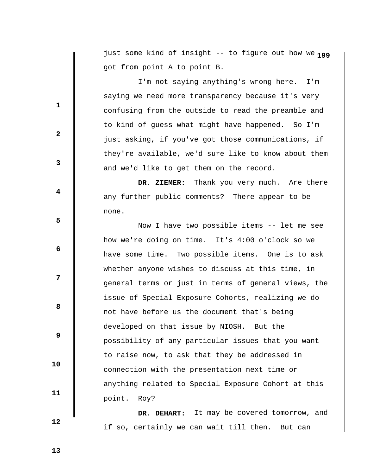**1** just some kind of insight -- to figure out how we **99** got from point A to point B.

 I'm not saying anything's wrong here. I'm saying we need more transparency because it's very confusing from the outside to read the preamble and to kind of guess what might have happened. So I'm just asking, if you've got those communications, if they're available, we'd sure like to know about them and we'd like to get them on the record.

 **DR. ZIEMER:** Thank you very much. Are there any further public comments? There appear to be none.

 Now I have two possible items -- let me see how we're doing on time. It's 4:00 o'clock so we have some time. Two possible items. One is to ask whether anyone wishes to discuss at this time, in general terms or just in terms of general views, the issue of Special Exposure Cohorts, realizing we do not have before us the document that's being developed on that issue by NIOSH. But the possibility of any particular issues that you want to raise now, to ask that they be addressed in connection with the presentation next time or anything related to Special Exposure Cohort at this point. Roy?

 **DR. DEHART:** It may be covered tomorrow, and if so, certainly we can wait till then. But can

 **13** 

 **10** 

 **11** 

 **12** 

**1** 

**2** 

**3** 

**4** 

**5** 

**6 6** 

**12** 

**8 8**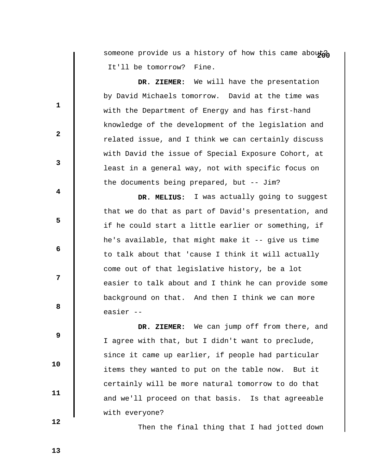someone provide us a history of how this came abouto It'll be tomorrow? Fine.

 **DR. ZIEMER:** We will have the presentation by David Michaels tomorrow. David at the time was with the Department of Energy and has first-hand knowledge of the development of the legislation and related issue, and I think we can certainly discuss with David the issue of Special Exposure Cohort, at least in a general way, not with specific focus on the documents being prepared, but -- Jim?

 **DR. MELIUS:** I was actually going to suggest that we do that as part of David's presentation, and if he could start a little earlier or something, if he's available, that might make it -- give us time to talk about that 'cause I think it will actually come out of that legislative history, be a lot easier to talk about and I think he can provide some background on that. And then I think we can more easier --

 **DR. ZIEMER:** We can jump off from there, and I agree with that, but I didn't want to preclude, since it came up earlier, if people had particular items they wanted to put on the table now. But it certainly will be more natural tomorrow to do that and we'll proceed on that basis. Is that agreeable with everyone?

Then the final thing that I had jotted down

 **12** 

 **10** 

 **11** 

**1** 

**2** 

**3** 

**4** 

**5** 

**6 6** 

**12** 

**8 8** 

 **9**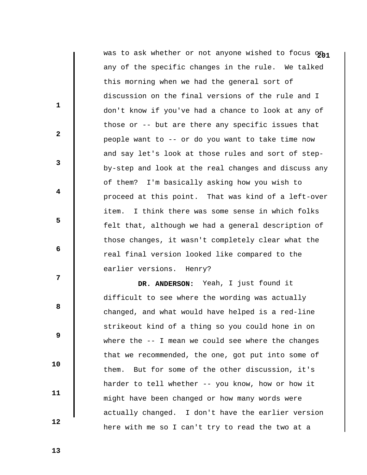was to ask whether or not anyone wished to focus on<sub>1</sub> any of the specific changes in the rule. We talked this morning when we had the general sort of discussion on the final versions of the rule and I don't know if you've had a chance to look at any of those or -- but are there any specific issues that people want to -- or do you want to take time now and say let's look at those rules and sort of stepby-step and look at the real changes and discuss any of them? I'm basically asking how you wish to proceed at this point. That was kind of a left-over item. I think there was some sense in which folks felt that, although we had a general description of those changes, it wasn't completely clear what the real final version looked like compared to the earlier versions. Henry?

 **DR. ANDERSON:** Yeah, I just found it difficult to see where the wording was actually changed, and what would have helped is a red-line strikeout kind of a thing so you could hone in on where the -- I mean we could see where the changes that we recommended, the one, got put into some of them. But for some of the other discussion, it's harder to tell whether -- you know, how or how it might have been changed or how many words were actually changed. I don't have the earlier version here with me so I can't try to read the two at a

 **13** 

**1** 

**2** 

**3** 

**4** 

**5** 

**6 6** 

**12** 

**8 8** 

 **9** 

 **10** 

 **11**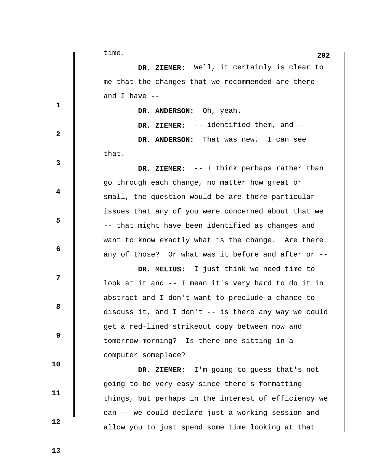|                         | time.<br>202                                           |
|-------------------------|--------------------------------------------------------|
|                         | DR. ZIEMER: Well, it certainly is clear to             |
|                         | me that the changes that we recommended are there      |
|                         | and I have $--$                                        |
| $\mathbf{1}$            | DR. ANDERSON: Oh, yeah.                                |
|                         | DR. ZIEMER: -- identified them, and --                 |
| $\mathbf{2}$            | DR. ANDERSON: That was new. I can see                  |
|                         | that.                                                  |
| 3                       | DR. ZIEMER: -- I think perhaps rather than             |
|                         | go through each change, no matter how great or         |
| $\overline{\mathbf{4}}$ | small, the question would be are there particular      |
|                         | issues that any of you were concerned about that we    |
| 5                       | -- that might have been identified as changes and      |
|                         | want to know exactly what is the change. Are there     |
| 6                       | any of those? Or what was it before and after or --    |
| 7                       | DR. MELIUS: I just think we need time to               |
|                         | look at it and -- I mean it's very hard to do it in    |
| 8                       | abstract and I don't want to preclude a chance to      |
|                         | discuss it, and I don't $--$ is there any way we could |
| 9                       | get a red-lined strikeout copy between now and         |
|                         | tomorrow morning? Is there one sitting in a            |
| 10                      | computer someplace?                                    |
|                         | DR. ZIEMER: I'm going to guess that's not              |
| 11                      | going to be very easy since there's formatting         |
|                         | things, but perhaps in the interest of efficiency we   |
| 12                      | can -- we could declare just a working session and     |
|                         | allow you to just spend some time looking at that      |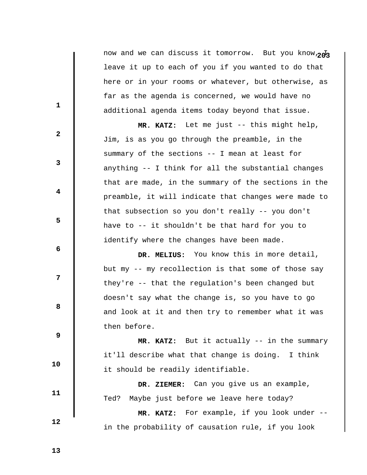now and we can discuss it tomorrow. But you know,  $\overline{p}$ leave it up to each of you if you wanted to do that here or in your rooms or whatever, but otherwise, as far as the agenda is concerned, we would have no additional agenda items today beyond that issue.

 **MR. KATZ:** Let me just -- this might help, Jim, is as you go through the preamble, in the summary of the sections -- I mean at least for anything -- I think for all the substantial changes that are made, in the summary of the sections in the preamble, it will indicate that changes were made to that subsection so you don't really -- you don't have to -- it shouldn't be that hard for you to identify where the changes have been made.

 **DR. MELIUS:** You know this in more detail, but my -- my recollection is that some of those say they're -- that the regulation's been changed but doesn't say what the change is, so you have to go and look at it and then try to remember what it was then before.

 **MR. KATZ:** But it actually -- in the summary it'll describe what that change is doing. I think it should be readily identifiable.

> **DR. ZIEMER:** Can you give us an example, Ted? Maybe just before we leave here today?

 **MR. KATZ:** For example, if you look under - in the probability of causation rule, if you look

 **13** 

 **10** 

 **11** 

 **12** 

**1** 

**2** 

**3** 

**4** 

**5** 

**6 6** 

**12** 

**8 8**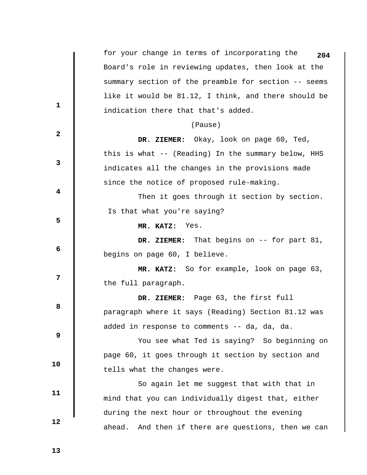for your change in terms of incorporating the **204** Board's role in reviewing updates, then look at the summary section of the preamble for section -- seems like it would be 81.12, I think, and there should be indication there that that's added. **1 2 3 4 5 6 6 12 8 8 9 10 11 12**  (Pause)  **DR. ZIEMER:** Okay, look on page 60, Ted, this is what -- (Reading) In the summary below, HHS indicates all the changes in the provisions made since the notice of proposed rule-making. Then it goes through it section by section. Is that what you're saying?  **MR. KATZ:** Yes.  **DR. ZIEMER:** That begins on -- for part 81, begins on page 60, I believe.  **MR. KATZ:** So for example, look on page 63, the full paragraph.  **DR. ZIEMER:** Page 63, the first full paragraph where it says (Reading) Section 81.12 was added in response to comments -- da, da, da. You see what Ted is saying? So beginning on page 60, it goes through it section by section and tells what the changes were. So again let me suggest that with that in mind that you can individually digest that, either during the next hour or throughout the evening ahead. And then if there are questions, then we can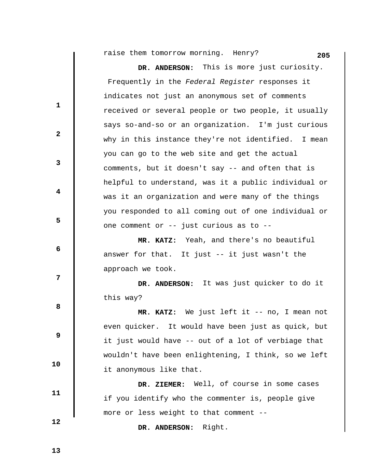**205** raise them tomorrow morning. Henry?

**1 2 3 4 5 6 12 8 8 DR. ANDERSON:** This is more just curiosity. Frequently in the *Federal Register* responses it indicates not just an anonymous set of comments received or several people or two people, it usually says so-and-so or an organization. I'm just curious why in this instance they're not identified. I mean you can go to the web site and get the actual comments, but it doesn't say -- and often that is helpful to understand, was it a public individual or was it an organization and were many of the things you responded to all coming out of one individual or one comment or -- just curious as to --  **MR. KATZ:** Yeah, and there's no beautiful answer for that. It just -- it just wasn't the approach we took.  **DR. ANDERSON:** It was just quicker to do it this way?  **MR. KATZ:** We just left it -- no, I mean not

even quicker. It would have been just as quick, but it just would have -- out of a lot of verbiage that wouldn't have been enlightening, I think, so we left it anonymous like that.

 **DR. ZIEMER:** Well, of course in some cases if you identify who the commenter is, people give more or less weight to that comment --

 **DR. ANDERSON:** Right.

 **13** 

 **10** 

 **11** 

 **12**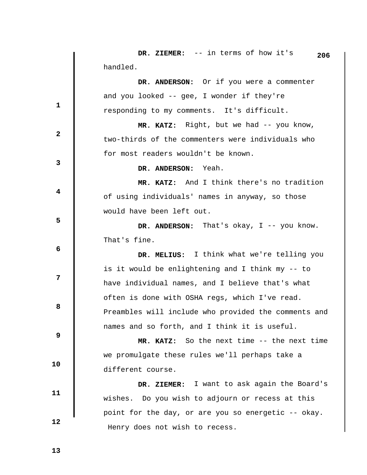**DR. ZIEMER:** -- in terms of how it's handled. **1 2 3 4 5 6 12 8 8 9 10 11 12 206 DR. ANDERSON:** Or if you were a commenter and you looked -- gee, I wonder if they're responding to my comments. It's difficult.  **MR. KATZ:** Right, but we had -- you know, two-thirds of the commenters were individuals who for most readers wouldn't be known.  **DR. ANDERSON:** Yeah.  **MR. KATZ:** And I think there's no tradition of using individuals' names in anyway, so those would have been left out.  **DR. ANDERSON:** That's okay, I -- you know. That's fine.  **DR. MELIUS:** I think what we're telling you is it would be enlightening and I think my -- to have individual names, and I believe that's what often is done with OSHA regs, which I've read. Preambles will include who provided the comments and names and so forth, and I think it is useful.  **MR. KATZ:** So the next time -- the next time we promulgate these rules we'll perhaps take a different course.  **DR. ZIEMER:** I want to ask again the Board's wishes. Do you wish to adjourn or recess at this point for the day, or are you so energetic -- okay. Henry does not wish to recess.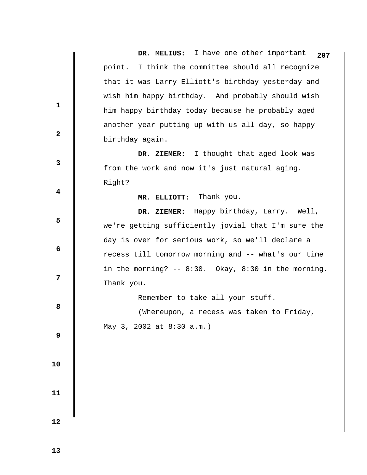**DR. MELIUS:** I have one other important point. I think the committee should all recognize that it was Larry Elliott's birthday yesterday and wish him happy birthday. And probably should wish him happy birthday today because he probably aged another year putting up with us all day, so happy birthday again. **1 2 3 4 5 6 12 8 8 9 10 11 12 207 DR. ZIEMER:** I thought that aged look was from the work and now it's just natural aging. Right?  **MR. ELLIOTT:** Thank you.  **DR. ZIEMER:** Happy birthday, Larry. Well, we're getting sufficiently jovial that I'm sure the day is over for serious work, so we'll declare a recess till tomorrow morning and -- what's our time in the morning? -- 8:30. Okay, 8:30 in the morning. Thank you. Remember to take all your stuff. (Whereupon, a recess was taken to Friday, May 3, 2002 at 8:30 a.m.)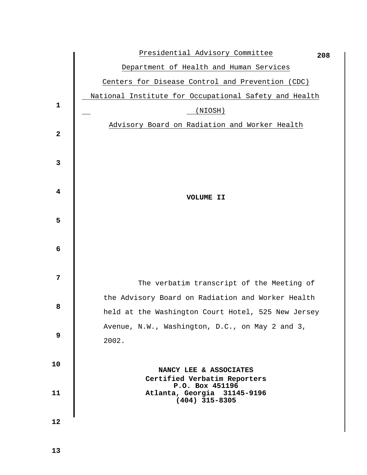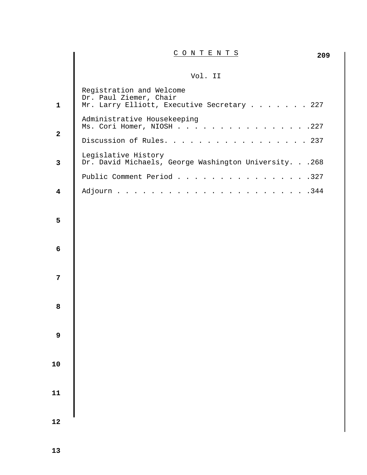| CONTENTS |
|----------|
|          |

## Vol. II

| $\mathbf{1}$            | Registration and Welcome<br>Dr. Paul Ziemer, Chair<br>Mr. Larry Elliott, Executive Secretary 227 |
|-------------------------|--------------------------------------------------------------------------------------------------|
| $\mathbf{2}$            | Administrative Housekeeping<br>Ms. Cori Homer, NIOSH<br>$\cdots$ 227                             |
|                         | Discussion of Rules.<br>$\therefore$ 237                                                         |
| $\mathbf{3}$            | Legislative History<br>Dr. David Michaels, George Washington University. 268                     |
|                         | Public Comment Period<br>. 327                                                                   |
| $\overline{\mathbf{4}}$ | $\cdots$ $\cdots$ $\frac{344}{ }$<br>Adjourn                                                     |
| 5                       |                                                                                                  |
|                         |                                                                                                  |
| 6                       |                                                                                                  |
|                         |                                                                                                  |
| $\overline{7}$          |                                                                                                  |
|                         |                                                                                                  |
| 8                       |                                                                                                  |
|                         |                                                                                                  |
| 9                       |                                                                                                  |
|                         |                                                                                                  |
| ${\bf 10}$              |                                                                                                  |
|                         |                                                                                                  |
| $\mathbf{11}$           |                                                                                                  |
|                         |                                                                                                  |
| 12                      |                                                                                                  |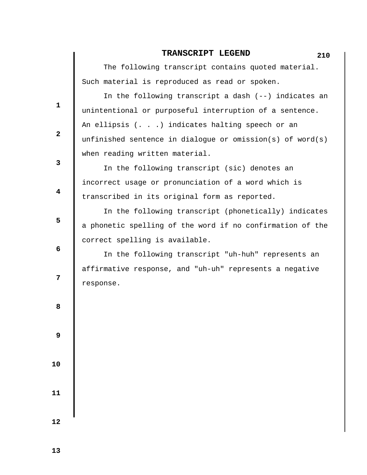## **TRANSCRIPT LEGEND** 210

 The following transcript contains quoted material. Such material is reproduced as read or spoken.

 In the following transcript a dash (--) indicates an unintentional or purposeful interruption of a sentence. An ellipsis (. . .) indicates halting speech or an unfinished sentence in dialogue or omission(s) of word(s) when reading written material.

 In the following transcript (sic) denotes an incorrect usage or pronunciation of a word which is transcribed in its original form as reported.

 In the following transcript (phonetically) indicates a phonetic spelling of the word if no confirmation of the correct spelling is available.

 In the following transcript "uh-huh" represents an affirmative response, and "uh-uh" represents a negative response.

**8 8** 

**1** 

**2** 

**3** 

**4** 

**5** 

**6 6** 

**12** 

 **9** 

 **10** 

 **11**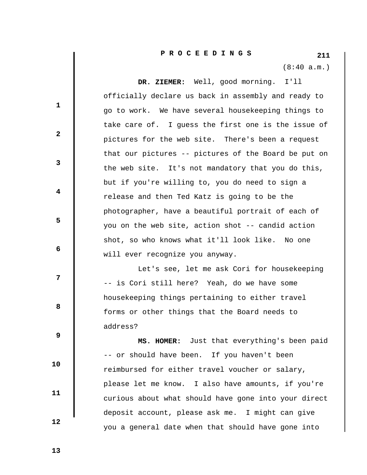(8:40 a.m.)

 **DR. ZIEMER:** Well, good morning. I'll officially declare us back in assembly and ready to go to work. We have several housekeeping things to take care of. I guess the first one is the issue of pictures for the web site. There's been a request that our pictures -- pictures of the Board be put on the web site. It's not mandatory that you do this, but if you're willing to, you do need to sign a release and then Ted Katz is going to be the photographer, have a beautiful portrait of each of you on the web site, action shot -- candid action shot, so who knows what it'll look like. No one will ever recognize you anyway.

 Let's see, let me ask Cori for housekeeping -- is Cori still here? Yeah, do we have some housekeeping things pertaining to either travel forms or other things that the Board needs to address?

 **MS. HOMER:** Just that everything's been paid -- or should have been. If you haven't been reimbursed for either travel voucher or salary, please let me know. I also have amounts, if you're curious about what should have gone into your direct deposit account, please ask me. I might can give you a general date when that should have gone into

 **13** 

 **10** 

 **11** 

 **12** 

**1** 

**2** 

**3** 

**4** 

**5** 

**6 6** 

**12** 

**8 8**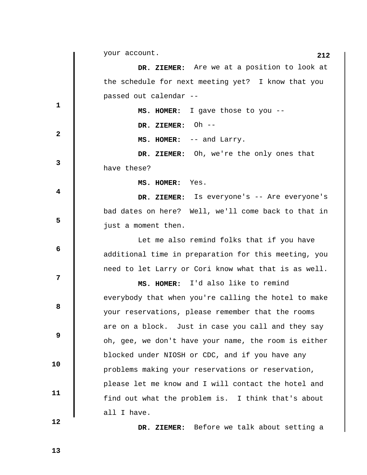**1 2 3 4 5 6 6 12 8 8 9 10 11 12 212** your account.  **DR. ZIEMER:** Are we at a position to look at the schedule for next meeting yet? I know that you passed out calendar --  **MS. HOMER:** I gave those to you --  **DR. ZIEMER:** Oh --  **MS. HOMER:** -- and Larry.  **DR. ZIEMER:** Oh, we're the only ones that have these?  **MS. HOMER:** Yes.  **DR. ZIEMER:** Is everyone's -- Are everyone's bad dates on here? Well, we'll come back to that in just a moment then. Let me also remind folks that if you have additional time in preparation for this meeting, you need to let Larry or Cori know what that is as well.  **MS. HOMER:** I'd also like to remind everybody that when you're calling the hotel to make your reservations, please remember that the rooms are on a block. Just in case you call and they say oh, gee, we don't have your name, the room is either blocked under NIOSH or CDC, and if you have any problems making your reservations or reservation, please let me know and I will contact the hotel and find out what the problem is. I think that's about all I have.

 **DR. ZIEMER:** Before we talk about setting a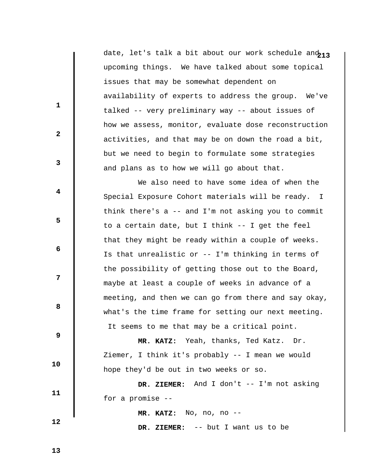date, let's talk a bit about our work schedule an $^{\tt 213}$ upcoming things. We have talked about some topical issues that may be somewhat dependent on availability of experts to address the group. We've talked -- very preliminary way -- about issues of how we assess, monitor, evaluate dose reconstruction activities, and that may be on down the road a bit, but we need to begin to formulate some strategies and plans as to how we will go about that.

 We also need to have some idea of when the Special Exposure Cohort materials will be ready. I think there's a -- and I'm not asking you to commit to a certain date, but I think -- I get the feel that they might be ready within a couple of weeks. Is that unrealistic or -- I'm thinking in terms of the possibility of getting those out to the Board, maybe at least a couple of weeks in advance of a meeting, and then we can go from there and say okay, what's the time frame for setting our next meeting. It seems to me that may be a critical point.

 **MR. KATZ:** Yeah, thanks, Ted Katz. Dr. Ziemer, I think it's probably -- I mean we would hope they'd be out in two weeks or so.

 **DR. ZIEMER:** And I don't -- I'm not asking for a promise --

 **MR. KATZ:** No, no, no --

 **DR. ZIEMER:** -- but I want us to be

 **13** 

 **12** 

 **10** 

 **11** 

**1** 

**2** 

**3** 

**4** 

**5** 

 **6** 

**12** 

**8 8**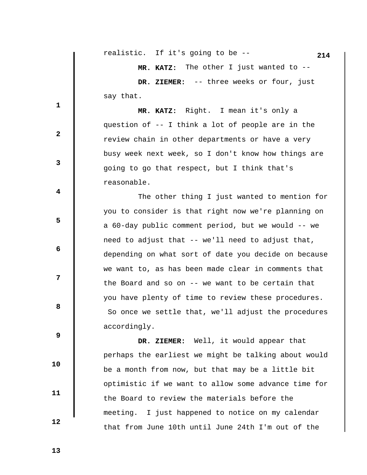|              | realistic. If it's going to be --<br>214             |
|--------------|------------------------------------------------------|
|              | MR. KATZ: The other I just wanted to --              |
|              | DR. ZIEMER: -- three weeks or four, just             |
|              | say that.                                            |
| 1            | MR. KATZ: Right. I mean it's only a                  |
| $\mathbf{2}$ | question of -- I think a lot of people are in the    |
|              | review chain in other departments or have a very     |
| 3            | busy week next week, so I don't know how things are  |
|              | going to go that respect, but I think that's         |
|              | reasonable.                                          |
| 4            | The other thing I just wanted to mention for         |
| 5            | you to consider is that right now we're planning on  |
|              | a 60-day public comment period, but we would -- we   |
|              | need to adjust that -- we'll need to adjust that,    |
| 6            | depending on what sort of date you decide on because |
|              | we want to, as has been made clear in comments that  |
| 7            | the Board and so on $-$ - we want to be certain that |
| 8            | you have plenty of time to review these procedures.  |
|              | So once we settle that, we'll adjust the procedures  |
|              | accordingly.                                         |
| 9            | DR. ZIEMER: Well, it would appear that               |
|              | perhaps the earliest we might be talking about would |
| 10           | be a month from now, but that may be a little bit    |
|              | optimistic if we want to allow some advance time for |
| 11           | the Board to review the materials before the         |
|              | I just happened to notice on my calendar<br>meeting. |
| 12           |                                                      |

that from June 10th until June 24th I'm out of the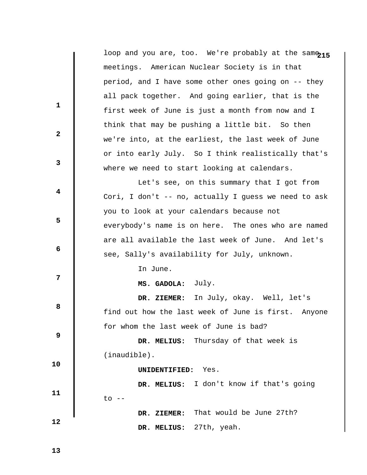|                         | loop and you are, too. We're probably at the samo215 |
|-------------------------|------------------------------------------------------|
|                         | meetings. American Nuclear Society is in that        |
|                         | period, and I have some other ones going on -- they  |
| $\mathbf{1}$            | all pack together. And going earlier, that is the    |
|                         | first week of June is just a month from now and I    |
|                         | think that may be pushing a little bit. So then      |
| $\mathbf{2}$            | we're into, at the earliest, the last week of June   |
|                         | or into early July. So I think realistically that's  |
| 3                       | where we need to start looking at calendars.         |
|                         | Let's see, on this summary that I got from           |
| $\overline{\mathbf{4}}$ | Cori, I don't -- no, actually I guess we need to ask |
| 5                       | you to look at your calendars because not            |
|                         | everybody's name is on here. The ones who are named  |
| 6                       | are all available the last week of June. And let's   |
|                         | see, Sally's availability for July, unknown.         |
| 7                       | In June.                                             |
|                         | July.<br>MS. GADOLA:                                 |
| 8                       | DR. ZIEMER: In July, okay. Well, let's               |
|                         | find out how the last week of June is first. Anyone  |
| 9                       | for whom the last week of June is bad?               |
|                         | Thursday of that week is<br>DR. MELIUS:              |
| 10                      | $(inaudible)$ .                                      |
|                         | Yes.<br>UNIDENTIFIED:                                |
| 11                      | I don't know if that's going<br>DR. MELIUS:          |
|                         | $\circ$ --                                           |
|                         | That would be June 27th?<br>DR. ZIEMER:              |
| 12                      | 27th, yeah.<br>DR. MELIUS:                           |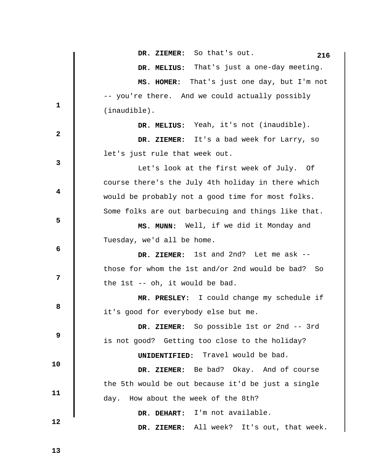**1 2 3 4 5 6 12 8 8 9 10 11 12**  DR. ZIEMER: So that's out. 216  **DR. MELIUS:** That's just a one-day meeting.  **MS. HOMER:** That's just one day, but I'm not -- you're there. And we could actually possibly (inaudible).  **DR. MELIUS:** Yeah, it's not (inaudible).  **DR. ZIEMER:** It's a bad week for Larry, so let's just rule that week out. Let's look at the first week of July. Of course there's the July 4th holiday in there which would be probably not a good time for most folks. Some folks are out barbecuing and things like that.  **MS. MUNN:** Well, if we did it Monday and Tuesday, we'd all be home.  **DR. ZIEMER:** 1st and 2nd? Let me ask - those for whom the 1st and/or 2nd would be bad? So the 1st -- oh, it would be bad.  **MR. PRESLEY:** I could change my schedule if it's good for everybody else but me.  **DR. ZIEMER:** So possible 1st or 2nd -- 3rd is not good? Getting too close to the holiday?  **UNIDENTIFIED:** Travel would be bad.  **DR. ZIEMER:** Be bad? Okay. And of course the 5th would be out because it'd be just a single day. How about the week of the 8th?  **DR. DEHART:** I'm not available.  **DR. ZIEMER:** All week? It's out, that week.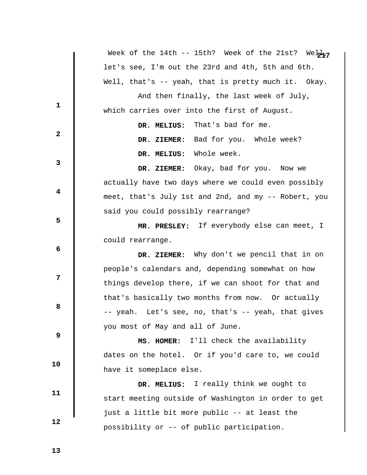|              | Week of the 14th -- 15th? Week of the 21st? Web $n_7$ |
|--------------|-------------------------------------------------------|
|              | let's see, I'm out the 23rd and 4th, 5th and 6th.     |
|              | Well, that's -- yeah, that is pretty much it. Okay.   |
|              | And then finally, the last week of July,              |
| 1            | which carries over into the first of August.          |
| $\mathbf{2}$ | DR. MELIUS: That's bad for me.                        |
|              | DR. ZIEMER: Bad for you. Whole week?                  |
|              | DR. MELIUS: Whole week.                               |
| 3            | DR. ZIEMER: Okay, bad for you. Now we                 |
|              | actually have two days where we could even possibly   |
| 4            | meet, that's July 1st and 2nd, and my -- Robert, you  |
|              | said you could possibly rearrange?                    |
| 5            | MR. PRESLEY: If everybody else can meet, I            |
|              | could rearrange.                                      |
| 6            | DR. ZIEMER: Why don't we pencil that in on            |
|              | people's calendars and, depending somewhat on how     |
| 7            | things develop there, if we can shoot for that and    |
|              | that's basically two months from now. Or actually     |
| 8            | -- yeah. Let's see, no, that's -- yeah, that gives    |
| 9            | you most of May and all of June.                      |
|              | MS. HOMER: I'll check the availability                |
| 10           | dates on the hotel. Or if you'd care to, we could     |
|              | have it someplace else.                               |
| 11           | DR. MELIUS: I really think we ought to                |
|              | start meeting outside of Washington in order to get   |
|              |                                                       |
| 12           | just a little bit more public -- at least the         |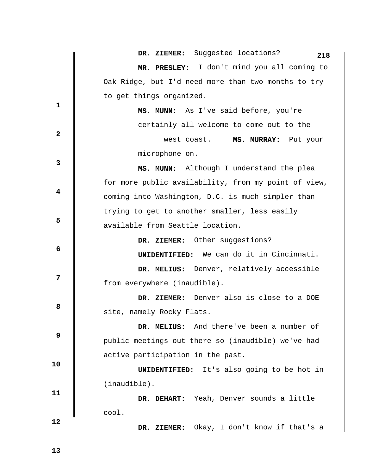|                         | DR. ZIEMER: Suggested locations?<br>218              |
|-------------------------|------------------------------------------------------|
|                         | MR. PRESLEY: I don't mind you all coming to          |
|                         | Oak Ridge, but I'd need more than two months to try  |
|                         | to get things organized.                             |
| $\mathbf{1}$            | MS. MUNN: As I've said before, you're                |
|                         | certainly all welcome to come out to the             |
| $\overline{2}$          | west coast.<br>MS. MURRAY: Put your                  |
|                         | microphone on.                                       |
| 3                       | MS. MUNN: Although I understand the plea             |
|                         | for more public availability, from my point of view, |
| $\overline{\mathbf{4}}$ | coming into Washington, D.C. is much simpler than    |
|                         | trying to get to another smaller, less easily        |
| 5                       | available from Seattle location.                     |
|                         | DR. ZIEMER: Other suggestions?                       |
| 6                       | <b>UNIDENTIFIED:</b> We can do it in Cincinnati.     |
|                         | DR. MELIUS: Denver, relatively accessible            |
| $\overline{7}$          | from everywhere (inaudible).                         |
|                         | DR. ZIEMER: Denver also is close to a DOE            |
| 8                       | site, namely Rocky Flats.                            |
|                         | DR. MELIUS: And there've been a number of            |
| $\boldsymbol{9}$        | public meetings out there so (inaudible) we've had   |
|                         | active participation in the past.                    |
| 10                      | <b>UNIDENTIFIED:</b> It's also going to be hot in    |
|                         | $(inaudible)$ .                                      |
| 11                      | DR. DEHART: Yeah, Denver sounds a little             |
|                         | cool.                                                |
| 12                      | Okay, I don't know if that's a<br>DR. ZIEMER:        |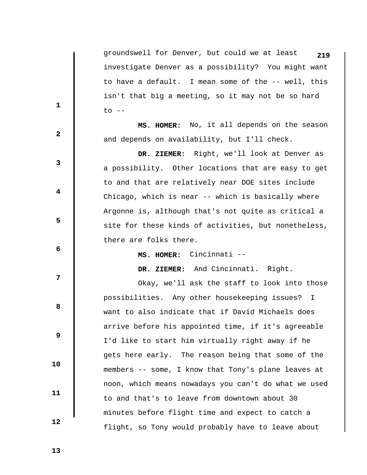groundswell for Denver, but could we at least **219** investigate Denver as a possibility? You might want to have a default. I mean some of the -- well, this isn't that big a meeting, so it may not be so hard  $to$   $--$ 

 **MS. HOMER:** No, it all depends on the season and depends on availability, but I'll check.

 **DR. ZIEMER:** Right, we'll look at Denver as a possibility. Other locations that are easy to get to and that are relatively near DOE sites include Chicago, which is near -- which is basically where Argonne is, although that's not quite as critical a site for these kinds of activities, but nonetheless, there are folks there.

 **MS. HOMER:** Cincinnati --

 **DR. ZIEMER:** And Cincinnati. Right.

 Okay, we'll ask the staff to look into those possibilities. Any other housekeeping issues? I want to also indicate that if David Michaels does arrive before his appointed time, if it's agreeable I'd like to start him virtually right away if he gets here early. The reason being that some of the members -- some, I know that Tony's plane leaves at noon, which means nowadays you can't do what we used to and that's to leave from downtown about 30 minutes before flight time and expect to catch a flight, so Tony would probably have to leave about

 **13** 

 **10** 

 **11** 

 **12** 

**1** 

**2** 

**3** 

**4** 

**5** 

 **6** 

**12** 

**8 8**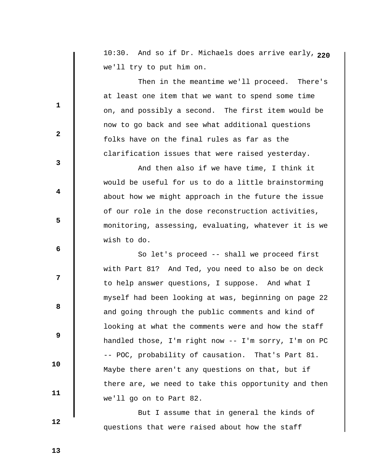**2** 10:30. And so if Dr. Michaels does arrive early, **20** we'll try to put him on.

 Then in the meantime we'll proceed. There's at least one item that we want to spend some time on, and possibly a second. The first item would be now to go back and see what additional questions folks have on the final rules as far as the clarification issues that were raised yesterday.

 And then also if we have time, I think it would be useful for us to do a little brainstorming about how we might approach in the future the issue of our role in the dose reconstruction activities, monitoring, assessing, evaluating, whatever it is we wish to do.

 So let's proceed -- shall we proceed first with Part 81? And Ted, you need to also be on deck to help answer questions, I suppose. And what I myself had been looking at was, beginning on page 22 and going through the public comments and kind of looking at what the comments were and how the staff handled those, I'm right now -- I'm sorry, I'm on PC -- POC, probability of causation. That's Part 81. Maybe there aren't any questions on that, but if there are, we need to take this opportunity and then we'll go on to Part 82.

 But I assume that in general the kinds of questions that were raised about how the staff

 **13** 

 **10** 

 **11** 

 **12** 

**1** 

**2** 

**3** 

**4** 

**5** 

 **6** 

**12** 

**8 8**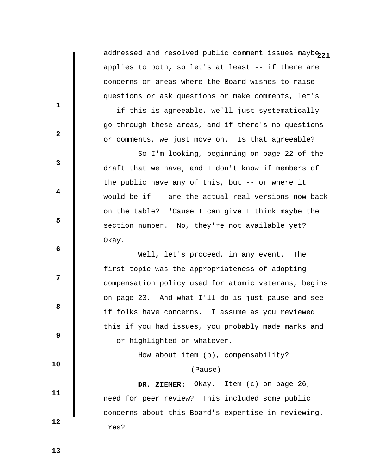addressed and resolved public comment issues mayb $_{\rm 21}$ applies to both, so let's at least -- if there are concerns or areas where the Board wishes to raise questions or ask questions or make comments, let's -- if this is agreeable, we'll just systematically go through these areas, and if there's no questions or comments, we just move on. Is that agreeable?

 So I'm looking, beginning on page 22 of the draft that we have, and I don't know if members of the public have any of this, but -- or where it would be if -- are the actual real versions now back on the table? 'Cause I can give I think maybe the section number. No, they're not available yet? Okay.

 Well, let's proceed, in any event. The first topic was the appropriateness of adopting compensation policy used for atomic veterans, begins on page 23. And what I'll do is just pause and see if folks have concerns. I assume as you reviewed this if you had issues, you probably made marks and -- or highlighted or whatever.

How about item (b), compensability?

## (Pause)

 **DR. ZIEMER:** Okay. Item (c) on page 26, need for peer review? This included some public concerns about this Board's expertise in reviewing. Yes?

 **13** 

 **10** 

 **11** 

 **12** 

**1** 

**2** 

**3** 

**4** 

**5** 

 **6** 

**12** 

**8 8**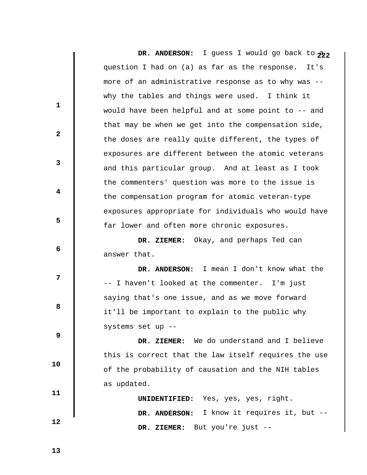DR. ANDERSON: I guess I would go back to  $\mathcal{P}_2$ question I had on (a) as far as the response. It's more of an administrative response as to why was - why the tables and things were used. I think it would have been helpful and at some point to -- and that may be when we get into the compensation side, the doses are really quite different, the types of exposures are different between the atomic veterans and this particular group. And at least as I took the commenters' question was more to the issue is the compensation program for atomic veteran-type exposures appropriate for individuals who would have far lower and often more chronic exposures.  **DR. ZIEMER:** Okay, and perhaps Ted can answer that.  **DR. ANDERSON:** I mean I don't know what the -- I haven't looked at the commenter. I'm just saying that's one issue, and as we move forward it'll be important to explain to the public why systems set up --  **DR. ZIEMER:** We do understand and I believe this is correct that the law itself requires the use of the probability of causation and the NIH tables as updated.  **UNIDENTIFIED:** Yes, yes, yes, right.

 **DR. ANDERSON:** I know it requires it, but --

 **DR. ZIEMER:** But you're just --

 **12** 

 **10** 

 **11** 

**1** 

**2** 

**3** 

**4** 

**5** 

 **6** 

**12** 

**8 8** 

 **9**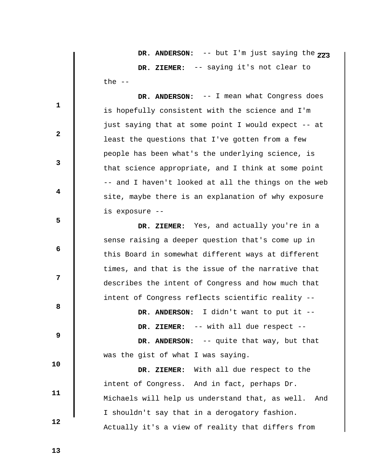**DR. ANDERSON:** -- but I'm just saying the  $773$  **DR. ZIEMER:** -- saying it's not clear to the  $--$ 

 **DR. ANDERSON:** -- I mean what Congress does is hopefully consistent with the science and I'm just saying that at some point I would expect -- at least the questions that I've gotten from a few people has been what's the underlying science, is that science appropriate, and I think at some point -- and I haven't looked at all the things on the web site, maybe there is an explanation of why exposure is exposure --

 **DR. ZIEMER:** Yes, and actually you're in a sense raising a deeper question that's come up in this Board in somewhat different ways at different times, and that is the issue of the narrative that describes the intent of Congress and how much that intent of Congress reflects scientific reality --

 **DR. ANDERSON:** I didn't want to put it --

 **DR. ZIEMER:** -- with all due respect --

DR. ANDERSON: -- quite that way, but that was the gist of what I was saying.

 **DR. ZIEMER:** With all due respect to the intent of Congress. And in fact, perhaps Dr. Michaels will help us understand that, as well. And I shouldn't say that in a derogatory fashion. Actually it's a view of reality that differs from

 **13** 

 **10** 

 **11** 

 **12** 

**1** 

**2** 

**3** 

**4** 

**5** 

 **6** 

**12** 

**8 8**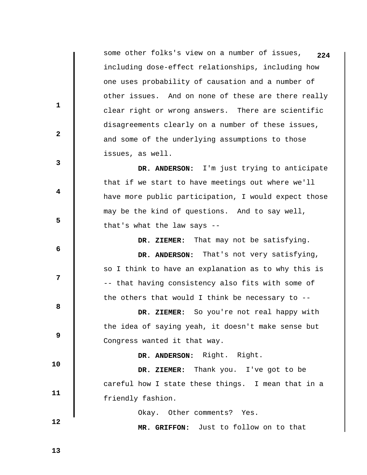some other folks's view on a number of issues, **224** including dose-effect relationships, including how one uses probability of causation and a number of other issues. And on none of these are there really clear right or wrong answers. There are scientific disagreements clearly on a number of these issues, and some of the underlying assumptions to those issues, as well. **1 2 3 4 5 6 12 8 8 9 10 11 12 DR. ANDERSON:** I'm just trying to anticipate that if we start to have meetings out where we'll have more public participation, I would expect those may be the kind of questions. And to say well, that's what the law says --  **DR. ZIEMER:** That may not be satisfying.  **DR. ANDERSON:** That's not very satisfying, so I think to have an explanation as to why this is -- that having consistency also fits with some of the others that would I think be necessary to --  **DR. ZIEMER:** So you're not real happy with the idea of saying yeah, it doesn't make sense but Congress wanted it that way.  **DR. ANDERSON:** Right. Right.  **DR. ZIEMER:** Thank you. I've got to be careful how I state these things. I mean that in a friendly fashion. Okay. Other comments? Yes.  **MR. GRIFFON:** Just to follow on to that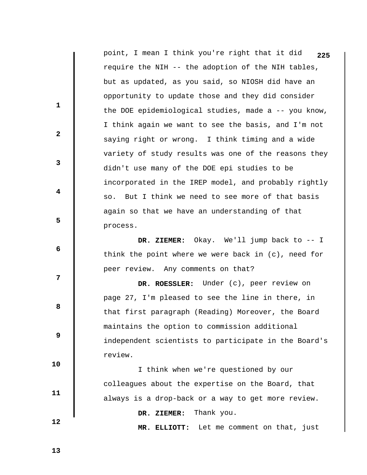|                         | point, I mean I think you're right that it did<br>225  |
|-------------------------|--------------------------------------------------------|
|                         | require the NIH -- the adoption of the NIH tables,     |
|                         | but as updated, as you said, so NIOSH did have an      |
|                         | opportunity to update those and they did consider      |
| $\mathbf{1}$            | the DOE epidemiological studies, made a -- you know,   |
|                         | I think again we want to see the basis, and I'm not    |
| $\mathbf{2}$            | saying right or wrong. I think timing and a wide       |
|                         | variety of study results was one of the reasons they   |
| 3                       | didn't use many of the DOE epi studies to be           |
|                         | incorporated in the IREP model, and probably rightly   |
| $\overline{\mathbf{4}}$ | so. But I think we need to see more of that basis      |
|                         | again so that we have an understanding of that         |
| 5                       | process.                                               |
|                         | DR. ZIEMER: Okay. We'll jump back to $-1$              |
| 6                       | think the point where we were back in $(c)$ , need for |
|                         | peer review. Any comments on that?                     |
| 7                       | DR. ROESSLER: Under (c), peer review on                |
|                         | page 27, I'm pleased to see the line in there, in      |
| 8                       | that first paragraph (Reading) Moreover, the Board     |
|                         | maintains the option to commission additional          |
| 9                       | independent scientists to participate in the Board's   |
|                         | review.                                                |
| 10                      | I think when we're questioned by our                   |
| 11                      | colleagues about the expertise on the Board, that      |
|                         | always is a drop-back or a way to get more review.     |
|                         | Thank you.<br>DR. ZIEMER:                              |
| 12                      | Let me comment on that, just<br>MR. ELLIOTT:           |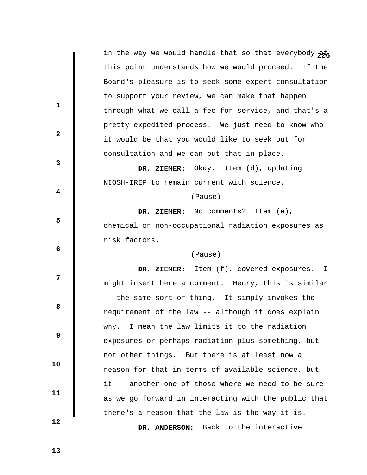|                         | in the way we would handle that so that everybody pto |
|-------------------------|-------------------------------------------------------|
|                         | this point understands how we would proceed. If the   |
|                         | Board's pleasure is to seek some expert consultation  |
|                         | to support your review, we can make that happen       |
| 1                       | through what we call a fee for service, and that's a  |
|                         | pretty expedited process. We just need to know who    |
| $\mathbf{2}$            | it would be that you would like to seek out for       |
|                         | consultation and we can put that in place.            |
| $\mathbf{3}$            | DR. ZIEMER: Okay. Item (d), updating                  |
|                         | NIOSH-IREP to remain current with science.            |
| $\overline{\mathbf{4}}$ | (Pause)                                               |
|                         | DR. ZIEMER: No comments? Item (e),                    |
| 5                       | chemical or non-occupational radiation exposures as   |
|                         | risk factors.                                         |
| 6                       | (Pause)                                               |
|                         | DR. ZIEMER: Item (f), covered exposures. I            |
| 7                       | might insert here a comment. Henry, this is similar   |
|                         | -- the same sort of thing. It simply invokes the      |
| 8                       | requirement of the law -- although it does explain    |
|                         | why. I mean the law limits it to the radiation        |
| 9                       | exposures or perhaps radiation plus something, but    |
|                         | not other things. But there is at least now a         |
| 10                      | reason for that in terms of available science, but    |
|                         | it -- another one of those where we need to be sure   |
| 11                      | as we go forward in interacting with the public that  |
|                         |                                                       |
|                         | there's a reason that the law is the way it is.       |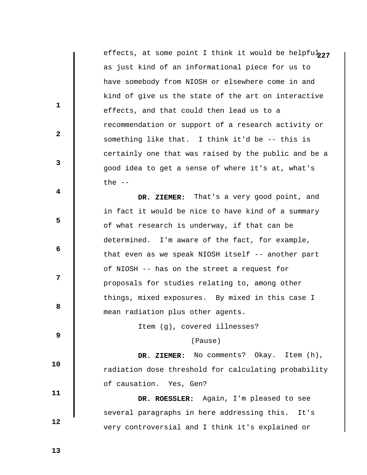effects, at some point I think it would be helpful<sub>227</sub> as just kind of an informational piece for us to have somebody from NIOSH or elsewhere come in and kind of give us the state of the art on interactive effects, and that could then lead us to a recommendation or support of a research activity or something like that. I think it'd be -- this is certainly one that was raised by the public and be a good idea to get a sense of where it's at, what's the  $--$ 

 **DR. ZIEMER:** That's a very good point, and in fact it would be nice to have kind of a summary of what research is underway, if that can be determined. I'm aware of the fact, for example, that even as we speak NIOSH itself -- another part of NIOSH -- has on the street a request for proposals for studies relating to, among other things, mixed exposures. By mixed in this case I mean radiation plus other agents.

Item (g), covered illnesses?

(Pause)

 **DR. ZIEMER:** No comments? Okay. Item (h), radiation dose threshold for calculating probability of causation. Yes, Gen?

 **DR. ROESSLER:** Again, I'm pleased to see several paragraphs in here addressing this. It's very controversial and I think it's explained or

 **13** 

 **10** 

 **11** 

 **12** 

**1** 

**2** 

**3** 

**4** 

**5** 

**6 6** 

**12** 

**8 8**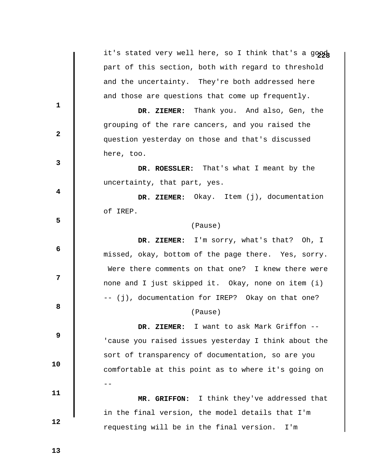|              | it's stated very well here, so I think that's a goog |
|--------------|------------------------------------------------------|
|              | part of this section, both with regard to threshold  |
|              | and the uncertainty. They're both addressed here     |
|              | and those are questions that come up frequently.     |
| 1            | DR. ZIEMER: Thank you. And also, Gen, the            |
|              | grouping of the rare cancers, and you raised the     |
| $\mathbf{2}$ | question yesterday on those and that's discussed     |
|              | here, too.                                           |
| 3            | DR. ROESSLER: That's what I meant by the             |
|              | uncertainty, that part, yes.                         |
| 4            | DR. ZIEMER: Okay. Item (j), documentation            |
|              | of IREP.                                             |
| 5            | (Pause)                                              |
|              | DR. ZIEMER: I'm sorry, what's that? Oh, I            |
| 6            | missed, okay, bottom of the page there. Yes, sorry.  |
|              | Were there comments on that one? I knew there were   |
| 7            | none and I just skipped it. Okay, none on item (i)   |
|              | -- (j), documentation for IREP? Okay on that one?    |
| 8            | (Pause)                                              |
|              | I want to ask Mark Griffon --<br>DR. ZIEMER:         |
| 9            | 'cause you raised issues yesterday I think about the |
|              | sort of transparency of documentation, so are you    |
| 10           | comfortable at this point as to where it's going on  |
|              |                                                      |
| 11           | MR. GRIFFON: I think they've addressed that          |
|              | in the final version, the model details that I'm     |
| 12           | requesting will be in the final version.<br>I'm      |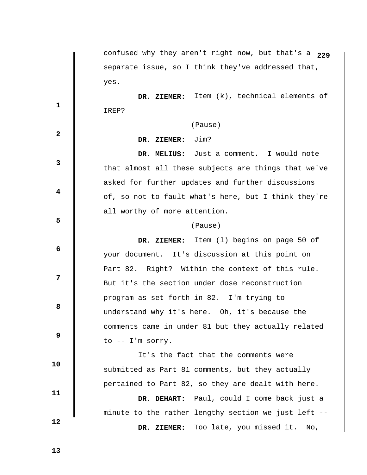|              | confused why they aren't right now, but that's a 229 |
|--------------|------------------------------------------------------|
|              | separate issue, so I think they've addressed that,   |
|              | yes.                                                 |
|              | DR. ZIEMER: Item (k), technical elements of          |
| $\mathbf{1}$ | IREP?                                                |
|              | (Pause)                                              |
| $\mathbf{2}$ | Jim?<br>DR. ZIEMER:                                  |
|              | Just a comment. I would note<br>DR. MELIUS:          |
| $\mathbf{3}$ | that almost all these subjects are things that we've |
|              | asked for further updates and further discussions    |
| 4            | of, so not to fault what's here, but I think they're |
|              | all worthy of more attention.                        |
| 5            | (Pause)                                              |
|              | DR. ZIEMER: Item (1) begins on page 50 of            |
| 6            | your document. It's discussion at this point on      |
|              | Part 82. Right? Within the context of this rule.     |
| 7            | But it's the section under dose reconstruction       |
|              | program as set forth in 82. I'm trying to            |
| 8            | understand why it's here. Oh, it's because the       |
|              | comments came in under 81 but they actually related  |
| 9            | to -- I'm sorry.                                     |
|              | It's the fact that the comments were                 |
| 10           | submitted as Part 81 comments, but they actually     |
|              | pertained to Part 82, so they are dealt with here.   |
| 11           | Paul, could I come back just a<br>DR. DEHART:        |
|              | minute to the rather lengthy section we just left -- |
| 12           | Too late, you missed it. No,<br>DR. ZIEMER:          |
|              |                                                      |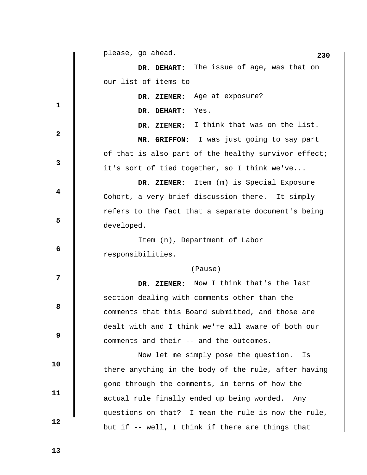|                         | please, go ahead.<br>230                             |
|-------------------------|------------------------------------------------------|
|                         | DR. DEHART: The issue of age, was that on            |
|                         | our list of items to --                              |
|                         | DR. ZIEMER: Age at exposure?                         |
| $\mathbf{1}$            | Yes.<br>DR. DEHART:                                  |
|                         | I think that was on the list.<br>DR. ZIEMER:         |
| $\mathbf{2}$            | MR. GRIFFON: I was just going to say part            |
|                         | of that is also part of the healthy survivor effect; |
| $\mathbf{3}$            | it's sort of tied together, so I think we've         |
|                         | Item (m) is Special Exposure<br>DR. ZIEMER:          |
| $\overline{\mathbf{4}}$ | Cohort, a very brief discussion there. It simply     |
|                         | refers to the fact that a separate document's being  |
| 5                       | developed.                                           |
|                         | Item (n), Department of Labor                        |
| 6                       | responsibilities.                                    |
|                         | (Pause)                                              |
| 7                       | DR. ZIEMER: Now I think that's the last              |
|                         | section dealing with comments other than the         |
| 8                       | comments that this Board submitted, and those are    |
|                         | dealt with and I think we're all aware of both our   |
| 9                       | comments and their -- and the outcomes.              |
|                         | Now let me simply pose the question.<br>Is           |
| 10                      | there anything in the body of the rule, after having |
|                         | gone through the comments, in terms of how the       |
| 11                      | actual rule finally ended up being worded. Any       |
|                         | questions on that? I mean the rule is now the rule,  |
| 12                      | but if -- well, I think if there are things that     |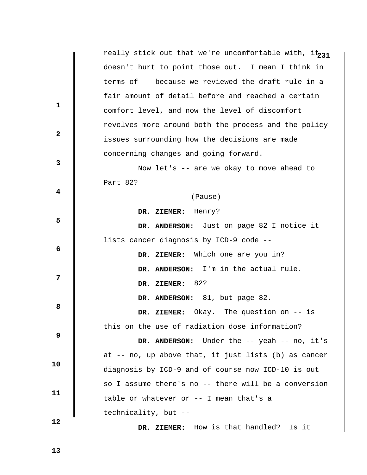really stick out that we're uncomfortable with, it231 doesn't hurt to point those out. I mean I think in terms of -- because we reviewed the draft rule in a fair amount of detail before and reached a certain comfort level, and now the level of discomfort revolves more around both the process and the policy issues surrounding how the decisions are made concerning changes and going forward. **1 2 3 4 5 6 6 12 8 8 9 10 11 12**  Now let's -- are we okay to move ahead to Part 82? (Pause)  **DR. ZIEMER:** Henry?  **DR. ANDERSON:** Just on page 82 I notice it lists cancer diagnosis by ICD-9 code --  **DR. ZIEMER:** Which one are you in?  **DR. ANDERSON:** I'm in the actual rule.  **DR. ZIEMER:** 82?  **DR. ANDERSON:** 81, but page 82.  **DR. ZIEMER:** Okay. The question on -- is this on the use of radiation dose information?  **DR. ANDERSON:** Under the -- yeah -- no, it's at -- no, up above that, it just lists (b) as cancer diagnosis by ICD-9 and of course now ICD-10 is out so I assume there's no -- there will be a conversion table or whatever or -- I mean that's a technicality, but --

 **DR. ZIEMER:** How is that handled? Is it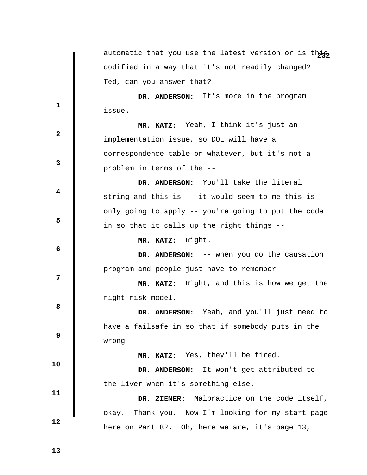|              | automatic that you use the latest version or is this |
|--------------|------------------------------------------------------|
|              | codified in a way that it's not readily changed?     |
|              | Ted, can you answer that?                            |
|              | DR. ANDERSON: It's more in the program               |
| $\mathbf 1$  | issue.                                               |
|              | MR. KATZ: Yeah, I think it's just an                 |
| $\mathbf{2}$ | implementation issue, so DOL will have a             |
|              | correspondence table or whatever, but it's not a     |
| 3            | problem in terms of the --                           |
|              | DR. ANDERSON: You'll take the literal                |
| 4            | string and this is -- it would seem to me this is    |
|              | only going to apply -- you're going to put the code  |
| 5            | in so that it calls up the right things --           |
|              | MR. KATZ: Right.                                     |
| 6            | DR. ANDERSON: -- when you do the causation           |
|              | program and people just have to remember --          |
| 7            | MR. KATZ: Right, and this is how we get the          |
|              | right risk model.                                    |
| 8            | DR. ANDERSON: Yeah, and you'll just need to          |
|              | have a failsafe in so that if somebody puts in the   |
| 9            | $wrong$ --                                           |
|              | MR. KATZ: Yes, they'll be fired.                     |
| 10           | It won't get attributed to<br>DR. ANDERSON:          |
|              | the liver when it's something else.                  |
| 11           | DR. ZIEMER: Malpractice on the code itself,          |
|              | okay. Thank you. Now I'm looking for my start page   |
| 12           | here on Part 82. Oh, here we are, it's page 13,      |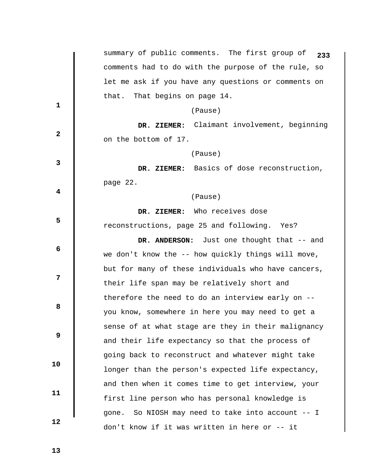|                         | summary of public comments. The first group of<br>233 |
|-------------------------|-------------------------------------------------------|
|                         | comments had to do with the purpose of the rule, so   |
|                         | let me ask if you have any questions or comments on   |
|                         | That begins on page 14.<br>that.                      |
| $\mathbf{1}$            | (Pause)                                               |
|                         | DR. ZIEMER: Claimant involvement, beginning           |
| $\mathbf{2}$            | on the bottom of 17.                                  |
|                         | (Pause)                                               |
| 3                       | DR. ZIEMER: Basics of dose reconstruction,            |
|                         | page 22.                                              |
| $\overline{\mathbf{4}}$ | (Pause)                                               |
|                         | DR. ZIEMER: Who receives dose                         |
| 5                       | reconstructions, page 25 and following. Yes?          |
|                         | DR. ANDERSON: Just one thought that -- and            |
| 6                       | we don't know the -- how quickly things will move,    |
|                         | but for many of these individuals who have cancers,   |
| 7                       | their life span may be relatively short and           |
|                         | therefore the need to do an interview early on --     |
| 8                       | you know, somewhere in here you may need to get a     |
|                         | sense of at what stage are they in their malignancy   |
| 9                       | and their life expectancy so that the process of      |
|                         | going back to reconstruct and whatever might take     |
| 10                      | longer than the person's expected life expectancy,    |
|                         | and then when it comes time to get interview, your    |
| 11                      | first line person who has personal knowledge is       |
|                         | gone. So NIOSH may need to take into account -- I     |
| 12                      | don't know if it was written in here or -- it         |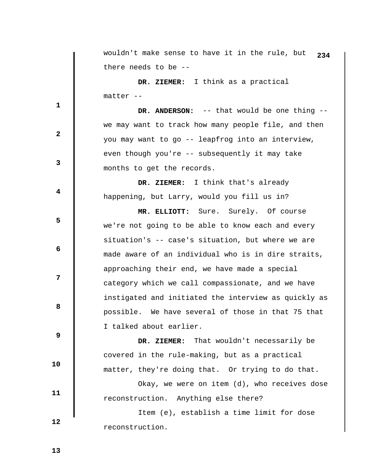|              | wouldn't make sense to have it in the rule, but<br>234 |
|--------------|--------------------------------------------------------|
|              | there needs to be --                                   |
|              | DR. ZIEMER: I think as a practical                     |
|              | matter --                                              |
| 1            | DR. ANDERSON: -- that would be one thing --            |
|              | we may want to track how many people file, and then    |
| $\mathbf{2}$ | you may want to go -- leapfrog into an interview,      |
|              | even though you're -- subsequently it may take         |
| 3            | months to get the records.                             |
|              | DR. ZIEMER: I think that's already                     |
| 4            | happening, but Larry, would you fill us in?            |
|              | MR. ELLIOTT: Sure. Surely. Of course                   |
| 5            | we're not going to be able to know each and every      |
|              | situation's -- case's situation, but where we are      |
| 6            | made aware of an individual who is in dire straits,    |
|              | approaching their end, we have made a special          |
| 7            | category which we call compassionate, and we have      |
|              | instigated and initiated the interview as quickly as   |
| 8            | possible. We have several of those in that 75 that     |
|              | I talked about earlier.                                |
| 9            | DR. ZIEMER: That wouldn't necessarily be               |
|              | covered in the rule-making, but as a practical         |
| 10           | matter, they're doing that. Or trying to do that.      |
|              | Okay, we were on item (d), who receives dose           |
| 11           | reconstruction. Anything else there?                   |
|              | Item (e), establish a time limit for dose              |
| 12           | reconstruction.                                        |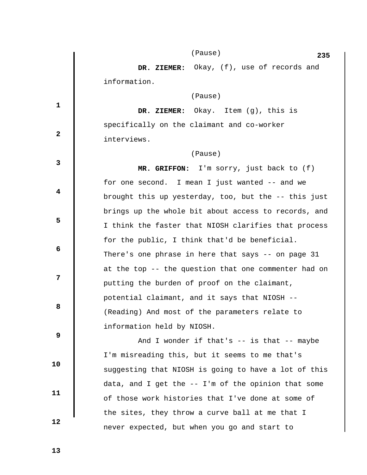|              | (Pause)<br>235                                          |
|--------------|---------------------------------------------------------|
|              | DR. ZIEMER: Okay, (f), use of records and               |
|              | information.                                            |
|              | (Pause)                                                 |
| $\mathbf 1$  | DR. ZIEMER: $Okay.$ Item $(g)$ , this is                |
|              | specifically on the claimant and co-worker              |
| $\mathbf{2}$ | interviews.                                             |
|              | (Pause)                                                 |
| 3            | MR. GRIFFON: I'm sorry, just back to (f)                |
|              | for one second. I mean I just wanted -- and we          |
| 4            | brought this up yesterday, too, but the $-$ - this just |
|              | brings up the whole bit about access to records, and    |
| 5            | I think the faster that NIOSH clarifies that process    |
|              | for the public, I think that'd be beneficial.           |
| 6            | There's one phrase in here that says -- on page 31      |
|              | at the top -- the question that one commenter had on    |
| 7            | putting the burden of proof on the claimant,            |
|              | potential claimant, and it says that NIOSH --           |
| 8            | (Reading) And most of the parameters relate to          |
|              | information held by NIOSH.                              |
| 9            | And I wonder if that's $--$ is that $--$ maybe          |
|              | I'm misreading this, but it seems to me that's          |
| 10           | suggesting that NIOSH is going to have a lot of this    |
|              | data, and I get the -- I'm of the opinion that some     |
| 11           | of those work histories that I've done at some of       |
|              | the sites, they throw a curve ball at me that I         |
| 12           | never expected, but when you go and start to            |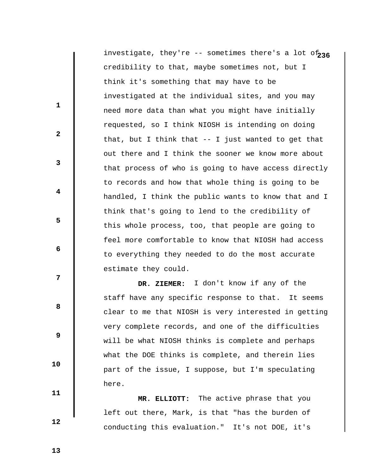investigate, they're -- sometimes there's a lot of 236 credibility to that, maybe sometimes not, but I think it's something that may have to be investigated at the individual sites, and you may need more data than what you might have initially requested, so I think NIOSH is intending on doing that, but I think that -- I just wanted to get that out there and I think the sooner we know more about that process of who is going to have access directly to records and how that whole thing is going to be handled, I think the public wants to know that and I think that's going to lend to the credibility of this whole process, too, that people are going to feel more comfortable to know that NIOSH had access to everything they needed to do the most accurate estimate they could.

 **DR. ZIEMER:** I don't know if any of the staff have any specific response to that. It seems clear to me that NIOSH is very interested in getting very complete records, and one of the difficulties will be what NIOSH thinks is complete and perhaps what the DOE thinks is complete, and therein lies part of the issue, I suppose, but I'm speculating here.

 **MR. ELLIOTT:** The active phrase that you left out there, Mark, is that "has the burden of conducting this evaluation." It's not DOE, it's

 **13** 

 **10** 

 **11** 

 **12** 

**1** 

**2** 

**3** 

**4** 

**5** 

**6 6** 

**12** 

**8 8**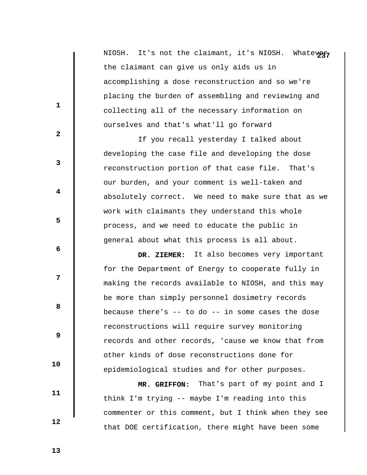NIOSH. It's not the claimant, it's NIOSH. Whatever, the claimant can give us only aids us in accomplishing a dose reconstruction and so we're placing the burden of assembling and reviewing and collecting all of the necessary information on ourselves and that's what'll go forward

 If you recall yesterday I talked about developing the case file and developing the dose reconstruction portion of that case file. That's our burden, and your comment is well-taken and absolutely correct. We need to make sure that as we work with claimants they understand this whole process, and we need to educate the public in general about what this process is all about.

 **DR. ZIEMER:** It also becomes very important for the Department of Energy to cooperate fully in making the records available to NIOSH, and this may be more than simply personnel dosimetry records because there's  $-$ - to do  $-$  in some cases the dose reconstructions will require survey monitoring records and other records, 'cause we know that from other kinds of dose reconstructions done for epidemiological studies and for other purposes.

 **MR. GRIFFON:** That's part of my point and I think I'm trying -- maybe I'm reading into this commenter or this comment, but I think when they see that DOE certification, there might have been some

 **13** 

 **10** 

 **11** 

 **12** 

**1** 

**2** 

**3** 

**4** 

**5** 

 **6** 

**12** 

**8 8**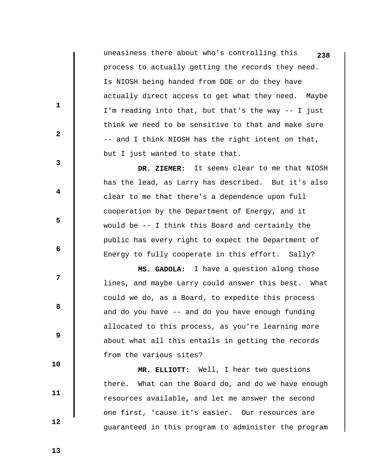uneasiness there about who's controlling this **238** process to actually getting the records they need. Is NIOSH being handed from DOE or do they have actually direct access to get what they need. Maybe I'm reading into that, but that's the way -- I just think we need to be sensitive to that and make sure -- and I think NIOSH has the right intent on that, but I just wanted to state that.

 **DR. ZIEMER:** It seems clear to me that NIOSH has the lead, as Larry has described. But it's also clear to me that there's a dependence upon full cooperation by the Department of Energy, and it would be -- I think this Board and certainly the public has every right to expect the Department of Energy to fully cooperate in this effort. Sally?

 **MS. GADOLA:** I have a question along those lines, and maybe Larry could answer this best. What could we do, as a Board, to expedite this process and do you have -- and do you have enough funding allocated to this process, as you're learning more about what all this entails in getting the records from the various sites?

 **MR. ELLIOTT:** Well, I hear two questions there. What can the Board do, and do we have enough resources available, and let me answer the second one first, 'cause it's easier. Our resources are guaranteed in this program to administer the program

 **13** 

**1** 

**2** 

**3** 

**4** 

**5** 

 **6** 

**12** 

**8 8** 

 **9** 

 **10** 

 **11**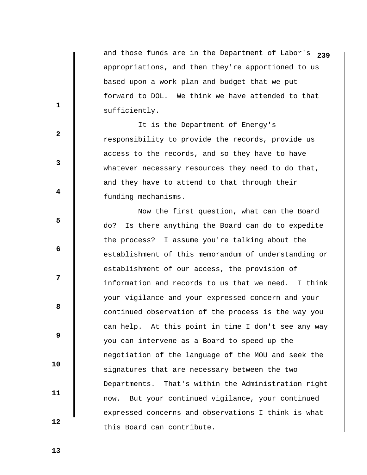and those funds are in the Department of Labor's **239** appropriations, and then they're apportioned to us based upon a work plan and budget that we put forward to DOL. We think we have attended to that sufficiently.

 It is the Department of Energy's responsibility to provide the records, provide us access to the records, and so they have to have whatever necessary resources they need to do that, and they have to attend to that through their funding mechanisms.

 Now the first question, what can the Board do? Is there anything the Board can do to expedite the process? I assume you're talking about the establishment of this memorandum of understanding or establishment of our access, the provision of information and records to us that we need. I think your vigilance and your expressed concern and your continued observation of the process is the way you can help. At this point in time I don't see any way you can intervene as a Board to speed up the negotiation of the language of the MOU and seek the signatures that are necessary between the two Departments. That's within the Administration right now. But your continued vigilance, your continued expressed concerns and observations I think is what this Board can contribute.

 **13** 

 **10** 

 **11** 

 **12** 

**1** 

**2** 

**3** 

**4** 

**5** 

**6 6** 

**12** 

**8 8**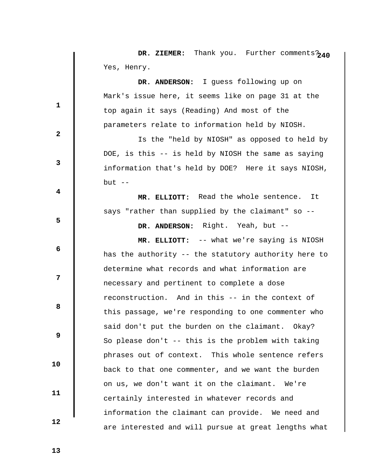|              | DR. ZIEMER: Thank you. Further comments?240           |
|--------------|-------------------------------------------------------|
|              | Yes, Henry.                                           |
|              | DR. ANDERSON: I guess following up on                 |
|              | Mark's issue here, it seems like on page 31 at the    |
| $\mathbf 1$  | top again it says (Reading) And most of the           |
|              | parameters relate to information held by NIOSH.       |
| $\mathbf{2}$ | Is the "held by NIOSH" as opposed to held by          |
|              | DOE, is this -- is held by NIOSH the same as saying   |
| 3            | information that's held by DOE? Here it says NIOSH,   |
|              | $but --$                                              |
| 4            | MR. ELLIOTT: Read the whole sentence.<br>It           |
|              | says "rather than supplied by the claimant" so --     |
| 5            | DR. ANDERSON: Right. Yeah, but --                     |
|              | MR. ELLIOTT: -- what we're saying is NIOSH            |
| 6            | has the authority -- the statutory authority here to  |
|              | determine what records and what information are       |
| 7            | necessary and pertinent to complete a dose            |
|              | reconstruction. And in this -- in the context of      |
| 8            | this passage, we're responding to one commenter who   |
|              | said don't put the burden on the claimant. Okay?      |
| 9            | So please don't $-$ - this is the problem with taking |
|              | phrases out of context. This whole sentence refers    |
| 10           | back to that one commenter, and we want the burden    |
|              | on us, we don't want it on the claimant. We're        |
| 11           | certainly interested in whatever records and          |
|              | information the claimant can provide. We need and     |
| 12           | are interested and will pursue at great lengths what  |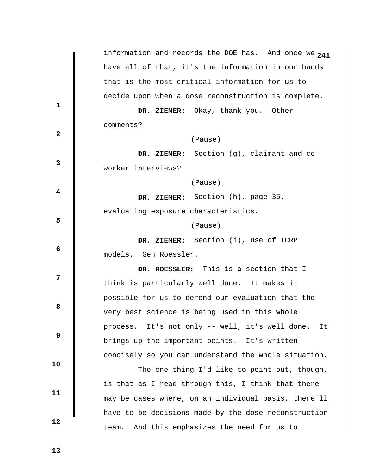|                         | information and records the DOE has. And once we 241  |
|-------------------------|-------------------------------------------------------|
|                         | have all of that, it's the information in our hands   |
|                         | that is the most critical information for us to       |
| $\mathbf 1$             | decide upon when a dose reconstruction is complete.   |
|                         | DR. ZIEMER: Okay, thank you. Other                    |
|                         | comments?                                             |
| $\mathbf{2}$            | (Pause)                                               |
|                         | DR. ZIEMER: Section (g), claimant and co-             |
| $\mathbf{3}$            | worker interviews?                                    |
|                         | (Pause)                                               |
| $\overline{\mathbf{4}}$ | DR. ZIEMER: Section (h), page 35,                     |
| 5                       | evaluating exposure characteristics.                  |
|                         | (Pause)                                               |
|                         | DR. ZIEMER: Section (i), use of ICRP                  |
| 6                       | models. Gen Roessler.                                 |
|                         | DR. ROESSLER: This is a section that I                |
| $\overline{7}$          | think is particularly well done. It makes it          |
|                         | possible for us to defend our evaluation that the     |
| 8                       | very best science is being used in this whole         |
| 9                       | process. It's not only -- well, it's well done.<br>It |
|                         | brings up the important points. It's written          |
|                         | concisely so you can understand the whole situation.  |
| 10                      | The one thing I'd like to point out, though,          |
| 11                      | is that as I read through this, I think that there    |
|                         | may be cases where, on an individual basis, there'll  |
|                         | have to be decisions made by the dose reconstruction  |
| 12                      | And this emphasizes the need for us to<br>team.       |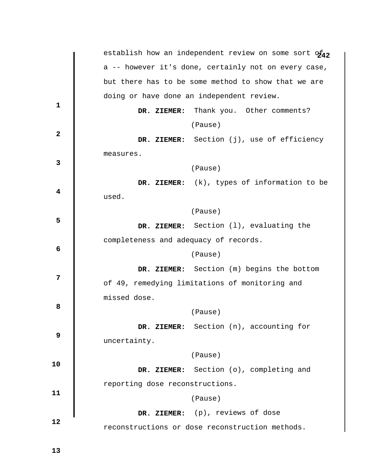|                         |                                       | establish how an independent review on some sort of42 |
|-------------------------|---------------------------------------|-------------------------------------------------------|
|                         |                                       | a -- however it's done, certainly not on every case,  |
|                         |                                       | but there has to be some method to show that we are   |
|                         |                                       | doing or have done an independent review.             |
| $\mathbf{1}$            |                                       | DR. ZIEMER: Thank you. Other comments?                |
|                         |                                       | (Pause)                                               |
| $\mathbf{2}$            |                                       | DR. ZIEMER: Section (j), use of efficiency            |
|                         | measures.                             |                                                       |
| 3                       |                                       | (Pause)                                               |
|                         |                                       | DR. ZIEMER: (k), types of information to be           |
| $\overline{\mathbf{4}}$ | used.                                 |                                                       |
|                         |                                       | (Pause)                                               |
| 5                       |                                       | DR. ZIEMER: Section (1), evaluating the               |
|                         | completeness and adequacy of records. |                                                       |
| 6                       |                                       | (Pause)                                               |
|                         |                                       | DR. ZIEMER: Section (m) begins the bottom             |
| 7                       |                                       | of 49, remedying limitations of monitoring and        |
|                         | missed dose.                          |                                                       |
| 8                       |                                       | (Pause)                                               |
|                         |                                       | DR. ZIEMER: Section (n), accounting for               |
| 9                       | uncertainty.                          |                                                       |
|                         |                                       | (Pause)                                               |
| 10                      |                                       | DR. ZIEMER: Section (o), completing and               |
|                         | reporting dose reconstructions.       |                                                       |
| 11                      |                                       | (Pause)                                               |
|                         |                                       | DR. ZIEMER: (p), reviews of dose                      |
| 12                      |                                       | reconstructions or dose reconstruction methods.       |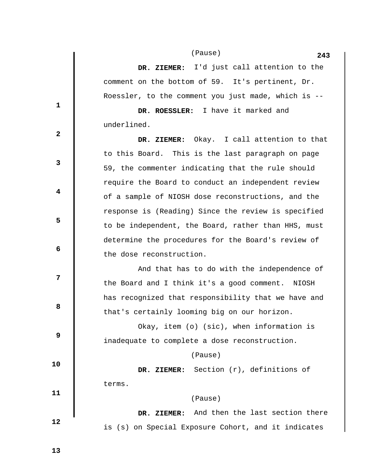**243** (Pause)

 **DR. ZIEMER:** I'd just call attention to the comment on the bottom of 59. It's pertinent, Dr. Roessler, to the comment you just made, which is --

 **DR. ROESSLER:** I have it marked and underlined.

 **DR. ZIEMER:** Okay. I call attention to that to this Board. This is the last paragraph on page 59, the commenter indicating that the rule should require the Board to conduct an independent review of a sample of NIOSH dose reconstructions, and the response is (Reading) Since the review is specified to be independent, the Board, rather than HHS, must determine the procedures for the Board's review of the dose reconstruction.

 And that has to do with the independence of the Board and I think it's a good comment. NIOSH has recognized that responsibility that we have and that's certainly looming big on our horizon.

 Okay, item (o) (sic), when information is inadequate to complete a dose reconstruction.

(Pause)

 **DR. ZIEMER:** Section (r), definitions of terms.

## (Pause)

 **DR. ZIEMER:** And then the last section there is (s) on Special Exposure Cohort, and it indicates

 **13** 

**1** 

**2** 

**3** 

**4** 

**5** 

**6 6** 

**12** 

**8 8** 

 **9** 

 **10** 

 **11**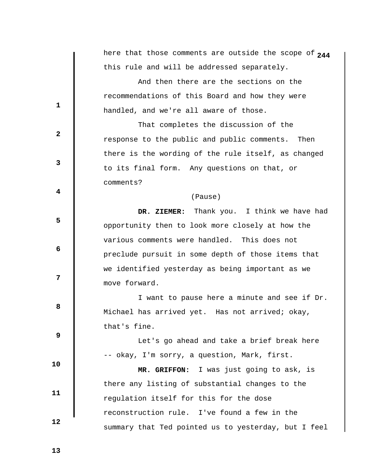|              | here that those comments are outside the scope of 244 |
|--------------|-------------------------------------------------------|
|              | this rule and will be addressed separately.           |
|              | And then there are the sections on the                |
| 1            | recommendations of this Board and how they were       |
|              | handled, and we're all aware of those.                |
| $\mathbf{2}$ | That completes the discussion of the                  |
|              | response to the public and public comments.<br>Then   |
| 3            | there is the wording of the rule itself, as changed   |
|              | to its final form. Any questions on that, or          |
| 4            | comments?                                             |
|              | (Pause)                                               |
|              | DR. ZIEMER: Thank you. I think we have had            |
| 5            | opportunity then to look more closely at how the      |
| 6            | various comments were handled. This does not          |
|              | preclude pursuit in some depth of those items that    |
| 7            | we identified yesterday as being important as we      |
|              | move forward.                                         |
| 8            | I want to pause here a minute and see if Dr.          |
|              | Michael has arrived yet. Has not arrived; okay,       |
| 9            | that's fine.                                          |
|              | Let's go ahead and take a brief break here            |
|              | -- okay, I'm sorry, a question, Mark, first.          |
| 10           | MR. GRIFFON: I was just going to ask, is              |
| 11           | there any listing of substantial changes to the       |
|              | regulation itself for this for the dose               |
| 12           | reconstruction rule. I've found a few in the          |
|              | summary that Ted pointed us to yesterday, but I feel  |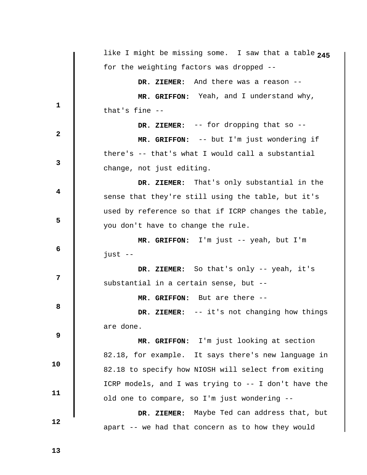|                         | like I might be missing some. I saw that a table 245 |
|-------------------------|------------------------------------------------------|
|                         | for the weighting factors was dropped --             |
|                         | DR. ZIEMER: And there was a reason --                |
|                         | MR. GRIFFON: Yeah, and I understand why,             |
| $\mathbf 1$             | that's fine --                                       |
| $\mathbf{2}$            | DR. ZIEMER: -- for dropping that so --               |
|                         | MR. GRIFFON: -- but I'm just wondering if            |
| $\mathbf{3}$            | there's -- that's what I would call a substantial    |
|                         | change, not just editing.                            |
| $\overline{\mathbf{4}}$ | DR. ZIEMER: That's only substantial in the           |
|                         | sense that they're still using the table, but it's   |
|                         | used by reference so that if ICRP changes the table, |
| 5                       | you don't have to change the rule.                   |
|                         | <b>MR. GRIFFON:</b> I'm just $-$ yeah, but I'm       |
| 6                       | $just --$                                            |
| 7                       | DR. ZIEMER: So that's only -- yeah, it's             |
|                         | substantial in a certain sense, but --               |
| 8                       | MR. GRIFFON: But are there --                        |
|                         | -- it's not changing how things<br>DR. ZIEMER:       |
|                         | are done.                                            |
| 9                       | MR. GRIFFON: I'm just looking at section             |
|                         | 82.18, for example. It says there's new language in  |
| 10                      | 82.18 to specify how NIOSH will select from exiting  |
|                         |                                                      |
| 11                      | ICRP models, and I was trying to -- I don't have the |
|                         | old one to compare, so I'm just wondering --         |
| 12                      | DR. ZIEMER: Maybe Ted can address that, but          |
|                         | apart -- we had that concern as to how they would    |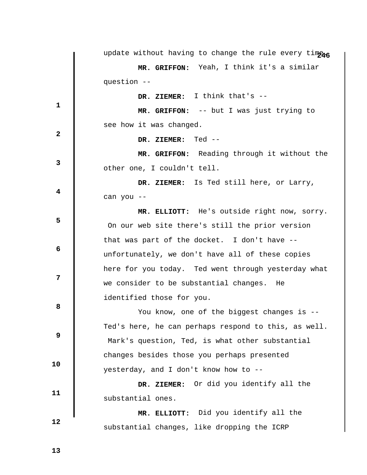|              | update without having to change the rule every timens |
|--------------|-------------------------------------------------------|
|              | MR. GRIFFON: Yeah, I think it's a similar             |
|              | question --                                           |
| 1            | DR. ZIEMER: I think that's --                         |
|              | MR. GRIFFON: -- but I was just trying to              |
| $\mathbf{2}$ | see how it was changed.                               |
|              | DR. ZIEMER: Ted --                                    |
| 3            | MR. GRIFFON: Reading through it without the           |
|              | other one, I couldn't tell.                           |
| 4            | DR. ZIEMER: Is Ted still here, or Larry,              |
|              | can you --                                            |
| 5            | MR. ELLIOTT: He's outside right now, sorry.           |
|              | On our web site there's still the prior version       |
|              | that was part of the docket. I don't have --          |
| 6            | unfortunately, we don't have all of these copies      |
| 7            | here for you today. Ted went through yesterday what   |
|              | we consider to be substantial changes. He             |
| 8            | identified those for you.                             |
|              | You know, one of the biggest changes is --            |
| 9            | Ted's here, he can perhaps respond to this, as well.  |
|              | Mark's question, Ted, is what other substantial       |
| 10           | changes besides those you perhaps presented           |
|              | yesterday, and I don't know how to --                 |
| 11           | DR. ZIEMER: Or did you identify all the               |
|              | substantial ones.                                     |
| 12           | MR. ELLIOTT: Did you identify all the                 |
|              | substantial changes, like dropping the ICRP           |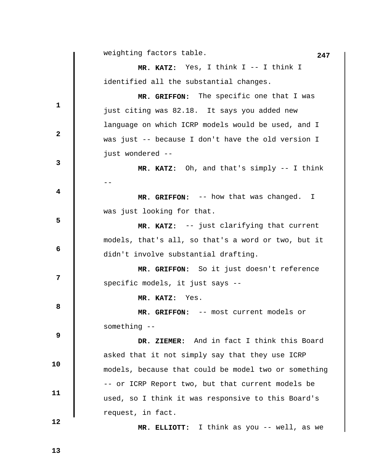**247** weighting factors table.

 **MR. KATZ:** Yes, I think I -- I think I identified all the substantial changes.

 **MR. GRIFFON:** The specific one that I was just citing was 82.18. It says you added new language on which ICRP models would be used, and I was just -- because I don't have the old version I just wondered --

 **MR. KATZ:** Oh, and that's simply -- I think --

 **MR. GRIFFON:** -- how that was changed. I was just looking for that.

 **MR. KATZ:** -- just clarifying that current models, that's all, so that's a word or two, but it didn't involve substantial drafting.

 **MR. GRIFFON:** So it just doesn't reference specific models, it just says --

 **MR. KATZ:** Yes.

 **MR. GRIFFON:** -- most current models or something --

 **DR. ZIEMER:** And in fact I think this Board asked that it not simply say that they use ICRP models, because that could be model two or something -- or ICRP Report two, but that current models be used, so I think it was responsive to this Board's request, in fact.

 **12** 

 **10** 

 **11** 

**1** 

**2** 

**3** 

**4** 

**5** 

 **6** 

**12** 

**8 8** 

 **9** 

 **MR. ELLIOTT:** I think as you -- well, as we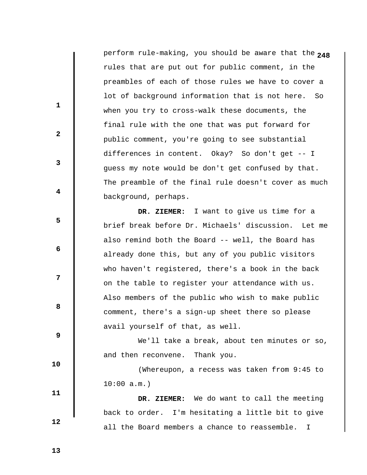**2** perform rule-making, you should be aware that the **48** rules that are put out for public comment, in the preambles of each of those rules we have to cover a lot of background information that is not here. So when you try to cross-walk these documents, the final rule with the one that was put forward for public comment, you're going to see substantial differences in content. Okay? So don't get -- I guess my note would be don't get confused by that. The preamble of the final rule doesn't cover as much background, perhaps.

 **DR. ZIEMER:** I want to give us time for a brief break before Dr. Michaels' discussion. Let me also remind both the Board -- well, the Board has already done this, but any of you public visitors who haven't registered, there's a book in the back on the table to register your attendance with us. Also members of the public who wish to make public comment, there's a sign-up sheet there so please avail yourself of that, as well.

We'll take a break, about ten minutes or so, and then reconvene. Thank you.

 (Whereupon, a recess was taken from 9:45 to  $10:00$  a.m.)

 **DR. ZIEMER:** We do want to call the meeting back to order. I'm hesitating a little bit to give all the Board members a chance to reassemble. I

 **13** 

 **10** 

 **11** 

 **12** 

**1** 

**2** 

**3** 

**4** 

**5** 

 **6** 

**12** 

**8 8**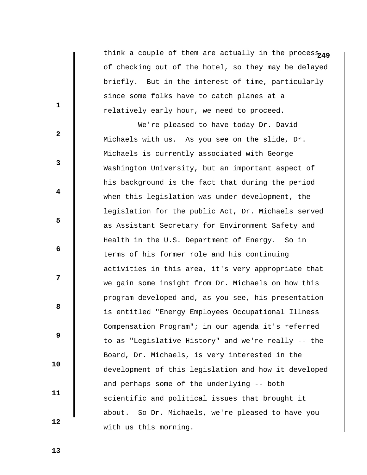think a couple of them are actually in the proces $_{\bf 249}$ of checking out of the hotel, so they may be delayed briefly. But in the interest of time, particularly since some folks have to catch planes at a relatively early hour, we need to proceed.

 We're pleased to have today Dr. David Michaels with us. As you see on the slide, Dr. Michaels is currently associated with George Washington University, but an important aspect of his background is the fact that during the period when this legislation was under development, the legislation for the public Act, Dr. Michaels served as Assistant Secretary for Environment Safety and Health in the U.S. Department of Energy. So in terms of his former role and his continuing activities in this area, it's very appropriate that we gain some insight from Dr. Michaels on how this program developed and, as you see, his presentation is entitled "Energy Employees Occupational Illness Compensation Program"; in our agenda it's referred to as "Legislative History" and we're really -- the Board, Dr. Michaels, is very interested in the development of this legislation and how it developed and perhaps some of the underlying -- both scientific and political issues that brought it about. So Dr. Michaels, we're pleased to have you with us this morning.

 **13** 

 **10** 

 **11** 

 **12** 

**1** 

**2** 

**3** 

**4** 

**5** 

 **6** 

**12** 

**8 8**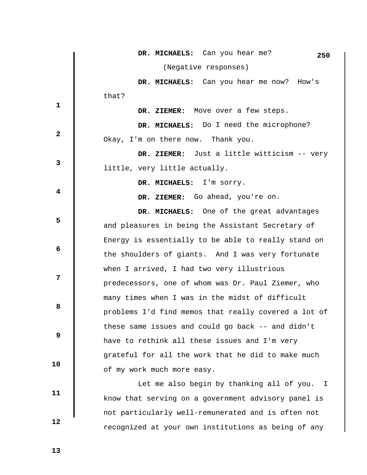|                | DR. MICHAELS: Can you hear me?<br>250                |
|----------------|------------------------------------------------------|
|                | (Negative responses)                                 |
|                | DR. MICHAELS: Can you hear me now? How's             |
|                | that?                                                |
| $\mathbf{1}$   | DR. ZIEMER: Move over a few steps.                   |
|                | DR. MICHAELS: Do I need the microphone?              |
| $\overline{2}$ | Okay, I'm on there now. Thank you.                   |
|                | DR. ZIEMER: Just a little witticism -- very          |
| $\mathbf{3}$   | little, very little actually.                        |
|                | DR. MICHAELS: I'm sorry.                             |
| 4              | DR. ZIEMER: Go ahead, you're on.                     |
|                | DR. MICHAELS: One of the great advantages            |
| 5              | and pleasures in being the Assistant Secretary of    |
|                | Energy is essentially to be able to really stand on  |
| 6              | the shoulders of giants. And I was very fortunate    |
|                | when I arrived, I had two very illustrious           |
| 7              | predecessors, one of whom was Dr. Paul Ziemer, who   |
|                | many times when I was in the midst of difficult      |
| 8              | problems I'd find memos that really covered a lot of |
|                | these same issues and could go back -- and didn't    |
| 9              | have to rethink all these issues and I'm very        |
|                | grateful for all the work that he did to make much   |
| 10             | of my work much more easy.                           |
|                | Let me also begin by thanking all of you. I          |
| 11             | know that serving on a government advisory panel is  |
|                | not particularly well-remunerated and is often not   |
| 12             | recognized at your own institutions as being of any  |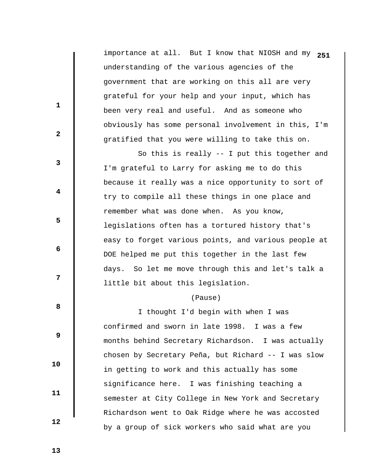importance at all. But I know that NIOSH and my **251** understanding of the various agencies of the government that are working on this all are very grateful for your help and your input, which has been very real and useful. And as someone who obviously has some personal involvement in this, I'm gratified that you were willing to take this on.

 So this is really -- I put this together and I'm grateful to Larry for asking me to do this because it really was a nice opportunity to sort of try to compile all these things in one place and remember what was done when. As you know, legislations often has a tortured history that's easy to forget various points, and various people at DOE helped me put this together in the last few days. So let me move through this and let's talk a little bit about this legislation.

## (Pause)

 I thought I'd begin with when I was confirmed and sworn in late 1998. I was a few months behind Secretary Richardson. I was actually chosen by Secretary Peña, but Richard -- I was slow in getting to work and this actually has some significance here. I was finishing teaching a semester at City College in New York and Secretary Richardson went to Oak Ridge where he was accosted by a group of sick workers who said what are you

 **13** 

 **10** 

 **11** 

 **12** 

**1** 

**2** 

**3** 

**4** 

**5** 

**6 6** 

**12** 

**8 8**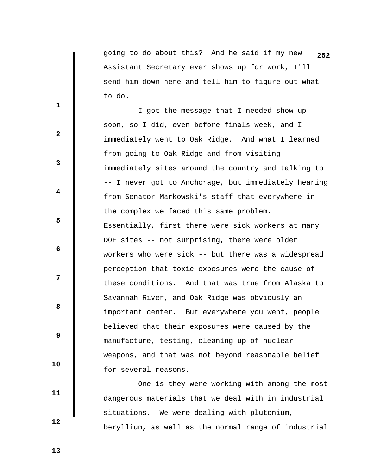going to do about this? And he said if my new **252** Assistant Secretary ever shows up for work, I'll send him down here and tell him to figure out what to do.

 I got the message that I needed show up soon, so I did, even before finals week, and I immediately went to Oak Ridge. And what I learned from going to Oak Ridge and from visiting immediately sites around the country and talking to -- I never got to Anchorage, but immediately hearing from Senator Markowski's staff that everywhere in the complex we faced this same problem. Essentially, first there were sick workers at many DOE sites -- not surprising, there were older workers who were sick -- but there was a widespread perception that toxic exposures were the cause of these conditions. And that was true from Alaska to Savannah River, and Oak Ridge was obviously an important center. But everywhere you went, people believed that their exposures were caused by the manufacture, testing, cleaning up of nuclear weapons, and that was not beyond reasonable belief for several reasons.

 One is they were working with among the most dangerous materials that we deal with in industrial situations. We were dealing with plutonium, beryllium, as well as the normal range of industrial

 **13** 

**1** 

**2** 

**3** 

**4** 

**5** 

**6 6** 

**12** 

**8 8** 

 **9** 

 **10** 

 **11**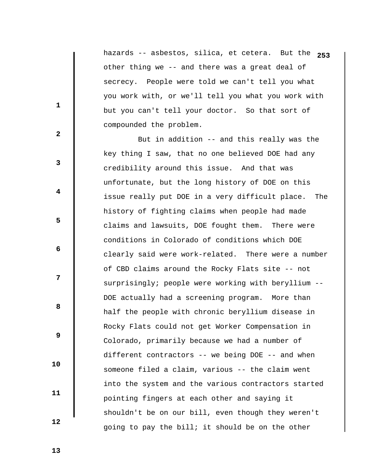hazards -- asbestos, silica, et cetera. But the **253** other thing we -- and there was a great deal of secrecy. People were told we can't tell you what you work with, or we'll tell you what you work with but you can't tell your doctor. So that sort of compounded the problem.

 But in addition -- and this really was the key thing I saw, that no one believed DOE had any credibility around this issue. And that was unfortunate, but the long history of DOE on this issue really put DOE in a very difficult place. The history of fighting claims when people had made claims and lawsuits, DOE fought them. There were conditions in Colorado of conditions which DOE clearly said were work-related. There were a number of CBD claims around the Rocky Flats site -- not surprisingly; people were working with beryllium --DOE actually had a screening program. More than half the people with chronic beryllium disease in Rocky Flats could not get Worker Compensation in Colorado, primarily because we had a number of different contractors -- we being DOE -- and when someone filed a claim, various -- the claim went into the system and the various contractors started pointing fingers at each other and saying it shouldn't be on our bill, even though they weren't going to pay the bill; it should be on the other

**1** 

**2** 

**3** 

**4** 

**5** 

**6 6** 

**12** 

**8 8** 

 **9** 

 **13** 

 **10** 

 **11**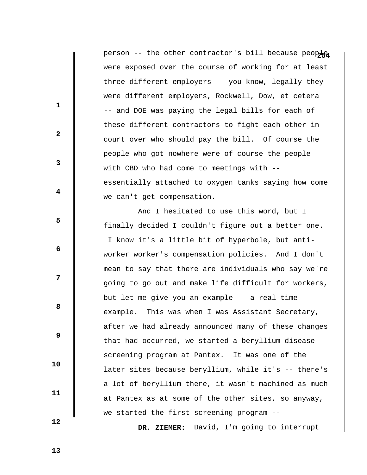person -- the other contractor's bill because people were exposed over the course of working for at least three different employers -- you know, legally they were different employers, Rockwell, Dow, et cetera -- and DOE was paying the legal bills for each of these different contractors to fight each other in court over who should pay the bill. Of course the people who got nowhere were of course the people with CBD who had come to meetings with - essentially attached to oxygen tanks saying how come we can't get compensation.

 And I hesitated to use this word, but I finally decided I couldn't figure out a better one.

 I know it's a little bit of hyperbole, but antiworker worker's compensation policies. And I don't mean to say that there are individuals who say we're going to go out and make life difficult for workers, but let me give you an example -- a real time example. This was when I was Assistant Secretary, after we had already announced many of these changes that had occurred, we started a beryllium disease screening program at Pantex. It was one of the later sites because beryllium, while it's -- there's a lot of beryllium there, it wasn't machined as much at Pantex as at some of the other sites, so anyway, we started the first screening program --

 **12** 

 **10** 

 **11** 

**1** 

**2** 

**3** 

**4** 

**5** 

**6 6** 

**12** 

**8 8** 

 **9** 

 **DR. ZIEMER:** David, I'm going to interrupt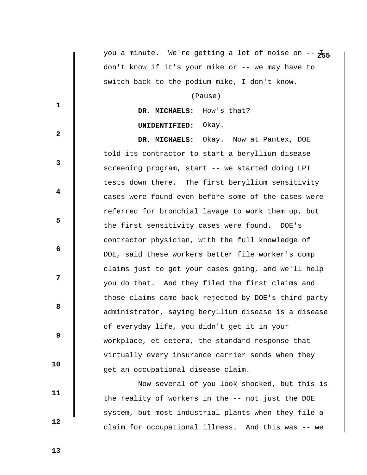you a minute. We're getting a lot of noise on  $-\frac{1}{2}$ don't know if it's your mike or -- we may have to switch back to the podium mike, I don't know.

(Pause)

 **DR. MICHAELS:** How's that?

## **UNIDENTIFIED:** Okay.

 **DR. MICHAELS:** Okay. Now at Pantex, DOE told its contractor to start a beryllium disease screening program, start -- we started doing LPT tests down there. The first beryllium sensitivity cases were found even before some of the cases were referred for bronchial lavage to work them up, but the first sensitivity cases were found. DOE's contractor physician, with the full knowledge of DOE, said these workers better file worker's comp claims just to get your cases going, and we'll help you do that. And they filed the first claims and those claims came back rejected by DOE's third-party administrator, saying beryllium disease is a disease of everyday life, you didn't get it in your workplace, et cetera, the standard response that virtually every insurance carrier sends when they get an occupational disease claim.

 Now several of you look shocked, but this is the reality of workers in the -- not just the DOE system, but most industrial plants when they file a claim for occupational illness. And this was -- we

**1** 

**2** 

**3** 

**4** 

**5** 

**6 6** 

**12** 

**8 8** 

 **9** 

 **13** 

 **10** 

 **11**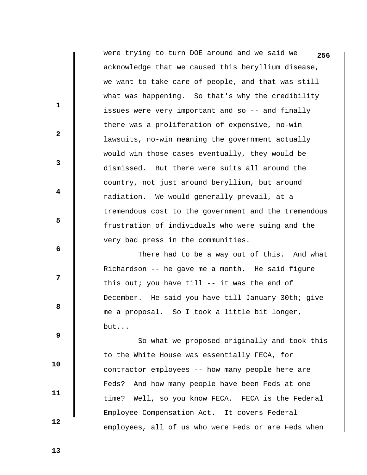were trying to turn DOE around and we said we **256** acknowledge that we caused this beryllium disease, we want to take care of people, and that was still what was happening. So that's why the credibility issues were very important and so -- and finally there was a proliferation of expensive, no-win lawsuits, no-win meaning the government actually would win those cases eventually, they would be dismissed. But there were suits all around the country, not just around beryllium, but around radiation. We would generally prevail, at a tremendous cost to the government and the tremendous frustration of individuals who were suing and the very bad press in the communities.

 There had to be a way out of this. And what Richardson -- he gave me a month. He said figure this out; you have till -- it was the end of December. He said you have till January 30th; give me a proposal. So I took a little bit longer, but...

 So what we proposed originally and took this to the White House was essentially FECA, for contractor employees -- how many people here are Feds? And how many people have been Feds at one time? Well, so you know FECA. FECA is the Federal Employee Compensation Act. It covers Federal employees, all of us who were Feds or are Feds when

 **13** 

 **10** 

 **11** 

 **12** 

**1** 

**2** 

**3** 

**4** 

**5** 

**6 6** 

**12** 

**8 8**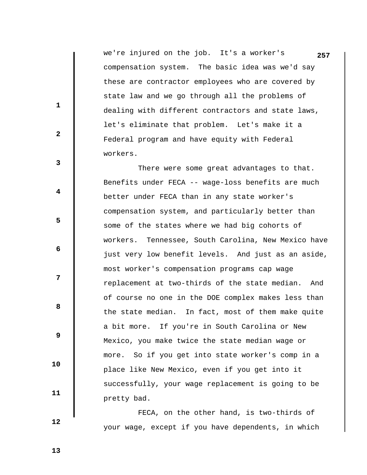we're injured on the job. It's a worker's **257** compensation system. The basic idea was we'd say these are contractor employees who are covered by state law and we go through all the problems of dealing with different contractors and state laws, let's eliminate that problem. Let's make it a Federal program and have equity with Federal workers.

 There were some great advantages to that. Benefits under FECA -- wage-loss benefits are much better under FECA than in any state worker's compensation system, and particularly better than some of the states where we had big cohorts of workers. Tennessee, South Carolina, New Mexico have just very low benefit levels. And just as an aside, most worker's compensation programs cap wage replacement at two-thirds of the state median. And of course no one in the DOE complex makes less than the state median. In fact, most of them make quite a bit more. If you're in South Carolina or New Mexico, you make twice the state median wage or more. So if you get into state worker's comp in a place like New Mexico, even if you get into it successfully, your wage replacement is going to be pretty bad.

 FECA, on the other hand, is two-thirds of your wage, except if you have dependents, in which

 **13** 

 **10** 

 **11** 

 **12** 

**1** 

**2** 

**3** 

**4** 

**5** 

**6 6** 

**12** 

**8 8**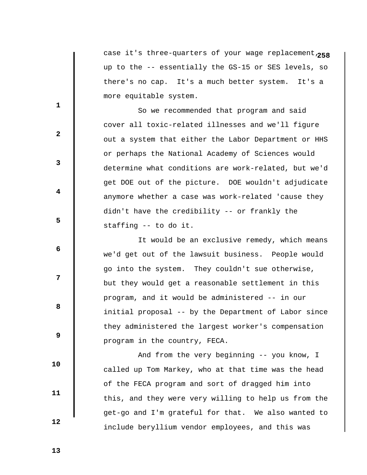**25** case it's three-quarters of your wage replacement, **8** up to the -- essentially the GS-15 or SES levels, so there's no cap. It's a much better system. It's a more equitable system.

 So we recommended that program and said cover all toxic-related illnesses and we'll figure out a system that either the Labor Department or HHS or perhaps the National Academy of Sciences would determine what conditions are work-related, but we'd get DOE out of the picture. DOE wouldn't adjudicate anymore whether a case was work-related 'cause they didn't have the credibility -- or frankly the staffing -- to do it.

 It would be an exclusive remedy, which means we'd get out of the lawsuit business. People would go into the system. They couldn't sue otherwise, but they would get a reasonable settlement in this program, and it would be administered -- in our initial proposal -- by the Department of Labor since they administered the largest worker's compensation program in the country, FECA.

 And from the very beginning -- you know, I called up Tom Markey, who at that time was the head of the FECA program and sort of dragged him into this, and they were very willing to help us from the get-go and I'm grateful for that. We also wanted to include beryllium vendor employees, and this was

 **13** 

 **10** 

 **11** 

 **12** 

**1** 

**2** 

**3** 

**4** 

**5** 

**6 6** 

**12** 

**8 8**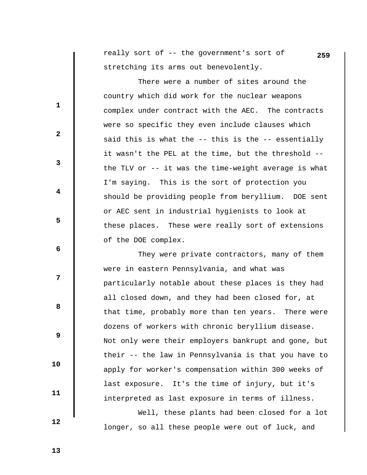really sort of -- the government's sort of **259** stretching its arms out benevolently.

 There were a number of sites around the country which did work for the nuclear weapons complex under contract with the AEC. The contracts were so specific they even include clauses which said this is what the -- this is the -- essentially it wasn't the PEL at the time, but the threshold - the TLV or -- it was the time-weight average is what I'm saying. This is the sort of protection you should be providing people from beryllium. DOE sent or AEC sent in industrial hygienists to look at these places. These were really sort of extensions of the DOE complex.

 They were private contractors, many of them were in eastern Pennsylvania, and what was particularly notable about these places is they had all closed down, and they had been closed for, at that time, probably more than ten years. There were dozens of workers with chronic beryllium disease. Not only were their employers bankrupt and gone, but their -- the law in Pennsylvania is that you have to apply for worker's compensation within 300 weeks of last exposure. It's the time of injury, but it's interpreted as last exposure in terms of illness.

 Well, these plants had been closed for a lot longer, so all these people were out of luck, and

 **13** 

 **10** 

 **11** 

 **12** 

**1** 

**2** 

**3** 

**4** 

**5** 

 **6** 

**12** 

**8 8**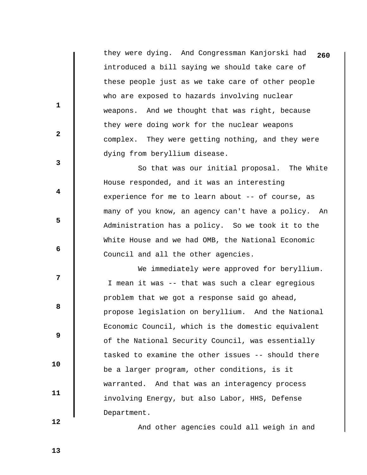they were dying. And Congressman Kanjorski had **260** introduced a bill saying we should take care of these people just as we take care of other people who are exposed to hazards involving nuclear weapons. And we thought that was right, because they were doing work for the nuclear weapons complex. They were getting nothing, and they were dying from beryllium disease.

 So that was our initial proposal. The White House responded, and it was an interesting experience for me to learn about -- of course, as many of you know, an agency can't have a policy. An Administration has a policy. So we took it to the White House and we had OMB, the National Economic Council and all the other agencies.

We immediately were approved for beryllium. I mean it was -- that was such a clear egregious problem that we got a response said go ahead, propose legislation on beryllium. And the National Economic Council, which is the domestic equivalent of the National Security Council, was essentially tasked to examine the other issues -- should there be a larger program, other conditions, is it warranted. And that was an interagency process involving Energy, but also Labor, HHS, Defense Department.

And other agencies could all weigh in and

 **12** 

 **10** 

 **11** 

**1** 

**2** 

**3** 

**4** 

**5** 

 **6** 

**12** 

**8 8** 

 **9**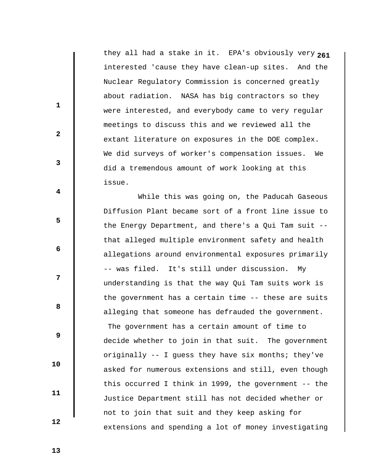**2** they all had a stake in it. EPA's obviously very **61** interested 'cause they have clean-up sites. And the Nuclear Regulatory Commission is concerned greatly about radiation. NASA has big contractors so they were interested, and everybody came to very regular meetings to discuss this and we reviewed all the extant literature on exposures in the DOE complex. We did surveys of worker's compensation issues. We did a tremendous amount of work looking at this issue.

 While this was going on, the Paducah Gaseous Diffusion Plant became sort of a front line issue to the Energy Department, and there's a Qui Tam suit - that alleged multiple environment safety and health allegations around environmental exposures primarily -- was filed. It's still under discussion. My understanding is that the way Qui Tam suits work is the government has a certain time -- these are suits alleging that someone has defrauded the government. The government has a certain amount of time to decide whether to join in that suit. The government originally -- I guess they have six months; they've asked for numerous extensions and still, even though this occurred I think in 1999, the government -- the Justice Department still has not decided whether or not to join that suit and they keep asking for extensions and spending a lot of money investigating

 **12** 

 **10** 

 **11** 

**1** 

**2** 

**3** 

**4** 

**5** 

**6 6** 

**12** 

**8 8** 

 **9**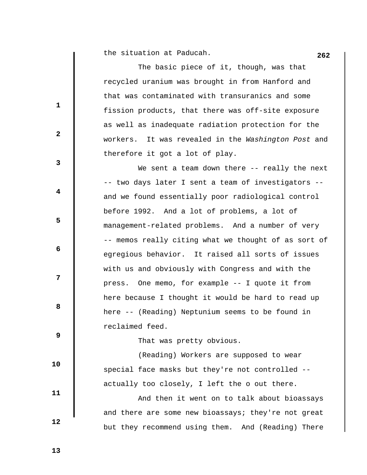**262** the situation at Paducah.

 $\mathbf l$ 

|    | The basic piece of it, though, was that                |
|----|--------------------------------------------------------|
|    | recycled uranium was brought in from Hanford and       |
| 1  | that was contaminated with transuranics and some       |
|    | fission products, that there was off-site exposure     |
| 2  | as well as inadequate radiation protection for the     |
|    | It was revealed in the Washington Post and<br>workers. |
| 3  | therefore it got a lot of play.                        |
|    | We sent a team down there -- really the next           |
| 4  | -- two days later I sent a team of investigators --    |
|    | and we found essentially poor radiological control     |
| 5  | before 1992. And a lot of problems, a lot of           |
|    | management-related problems. And a number of very      |
| 6  | -- memos really citing what we thought of as sort of   |
|    | egregious behavior. It raised all sorts of issues      |
| 7  | with us and obviously with Congress and with the       |
|    | One memo, for example -- I quote it from<br>press.     |
| 8  | here because I thought it would be hard to read up     |
|    | here -- (Reading) Neptunium seems to be found in       |
| 9  | reclaimed feed.                                        |
|    | That was pretty obvious.                               |
| 10 | (Reading) Workers are supposed to wear                 |
|    | special face masks but they're not controlled --       |

 And then it went on to talk about bioassays and there are some new bioassays; they're not great but they recommend using them. And (Reading) There

actually too closely, I left the o out there.

 **13** 

 **12**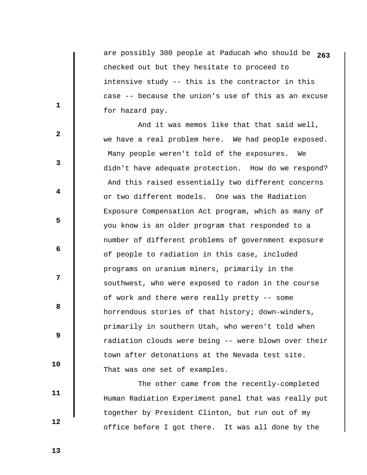are possibly 300 people at Paducah who should be **263** checked out but they hesitate to proceed to intensive study -- this is the contractor in this case -- because the union's use of this as an excuse for hazard pay.

 And it was memos like that that said well, we have a real problem here. We had people exposed. Many people weren't told of the exposures. We didn't have adequate protection. How do we respond? And this raised essentially two different concerns or two different models. One was the Radiation Exposure Compensation Act program, which as many of you know is an older program that responded to a number of different problems of government exposure of people to radiation in this case, included programs on uranium miners, primarily in the southwest, who were exposed to radon in the course of work and there were really pretty -- some horrendous stories of that history; down-winders, primarily in southern Utah, who weren't told when radiation clouds were being -- were blown over their town after detonations at the Nevada test site. That was one set of examples.

 The other came from the recently-completed Human Radiation Experiment panel that was really put together by President Clinton, but run out of my office before I got there. It was all done by the

 **13** 

**1** 

**2** 

**3** 

**4** 

**5** 

**6 6** 

**12** 

**8 8** 

 **9** 

 **10** 

 **11**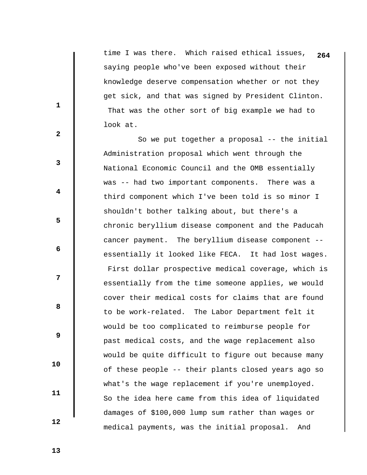time I was there. Which raised ethical issues, **264** saying people who've been exposed without their knowledge deserve compensation whether or not they get sick, and that was signed by President Clinton. That was the other sort of big example we had to look at.

 So we put together a proposal -- the initial Administration proposal which went through the National Economic Council and the OMB essentially was -- had two important components. There was a third component which I've been told is so minor I shouldn't bother talking about, but there's a chronic beryllium disease component and the Paducah cancer payment. The beryllium disease component - essentially it looked like FECA. It had lost wages. First dollar prospective medical coverage, which is essentially from the time someone applies, we would cover their medical costs for claims that are found to be work-related. The Labor Department felt it would be too complicated to reimburse people for past medical costs, and the wage replacement also would be quite difficult to figure out because many of these people -- their plants closed years ago so what's the wage replacement if you're unemployed. So the idea here came from this idea of liquidated damages of \$100,000 lump sum rather than wages or medical payments, was the initial proposal. And

**1** 

**2** 

**3** 

**4** 

**5** 

**6 6** 

**12** 

**8 8** 

 **9** 

 **11** 

 **10** 

 **12**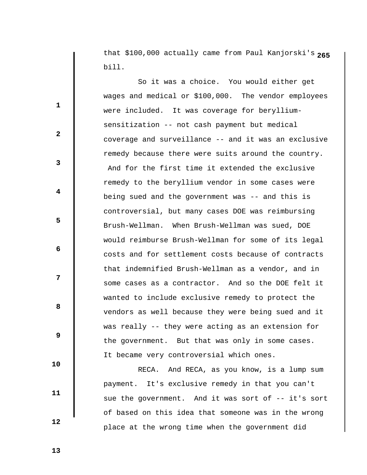**2** that \$100,000 actually came from Paul Kanjorski's **65** bill.

 So it was a choice. You would either get wages and medical or \$100,000. The vendor employees were included. It was coverage for berylliumsensitization -- not cash payment but medical coverage and surveillance -- and it was an exclusive remedy because there were suits around the country. And for the first time it extended the exclusive remedy to the beryllium vendor in some cases were being sued and the government was -- and this is controversial, but many cases DOE was reimbursing Brush-Wellman. When Brush-Wellman was sued, DOE would reimburse Brush-Wellman for some of its legal costs and for settlement costs because of contracts that indemnified Brush-Wellman as a vendor, and in some cases as a contractor. And so the DOE felt it wanted to include exclusive remedy to protect the vendors as well because they were being sued and it was really -- they were acting as an extension for the government. But that was only in some cases. It became very controversial which ones.

 RECA. And RECA, as you know, is a lump sum payment. It's exclusive remedy in that you can't sue the government. And it was sort of -- it's sort of based on this idea that someone was in the wrong place at the wrong time when the government did

 **13** 

 **10** 

 **11** 

 **12** 

**1** 

**2** 

**3** 

**4** 

**5** 

**6 6** 

**12** 

**8 8**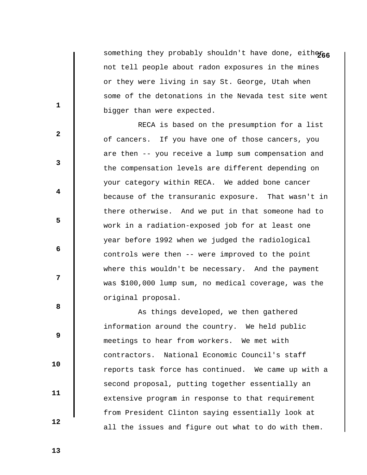something they probably shouldn't have done, eitheras not tell people about radon exposures in the mines or they were living in say St. George, Utah when some of the detonations in the Nevada test site went bigger than were expected.

 RECA is based on the presumption for a list of cancers. If you have one of those cancers, you are then -- you receive a lump sum compensation and the compensation levels are different depending on your category within RECA. We added bone cancer because of the transuranic exposure. That wasn't in there otherwise. And we put in that someone had to work in a radiation-exposed job for at least one year before 1992 when we judged the radiological controls were then -- were improved to the point where this wouldn't be necessary. And the payment was \$100,000 lump sum, no medical coverage, was the original proposal.

 As things developed, we then gathered information around the country. We held public meetings to hear from workers. We met with contractors. National Economic Council's staff reports task force has continued. We came up with a second proposal, putting together essentially an extensive program in response to that requirement from President Clinton saying essentially look at all the issues and figure out what to do with them.

 **13** 

 **10** 

 **11** 

 **12** 

**1** 

**2** 

**3** 

**4** 

**5** 

**6 6** 

**12** 

**8 8**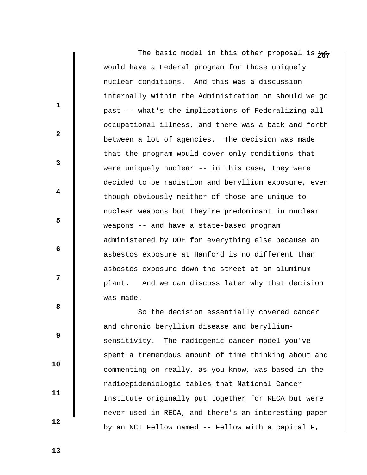The basic model in this other proposal is ye would have a Federal program for those uniquely nuclear conditions. And this was a discussion internally within the Administration on should we go past -- what's the implications of Federalizing all occupational illness, and there was a back and forth between a lot of agencies. The decision was made that the program would cover only conditions that were uniquely nuclear -- in this case, they were decided to be radiation and beryllium exposure, even though obviously neither of those are unique to nuclear weapons but they're predominant in nuclear weapons -- and have a state-based program administered by DOE for everything else because an asbestos exposure at Hanford is no different than asbestos exposure down the street at an aluminum plant. And we can discuss later why that decision was made.

 So the decision essentially covered cancer and chronic beryllium disease and berylliumsensitivity. The radiogenic cancer model you've spent a tremendous amount of time thinking about and commenting on really, as you know, was based in the radioepidemiologic tables that National Cancer Institute originally put together for RECA but were never used in RECA, and there's an interesting paper by an NCI Fellow named -- Fellow with a capital F,

 **13** 

**1** 

**2** 

**3** 

**4** 

**5** 

**6 6** 

**12** 

**8 8** 

 **9** 

 **10** 

 **11**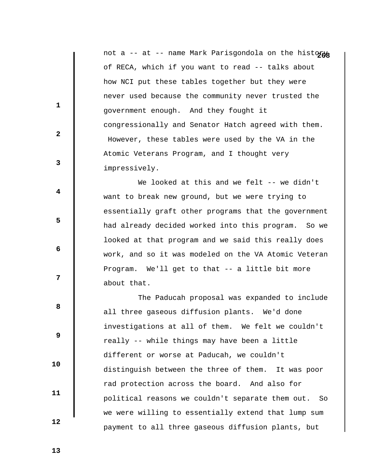not a -- at -- name Mark Parisgondola on the histogas of RECA, which if you want to read -- talks about how NCI put these tables together but they were never used because the community never trusted the government enough. And they fought it congressionally and Senator Hatch agreed with them. However, these tables were used by the VA in the Atomic Veterans Program, and I thought very impressively.

We looked at this and we felt -- we didn't want to break new ground, but we were trying to essentially graft other programs that the government had already decided worked into this program. So we looked at that program and we said this really does work, and so it was modeled on the VA Atomic Veteran Program. We'll get to that -- a little bit more about that.

 The Paducah proposal was expanded to include all three gaseous diffusion plants. We'd done investigations at all of them. We felt we couldn't really -- while things may have been a little different or worse at Paducah, we couldn't distinguish between the three of them. It was poor rad protection across the board. And also for political reasons we couldn't separate them out. So we were willing to essentially extend that lump sum payment to all three gaseous diffusion plants, but

 **13** 

**1** 

**2** 

**3** 

**4** 

**5** 

**6 6** 

**12** 

**8 8** 

 **9** 

 **10** 

 **11**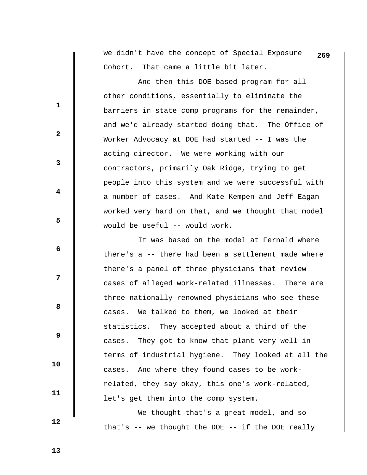we didn't have the concept of Special Exposure **269** Cohort. That came a little bit later.

 And then this DOE-based program for all other conditions, essentially to eliminate the barriers in state comp programs for the remainder, and we'd already started doing that. The Office of Worker Advocacy at DOE had started -- I was the acting director. We were working with our contractors, primarily Oak Ridge, trying to get people into this system and we were successful with a number of cases. And Kate Kempen and Jeff Eagan worked very hard on that, and we thought that model would be useful -- would work.

 It was based on the model at Fernald where there's a -- there had been a settlement made where there's a panel of three physicians that review cases of alleged work-related illnesses. There are three nationally-renowned physicians who see these cases. We talked to them, we looked at their statistics. They accepted about a third of the cases. They got to know that plant very well in terms of industrial hygiene. They looked at all the cases. And where they found cases to be workrelated, they say okay, this one's work-related, let's get them into the comp system.

 We thought that's a great model, and so that's -- we thought the DOE -- if the DOE really

 **13** 

 **10** 

 **11** 

 **12** 

**1** 

**2** 

**3** 

**4** 

**5** 

**6 6** 

**12** 

**8 8**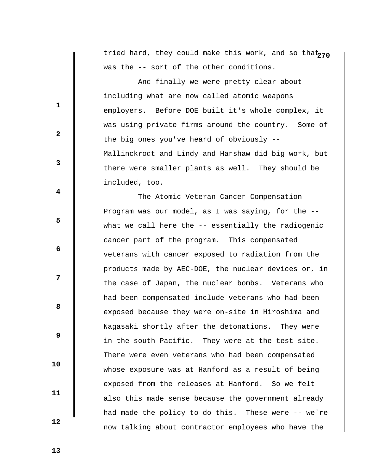tried hard, they could make this work, and so that<sub>270</sub> was the -- sort of the other conditions.

 And finally we were pretty clear about including what are now called atomic weapons employers. Before DOE built it's whole complex, it was using private firms around the country. Some of the big ones you've heard of obviously -- Mallinckrodt and Lindy and Harshaw did big work, but there were smaller plants as well. They should be included, too.

 The Atomic Veteran Cancer Compensation Program was our model, as I was saying, for the - what we call here the -- essentially the radiogenic cancer part of the program. This compensated veterans with cancer exposed to radiation from the products made by AEC-DOE, the nuclear devices or, in the case of Japan, the nuclear bombs. Veterans who had been compensated include veterans who had been exposed because they were on-site in Hiroshima and Nagasaki shortly after the detonations. They were in the south Pacific. They were at the test site. There were even veterans who had been compensated whose exposure was at Hanford as a result of being exposed from the releases at Hanford. So we felt also this made sense because the government already had made the policy to do this. These were -- we're now talking about contractor employees who have the

 **13** 

 **10** 

 **11** 

 **12** 

**1** 

**2** 

**3** 

**4** 

**5** 

**6 6** 

**12** 

**8 8**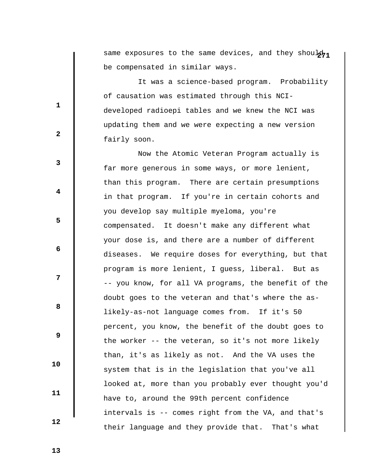same exposures to the same devices, and they shoul<sub>n</sub> be compensated in similar ways.

 It was a science-based program. Probability of causation was estimated through this NCIdeveloped radioepi tables and we knew the NCI was updating them and we were expecting a new version fairly soon.

 Now the Atomic Veteran Program actually is far more generous in some ways, or more lenient, than this program. There are certain presumptions in that program. If you're in certain cohorts and you develop say multiple myeloma, you're compensated. It doesn't make any different what your dose is, and there are a number of different diseases. We require doses for everything, but that program is more lenient, I guess, liberal. But as -- you know, for all VA programs, the benefit of the doubt goes to the veteran and that's where the aslikely-as-not language comes from. If it's 50 percent, you know, the benefit of the doubt goes to the worker -- the veteran, so it's not more likely than, it's as likely as not. And the VA uses the system that is in the legislation that you've all looked at, more than you probably ever thought you'd have to, around the 99th percent confidence intervals is -- comes right from the VA, and that's their language and they provide that. That's what

 **13** 

**1** 

**2** 

**3** 

**4** 

**5** 

**6 6** 

**12** 

**8 8** 

 **9** 

 **10** 

 **11**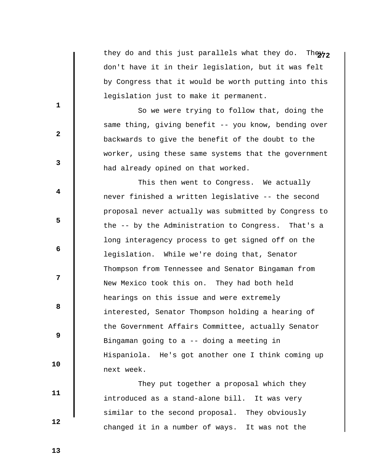they do and this just parallels what they do. They<sub>72</sub> don't have it in their legislation, but it was felt by Congress that it would be worth putting into this legislation just to make it permanent.

 So we were trying to follow that, doing the same thing, giving benefit -- you know, bending over backwards to give the benefit of the doubt to the worker, using these same systems that the government had already opined on that worked.

 This then went to Congress. We actually never finished a written legislative -- the second proposal never actually was submitted by Congress to the -- by the Administration to Congress. That's a long interagency process to get signed off on the legislation. While we're doing that, Senator Thompson from Tennessee and Senator Bingaman from New Mexico took this on. They had both held hearings on this issue and were extremely interested, Senator Thompson holding a hearing of the Government Affairs Committee, actually Senator Bingaman going to a -- doing a meeting in Hispaniola. He's got another one I think coming up next week.

 They put together a proposal which they introduced as a stand-alone bill. It was very similar to the second proposal. They obviously changed it in a number of ways. It was not the

 **13** 

 **12** 

 **10** 

 **11** 

**1** 

**2** 

**3** 

**4** 

**5** 

**6 6** 

**12** 

**8 8**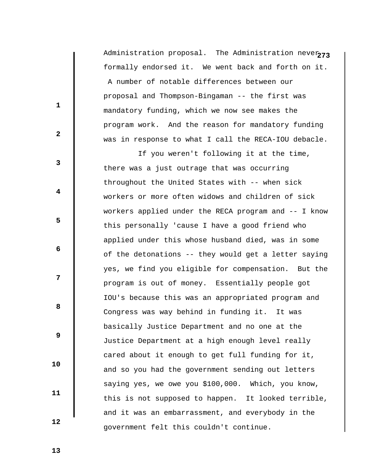Administration proposal. The Administration neve $_{\bf 273}$ formally endorsed it. We went back and forth on it. A number of notable differences between our proposal and Thompson-Bingaman -- the first was mandatory funding, which we now see makes the program work. And the reason for mandatory funding was in response to what I call the RECA-IOU debacle.

 If you weren't following it at the time, there was a just outrage that was occurring throughout the United States with -- when sick workers or more often widows and children of sick workers applied under the RECA program and -- I know this personally 'cause I have a good friend who applied under this whose husband died, was in some of the detonations -- they would get a letter saying yes, we find you eligible for compensation. But the program is out of money. Essentially people got IOU's because this was an appropriated program and Congress was way behind in funding it. It was basically Justice Department and no one at the Justice Department at a high enough level really cared about it enough to get full funding for it, and so you had the government sending out letters saying yes, we owe you \$100,000. Which, you know, this is not supposed to happen. It looked terrible, and it was an embarrassment, and everybody in the government felt this couldn't continue.

 **13** 

 **12** 

 **10** 

 **11** 

**1** 

**2** 

**3** 

**4** 

**5** 

**6 6** 

**12** 

**8 8**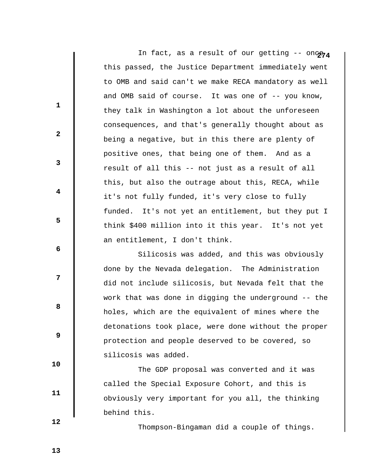In fact, as a result of our getting  $-$ - onc $\theta$ this passed, the Justice Department immediately went to OMB and said can't we make RECA mandatory as well and OMB said of course. It was one of -- you know, they talk in Washington a lot about the unforeseen consequences, and that's generally thought about as being a negative, but in this there are plenty of positive ones, that being one of them. And as a result of all this -- not just as a result of all this, but also the outrage about this, RECA, while it's not fully funded, it's very close to fully funded. It's not yet an entitlement, but they put I think \$400 million into it this year. It's not yet an entitlement, I don't think.

 Silicosis was added, and this was obviously done by the Nevada delegation. The Administration did not include silicosis, but Nevada felt that the work that was done in digging the underground -- the holes, which are the equivalent of mines where the detonations took place, were done without the proper protection and people deserved to be covered, so silicosis was added.

 The GDP proposal was converted and it was called the Special Exposure Cohort, and this is obviously very important for you all, the thinking behind this.

Thompson-Bingaman did a couple of things.

 **12** 

 **10** 

 **11** 

**1** 

**2** 

**3** 

**4** 

**5** 

**6 6** 

**12** 

**8 8** 

 **9**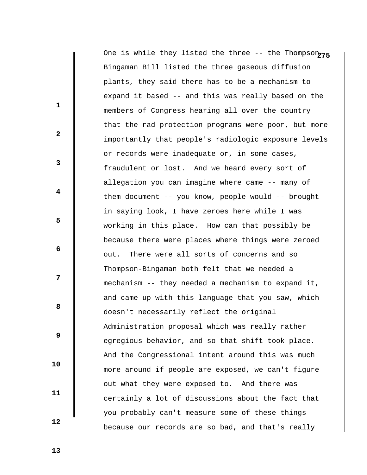One is while they listed the three -- the Thompson<sub>275</sub> Bingaman Bill listed the three gaseous diffusion plants, they said there has to be a mechanism to expand it based -- and this was really based on the members of Congress hearing all over the country that the rad protection programs were poor, but more importantly that people's radiologic exposure levels or records were inadequate or, in some cases, fraudulent or lost. And we heard every sort of allegation you can imagine where came -- many of them document -- you know, people would -- brought in saying look, I have zeroes here while I was working in this place. How can that possibly be because there were places where things were zeroed out. There were all sorts of concerns and so Thompson-Bingaman both felt that we needed a mechanism -- they needed a mechanism to expand it, and came up with this language that you saw, which doesn't necessarily reflect the original Administration proposal which was really rather egregious behavior, and so that shift took place. And the Congressional intent around this was much more around if people are exposed, we can't figure out what they were exposed to. And there was certainly a lot of discussions about the fact that you probably can't measure some of these things because our records are so bad, and that's really

 **13** 

**1** 

**2** 

**3** 

**4** 

**5** 

**6 6** 

**12** 

**8 8** 

 **9** 

 **10** 

 **11**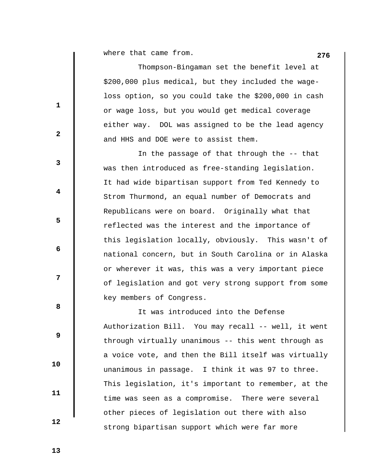**276** where that came from.

 Thompson-Bingaman set the benefit level at \$200,000 plus medical, but they included the wageloss option, so you could take the \$200,000 in cash or wage loss, but you would get medical coverage either way. DOL was assigned to be the lead agency and HHS and DOE were to assist them.

 In the passage of that through the -- that was then introduced as free-standing legislation. It had wide bipartisan support from Ted Kennedy to Strom Thurmond, an equal number of Democrats and Republicans were on board. Originally what that reflected was the interest and the importance of this legislation locally, obviously. This wasn't of national concern, but in South Carolina or in Alaska or wherever it was, this was a very important piece of legislation and got very strong support from some key members of Congress.

 It was introduced into the Defense Authorization Bill. You may recall -- well, it went through virtually unanimous -- this went through as a voice vote, and then the Bill itself was virtually unanimous in passage. I think it was 97 to three. This legislation, it's important to remember, at the time was seen as a compromise. There were several other pieces of legislation out there with also strong bipartisan support which were far more

 **13** 

**1** 

**2** 

**3** 

**4** 

**5** 

**6 6** 

**12** 

**8 8** 

 **9** 

 **10** 

 **11**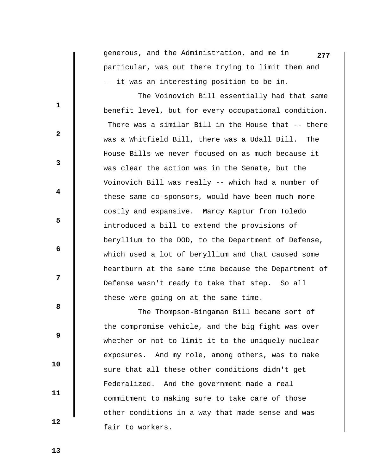generous, and the Administration, and me in **277** particular, was out there trying to limit them and -- it was an interesting position to be in.

 The Voinovich Bill essentially had that same benefit level, but for every occupational condition. There was a similar Bill in the House that -- there was a Whitfield Bill, there was a Udall Bill. The House Bills we never focused on as much because it was clear the action was in the Senate, but the Voinovich Bill was really -- which had a number of these same co-sponsors, would have been much more costly and expansive. Marcy Kaptur from Toledo introduced a bill to extend the provisions of beryllium to the DOD, to the Department of Defense, which used a lot of beryllium and that caused some heartburn at the same time because the Department of Defense wasn't ready to take that step. So all these were going on at the same time.

 The Thompson-Bingaman Bill became sort of the compromise vehicle, and the big fight was over whether or not to limit it to the uniquely nuclear exposures. And my role, among others, was to make sure that all these other conditions didn't get Federalized. And the government made a real commitment to making sure to take care of those other conditions in a way that made sense and was fair to workers.

 **13** 

 **10** 

 **11** 

 **12** 

**1** 

**2** 

**3** 

**4** 

**5** 

**6 6** 

**12** 

**8 8**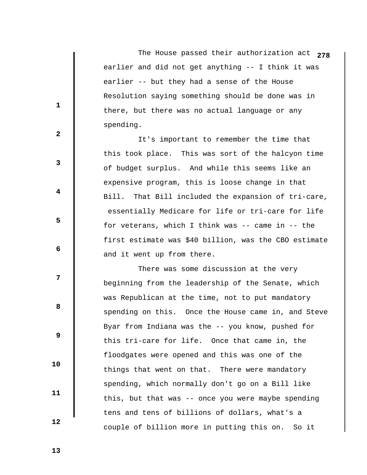The House passed their authorization act **278** earlier and did not get anything -- I think it was earlier -- but they had a sense of the House Resolution saying something should be done was in there, but there was no actual language or any spending.

 It's important to remember the time that this took place. This was sort of the halcyon time of budget surplus. And while this seems like an expensive program, this is loose change in that Bill. That Bill included the expansion of tri-care, essentially Medicare for life or tri-care for life for veterans, which I think was -- came in -- the first estimate was \$40 billion, was the CBO estimate and it went up from there.

 There was some discussion at the very beginning from the leadership of the Senate, which was Republican at the time, not to put mandatory spending on this. Once the House came in, and Steve Byar from Indiana was the -- you know, pushed for this tri-care for life. Once that came in, the floodgates were opened and this was one of the things that went on that. There were mandatory spending, which normally don't go on a Bill like this, but that was -- once you were maybe spending tens and tens of billions of dollars, what's a couple of billion more in putting this on. So it

 **13** 

**1** 

**2** 

**3** 

**4** 

**5** 

**6 6** 

**12** 

**8 8** 

 **9** 

 **10** 

 **11**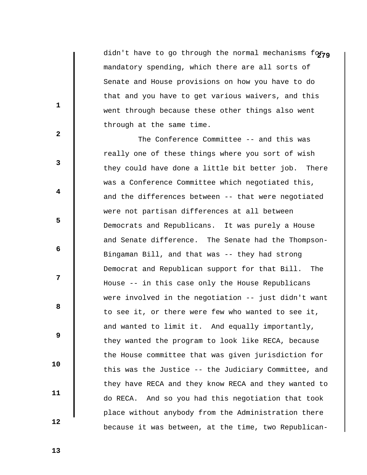didn't have to go through the normal mechanisms for<sub>19</sub> mandatory spending, which there are all sorts of Senate and House provisions on how you have to do that and you have to get various waivers, and this went through because these other things also went through at the same time.

 The Conference Committee -- and this was really one of these things where you sort of wish they could have done a little bit better job. There was a Conference Committee which negotiated this, and the differences between -- that were negotiated were not partisan differences at all between Democrats and Republicans. It was purely a House and Senate difference. The Senate had the Thompson-Bingaman Bill, and that was -- they had strong Democrat and Republican support for that Bill. The House -- in this case only the House Republicans were involved in the negotiation -- just didn't want to see it, or there were few who wanted to see it, and wanted to limit it. And equally importantly, they wanted the program to look like RECA, because the House committee that was given jurisdiction for this was the Justice -- the Judiciary Committee, and they have RECA and they know RECA and they wanted to do RECA. And so you had this negotiation that took place without anybody from the Administration there because it was between, at the time, two Republican-

**1** 

**2** 

**3** 

**4** 

**5** 

**6 6** 

**12** 

**8 8** 

 **9** 

 **13** 

 **10** 

 **11**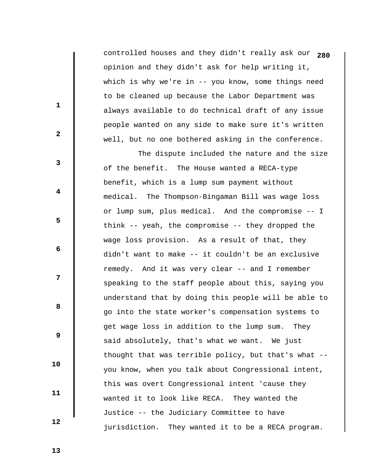controlled houses and they didn't really ask our **280** opinion and they didn't ask for help writing it, which is why we're in -- you know, some things need to be cleaned up because the Labor Department was always available to do technical draft of any issue people wanted on any side to make sure it's written well, but no one bothered asking in the conference.

 The dispute included the nature and the size of the benefit. The House wanted a RECA-type benefit, which is a lump sum payment without medical. The Thompson-Bingaman Bill was wage loss or lump sum, plus medical. And the compromise -- I think -- yeah, the compromise -- they dropped the wage loss provision. As a result of that, they didn't want to make -- it couldn't be an exclusive remedy. And it was very clear -- and I remember speaking to the staff people about this, saying you understand that by doing this people will be able to go into the state worker's compensation systems to get wage loss in addition to the lump sum. They said absolutely, that's what we want. We just thought that was terrible policy, but that's what - you know, when you talk about Congressional intent, this was overt Congressional intent 'cause they wanted it to look like RECA. They wanted the Justice -- the Judiciary Committee to have jurisdiction. They wanted it to be a RECA program.

 **13** 

**1** 

**2** 

**3** 

**4** 

**5** 

**6 6** 

**12** 

**8 8** 

 **9** 

 **10** 

 **11**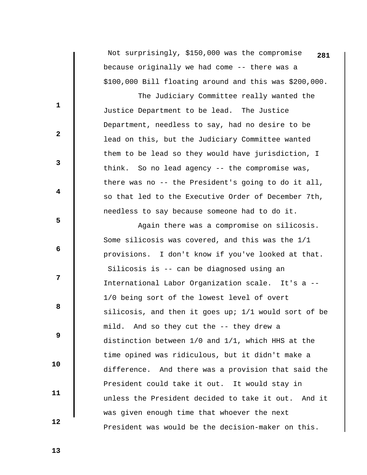Not surprisingly, \$150,000 was the compromise **281** because originally we had come -- there was a \$100,000 Bill floating around and this was \$200,000.

 The Judiciary Committee really wanted the Justice Department to be lead. The Justice Department, needless to say, had no desire to be lead on this, but the Judiciary Committee wanted them to be lead so they would have jurisdiction, I think. So no lead agency -- the compromise was, there was no -- the President's going to do it all, so that led to the Executive Order of December 7th, needless to say because someone had to do it.

 Again there was a compromise on silicosis. Some silicosis was covered, and this was the 1/1 provisions. I don't know if you've looked at that. Silicosis is -- can be diagnosed using an International Labor Organization scale. It's a -- 1/0 being sort of the lowest level of overt silicosis, and then it goes up; 1/1 would sort of be mild. And so they cut the -- they drew a distinction between 1/0 and 1/1, which HHS at the time opined was ridiculous, but it didn't make a difference. And there was a provision that said the President could take it out. It would stay in unless the President decided to take it out. And it was given enough time that whoever the next President was would be the decision-maker on this.

 **13** 

 **10** 

 **11** 

 **12** 

**1** 

**3** 

**4** 

**5** 

**6 6** 

**12** 

**8 8** 

 **9**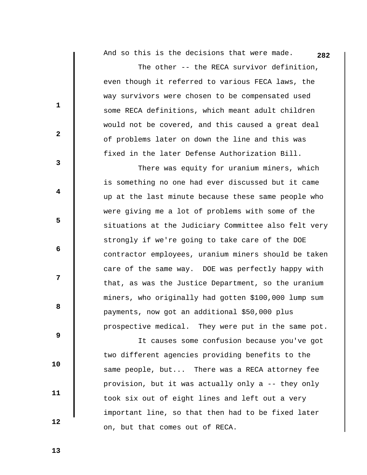**282** And so this is the decisions that were made.

 The other -- the RECA survivor definition, even though it referred to various FECA laws, the way survivors were chosen to be compensated used some RECA definitions, which meant adult children would not be covered, and this caused a great deal of problems later on down the line and this was fixed in the later Defense Authorization Bill.

 There was equity for uranium miners, which is something no one had ever discussed but it came up at the last minute because these same people who were giving me a lot of problems with some of the situations at the Judiciary Committee also felt very strongly if we're going to take care of the DOE contractor employees, uranium miners should be taken care of the same way. DOE was perfectly happy with that, as was the Justice Department, so the uranium miners, who originally had gotten \$100,000 lump sum payments, now got an additional \$50,000 plus prospective medical. They were put in the same pot.

 It causes some confusion because you've got two different agencies providing benefits to the same people, but... There was a RECA attorney fee provision, but it was actually only a -- they only took six out of eight lines and left out a very important line, so that then had to be fixed later on, but that comes out of RECA.

 **13** 

 **10** 

 **11** 

 **12** 

**1** 

**2** 

**3** 

**4** 

**5** 

**6 6** 

**12** 

**8 8**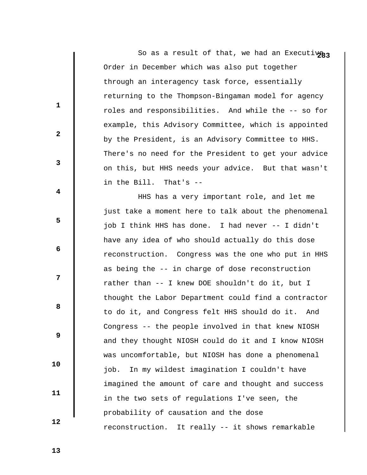So as a result of that, we had an Executivg<sub>3</sub> Order in December which was also put together through an interagency task force, essentially returning to the Thompson-Bingaman model for agency roles and responsibilities. And while the -- so for example, this Advisory Committee, which is appointed by the President, is an Advisory Committee to HHS. There's no need for the President to get your advice on this, but HHS needs your advice. But that wasn't in the Bill. That's --

 HHS has a very important role, and let me just take a moment here to talk about the phenomenal job I think HHS has done. I had never -- I didn't have any idea of who should actually do this dose reconstruction. Congress was the one who put in HHS as being the -- in charge of dose reconstruction rather than -- I knew DOE shouldn't do it, but I thought the Labor Department could find a contractor to do it, and Congress felt HHS should do it. And Congress -- the people involved in that knew NIOSH and they thought NIOSH could do it and I know NIOSH was uncomfortable, but NIOSH has done a phenomenal job. In my wildest imagination I couldn't have imagined the amount of care and thought and success in the two sets of regulations I've seen, the probability of causation and the dose reconstruction. It really -- it shows remarkable

 **13** 

**1** 

**2** 

**3** 

**4** 

**5** 

**6 6** 

**12** 

**8 8** 

 **9** 

 **10** 

 **11**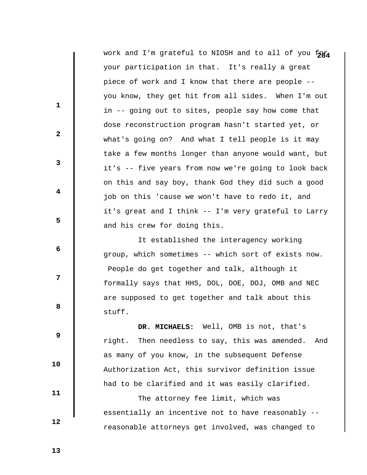work and I'm grateful to NIOSH and to all of you for your participation in that. It's really a great piece of work and I know that there are people - you know, they get hit from all sides. When I'm out in -- going out to sites, people say how come that dose reconstruction program hasn't started yet, or what's going on? And what I tell people is it may take a few months longer than anyone would want, but it's -- five years from now we're going to look back on this and say boy, thank God they did such a good job on this 'cause we won't have to redo it, and it's great and I think -- I'm very grateful to Larry and his crew for doing this.

 It established the interagency working group, which sometimes -- which sort of exists now. People do get together and talk, although it formally says that HHS, DOL, DOE, DOJ, OMB and NEC are supposed to get together and talk about this stuff.

 **DR. MICHAELS:** Well, OMB is not, that's right. Then needless to say, this was amended. And as many of you know, in the subsequent Defense Authorization Act, this survivor definition issue had to be clarified and it was easily clarified.

 The attorney fee limit, which was essentially an incentive not to have reasonably - reasonable attorneys get involved, was changed to

 **12** 

 **10** 

 **11** 

**1** 

**2** 

**3** 

**4** 

**5** 

**6 6** 

**12** 

**8 8** 

 **9**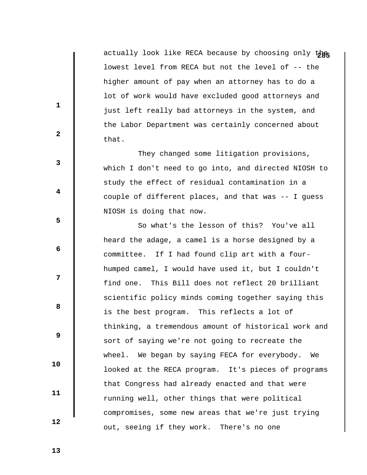actually look like RECA because by choosing only the lowest level from RECA but not the level of -- the higher amount of pay when an attorney has to do a lot of work would have excluded good attorneys and just left really bad attorneys in the system, and the Labor Department was certainly concerned about that.

 They changed some litigation provisions, which I don't need to go into, and directed NIOSH to study the effect of residual contamination in a couple of different places, and that was -- I guess NIOSH is doing that now.

 So what's the lesson of this? You've all heard the adage, a camel is a horse designed by a committee. If I had found clip art with a fourhumped camel, I would have used it, but I couldn't find one. This Bill does not reflect 20 brilliant scientific policy minds coming together saying this is the best program. This reflects a lot of thinking, a tremendous amount of historical work and sort of saying we're not going to recreate the wheel. We began by saying FECA for everybody. We looked at the RECA program. It's pieces of programs that Congress had already enacted and that were running well, other things that were political compromises, some new areas that we're just trying out, seeing if they work. There's no one

**1** 

**2** 

**3** 

**4** 

**5** 

 **6** 

**12** 

**8 8** 

 **9** 

 **13** 

 **10** 

 **11**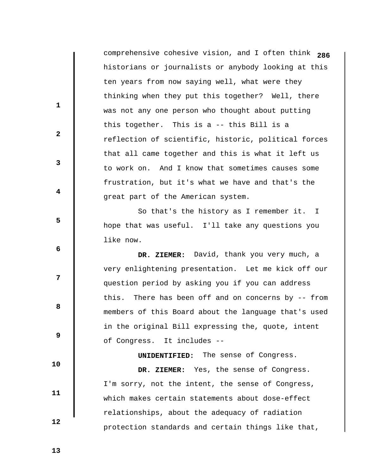comprehensive cohesive vision, and I often think **286** historians or journalists or anybody looking at this ten years from now saying well, what were they thinking when they put this together? Well, there was not any one person who thought about putting this together. This is a -- this Bill is a reflection of scientific, historic, political forces that all came together and this is what it left us to work on. And I know that sometimes causes some frustration, but it's what we have and that's the great part of the American system. So that's the history as I remember it. I hope that was useful. I'll take any questions you like now.

 **DR. ZIEMER:** David, thank you very much, a very enlightening presentation. Let me kick off our question period by asking you if you can address this. There has been off and on concerns by -- from members of this Board about the language that's used in the original Bill expressing the, quote, intent of Congress. It includes --

 **UNIDENTIFIED:** The sense of Congress.

 **DR. ZIEMER:** Yes, the sense of Congress. I'm sorry, not the intent, the sense of Congress, which makes certain statements about dose-effect relationships, about the adequacy of radiation protection standards and certain things like that,

 **13** 

**1** 

**2** 

**3** 

**4** 

**5** 

 **6** 

**12** 

**8 8** 

 **9** 

 **10** 

 **11**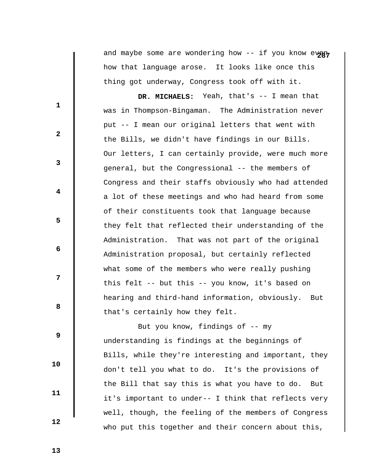and maybe some are wondering how -- if you know every how that language arose. It looks like once this thing got underway, Congress took off with it.

 **DR. MICHAELS:** Yeah, that's -- I mean that was in Thompson-Bingaman. The Administration never put -- I mean our original letters that went with the Bills, we didn't have findings in our Bills. Our letters, I can certainly provide, were much more general, but the Congressional -- the members of Congress and their staffs obviously who had attended a lot of these meetings and who had heard from some of their constituents took that language because they felt that reflected their understanding of the Administration. That was not part of the original Administration proposal, but certainly reflected what some of the members who were really pushing this felt -- but this -- you know, it's based on hearing and third-hand information, obviously. But that's certainly how they felt.

 But you know, findings of -- my understanding is findings at the beginnings of Bills, while they're interesting and important, they don't tell you what to do. It's the provisions of the Bill that say this is what you have to do. But it's important to under-- I think that reflects very well, though, the feeling of the members of Congress who put this together and their concern about this,

 **13** 

 **10** 

 **11** 

 **12** 

**1** 

**2** 

**3** 

**4** 

**5** 

 **6** 

**12** 

**8 8**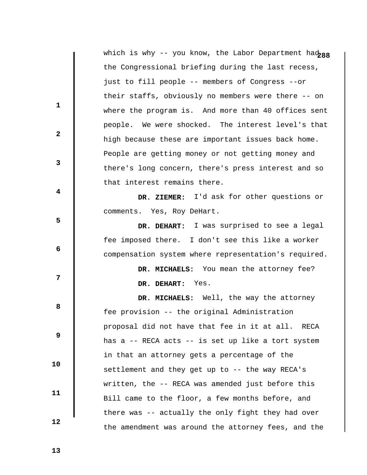|                         | which is why -- you know, the Labor Department had288 |
|-------------------------|-------------------------------------------------------|
|                         | the Congressional briefing during the last recess,    |
|                         | just to fill people -- members of Congress --or       |
| $\mathbf{1}$            | their staffs, obviously no members were there -- on   |
|                         | where the program is. And more than 40 offices sent   |
| $\mathbf{2}$            | people. We were shocked. The interest level's that    |
|                         | high because these are important issues back home.    |
| $\mathbf{3}$            | People are getting money or not getting money and     |
|                         | there's long concern, there's press interest and so   |
| $\overline{\mathbf{4}}$ | that interest remains there.                          |
|                         | DR. ZIEMER: I'd ask for other questions or            |
| 5                       | comments. Yes, Roy DeHart.                            |
|                         | DR. DEHART: I was surprised to see a legal            |
| 6                       | fee imposed there. I don't see this like a worker     |
|                         | compensation system where representation's required.  |
|                         | DR. MICHAELS: You mean the attorney fee?              |
| 7                       | DR. DEHART: Yes.                                      |
|                         | DR. MICHAELS: Well, the way the attorney              |
| 8                       | fee provision -- the original Administration          |
|                         | proposal did not have that fee in it at all. RECA     |
| 9                       | has a -- RECA acts -- is set up like a tort system    |
|                         | in that an attorney gets a percentage of the          |
| 10                      | settlement and they get up to -- the way RECA's       |
|                         | written, the -- RECA was amended just before this     |
| 11                      | Bill came to the floor, a few months before, and      |
|                         | there was -- actually the only fight they had over    |
| 12                      | the amendment was around the attorney fees, and the   |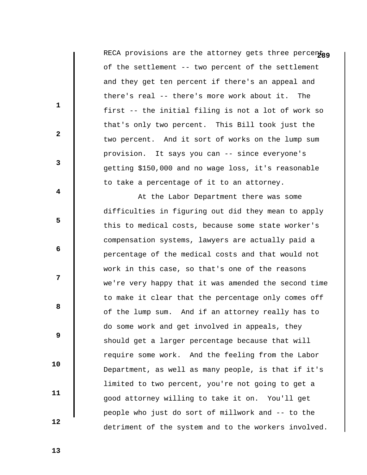RECA provisions are the attorney gets three percentag of the settlement -- two percent of the settlement and they get ten percent if there's an appeal and there's real -- there's more work about it. The first -- the initial filing is not a lot of work so that's only two percent. This Bill took just the two percent. And it sort of works on the lump sum provision. It says you can -- since everyone's getting \$150,000 and no wage loss, it's reasonable to take a percentage of it to an attorney.

 At the Labor Department there was some difficulties in figuring out did they mean to apply this to medical costs, because some state worker's compensation systems, lawyers are actually paid a percentage of the medical costs and that would not work in this case, so that's one of the reasons we're very happy that it was amended the second time to make it clear that the percentage only comes off of the lump sum. And if an attorney really has to do some work and get involved in appeals, they should get a larger percentage because that will require some work. And the feeling from the Labor Department, as well as many people, is that if it's limited to two percent, you're not going to get a good attorney willing to take it on. You'll get people who just do sort of millwork and -- to the detriment of the system and to the workers involved.

 **13** 

 **10** 

 **11** 

 **12** 

**1** 

**2** 

**3** 

**4** 

**5** 

 **6** 

**12** 

**8 8**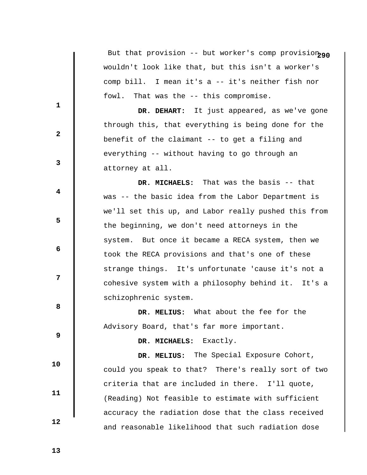But that provision -- but worker's comp provision<sub>290</sub> wouldn't look like that, but this isn't a worker's comp bill. I mean it's a -- it's neither fish nor fowl. That was the -- this compromise.

 **DR. DEHART:** It just appeared, as we've gone through this, that everything is being done for the benefit of the claimant -- to get a filing and everything -- without having to go through an attorney at all.

 **DR. MICHAELS:** That was the basis -- that was -- the basic idea from the Labor Department is we'll set this up, and Labor really pushed this from the beginning, we don't need attorneys in the system. But once it became a RECA system, then we took the RECA provisions and that's one of these strange things. It's unfortunate 'cause it's not a cohesive system with a philosophy behind it. It's a schizophrenic system.

 **DR. MELIUS:** What about the fee for the Advisory Board, that's far more important.

 **DR. MICHAELS:** Exactly.

 **DR. MELIUS:** The Special Exposure Cohort, could you speak to that? There's really sort of two criteria that are included in there. I'll quote, (Reading) Not feasible to estimate with sufficient accuracy the radiation dose that the class received and reasonable likelihood that such radiation dose

 **13** 

 **10** 

 **11** 

 **12** 

**1** 

**2** 

**3** 

**4** 

**5** 

 **6** 

**12** 

**8 8**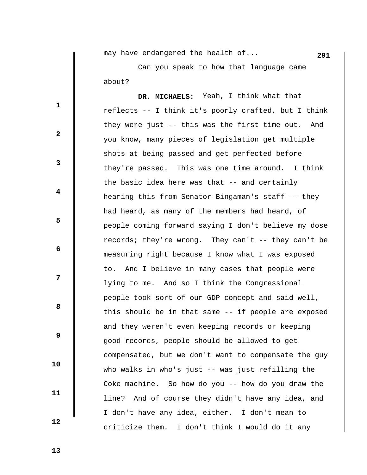**291** may have endangered the health of...

 Can you speak to how that language came about?

 **DR. MICHAELS:** Yeah, I think what that reflects -- I think it's poorly crafted, but I think they were just -- this was the first time out. And you know, many pieces of legislation get multiple shots at being passed and get perfected before they're passed. This was one time around. I think the basic idea here was that -- and certainly hearing this from Senator Bingaman's staff -- they had heard, as many of the members had heard, of people coming forward saying I don't believe my dose records; they're wrong. They can't -- they can't be measuring right because I know what I was exposed to. And I believe in many cases that people were lying to me. And so I think the Congressional people took sort of our GDP concept and said well, this should be in that same -- if people are exposed and they weren't even keeping records or keeping good records, people should be allowed to get compensated, but we don't want to compensate the guy who walks in who's just -- was just refilling the Coke machine. So how do you -- how do you draw the line? And of course they didn't have any idea, and I don't have any idea, either. I don't mean to criticize them. I don't think I would do it any

 **13** 

 **10** 

 **11** 

 **12** 

**1** 

**2** 

**3** 

**4** 

**5** 

 **6** 

**12** 

**8 8**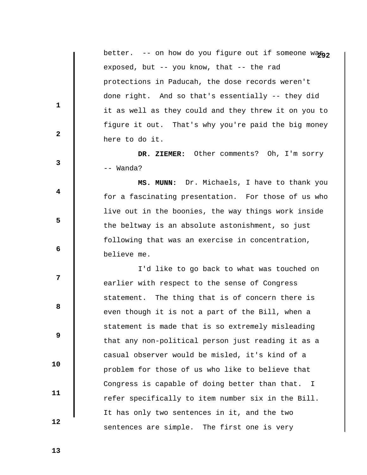|                         | better. -- on how do you figure out if someone wago, |
|-------------------------|------------------------------------------------------|
|                         | exposed, but -- you know, that -- the rad            |
|                         | protections in Paducah, the dose records weren't     |
|                         | done right. And so that's essentially -- they did    |
| 1                       | it as well as they could and they threw it on you to |
|                         | figure it out. That's why you're paid the big money  |
| $\mathbf{2}$            | here to do it.                                       |
|                         | DR. ZIEMER: Other comments? Oh, I'm sorry            |
| 3                       | -- Wanda?                                            |
|                         | MS. MUNN: Dr. Michaels, I have to thank you          |
| $\overline{\mathbf{4}}$ | for a fascinating presentation. For those of us who  |
|                         | live out in the boonies, the way things work inside  |
| 5                       | the beltway is an absolute astonishment, so just     |
| 6                       | following that was an exercise in concentration,     |
|                         | believe me.                                          |
|                         | I'd like to go back to what was touched on           |
| 7                       | earlier with respect to the sense of Congress        |
|                         | statement. The thing that is of concern there is     |
| 8                       | even though it is not a part of the Bill, when a     |
|                         | statement is made that is so extremely misleading    |
| $\boldsymbol{9}$        | that any non-political person just reading it as a   |
|                         | casual observer would be misled, it's kind of a      |
| 10                      | problem for those of us who like to believe that     |
|                         |                                                      |
| 11                      | Congress is capable of doing better than that. I     |
|                         | refer specifically to item number six in the Bill.   |
| 12                      | It has only two sentences in it, and the two         |
|                         | sentences are simple. The first one is very          |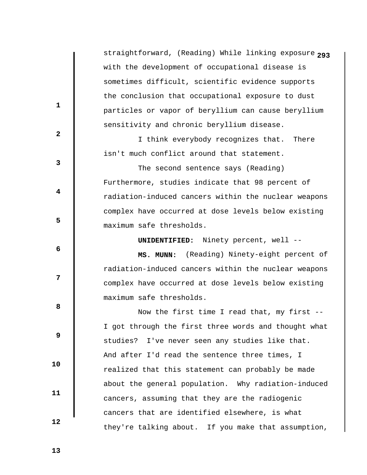**2** straightforward, (Reading) While linking exposure **93** with the development of occupational disease is sometimes difficult, scientific evidence supports the conclusion that occupational exposure to dust particles or vapor of beryllium can cause beryllium sensitivity and chronic beryllium disease.

 I think everybody recognizes that. There isn't much conflict around that statement.

 The second sentence says (Reading) Furthermore, studies indicate that 98 percent of radiation-induced cancers within the nuclear weapons complex have occurred at dose levels below existing maximum safe thresholds.

 **UNIDENTIFIED:** Ninety percent, well --

 **MS. MUNN:** (Reading) Ninety-eight percent of radiation-induced cancers within the nuclear weapons complex have occurred at dose levels below existing maximum safe thresholds.

 Now the first time I read that, my first -- I got through the first three words and thought what studies? I've never seen any studies like that. And after I'd read the sentence three times, I realized that this statement can probably be made about the general population. Why radiation-induced cancers, assuming that they are the radiogenic cancers that are identified elsewhere, is what they're talking about. If you make that assumption,

 **13** 

 **10** 

 **11** 

 **12** 

**1** 

**2** 

**3** 

**4** 

**5** 

 **6** 

**12** 

**8 8**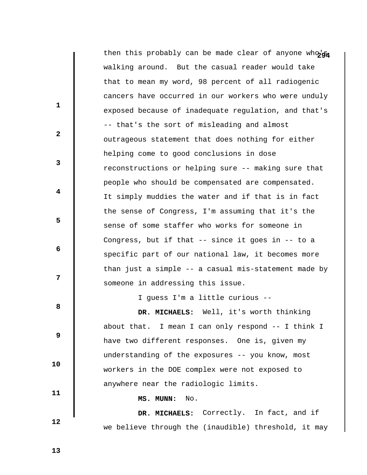then this probably can be made clear of anyone who's walking around. But the casual reader would take that to mean my word, 98 percent of all radiogenic cancers have occurred in our workers who were unduly exposed because of inadequate regulation, and that's -- that's the sort of misleading and almost outrageous statement that does nothing for either helping come to good conclusions in dose reconstructions or helping sure -- making sure that people who should be compensated are compensated. It simply muddies the water and if that is in fact the sense of Congress, I'm assuming that it's the sense of some staffer who works for someone in Congress, but if that -- since it goes in -- to a specific part of our national law, it becomes more than just a simple -- a casual mis-statement made by someone in addressing this issue. **1 2 3 4 5 6 12 8 8 9 10 11 12**  I guess I'm a little curious --  **DR. MICHAELS:** Well, it's worth thinking about that. I mean I can only respond -- I think I have two different responses. One is, given my understanding of the exposures -- you know, most workers in the DOE complex were not exposed to anywhere near the radiologic limits.  **MS. MUNN:** No.  **DR. MICHAELS:** Correctly. In fact, and if we believe through the (inaudible) threshold, it may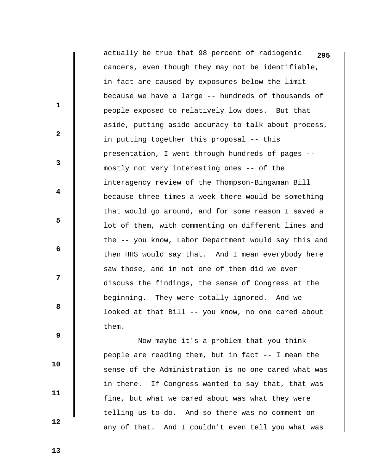actually be true that 98 percent of radiogenic **295** cancers, even though they may not be identifiable, in fact are caused by exposures below the limit because we have a large -- hundreds of thousands of people exposed to relatively low does. But that aside, putting aside accuracy to talk about process, in putting together this proposal -- this presentation, I went through hundreds of pages - mostly not very interesting ones -- of the interagency review of the Thompson-Bingaman Bill because three times a week there would be something that would go around, and for some reason I saved a lot of them, with commenting on different lines and the -- you know, Labor Department would say this and then HHS would say that. And I mean everybody here saw those, and in not one of them did we ever discuss the findings, the sense of Congress at the beginning. They were totally ignored. And we looked at that Bill -- you know, no one cared about them.

 Now maybe it's a problem that you think people are reading them, but in fact -- I mean the sense of the Administration is no one cared what was in there. If Congress wanted to say that, that was fine, but what we cared about was what they were telling us to do. And so there was no comment on any of that. And I couldn't even tell you what was

 **13** 

 **10** 

 **11** 

 **12** 

**1** 

**2** 

**3** 

**4** 

**5** 

 **6** 

**12** 

**8 8**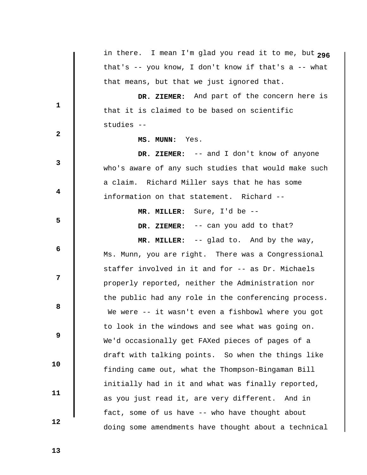|                         | in there. I mean I'm glad you read it to me, but 296    |
|-------------------------|---------------------------------------------------------|
|                         | that's -- you know, I don't know if that's $a - -$ what |
|                         | that means, but that we just ignored that.              |
|                         | DR. ZIEMER: And part of the concern here is             |
| 1                       | that it is claimed to be based on scientific            |
|                         | studies --                                              |
| $\mathbf{2}$            | MS. MUNN: Yes.                                          |
|                         | DR. ZIEMER: -- and I don't know of anyone               |
| $\mathbf{3}$            | who's aware of any such studies that would make such    |
|                         | a claim. Richard Miller says that he has some           |
| $\overline{\mathbf{4}}$ | information on that statement. Richard --               |
|                         | MR. MILLER: Sure, I'd be --                             |
| 5                       | DR. ZIEMER: -- can you add to that?                     |
|                         | MR. MILLER: -- glad to. And by the way,                 |
| 6                       | Ms. Munn, you are right. There was a Congressional      |
|                         | staffer involved in it and for -- as Dr. Michaels       |
| 7                       | properly reported, neither the Administration nor       |
|                         | the public had any role in the conferencing process.    |
| 8                       | We were -- it wasn't even a fishbowl where you got      |
|                         | to look in the windows and see what was going on.       |
| 9                       | We'd occasionally get FAXed pieces of pages of a        |
|                         | draft with talking points. So when the things like      |
| 10                      | finding came out, what the Thompson-Bingaman Bill       |
|                         | initially had in it and what was finally reported,      |
| 11                      | as you just read it, are very different. And in         |
|                         | fact, some of us have -- who have thought about         |
| 12                      | doing some amendments have thought about a technical    |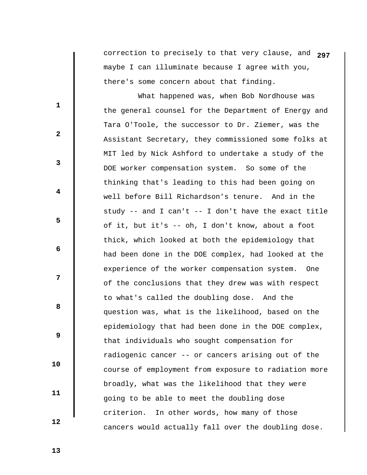correction to precisely to that very clause, and **297** maybe I can illuminate because I agree with you, there's some concern about that finding.

 What happened was, when Bob Nordhouse was the general counsel for the Department of Energy and Tara O'Toole, the successor to Dr. Ziemer, was the Assistant Secretary, they commissioned some folks at MIT led by Nick Ashford to undertake a study of the DOE worker compensation system. So some of the thinking that's leading to this had been going on well before Bill Richardson's tenure. And in the study  $-$  and I can't  $-$  I don't have the exact title of it, but it's -- oh, I don't know, about a foot thick, which looked at both the epidemiology that had been done in the DOE complex, had looked at the experience of the worker compensation system. One of the conclusions that they drew was with respect to what's called the doubling dose. And the question was, what is the likelihood, based on the epidemiology that had been done in the DOE complex, that individuals who sought compensation for radiogenic cancer -- or cancers arising out of the course of employment from exposure to radiation more broadly, what was the likelihood that they were going to be able to meet the doubling dose criterion. In other words, how many of those cancers would actually fall over the doubling dose.

 **13** 

 **10** 

 **11** 

 **12** 

**1** 

**2** 

**3** 

**4** 

**5** 

**6 6** 

**12** 

**8 8**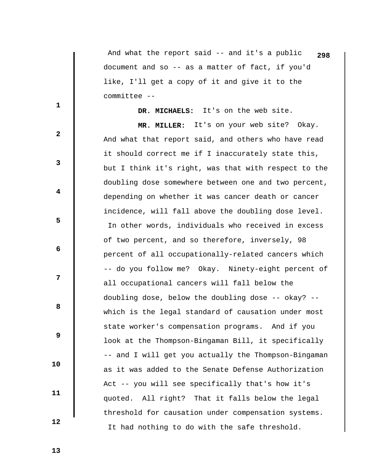And what the report said -- and it's a public **298** document and so -- as a matter of fact, if you'd like, I'll get a copy of it and give it to the committee --

 **DR. MICHAELS:** It's on the web site.

 **MR. MILLER:** It's on your web site? Okay. And what that report said, and others who have read it should correct me if I inaccurately state this, but I think it's right, was that with respect to the doubling dose somewhere between one and two percent, depending on whether it was cancer death or cancer incidence, will fall above the doubling dose level. In other words, individuals who received in excess of two percent, and so therefore, inversely, 98 percent of all occupationally-related cancers which -- do you follow me? Okay. Ninety-eight percent of all occupational cancers will fall below the doubling dose, below the doubling dose -- okay? - which is the legal standard of causation under most state worker's compensation programs. And if you look at the Thompson-Bingaman Bill, it specifically -- and I will get you actually the Thompson-Bingaman as it was added to the Senate Defense Authorization Act -- you will see specifically that's how it's quoted. All right? That it falls below the legal threshold for causation under compensation systems. It had nothing to do with the safe threshold.

 **13** 

 **10** 

 **11** 

 **12** 

**1** 

**2** 

**3** 

**4** 

**5** 

**6 6** 

**12** 

**8 8**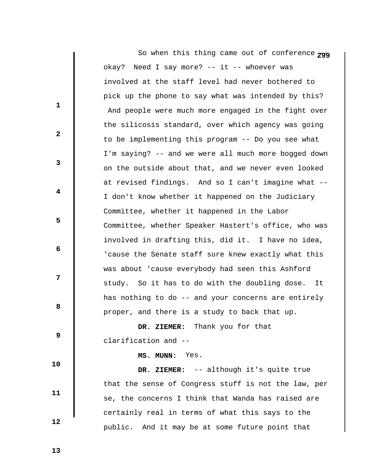|              | So when this thing came out of conference 299        |
|--------------|------------------------------------------------------|
|              | okay? Need I say more? -- it -- whoever was          |
|              | involved at the staff level had never bothered to    |
| 1            | pick up the phone to say what was intended by this?  |
|              | And people were much more engaged in the fight over  |
|              | the silicosis standard, over which agency was going  |
| $\mathbf{2}$ | to be implementing this program -- Do you see what   |
|              | I'm saying? -- and we were all much more bogged down |
| 3            | on the outside about that, and we never even looked  |
|              | at revised findings. And so I can't imagine what --  |
| 4            | I don't know whether it happened on the Judiciary    |
|              | Committee, whether it happened in the Labor          |
| 5            | Committee, whether Speaker Hastert's office, who was |
|              | involved in drafting this, did it. I have no idea,   |
| 6            | 'cause the Senate staff sure knew exactly what this  |
|              | was about 'cause everybody had seen this Ashford     |
| 7            | study. So it has to do with the doubling dose. It    |
|              | has nothing to do -- and your concerns are entirely  |
| 8            | proper, and there is a study to back that up.        |
|              | DR. ZIEMER: Thank you for that                       |
| 9            | clarification and --                                 |
| 10           | MS. MUNN: Yes.                                       |
|              | DR. ZIEMER: -- although it's quite true              |
| 11           | that the sense of Congress stuff is not the law, per |
|              | se, the concerns I think that Wanda has raised are   |
| 12           | certainly real in terms of what this says to the     |
|              | public. And it may be at some future point that      |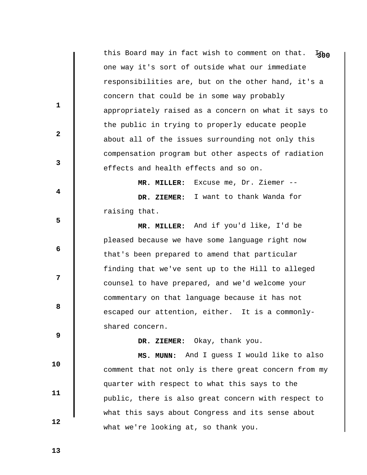this Board may in fact wish to comment on that. I<sub>joo</sub> one way it's sort of outside what our immediate responsibilities are, but on the other hand, it's a concern that could be in some way probably appropriately raised as a concern on what it says to the public in trying to properly educate people about all of the issues surrounding not only this compensation program but other aspects of radiation effects and health effects and so on.

 **MR. MILLER:** Excuse me, Dr. Ziemer --  **DR. ZIEMER:** I want to thank Wanda for raising that.

 **MR. MILLER:** And if you'd like, I'd be pleased because we have some language right now that's been prepared to amend that particular finding that we've sent up to the Hill to alleged counsel to have prepared, and we'd welcome your commentary on that language because it has not escaped our attention, either. It is a commonlyshared concern.

 **9** 

 **10** 

 **11** 

 **12** 

**1** 

**2** 

**3** 

**4** 

**5** 

**6 6** 

**12** 

**8 8** 

 **DR. ZIEMER:** Okay, thank you.

 **MS. MUNN:** And I guess I would like to also comment that not only is there great concern from my quarter with respect to what this says to the public, there is also great concern with respect to what this says about Congress and its sense about what we're looking at, so thank you.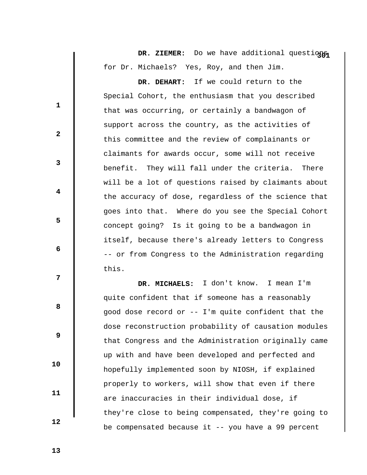DR. ZIEMER: Do we have additional questions for Dr. Michaels? Yes, Roy, and then Jim.

 **DR. DEHART:** If we could return to the Special Cohort, the enthusiasm that you described that was occurring, or certainly a bandwagon of support across the country, as the activities of this committee and the review of complainants or claimants for awards occur, some will not receive benefit. They will fall under the criteria. There will be a lot of questions raised by claimants about the accuracy of dose, regardless of the science that goes into that. Where do you see the Special Cohort concept going? Is it going to be a bandwagon in itself, because there's already letters to Congress -- or from Congress to the Administration regarding this.

 **DR. MICHAELS:** I don't know. I mean I'm quite confident that if someone has a reasonably good dose record or -- I'm quite confident that the dose reconstruction probability of causation modules that Congress and the Administration originally came up with and have been developed and perfected and hopefully implemented soon by NIOSH, if explained properly to workers, will show that even if there are inaccuracies in their individual dose, if they're close to being compensated, they're going to be compensated because it -- you have a 99 percent

 **13** 

 **10** 

 **11** 

 **12** 

**1** 

**2** 

**3** 

**4** 

**5** 

**6 6** 

**12** 

**8 8**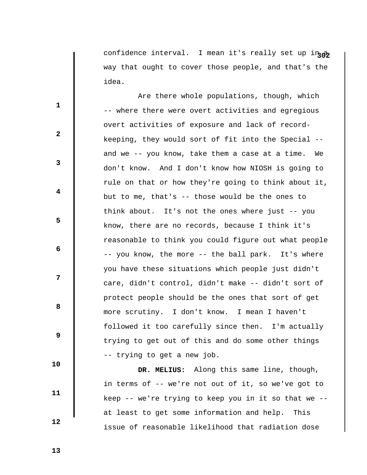confidence interval. I mean it's really set up in  $\hat{\theta}$ way that ought to cover those people, and that's the idea.

 Are there whole populations, though, which -- where there were overt activities and egregious overt activities of exposure and lack of recordkeeping, they would sort of fit into the Special - and we -- you know, take them a case at a time. We don't know. And I don't know how NIOSH is going to rule on that or how they're going to think about it, but to me, that's -- those would be the ones to think about. It's not the ones where just -- you know, there are no records, because I think it's reasonable to think you could figure out what people -- you know, the more -- the ball park. It's where you have these situations which people just didn't care, didn't control, didn't make -- didn't sort of protect people should be the ones that sort of get more scrutiny. I don't know. I mean I haven't followed it too carefully since then. I'm actually trying to get out of this and do some other things -- trying to get a new job.

 **DR. MELIUS:** Along this same line, though, in terms of -- we're not out of it, so we've got to keep -- we're trying to keep you in it so that we - at least to get some information and help. This issue of reasonable likelihood that radiation dose

 **13** 

 **10** 

 **11** 

 **12** 

**1** 

**2** 

**3** 

**4** 

**5** 

**6 6** 

**12** 

**8 8**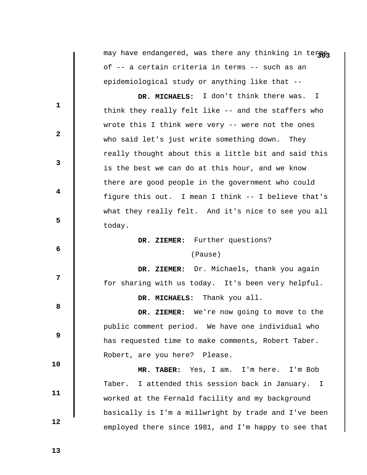may have endangered, was there any thinking in terms of -- a certain criteria in terms -- such as an epidemiological study or anything like that --

 **DR. MICHAELS:** I don't think there was. I think they really felt like -- and the staffers who wrote this I think were very -- were not the ones who said let's just write something down. They really thought about this a little bit and said this is the best we can do at this hour, and we know there are good people in the government who could figure this out. I mean I think -- I believe that's what they really felt. And it's nice to see you all today.

 **DR. ZIEMER:** Further questions?

## (Pause)

**12** 

**1** 

**2** 

**3** 

**4** 

**5** 

 **6** 

**8 8** 

 **9** 

 **DR. ZIEMER:** Dr. Michaels, thank you again for sharing with us today. It's been very helpful.

 **DR. MICHAELS:** Thank you all.

 **DR. ZIEMER:** We're now going to move to the public comment period. We have one individual who has requested time to make comments, Robert Taber. Robert, are you here? Please.

 **MR. TABER:** Yes, I am. I'm here. I'm Bob Taber. I attended this session back in January. I worked at the Fernald facility and my background basically is I'm a millwright by trade and I've been employed there since 1981, and I'm happy to see that

 **13** 

 **10** 

 **11**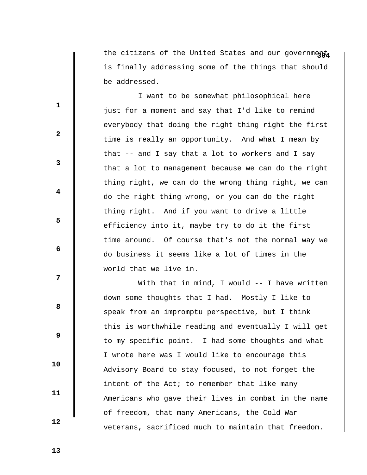the citizens of the United States and our government is finally addressing some of the things that should be addressed.

 I want to be somewhat philosophical here just for a moment and say that I'd like to remind everybody that doing the right thing right the first time is really an opportunity. And what I mean by that -- and I say that a lot to workers and I say that a lot to management because we can do the right thing right, we can do the wrong thing right, we can do the right thing wrong, or you can do the right thing right. And if you want to drive a little efficiency into it, maybe try to do it the first time around. Of course that's not the normal way we do business it seems like a lot of times in the world that we live in.

With that in mind, I would -- I have written down some thoughts that I had. Mostly I like to speak from an impromptu perspective, but I think this is worthwhile reading and eventually I will get to my specific point. I had some thoughts and what I wrote here was I would like to encourage this Advisory Board to stay focused, to not forget the intent of the Act; to remember that like many Americans who gave their lives in combat in the name of freedom, that many Americans, the Cold War veterans, sacrificed much to maintain that freedom.

 **13** 

 **10** 

 **11** 

 **12** 

**1** 

**2** 

**3** 

**4** 

**5** 

**6 6** 

**12** 

**8 8**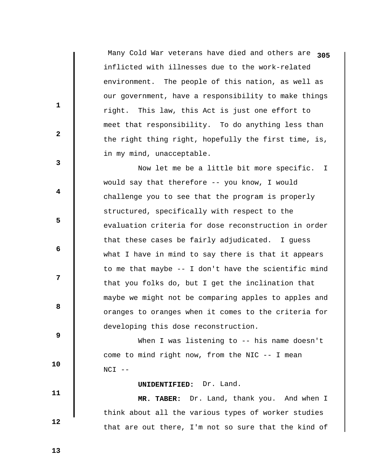Many Cold War veterans have died and others are **305** inflicted with illnesses due to the work-related environment. The people of this nation, as well as our government, have a responsibility to make things right. This law, this Act is just one effort to meet that responsibility. To do anything less than the right thing right, hopefully the first time, is, in my mind, unacceptable.

 Now let me be a little bit more specific. I would say that therefore -- you know, I would challenge you to see that the program is properly structured, specifically with respect to the evaluation criteria for dose reconstruction in order that these cases be fairly adjudicated. I guess what I have in mind to say there is that it appears to me that maybe -- I don't have the scientific mind that you folks do, but I get the inclination that maybe we might not be comparing apples to apples and oranges to oranges when it comes to the criteria for developing this dose reconstruction.

When I was listening to -- his name doesn't come to mind right now, from the NIC -- I mean  $NCI$   $--$ 

## **UNIDENTIFIED:** Dr. Land.

 **MR. TABER:** Dr. Land, thank you. And when I think about all the various types of worker studies that are out there, I'm not so sure that the kind of

 **13** 

 **10** 

 **11** 

 **12** 

**1** 

**2** 

**3** 

**4** 

**5** 

**6 6** 

**12** 

**8 8**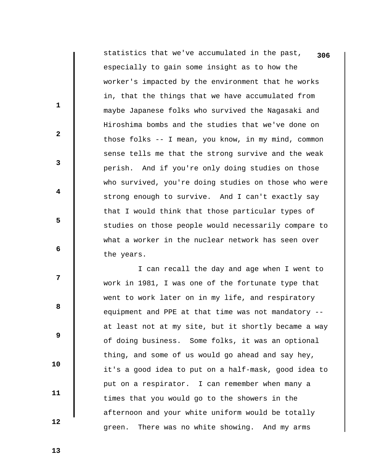statistics that we've accumulated in the past, **306** especially to gain some insight as to how the worker's impacted by the environment that he works in, that the things that we have accumulated from maybe Japanese folks who survived the Nagasaki and Hiroshima bombs and the studies that we've done on those folks -- I mean, you know, in my mind, common sense tells me that the strong survive and the weak perish. And if you're only doing studies on those who survived, you're doing studies on those who were strong enough to survive. And I can't exactly say that I would think that those particular types of studies on those people would necessarily compare to what a worker in the nuclear network has seen over the years.

 I can recall the day and age when I went to work in 1981, I was one of the fortunate type that went to work later on in my life, and respiratory equipment and PPE at that time was not mandatory - at least not at my site, but it shortly became a way of doing business. Some folks, it was an optional thing, and some of us would go ahead and say hey, it's a good idea to put on a half-mask, good idea to put on a respirator. I can remember when many a times that you would go to the showers in the afternoon and your white uniform would be totally green. There was no white showing. And my arms

 **13** 

 **10** 

 **11** 

 **12** 

**1** 

**2** 

**3** 

**4** 

**5** 

**6 6** 

**12** 

**8 8**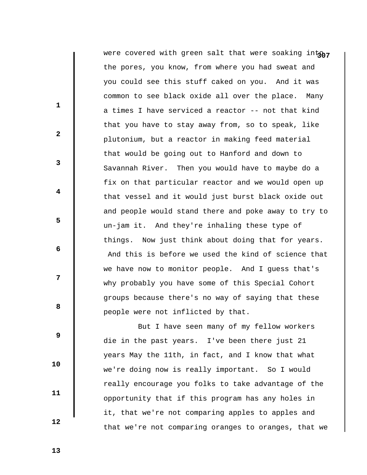were covered with green salt that were soaking intony the pores, you know, from where you had sweat and you could see this stuff caked on you. And it was common to see black oxide all over the place. Many a times I have serviced a reactor -- not that kind that you have to stay away from, so to speak, like plutonium, but a reactor in making feed material that would be going out to Hanford and down to Savannah River. Then you would have to maybe do a fix on that particular reactor and we would open up that vessel and it would just burst black oxide out and people would stand there and poke away to try to un-jam it. And they're inhaling these type of things. Now just think about doing that for years. And this is before we used the kind of science that we have now to monitor people. And I guess that's why probably you have some of this Special Cohort groups because there's no way of saying that these people were not inflicted by that.

 But I have seen many of my fellow workers die in the past years. I've been there just 21 years May the 11th, in fact, and I know that what we're doing now is really important. So I would really encourage you folks to take advantage of the opportunity that if this program has any holes in it, that we're not comparing apples to apples and that we're not comparing oranges to oranges, that we

 **13** 

**1** 

**2** 

**3** 

**4** 

**5** 

**6 6** 

**12** 

**8 8** 

 **9** 

 **10** 

 **11**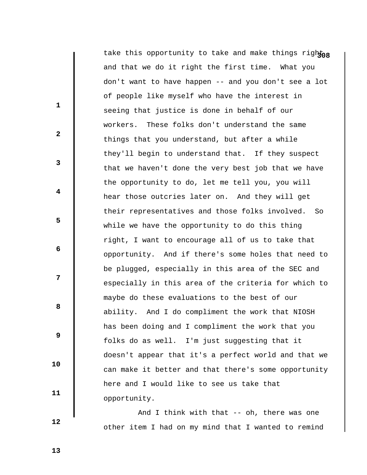take this opportunity to take and make things rightor and that we do it right the first time. What you don't want to have happen -- and you don't see a lot of people like myself who have the interest in seeing that justice is done in behalf of our workers. These folks don't understand the same things that you understand, but after a while they'll begin to understand that. If they suspect that we haven't done the very best job that we have the opportunity to do, let me tell you, you will hear those outcries later on. And they will get their representatives and those folks involved. So while we have the opportunity to do this thing right, I want to encourage all of us to take that opportunity. And if there's some holes that need to be plugged, especially in this area of the SEC and especially in this area of the criteria for which to maybe do these evaluations to the best of our ability. And I do compliment the work that NIOSH has been doing and I compliment the work that you folks do as well. I'm just suggesting that it doesn't appear that it's a perfect world and that we can make it better and that there's some opportunity here and I would like to see us take that opportunity.

 And I think with that -- oh, there was one other item I had on my mind that I wanted to remind

 **12** 

 **10** 

 **11** 

**1** 

**2** 

**3** 

**4** 

**5** 

**6 6** 

**12** 

**8 8** 

 **9**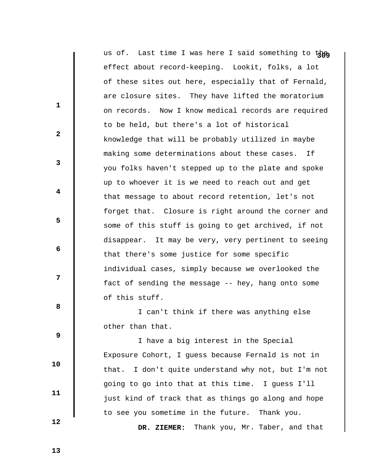|              | us of. Last time I was here I said something to the    |
|--------------|--------------------------------------------------------|
|              | effect about record-keeping. Lookit, folks, a lot      |
|              | of these sites out here, especially that of Fernald,   |
|              | are closure sites. They have lifted the moratorium     |
| 1            | on records. Now I know medical records are required    |
|              | to be held, but there's a lot of historical            |
| $\mathbf{2}$ | knowledge that will be probably utilized in maybe      |
|              | making some determinations about these cases.<br>Ιf    |
| 3            | you folks haven't stepped up to the plate and spoke    |
|              | up to whoever it is we need to reach out and get       |
| 4            | that message to about record retention, let's not      |
|              | forget that. Closure is right around the corner and    |
| 5            | some of this stuff is going to get archived, if not    |
|              | disappear. It may be very, very pertinent to seeing    |
| 6            | that there's some justice for some specific            |
|              | individual cases, simply because we overlooked the     |
| 7            | fact of sending the message -- hey, hang onto some     |
|              | of this stuff.                                         |
| 8            | I can't think if there was anything else               |
|              | other than that.                                       |
| 9            | I have a big interest in the Special                   |
| 10           | Exposure Cohort, I guess because Fernald is not in     |
|              | I don't quite understand why not, but I'm not<br>that. |
|              | going to go into that at this time. I guess I'll       |
| 11           | just kind of track that as things go along and hope    |
|              | to see you sometime in the future. Thank you.          |

 **DR. ZIEMER:** Thank you, Mr. Taber, and that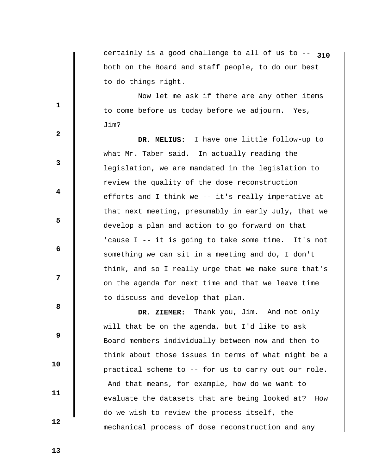certainly is a good challenge to all of us to -- **310** both on the Board and staff people, to do our best to do things right.

 Now let me ask if there are any other items to come before us today before we adjourn. Yes, Jim?

 **DR. MELIUS:** I have one little follow-up to what Mr. Taber said. In actually reading the legislation, we are mandated in the legislation to review the quality of the dose reconstruction efforts and I think we -- it's really imperative at that next meeting, presumably in early July, that we develop a plan and action to go forward on that 'cause I -- it is going to take some time. It's not something we can sit in a meeting and do, I don't think, and so I really urge that we make sure that's on the agenda for next time and that we leave time to discuss and develop that plan.

 **DR. ZIEMER:** Thank you, Jim. And not only will that be on the agenda, but I'd like to ask Board members individually between now and then to think about those issues in terms of what might be a practical scheme to -- for us to carry out our role. And that means, for example, how do we want to evaluate the datasets that are being looked at? How do we wish to review the process itself, the mechanical process of dose reconstruction and any

**1** 

**2** 

**3** 

**4** 

**5** 

 **6** 

**12** 

**8 8** 

 **9** 

 **11** 

 **10**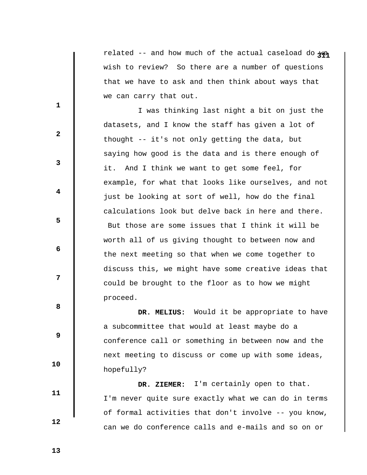related -- and how much of the actual caseload do we wish to review? So there are a number of questions that we have to ask and then think about ways that we can carry that out.

 I was thinking last night a bit on just the datasets, and I know the staff has given a lot of thought -- it's not only getting the data, but saying how good is the data and is there enough of it. And I think we want to get some feel, for example, for what that looks like ourselves, and not just be looking at sort of well, how do the final calculations look but delve back in here and there. But those are some issues that I think it will be worth all of us giving thought to between now and the next meeting so that when we come together to discuss this, we might have some creative ideas that could be brought to the floor as to how we might proceed.

 **DR. MELIUS:** Would it be appropriate to have a subcommittee that would at least maybe do a conference call or something in between now and the next meeting to discuss or come up with some ideas, hopefully?

 **DR. ZIEMER:** I'm certainly open to that. I'm never quite sure exactly what we can do in terms of formal activities that don't involve -- you know, can we do conference calls and e-mails and so on or

 **13** 

 **10** 

 **11** 

 **12** 

**1** 

**3** 

**4** 

**5** 

 **6** 

**12** 

**8 8** 

 **9**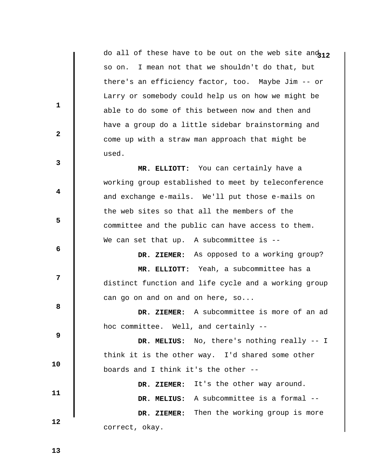do all of these have to be out on the web site an $d_{12}$ so on. I mean not that we shouldn't do that, but there's an efficiency factor, too. Maybe Jim -- or Larry or somebody could help us on how we might be able to do some of this between now and then and have a group do a little sidebar brainstorming and come up with a straw man approach that might be used.

 **MR. ELLIOTT:** You can certainly have a working group established to meet by teleconference and exchange e-mails. We'll put those e-mails on the web sites so that all the members of the committee and the public can have access to them. We can set that up. A subcommittee is --

 **DR. ZIEMER:** As opposed to a working group?  **MR. ELLIOTT:** Yeah, a subcommittee has a distinct function and life cycle and a working group can go on and on and on here, so...

> **DR. ZIEMER:** A subcommittee is more of an ad hoc committee. Well, and certainly --

 **9 10 11 DR. MELIUS:** No, there's nothing really -- I think it is the other way. I'd shared some other boards and I think it's the other --  **DR. ZIEMER:** It's the other way around.

 **DR. MELIUS:** A subcommittee is a formal --  **DR. ZIEMER:** Then the working group is more correct, okay.

 **13** 

 **12** 

**1** 

**2** 

**3** 

**4** 

**5** 

 **6** 

**12**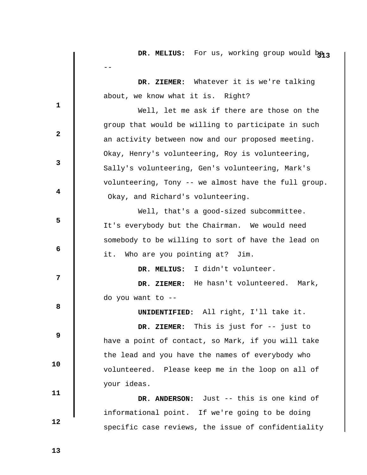|              | DR. MELIUS: For us, working group would be 3         |
|--------------|------------------------------------------------------|
|              |                                                      |
|              | DR. ZIEMER: Whatever it is we're talking             |
|              | about, we know what it is. Right?                    |
| 1            | Well, let me ask if there are those on the           |
|              | group that would be willing to participate in such   |
| $\mathbf{2}$ | an activity between now and our proposed meeting.    |
|              | Okay, Henry's volunteering, Roy is volunteering,     |
| 3            | Sally's volunteering, Gen's volunteering, Mark's     |
|              | volunteering, Tony -- we almost have the full group. |
| 4            | Okay, and Richard's volunteering.                    |
|              | Well, that's a good-sized subcommittee.              |
| 5            | It's everybody but the Chairman. We would need       |
|              | somebody to be willing to sort of have the lead on   |
| 6            | Who are you pointing at? Jim.<br>it.                 |
|              | DR. MELIUS: I didn't volunteer.                      |
| 7            | DR. ZIEMER: He hasn't volunteered. Mark,             |
|              | do you want to --                                    |
| 8            | UNIDENTIFIED: All right, I'll take it.               |
|              | DR. ZIEMER: This is just for -- just to              |
| 9            | have a point of contact, so Mark, if you will take   |
|              | the lead and you have the names of everybody who     |
| 10           | volunteered. Please keep me in the loop on all of    |
| 11           | your ideas.                                          |
|              | DR. ANDERSON: Just -- this is one kind of            |
|              | informational point. If we're going to be doing      |
| 12           | specific case reviews, the issue of confidentiality  |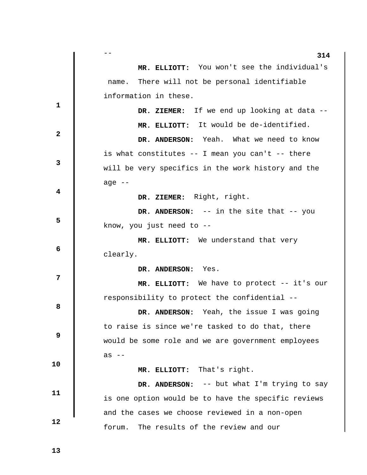|              | 314                                                 |
|--------------|-----------------------------------------------------|
|              | MR. ELLIOTT: You won't see the individual's         |
|              | There will not be personal identifiable<br>name.    |
|              | information in these.                               |
| $\mathbf{1}$ | DR. ZIEMER: If we end up looking at data --         |
|              | MR. ELLIOTT: It would be de-identified.             |
| $\mathbf{2}$ | DR. ANDERSON: Yeah. What we need to know            |
|              | is what constitutes -- I mean you can't -- there    |
| 3            | will be very specifics in the work history and the  |
|              | age $--$                                            |
| 4            | DR. ZIEMER: Right, right.                           |
|              | DR. ANDERSON: -- in the site that -- you            |
| 5            | know, you just need to --                           |
|              | MR. ELLIOTT: We understand that very                |
| 6            | clearly.                                            |
|              | DR. ANDERSON: Yes.                                  |
| 7            | MR. ELLIOTT: We have to protect -- it's our         |
|              | responsibility to protect the confidential --       |
| 8            | DR. ANDERSON: Yeah, the issue I was going           |
|              | to raise is since we're tasked to do that, there    |
| 9            | would be some role and we are government employees  |
| 10           | as --                                               |
|              | MR. ELLIOTT: That's right.                          |
| 11           | DR. ANDERSON: -- but what I'm trying to say         |
|              | is one option would be to have the specific reviews |
|              | and the cases we choose reviewed in a non-open      |
| 12           | The results of the review and our<br>forum.         |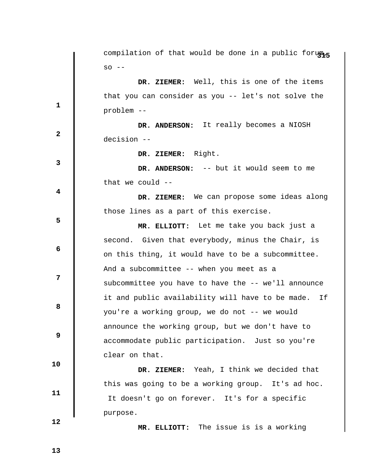**315** compilation of that would be done in a public forum,  $SO - -$ **1 2 3 4 5 6 12 8 8 9 10 11 12 DR. ZIEMER:** Well, this is one of the items that you can consider as you -- let's not solve the problem --  **DR. ANDERSON:** It really becomes a NIOSH decision --  **DR. ZIEMER:** Right.  **DR. ANDERSON:** -- but it would seem to me that we could  $-$ - **DR. ZIEMER:** We can propose some ideas along those lines as a part of this exercise.  **MR. ELLIOTT:** Let me take you back just a second. Given that everybody, minus the Chair, is on this thing, it would have to be a subcommittee. And a subcommittee -- when you meet as a subcommittee you have to have the -- we'll announce it and public availability will have to be made. If you're a working group, we do not -- we would announce the working group, but we don't have to accommodate public participation. Just so you're clear on that.  **DR. ZIEMER:** Yeah, I think we decided that this was going to be a working group. It's ad hoc. It doesn't go on forever. It's for a specific purpose.  **MR. ELLIOTT:** The issue is is a working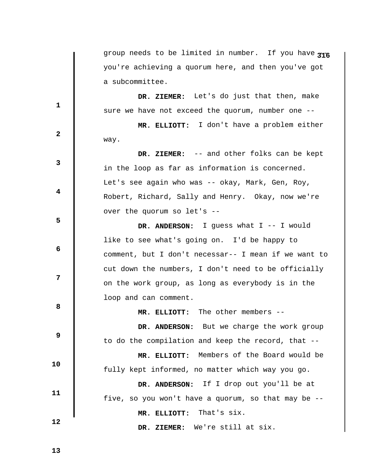group needs to be limited in number. If you have  $\pi$ <sup>6</sup> you're achieving a quorum here, and then you've got a subcommittee.

 **DR. ZIEMER:** Let's do just that then, make sure we have not exceed the quorum, number one --

 **MR. ELLIOTT:** I don't have a problem either way.

 **DR. ZIEMER:** -- and other folks can be kept in the loop as far as information is concerned. Let's see again who was -- okay, Mark, Gen, Roy, Robert, Richard, Sally and Henry. Okay, now we're over the quorum so let's --

 **DR. ANDERSON:** I guess what I -- I would like to see what's going on. I'd be happy to comment, but I don't necessar-- I mean if we want to cut down the numbers, I don't need to be officially on the work group, as long as everybody is in the loop and can comment.

 **MR. ELLIOTT:** The other members --

 **DR. ANDERSON:** But we charge the work group to do the compilation and keep the record, that --

 **MR. ELLIOTT:** Members of the Board would be fully kept informed, no matter which way you go.

 **DR. ANDERSON:** If I drop out you'll be at five, so you won't have a quorum, so that may be --

 **MR. ELLIOTT:** That's six.

 **DR. ZIEMER:** We're still at six.

 **13** 

 **12** 

 **10** 

 **11** 

**1** 

**2** 

**3** 

**4** 

**5** 

 **6** 

**12** 

**8 8**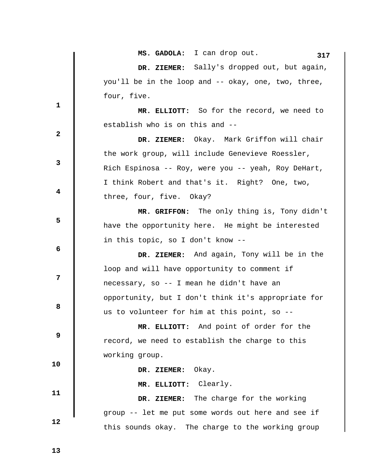|              | MS. GADOLA: I can drop out.<br>317                  |
|--------------|-----------------------------------------------------|
|              | DR. ZIEMER: Sally's dropped out, but again,         |
|              | you'll be in the loop and -- okay, one, two, three, |
| $\mathbf 1$  | four, five.                                         |
|              | MR. ELLIOTT: So for the record, we need to          |
| $\mathbf{2}$ | establish who is on this and --                     |
|              | DR. ZIEMER: Okay. Mark Griffon will chair           |
|              | the work group, will include Genevieve Roessler,    |
| 3            | Rich Espinosa -- Roy, were you -- yeah, Roy DeHart, |
|              | I think Robert and that's it. Right? One, two,      |
| 4            | three, four, five. Okay?                            |
|              | MR. GRIFFON: The only thing is, Tony didn't         |
| 5            | have the opportunity here. He might be interested   |
|              | in this topic, so I don't know --                   |
| 6            | DR. ZIEMER: And again, Tony will be in the          |
|              | loop and will have opportunity to comment if        |
| 7            | necessary, so -- I mean he didn't have an           |
|              | opportunity, but I don't think it's appropriate for |
| 8            | us to volunteer for him at this point, so --        |
|              | MR. ELLIOTT: And point of order for the             |
| 9            | record, we need to establish the charge to this     |
| 10           | working group.                                      |
|              | DR. ZIEMER: Okay.                                   |
| 11           | MR. ELLIOTT: Clearly.                               |
|              | DR. ZIEMER: The charge for the working              |
| 12           | group -- let me put some words out here and see if  |
|              | this sounds okay. The charge to the working group   |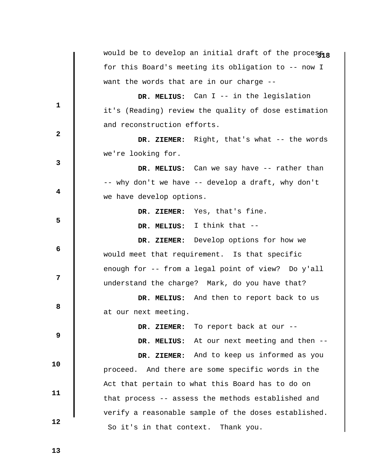|              | would be to develop an initial draft of the process <sub>18</sub> |
|--------------|-------------------------------------------------------------------|
|              | for this Board's meeting its obligation to -- now I               |
|              | want the words that are in our charge --                          |
| 1            | DR. MELIUS: Can I -- in the legislation                           |
|              | it's (Reading) review the quality of dose estimation              |
| $\mathbf{2}$ | and reconstruction efforts.                                       |
|              | DR. ZIEMER: Right, that's what -- the words                       |
|              | we're looking for.                                                |
| 3            | DR. MELIUS: Can we say have -- rather than                        |
|              | -- why don't we have -- develop a draft, why don't                |
| 4            | we have develop options.                                          |
|              | DR. ZIEMER: Yes, that's fine.                                     |
| 5            | DR. MELIUS: I think that --                                       |
|              | DR. ZIEMER: Develop options for how we                            |
| 6            | would meet that requirement. Is that specific                     |
|              | enough for -- from a legal point of view? Do y'all                |
| 7            | understand the charge? Mark, do you have that?                    |
|              | DR. MELIUS: And then to report back to us                         |
| 8            | at our next meeting.                                              |
|              | DR. ZIEMER: To report back at our --                              |
| 9            | DR. MELIUS: At our next meeting and then --                       |
|              | DR. ZIEMER: And to keep us informed as you                        |
| 10           | proceed. And there are some specific words in the                 |
| 11           | Act that pertain to what this Board has to do on                  |
|              | that process -- assess the methods established and                |
|              | verify a reasonable sample of the doses established.              |
| 12           | So it's in that context. Thank you.                               |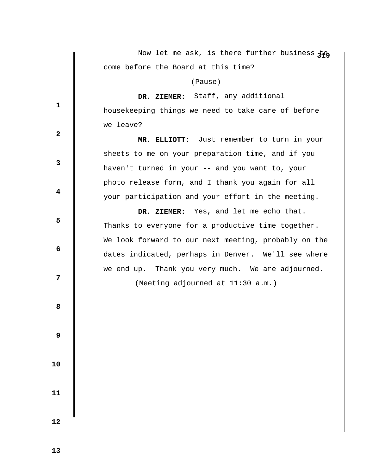|                         | Now let me ask, is there further business $\ddagger \alpha$ |
|-------------------------|-------------------------------------------------------------|
|                         | come before the Board at this time?                         |
|                         | (Pause)                                                     |
|                         | DR. ZIEMER: Staff, any additional                           |
| $\mathbf 1$             | housekeeping things we need to take care of before          |
|                         | we leave?                                                   |
| $\mathbf{2}$            | MR. ELLIOTT: Just remember to turn in your                  |
|                         | sheets to me on your preparation time, and if you           |
| 3                       | haven't turned in your -- and you want to, your             |
|                         | photo release form, and I thank you again for all           |
| $\overline{\mathbf{4}}$ | your participation and your effort in the meeting.          |
|                         | DR. ZIEMER: Yes, and let me echo that.                      |
| 5                       | Thanks to everyone for a productive time together.          |
|                         | We look forward to our next meeting, probably on the        |
| 6                       | dates indicated, perhaps in Denver. We'll see where         |
|                         | we end up. Thank you very much. We are adjourned.           |
| 7                       | (Meeting adjourned at 11:30 a.m.)                           |
|                         |                                                             |
| 8                       |                                                             |
|                         |                                                             |
| $\boldsymbol{9}$        |                                                             |
|                         |                                                             |
| 10                      |                                                             |
|                         |                                                             |
| 11                      |                                                             |
|                         |                                                             |
| 12                      |                                                             |